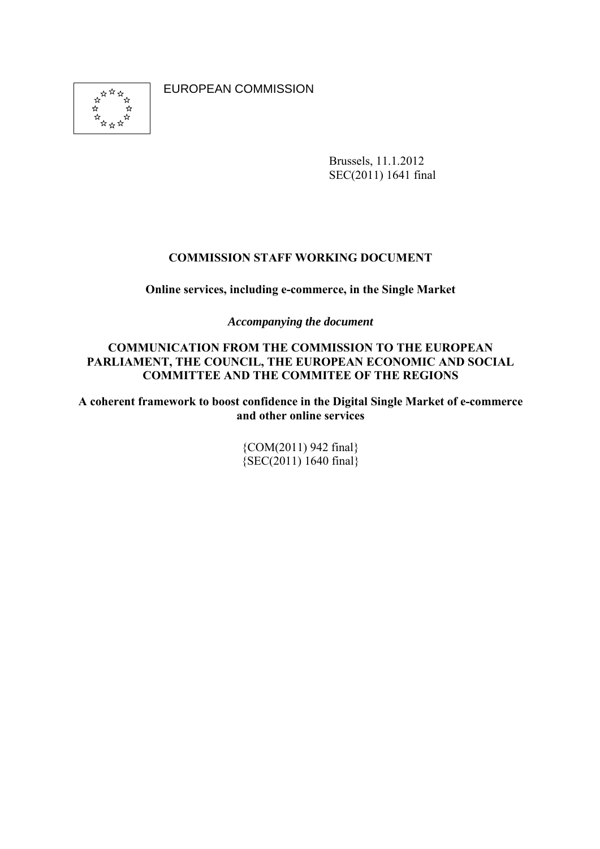EUROPEAN COMMISSION



Brussels, 11.1.2012 SEC(2011) 1641 final

### **COMMISSION STAFF WORKING DOCUMENT**

**Online services, including e-commerce, in the Single Market** 

*Accompanying the document* 

**COMMUNICATION FROM THE COMMISSION TO THE EUROPEAN PARLIAMENT, THE COUNCIL, THE EUROPEAN ECONOMIC AND SOCIAL COMMITTEE AND THE COMMITEE OF THE REGIONS** 

**A coherent framework to boost confidence in the Digital Single Market of e-commerce and other online services** 

> {COM(2011) 942 final}  ${SEC(2011) 1640 final}$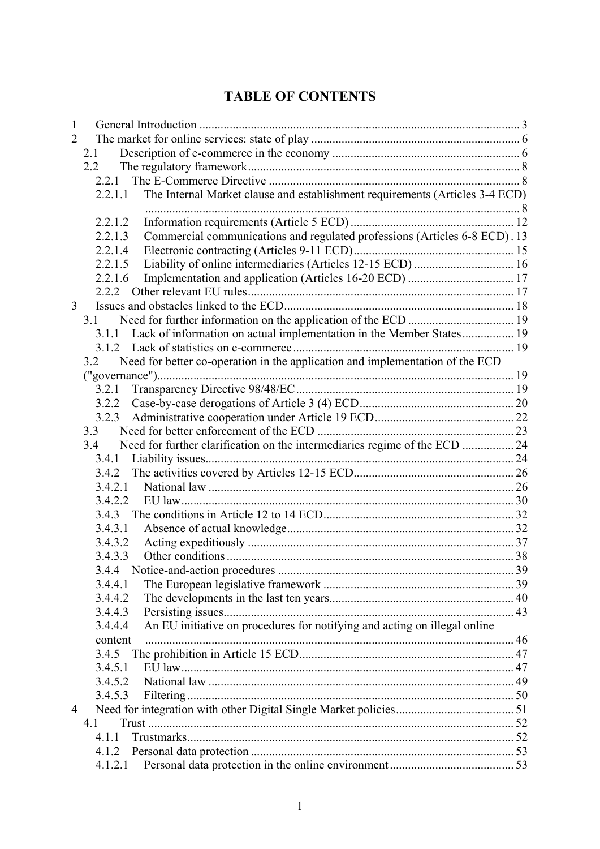# **TABLE OF CONTENTS**

| 1              |                                                                                                 |  |
|----------------|-------------------------------------------------------------------------------------------------|--|
| $\overline{2}$ |                                                                                                 |  |
|                | 2.1                                                                                             |  |
|                | $2.2^{\circ}$                                                                                   |  |
|                | 2.2.1                                                                                           |  |
|                | The Internal Market clause and establishment requirements (Articles 3-4 ECD)<br>2.2.1.1         |  |
|                |                                                                                                 |  |
|                | 2.2.1.2                                                                                         |  |
|                | Commercial communications and regulated professions (Articles 6-8 ECD). 13<br>2.2.1.3           |  |
|                | 2.2.1.4<br>2.2.1.5                                                                              |  |
|                | Liability of online intermediaries (Articles 12-15 ECD)  16<br>2.2.1.6                          |  |
|                | 2.2.2                                                                                           |  |
| 3              |                                                                                                 |  |
|                | 3.1                                                                                             |  |
|                | 3.1.1 Lack of information on actual implementation in the Member States 19                      |  |
|                |                                                                                                 |  |
|                | Need for better co-operation in the application and implementation of the ECD<br>3.2            |  |
|                |                                                                                                 |  |
|                | 3.2.1                                                                                           |  |
|                | 3.2.2                                                                                           |  |
|                | 3.2.3                                                                                           |  |
|                | 3.3                                                                                             |  |
|                | Need for further clarification on the intermediaries regime of the ECD  24<br>3.4               |  |
|                |                                                                                                 |  |
|                |                                                                                                 |  |
|                | 3.4.2.1                                                                                         |  |
|                | 3.4.2.2                                                                                         |  |
|                |                                                                                                 |  |
|                | 3.4.3.1                                                                                         |  |
|                | 3.4.3.2                                                                                         |  |
|                | 3.4.3.3                                                                                         |  |
|                |                                                                                                 |  |
|                | 3.4.4.1                                                                                         |  |
|                | 3.4.4.2                                                                                         |  |
|                | 3.4.4.3                                                                                         |  |
|                | An EU initiative on procedures for notifying and acting on illegal online<br>3.4.4.4<br>content |  |
|                | 3.4.5                                                                                           |  |
|                | 3.4.5.1                                                                                         |  |
|                | 3.4.5.2                                                                                         |  |
|                | 3.4.5.3                                                                                         |  |
| 4              |                                                                                                 |  |
|                | 4.1                                                                                             |  |
|                | 4.1.1                                                                                           |  |
|                |                                                                                                 |  |
|                | 4.1.2.1                                                                                         |  |
|                |                                                                                                 |  |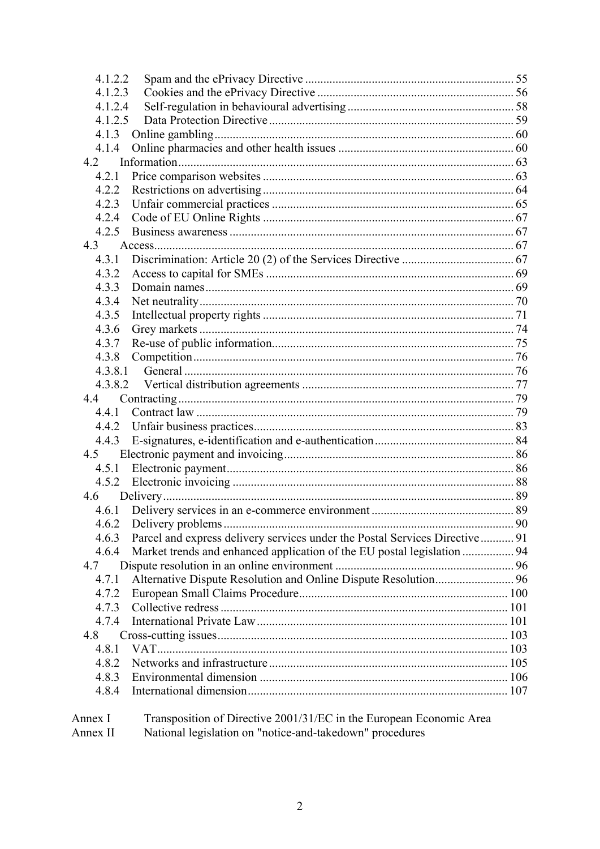| 4.1.2.2                                                                              |  |
|--------------------------------------------------------------------------------------|--|
| 4.1.2.3                                                                              |  |
| 4.1.2.4                                                                              |  |
| 4.1.2.5                                                                              |  |
| 4.1.3                                                                                |  |
| 4.1.4                                                                                |  |
| 4.2                                                                                  |  |
| 4.2.1                                                                                |  |
| 4.2.2                                                                                |  |
| 4.2.3                                                                                |  |
| 4.2.4                                                                                |  |
| 4.2.5                                                                                |  |
| 4.3                                                                                  |  |
| 4.3.1                                                                                |  |
| 4.3.2                                                                                |  |
| 4.3.3                                                                                |  |
| 4.3.4                                                                                |  |
| 4.3.5                                                                                |  |
| 4.3.6                                                                                |  |
| 4.3.7                                                                                |  |
| 4.3.8                                                                                |  |
|                                                                                      |  |
|                                                                                      |  |
| 4.4                                                                                  |  |
| 4.4.1                                                                                |  |
|                                                                                      |  |
| 4.4.3                                                                                |  |
| 4.5                                                                                  |  |
|                                                                                      |  |
| 4.5.2                                                                                |  |
|                                                                                      |  |
|                                                                                      |  |
|                                                                                      |  |
| Parcel and express delivery services under the Postal Services Directive 91<br>4.6.3 |  |
| Market trends and enhanced application of the EU postal legislation  94<br>4.6.4     |  |
| 4.7                                                                                  |  |
| 4.7.1                                                                                |  |
| 4.7.2                                                                                |  |
| 4.7.3                                                                                |  |
| 4.7.4                                                                                |  |
| 4.8                                                                                  |  |
| 4.8.1                                                                                |  |
| 4.8.2                                                                                |  |
| 4.8.3                                                                                |  |
| 4.8.4                                                                                |  |
| Transposition of Directive 2001/31/EC in the European Economic Area<br>Annex I       |  |

Annex I Transposition of Directive 2001/31/EC in the European Ec<br>Annex II National legislation on "notice-and-takedown" procedures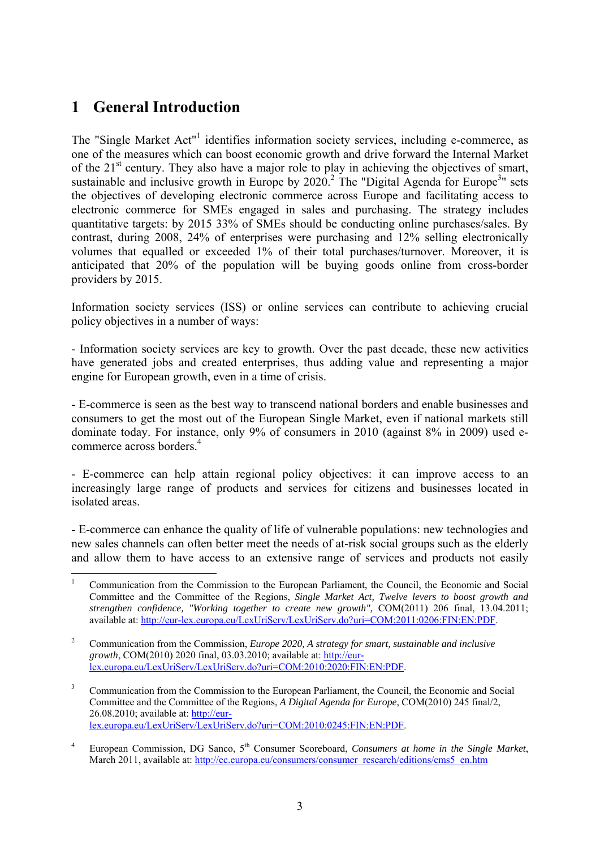# <span id="page-3-0"></span>**1 General Introduction**

The "Single Market Act"<sup>1</sup> identifies information society services, including e-commerce, as one of the measures which can boost economic growth and drive forward the Internal Market of the  $21<sup>st</sup>$  century. They also have a major role to play in achieving the objectives of smart, sustainable and inclusive growth in Europe by  $2020$ <sup>2</sup>. The "Digital Agenda for Europe<sup>3</sup>" sets the objectives of developing electronic commerce across Europe and facilitating access to electronic commerce for SMEs engaged in sales and purchasing. The strategy includes quantitative targets: by 2015 33% of SMEs should be conducting online purchases/sales. By contrast, during 2008, 24% of enterprises were purchasing and 12% selling electronically volumes that equalled or exceeded 1% of their total purchases/turnover. Moreover, it is anticipated that 20% of the population will be buying goods online from cross-border providers by 2015.

Information society services (ISS) or online services can contribute to achieving crucial policy objectives in a number of ways:

- Information society services are key to growth. Over the past decade, these new activities have generated jobs and created enterprises, thus adding value and representing a major engine for European growth, even in a time of crisis.

- E-commerce is seen as the best way to transcend national borders and enable businesses and consumers to get the most out of the European Single Market, even if national markets still dominate today. For instance, only 9% of consumers in 2010 (against 8% in 2009) used ecommerce across borders.<sup>4</sup>

- E-commerce can help attain regional policy objectives: it can improve access to an increasingly large range of products and services for citizens and businesses located in isolated areas.

- E-commerce can enhance the quality of life of vulnerable populations: new technologies and new sales channels can often better meet the needs of at-risk social groups such as the elderly and allow them to have access to an extensive range of services and products not easily

<sup>1</sup> 1 Communication from the Commission to the European Parliament, the Council, the Economic and Social Committee and the Committee of the Regions, *Single Market Act, Twelve levers to boost growth and strengthen confidence, "Working together to create new growth",* COM(2011) 206 final, 13.04.2011; available at: [http://eur-lex.europa.eu/LexUriServ/LexUriServ.do?uri=COM:2011:0206:FIN:EN:PDF.](http://eur-lex.europa.eu/LexUriServ/LexUriServ.do?uri=COM:2011:0206:FIN:EN:PDF) 

<sup>2</sup> Communication from the Commission, *Europe 2020, A strategy for smart, sustainable and inclusive growth*, COM(2010) 2020 final, 03.03.2010; available at: [http://eur](http://eur-lex.europa.eu/LexUriServ/LexUriServ.do?uri=COM:2010:2020:FIN:EN:PDF)[lex.europa.eu/LexUriServ/LexUriServ.do?uri=COM:2010:2020:FIN:EN:PDF.](http://eur-lex.europa.eu/LexUriServ/LexUriServ.do?uri=COM:2010:2020:FIN:EN:PDF) 

<sup>3</sup> Communication from the Commission to the European Parliament, the Council, the Economic and Social Committee and the Committee of the Regions, *A Digital Agenda for Europe*, COM(2010) 245 final/2, 26.08.2010; available at: [http://eur](http://eur-lex.europa.eu/LexUriServ/LexUriServ.do?uri=COM:2010:0245:FIN:EN:PDF)[lex.europa.eu/LexUriServ/LexUriServ.do?uri=COM:2010:0245:FIN:EN:PDF.](http://eur-lex.europa.eu/LexUriServ/LexUriServ.do?uri=COM:2010:0245:FIN:EN:PDF) 

<sup>4</sup> European Commission, DG Sanco, 5<sup>th</sup> Consumer Scoreboard, *Consumers at home in the Single Market*, March 2011, available at: http://ec.europa.eu/consumers/consumer\_research/editions/cms5\_en.htm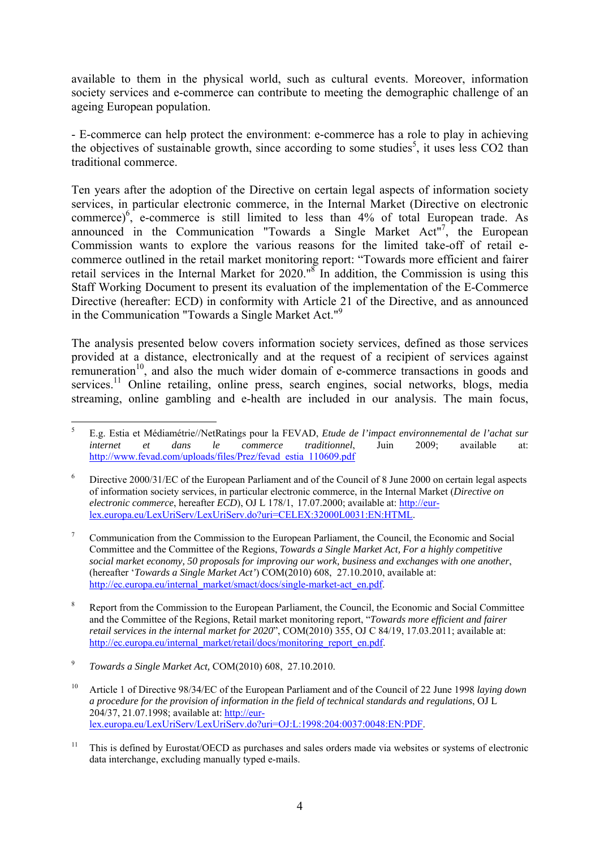available to them in the physical world, such as cultural events. Moreover, information society services and e-commerce can contribute to meeting the demographic challenge of an ageing European population.

- E-commerce can help protect the environment: e-commerce has a role to play in achieving the objectives of sustainable growth, since according to some studies<sup>5</sup>, it uses less CO2 than traditional commerce.

Ten years after the adoption of the Directive on certain legal aspects of information society services, in particular electronic commerce, in the Internal Market (Directive on electronic commerce)<sup>6</sup>, e-commerce is still limited to less than  $4\%$  of total European trade. As announced in the Communication "Towards a Single Market Act"<sup>7</sup>, the European Commission wants to explore the various reasons for the limited take-off of retail ecommerce outlined in the retail market monitoring report: "Towards more efficient and fairer retail services in the Internal Market for 2020." $\delta$  In addition, the Commission is using this Staff Working Document to present its evaluation of the implementation of the E-Commerce Directive (hereafter: ECD) in conformity with Article 21 of the Directive, and as announced in the Communication "Towards a Single Market Act."9

The analysis presented below covers information society services, defined as those services provided at a distance, electronically and at the request of a recipient of services against remuneration<sup>10</sup>, and also the much wider domain of e-commerce transactions in goods and services.<sup>11</sup> Online retailing, online press, search engines, social networks, blogs, media streaming, online gambling and e-health are included in our analysis. The main focus,

8 Report from the Commission to the European Parliament, the Council, the Economic and Social Committee and the Committee of the Regions, Retail market monitoring report, "*Towards more efficient and fairer retail services in the internal market for 2020*", COM(2010) 355, OJ C 84/19, 17.03.2011; available at: http://ec.europa.eu/internal\_market/retail/docs/monitoring\_report\_en.pdf.

<sup>1</sup> 5 E.g. Estia et Médiamétrie//NetRatings pour la FEVAD, *Etude de l'impact environnemental de l'achat sur internet et dans le commerce traditionnel*, Juin 2009; available at: [http://www.fevad.com/uploads/files/Prez/fevad\\_estia\\_110609.pdf](http://www.fevad.com/uploads/files/Prez/fevad_estia_110609.pdf) 

<sup>6</sup> Directive 2000/31/EC of the European Parliament and of the Council of 8 June 2000 on certain legal aspects of information society services, in particular electronic commerce, in the Internal Market (*Directive on electronic commerce*, hereafter *ECD*), OJ L 178/1, 17.07.2000; available at: [http://eur](http://eur-lex.europa.eu/LexUriServ/LexUriServ.do?uri=CELEX:32000L0031:EN:HTML)[lex.europa.eu/LexUriServ/LexUriServ.do?uri=CELEX:32000L0031:EN:HTML.](http://eur-lex.europa.eu/LexUriServ/LexUriServ.do?uri=CELEX:32000L0031:EN:HTML) 

<sup>7</sup> Communication from the Commission to the European Parliament, the Council, the Economic and Social Committee and the Committee of the Regions, *Towards a Single Market Act, For a highly competitive social market economy, 50 proposals for improving our work, business and exchanges with one another*, (hereafter '*Towards a Single Market Act'*) COM(2010) 608, 27.10.2010, available at: http://ec.europa.eu/internal\_market/smact/docs/single-market-act\_en.pdf.

<sup>9</sup> *Towards a Single Market Act,* COM(2010) 608, 27.10.2010.

<sup>10</sup> Article 1 of Directive 98/34/EC of the European Parliament and of the Council of 22 June 1998 *laying down a procedure for the provision of information in the field of technical standards and regulations*, OJ L 204/37, 21.07.1998; available at: [http://eur](http://eur-lex.europa.eu/LexUriServ/LexUriServ.do?uri=OJ:L:1998:204:0037:0048:EN:PDF)[lex.europa.eu/LexUriServ/LexUriServ.do?uri=OJ:L:1998:204:0037:0048:EN:PDF.](http://eur-lex.europa.eu/LexUriServ/LexUriServ.do?uri=OJ:L:1998:204:0037:0048:EN:PDF) 

<sup>&</sup>lt;sup>11</sup> This is defined by Eurostat/OECD as purchases and sales orders made via websites or systems of electronic data interchange, excluding manually typed e-mails.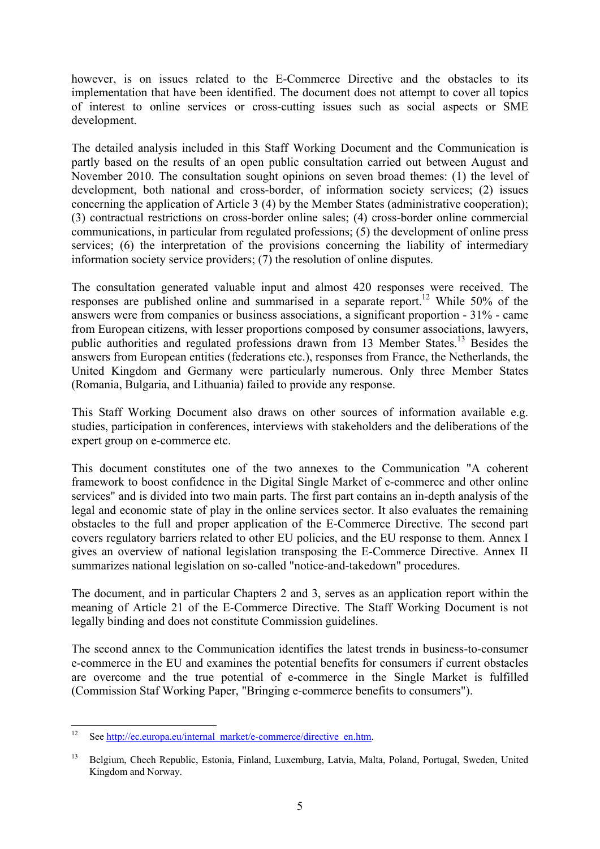however, is on issues related to the E-Commerce Directive and the obstacles to its implementation that have been identified. The document does not attempt to cover all topics of interest to online services or cross-cutting issues such as social aspects or SME development.

The detailed analysis included in this Staff Working Document and the Communication is partly based on the results of an open public consultation carried out between August and November 2010. The consultation sought opinions on seven broad themes: (1) the level of development, both national and cross-border, of information society services; (2) issues concerning the application of Article 3 (4) by the Member States (administrative cooperation); (3) contractual restrictions on cross-border online sales; (4) cross-border online commercial communications, in particular from regulated professions; (5) the development of online press services; (6) the interpretation of the provisions concerning the liability of intermediary information society service providers; (7) the resolution of online disputes.

The consultation generated valuable input and almost 420 responses were received. The responses are published online and summarised in a separate report.12 While 50% of the answers were from companies or business associations, a significant proportion - 31% - came from European citizens, with lesser proportions composed by consumer associations, lawyers, public authorities and regulated professions drawn from 13 Member States.<sup>13</sup> Besides the answers from European entities (federations etc.), responses from France, the Netherlands, the United Kingdom and Germany were particularly numerous. Only three Member States (Romania, Bulgaria, and Lithuania) failed to provide any response.

This Staff Working Document also draws on other sources of information available e.g. studies, participation in conferences, interviews with stakeholders and the deliberations of the expert group on e-commerce etc.

This document constitutes one of the two annexes to the Communication "A coherent framework to boost confidence in the Digital Single Market of e-commerce and other online services" and is divided into two main parts. The first part contains an in-depth analysis of the legal and economic state of play in the online services sector. It also evaluates the remaining obstacles to the full and proper application of the E-Commerce Directive. The second part covers regulatory barriers related to other EU policies, and the EU response to them. Annex I gives an overview of national legislation transposing the E-Commerce Directive. Annex II summarizes national legislation on so-called "notice-and-takedown" procedures.

The document, and in particular Chapters 2 and 3, serves as an application report within the meaning of Article 21 of the E-Commerce Directive. The Staff Working Document is not legally binding and does not constitute Commission guidelines.

The second annex to the Communication identifies the latest trends in business-to-consumer e-commerce in the EU and examines the potential benefits for consumers if current obstacles are overcome and the true potential of e-commerce in the Single Market is fulfilled (Commission Staf Working Paper, "Bringing e-commerce benefits to consumers").

 $12$ See http://ec.europa.eu/internal\_market/e-commerce/directive\_en.htm.

<sup>13</sup> Belgium, Chech Republic, Estonia, Finland, Luxemburg, Latvia, Malta, Poland, Portugal, Sweden, United Kingdom and Norway.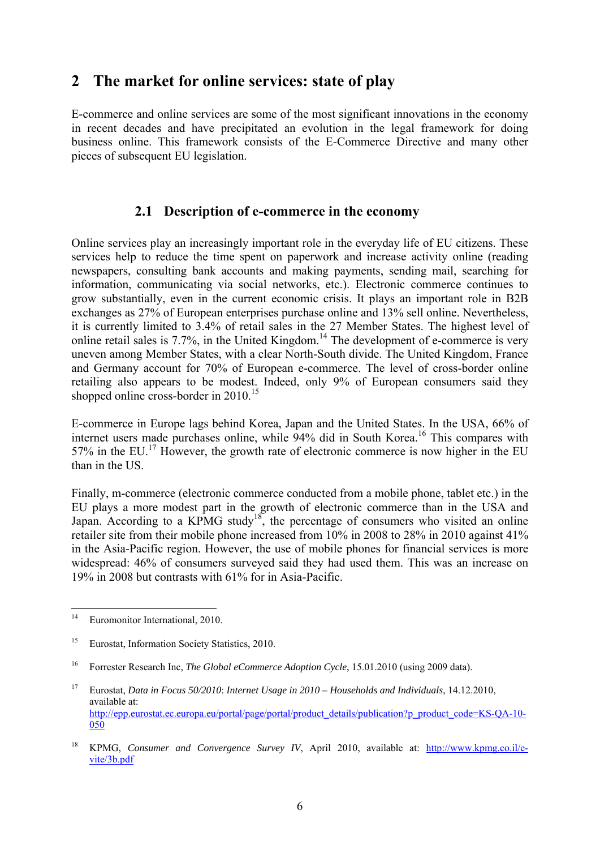# <span id="page-6-0"></span>**2 The market for online services: state of play**

E-commerce and online services are some of the most significant innovations in the economy in recent decades and have precipitated an evolution in the legal framework for doing business online. This framework consists of the E-Commerce Directive and many other pieces of subsequent EU legislation.

### **2.1 Description of e-commerce in the economy**

<span id="page-6-1"></span>Online services play an increasingly important role in the everyday life of EU citizens. These services help to reduce the time spent on paperwork and increase activity online (reading newspapers, consulting bank accounts and making payments, sending mail, searching for information, communicating via social networks, etc.). Electronic commerce continues to grow substantially, even in the current economic crisis. It plays an important role in B2B exchanges as 27% of European enterprises purchase online and 13% sell online. Nevertheless, it is currently limited to 3.4% of retail sales in the 27 Member States. The highest level of online retail sales is 7.7%, in the United Kingdom.14 The development of e-commerce is very uneven among Member States, with a clear North-South divide. The United Kingdom, France and Germany account for 70% of European e-commerce. The level of cross-border online retailing also appears to be modest. Indeed, only 9% of European consumers said they shopped online cross-border in 2010.<sup>15</sup>

E-commerce in Europe lags behind Korea, Japan and the United States. In the USA, 66% of internet users made purchases online, while 94% did in South Korea.<sup>16</sup> This compares with 57% in the EU.<sup>17</sup> However, the growth rate of electronic commerce is now higher in the EU than in the US.

Finally, m-commerce (electronic commerce conducted from a mobile phone, tablet etc.) in the EU plays a more modest part in the growth of electronic commerce than in the USA and Japan. According to a KPMG study<sup>18</sup>, the percentage of consumers who visited an online retailer site from their mobile phone increased from 10% in 2008 to 28% in 2010 against 41% in the Asia-Pacific region. However, the use of mobile phones for financial services is more widespread: 46% of consumers surveyed said they had used them. This was an increase on 19% in 2008 but contrasts with 61% for in Asia-Pacific.

 $14$ Euromonitor International, 2010.

<sup>&</sup>lt;sup>15</sup> Eurostat, Information Society Statistics, 2010.

<sup>&</sup>lt;sup>16</sup> Forrester Research Inc, *The Global eCommerce Adoption Cycle*, 15.01.2010 (using 2009 data).

<sup>17</sup> Eurostat, *Data in Focus 50/2010*: *Internet Usage in 2010 – Households and Individuals*, 14.12.2010, available at: http://epp.eurostat.ec.europa.eu/portal/page/portal/product\_details/publication?p\_product\_code=KS-OA-10-[050](http://epp.eurostat.ec.europa.eu/portal/page/portal/product_details/publication?p_product_code=KS-QA-10-050)

<sup>&</sup>lt;sup>18</sup> KPMG, *Consumer and Convergence Survey IV*, April 2010, available at: [http://www.kpmg.co.il/e](http://www.kpmg.co.il/e-vite/3b.pdf)[vite/3b.pdf](http://www.kpmg.co.il/e-vite/3b.pdf)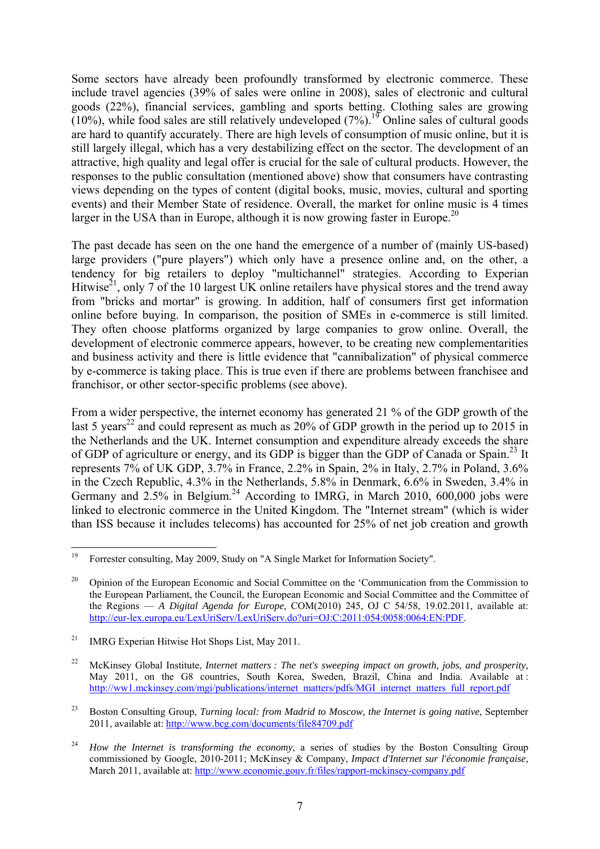Some sectors have already been profoundly transformed by electronic commerce. These include travel agencies (39% of sales were online in 2008), sales of electronic and cultural goods (22%), financial services, gambling and sports betting. Clothing sales are growing  $(10\%)$ , while food sales are still relatively undeveloped  $(7\%)$ .<sup>19</sup> Online sales of cultural goods are hard to quantify accurately. There are high levels of consumption of music online, but it is still largely illegal, which has a very destabilizing effect on the sector. The development of an attractive, high quality and legal offer is crucial for the sale of cultural products. However, the responses to the public consultation (mentioned above) show that consumers have contrasting views depending on the types of content (digital books, music, movies, cultural and sporting events) and their Member State of residence. Overall, the market for online music is 4 times larger in the USA than in Europe, although it is now growing faster in Europe.<sup>20</sup>

The past decade has seen on the one hand the emergence of a number of (mainly US-based) large providers ("pure players") which only have a presence online and, on the other, a tendency for big retailers to deploy "multichannel" strategies. According to Experian Hitwise<sup>21</sup>, only 7 of the 10 largest UK online retailers have physical stores and the trend away from "bricks and mortar" is growing. In addition, half of consumers first get information online before buying. In comparison, the position of SMEs in e-commerce is still limited. They often choose platforms organized by large companies to grow online. Overall, the development of electronic commerce appears, however, to be creating new complementarities and business activity and there is little evidence that "cannibalization" of physical commerce by e-commerce is taking place. This is true even if there are problems between franchisee and franchisor, or other sector-specific problems (see above).

From a wider perspective, the internet economy has generated 21 % of the GDP growth of the last 5 years<sup>22</sup> and could represent as much as  $20\%$  of GDP growth in the period up to 2015 in the Netherlands and the UK. Internet consumption and expenditure already exceeds the share of GDP of agriculture or energy, and its GDP is bigger than the GDP of Canada or Spain.<sup>23</sup> It represents 7% of UK GDP, 3.7% in France, 2.2% in Spain, 2% in Italy, 2.7% in Poland, 3.6% in the Czech Republic, 4.3% in the Netherlands, 5.8% in Denmark, 6.6% in Sweden, 3.4% in Germany and  $2.5\%$  in Belgium.<sup>24</sup> According to IMRG, in March 2010, 600,000 jobs were linked to electronic commerce in the United Kingdom. The "Internet stream" (which is wider than ISS because it includes telecoms) has accounted for 25% of net job creation and growth

<sup>19</sup> 19 Forrester consulting, May 2009, Study on "A Single Market for Information Society".

<sup>&</sup>lt;sup>20</sup> Opinion of the European Economic and Social Committee on the 'Communication from the Commission to the European Parliament, the Council, the European Economic and Social Committee and the Committee of the Regions — *A Digital Agenda for Europe*, COM(2010) 245, OJ C 54/58, 19.02.2011, available at: [http://eur-lex.europa.eu/LexUriServ/LexUriServ.do?uri=OJ:C:2011:054:0058:0064:EN:PD](http://eur-lex.europa.eu/LexUriServ/LexUriServ.do?uri=OJ:C:2011:054:0058:0064:EN:PDF)F.

<sup>&</sup>lt;sup>21</sup> IMRG Experian Hitwise Hot Shops List, May 2011.

<sup>22</sup> McKinsey Global Institute, *Internet matters : The net's sweeping impact on growth, jobs, and prosperity*, May 2011, on the G8 countries, South Korea, Sweden, Brazil, China and India. Available at : http://ww1.mckinsey.com/mgi/publications/internet\_matters/pdfs/MGI\_internet\_matters\_full\_report.pdf

<sup>23</sup> Boston Consulting Group, *Turning local: from Madrid to Moscow, the Internet is going native*, September 2011, available at:<http://www.bcg.com/documents/file84709.pdf>

<sup>24</sup> *How the Internet is transforming the economy*, a series of studies by the Boston Consulting Group commissioned by Google, 2010-2011; McKinsey & Company, *Impact d'Internet sur l'économie française*, [March 2011, available at: http://www.economie.gouv.fr/files/rapport-mckinsey-company.pdf](http://www.economie.gouv.fr/files/rapport-mckinsey-company.pdf)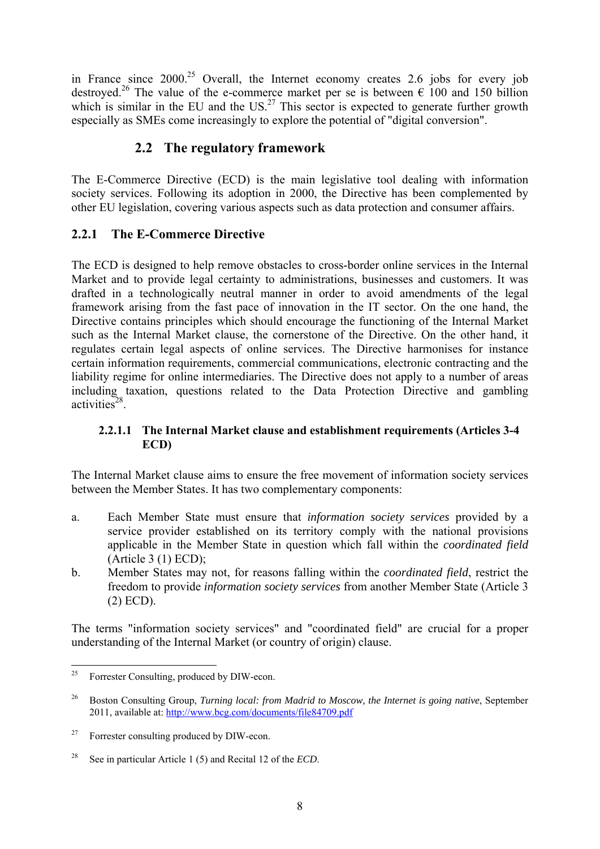in France since  $2000^{25}$  Overall, the Internet economy creates 2.6 jobs for every job destroyed.<sup>26</sup> The value of the e-commerce market per se is between  $\epsilon$  100 and 150 billion which is similar in the EU and the  $US<sup>27</sup>$  This sector is expected to generate further growth especially as SMEs come increasingly to explore the potential of "digital conversion".

## **2.2 The regulatory framework**

<span id="page-8-0"></span>The E-Commerce Directive (ECD) is the main legislative tool dealing with information society services. Following its adoption in 2000, the Directive has been complemented by other EU legislation, covering various aspects such as data protection and consumer affairs.

## <span id="page-8-1"></span>**2.2.1 The E-Commerce Directive**

The ECD is designed to help remove obstacles to cross-border online services in the Internal Market and to provide legal certainty to administrations, businesses and customers. It was drafted in a technologically neutral manner in order to avoid amendments of the legal framework arising from the fast pace of innovation in the IT sector. On the one hand, the Directive contains principles which should encourage the functioning of the Internal Market such as the Internal Market clause, the cornerstone of the Directive. On the other hand, it regulates certain legal aspects of online services. The Directive harmonises for instance certain information requirements, commercial communications, electronic contracting and the liability regime for online intermediaries. The Directive does not apply to a number of areas including taxation, questions related to the Data Protection Directive and gambling activities $28$ .

#### **2.2.1.1 The Internal Market clause and establishment requirements (Articles 3-4 ECD)**

<span id="page-8-2"></span>The Internal Market clause aims to ensure the free movement of information society services between the Member States. It has two complementary components:

- a. Each Member State must ensure that *information society services* provided by a service provider established on its territory comply with the national provisions applicable in the Member State in question which fall within the *coordinated field* (Article 3 (1) ECD);
- b. Member States may not, for reasons falling within the *coordinated field*, restrict the freedom to provide *information society services* from another Member State (Article 3 (2) ECD).

The terms "information society services" and "coordinated field" are crucial for a proper understanding of the Internal Market (or country of origin) clause.

<sup>25</sup> Forrester Consulting, produced by DIW-econ.

<sup>&</sup>lt;sup>26</sup> Boston Consulting Group, *Turning local: from Madrid to Moscow, the Internet is going native*, September 2011, available at:<http://www.bcg.com/documents/file84709.pdf>

<sup>&</sup>lt;sup>27</sup> Forrester consulting produced by DIW-econ.

<sup>28</sup> See in particular Article 1 (5) and Recital 12 of the *ECD*.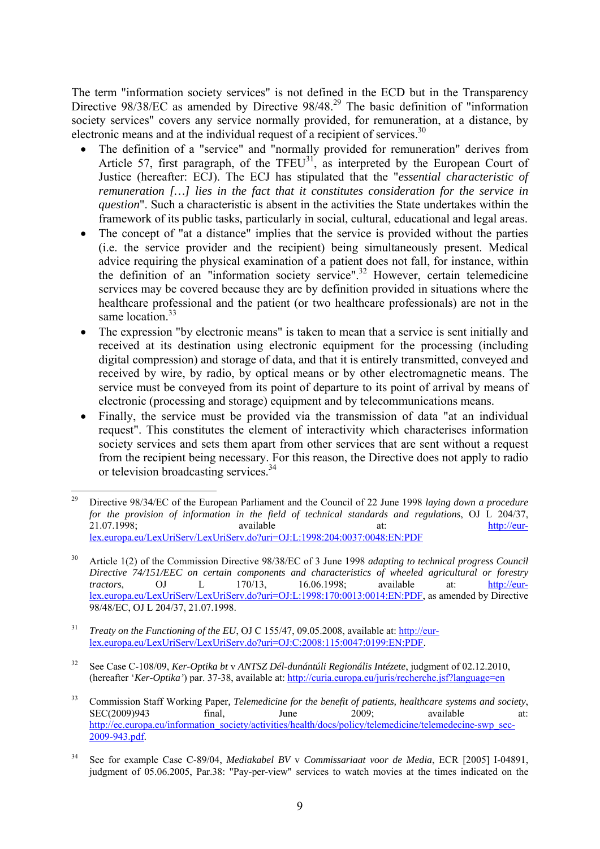The term "information society services" is not defined in the ECD but in the Transparency Directive 98/38/EC as amended by Directive 98/48.<sup>29</sup> The basic definition of "information" society services" covers any service normally provided, for remuneration, at a distance, by electronic means and at the individual request of a recipient of services.<sup>30</sup>

- The definition of a "service" and "normally provided for remuneration" derives from Article 57, first paragraph, of the  $TFEU<sup>31</sup>$ , as interpreted by the European Court of Justice (hereafter: ECJ). The ECJ has stipulated that the "*essential characteristic of remuneration […] lies in the fact that it constitutes consideration for the service in question*". Such a characteristic is absent in the activities the State undertakes within the framework of its public tasks, particularly in social, cultural, educational and legal areas.
- The concept of "at a distance" implies that the service is provided without the parties (i.e. the service provider and the recipient) being simultaneously present. Medical advice requiring the physical examination of a patient does not fall, for instance, within the definition of an "information society service".<sup>32</sup> However, certain telemedicine services may be covered because they are by definition provided in situations where the healthcare professional and the patient (or two healthcare professionals) are not in the same location<sup>33</sup>
- The expression "by electronic means" is taken to mean that a service is sent initially and received at its destination using electronic equipment for the processing (including digital compression) and storage of data, and that it is entirely transmitted, conveyed and received by wire, by radio, by optical means or by other electromagnetic means. The service must be conveyed from its point of departure to its point of arrival by means of electronic (processing and storage) equipment and by telecommunications means.
- Finally, the service must be provided via the transmission of data "at an individual request". This constitutes the element of interactivity which characterises information society services and sets them apart from other services that are sent without a request from the recipient being necessary. For this reason, the Directive does not apply to radio or television broadcasting services.<sup>34</sup>

32 See Case C-108/09, *Ker-Optika bt* v *ANTSZ Dél-dunántúli Regionális Intézete*, judgment of 02.12.2010, (hereafter '*Ker-Optika'*) par. 37-38, available at:<http://curia.europa.eu/juris/recherche.jsf?language=en>

<sup>29</sup> 29 Directive 98/34/EC of the European Parliament and the Council of 22 June 1998 *laying down a procedure for the provision of information in the field of technical standards and regulations*, OJ L 204/37, 21.07.1998; available at: [http://eur](http://eur-lex.europa.eu/LexUriServ/LexUriServ.do?uri=OJ:L:1998:204:0037:0048:EN:PDF)[lex.europa.eu/LexUriServ/LexUriServ.do?uri=OJ:L:1998:204:0037:0048:EN:PDF](http://eur-lex.europa.eu/LexUriServ/LexUriServ.do?uri=OJ:L:1998:204:0037:0048:EN:PDF)

<sup>30</sup> Article 1(2) of the Commission Directive 98/38/EC of 3 June 1998 *adapting to technical progress Council Directive 74/151/EEC on certain components and characteristics of wheeled agricultural or forestry tractors*, OJ L 170[/13, 16.06.1998; available at:](http://curia.europa.eu/juris/recherche.jsf?language=en) [http://eur](http://eur-lex.europa.eu/LexUriServ/LexUriServ.do?uri=OJ:L:1998:170:0013:0014:EN:PDF)[lex.europa.eu/LexUriServ/LexUriServ.do?uri=OJ:L:1998:170:0013:0014:EN:PDF,](http://eur-lex.europa.eu/LexUriServ/LexUriServ.do?uri=OJ:L:1998:170:0013:0014:EN:PDF) as amended by Directive 98/48/EC, OJ L 204/37, 21.07.1998.

<sup>31</sup> *Treaty on the Functioning of the EU*, OJ C 155/47, 09.05.2008, available at: [http://eur](http://eur-lex.europa.eu/LexUriServ/LexUriServ.do?uri=OJ:C:2008:115:0047:0199:EN:PDF)[lex.europa.eu/LexUriServ/LexUriServ.do?uri=OJ:C:2008:115:0047:0199:EN:PDF.](http://eur-lex.europa.eu/LexUriServ/LexUriServ.do?uri=OJ:C:2008:115:0047:0199:EN:PDF) 

<sup>33</sup> Commission Staff Working Paper*, Telemedicine for the benefit of patients, healthcare systems and society*, SEC(2009)943 final, June 2009; available at: [http://ec.europa.eu/information\\_society/activities/health/docs/policy/telemedicine/telemedecine-swp\\_sec-](http://ec.europa.eu/information_society/activities/health/docs/policy/telemedicine/telemedecine-swp_sec-2009-943.pdf)[2009-943.pdf.](http://ec.europa.eu/information_society/activities/health/docs/policy/telemedicine/telemedecine-swp_sec-2009-943.pdf) 

<sup>34</sup> See for example Case C-89/04, *Mediakabel BV* v *Commissariaat voor de Media*, ECR [2005] I-04891, judgment of 05.06.2005, Par.38: "Pay-per-view" services to watch movies at the times indicated on the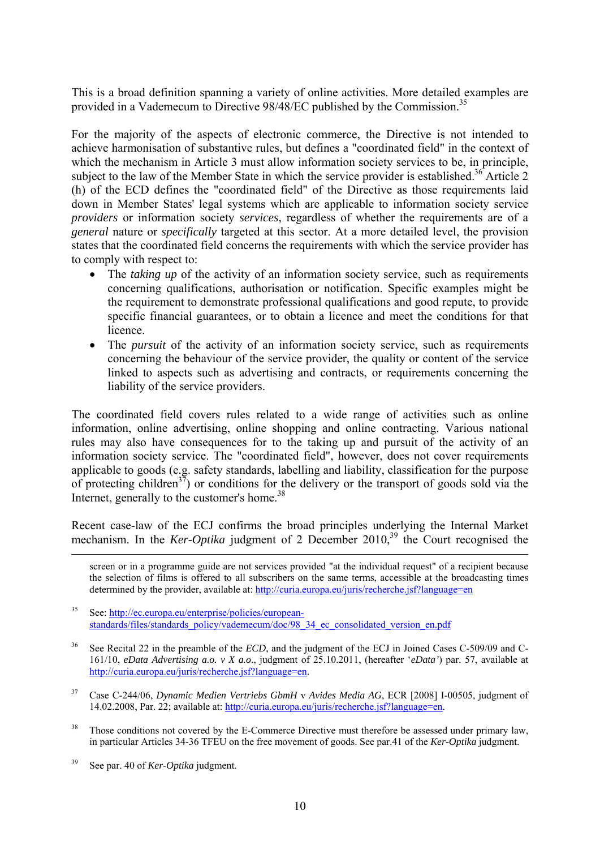This is a broad definition spanning a variety of online activities. More detailed examples are provided in a Vademecum to Directive 98/48/EC published by the Commission.<sup>35</sup>

For the majority of the aspects of electronic commerce, the Directive is not intended to achieve harmonisation of substantive rules, but defines a "coordinated field" in the context of which the mechanism in Article 3 must allow information society services to be, in principle, subject to the law of the Member State in which the service provider is established.<sup>36</sup> Article 2 (h) of the ECD defines the "coordinated field" of the Directive as those requirements laid down in Member States' legal systems which are applicable to information society service *providers* or information society *services*, regardless of whether the requirements are of a *general* nature or *specifically* targeted at this sector. At a more detailed level, the provision states that the coordinated field concerns the requirements with which the service provider has to comply with respect to:

- The *taking up* of the activity of an information society service, such as requirements concerning qualifications, authorisation or notification. Specific examples might be the requirement to demonstrate professional qualifications and good repute, to provide specific financial guarantees, or to obtain a licence and meet the conditions for that licence.
- The *pursuit* of the activity of an information society service, such as requirements concerning the behaviour of the service provider, the quality or content of the service linked to aspects such as advertising and contracts, or requirements concerning the liability of the service providers.

The coordinated field covers rules related to a wide range of activities such as online information, online advertising, online shopping and online contracting. Various national rules may also have consequences for to the taking up and pursuit of the activity of an information society service. The "coordinated field", however, does not cover requirements applicable to goods (e.g. safety standards, labelling and liability, classification for the purpose of protecting children<sup>37</sup>) or conditions for the delivery or the transport of goods sold via the Internet, generally to the customer's home.<sup>38</sup>

Recent case-law of the ECJ confirms the broad principles underlying the Internal Market mechanism. In the *Ker-Optika* judgment of 2 December 2010,<sup>39</sup> the Court recognised the

 screen or in a programme guide are not services provided "at the individual request" of a recipient because the selection of films is offered to all subscribers on the same terms, accessible at the broadcasting times determined by the provider, available at: http://curia.europa.eu/juris/recherche.jsf?language=en

35 See[: http://ec.europa.eu/enterprise/policies/european](http://ec.europa.eu/enterprise/policies/european-standards/files/standards_policy/vademecum/doc/98_34_ec_consolidated_version_en.pdf)standards/files/standards\_policy/vademecum/doc/98\_34\_ec\_consolidated\_version\_en.pdf

- See Recital 22 in the preamble of the *ECD*, and the judgment of the ECJ in Joined Cases C-509/09 and C-161/10, *eData Advertising a.o. v X a.o*., judgment of 25.10.2011, (hereafter '*eData'*) par. 57, available at [http://curia.europa.eu/juris/recherche.jsf?language=en.](http://curia.europa.eu/juris/recherche.jsf?language=en)
- 37 Case C-244/06, *Dynamic Medien Vertriebs GbmH* v *Avides Media AG*, ECR [2008] I-00505, judgment of 14.02.2008, Par. 22; available at: [http://curia.europa.eu/juris/recherche.jsf?language=en.](http://curia.europa.eu/juris/recherche.jsf?language=en)
- <sup>38</sup> Those conditions not covered by the E-Commerce Directive must therefore be assessed under primary law, in particular Articles 34-36 TFEU on the free movement of goods. See par.41 of the *Ker-Optika* judgment.
- 39 See par. 40 of *Ker-Optika* judgment.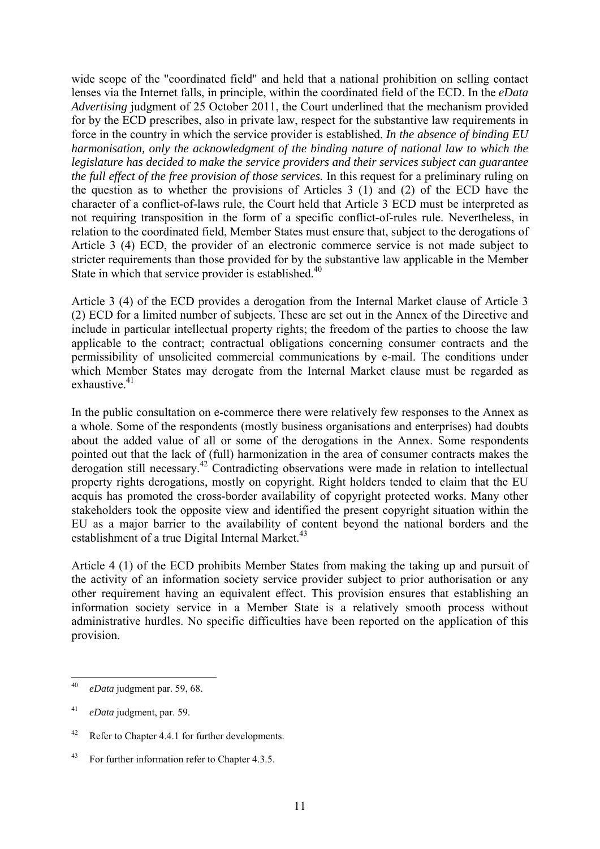wide scope of the "coordinated field" and held that a national prohibition on selling contact lenses via the Internet falls, in principle, within the coordinated field of the ECD. In the *eData Advertising* judgment of 25 October 2011, the Court underlined that the mechanism provided for by the ECD prescribes, also in private law, respect for the substantive law requirements in force in the country in which the service provider is established. *In the absence of binding EU harmonisation, only the acknowledgment of the binding nature of national law to which the legislature has decided to make the service providers and their services subject can guarantee the full effect of the free provision of those services.* In this request for a preliminary ruling on the question as to whether the provisions of Articles 3 (1) and (2) of the ECD have the character of a conflict-of-laws rule, the Court held that Article 3 ECD must be interpreted as not requiring transposition in the form of a specific conflict-of-rules rule. Nevertheless, in relation to the coordinated field, Member States must ensure that, subject to the derogations of Article 3 (4) ECD, the provider of an electronic commerce service is not made subject to stricter requirements than those provided for by the substantive law applicable in the Member State in which that service provider is established.<sup>40</sup>

Article 3 (4) of the ECD provides a derogation from the Internal Market clause of Article 3 (2) ECD for a limited number of subjects. These are set out in the Annex of the Directive and include in particular intellectual property rights; the freedom of the parties to choose the law applicable to the contract; contractual obligations concerning consumer contracts and the permissibility of unsolicited commercial communications by e-mail. The conditions under which Member States may derogate from the Internal Market clause must be regarded as exhaustive.<sup>41</sup>

In the public consultation on e-commerce there were relatively few responses to the Annex as a whole. Some of the respondents (mostly business organisations and enterprises) had doubts about the added value of all or some of the derogations in the Annex. Some respondents pointed out that the lack of (full) harmonization in the area of consumer contracts makes the derogation still necessary.<sup>42</sup> Contradicting observations were made in relation to intellectual property rights derogations, mostly on copyright. Right holders tended to claim that the EU acquis has promoted the cross-border availability of copyright protected works. Many other stakeholders took the opposite view and identified the present copyright situation within the EU as a major barrier to the availability of content beyond the national borders and the establishment of a true Digital Internal Market.<sup>43</sup>

Article 4 (1) of the ECD prohibits Member States from making the taking up and pursuit of the activity of an information society service provider subject to prior authorisation or any other requirement having an equivalent effect. This provision ensures that establishing an information society service in a Member State is a relatively smooth process without administrative hurdles. No specific difficulties have been reported on the application of this provision.

<sup>40</sup> 40 *eData* judgment par. 59, 68.

<sup>41</sup> *eData* judgment, par. 59.

<sup>42</sup> Refer to Chapter 4.4.1 for further developments.

<sup>43</sup> For further information refer to Chapter 4.3.5.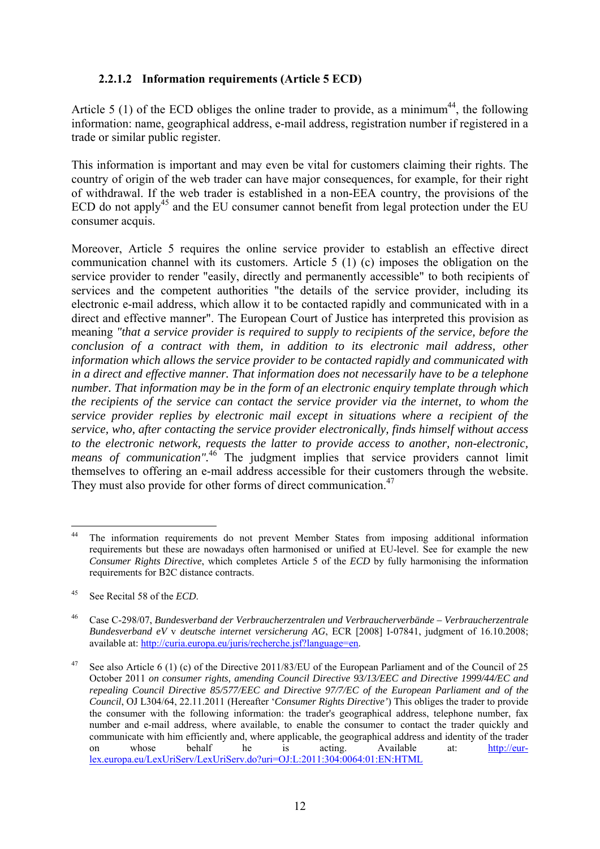#### **2.2.1.2 Information requirements (Article 5 ECD)**

<span id="page-12-0"></span>Article 5 (1) of the ECD obliges the online trader to provide, as a minimum<sup>44</sup>, the following information: name, geographical address, e-mail address, registration number if registered in a trade or similar public register.

This information is important and may even be vital for customers claiming their rights. The country of origin of the web trader can have major consequences, for example, for their right of withdrawal. If the web trader is established in a non-EEA country, the provisions of the ECD do not apply<sup>45</sup> and the EU consumer cannot benefit from legal protection under the EU consumer acquis.

Moreover, Article 5 requires the online service provider to establish an effective direct communication channel with its customers. Article 5 (1) (c) imposes the obligation on the service provider to render "easily, directly and permanently accessible" to both recipients of services and the competent authorities "the details of the service provider, including its electronic e-mail address, which allow it to be contacted rapidly and communicated with in a direct and effective manner". The European Court of Justice has interpreted this provision as meaning *"that a service provider is required to supply to recipients of the service, before the conclusion of a contract with them, in addition to its electronic mail address, other information which allows the service provider to be contacted rapidly and communicated with in a direct and effective manner. That information does not necessarily have to be a telephone number. That information may be in the form of an electronic enquiry template through which the recipients of the service can contact the service provider via the internet, to whom the service provider replies by electronic mail except in situations where a recipient of the service, who, after contacting the service provider electronically, finds himself without access to the electronic network, requests the latter to provide access to another, non-electronic, means of communication*".<sup>46</sup> The judgment implies that service providers cannot limit themselves to offering an e-mail address accessible for their customers through the website. They must also provide for other forms of direct communication.<sup>47</sup>

 $44$ The information requirements do not prevent Member States from imposing additional information requirements but these are nowadays often harmonised or unified at EU-level. See for example the new *Consumer Rights Directive*, which completes Article 5 of the *ECD* by fully harmonising the information requirements for B2C distance contracts.

<sup>45</sup> See Recital 58 of the *ECD*.

<sup>46</sup> Case C-298/07, *Bundesverband der Verbraucherzentralen und Verbraucherverbände – Verbraucherzentrale Bundesverband eV* v *deutsche internet versicherung AG*, ECR [2008] I-07841, judgment of 16.10.2008; available at: [http://curia.europa.eu/juris/recherche.jsf?language=en.](http://curia.europa.eu/juris/recherche.jsf?language=en) 

<sup>&</sup>lt;sup>47</sup> See also Article 6 (1) (c) of the Directive 2011/83/EU of the European Parliament and of the Council of 25 October 2011 *on consumer rights, amending Council Directive 93/13/EEC and Directive 1999/44/EC and repealing Council Directive 85/577/EEC and Directive 97/7/EC of the European Parliament and of the Council*, OJ L304/64, 22.11.2011 (Hereafter '*Consumer Rights Directive'*) This obliges the trader to provide the consumer with the following information: the trader's geographical address, telephone number, fax number and e-mail address, where available, to enable the consumer to contact the trader quickly and communicate with him efficiently and, where applicable, the geographical address and identity of the trader on whose behalf he is acting. Available at: [http://eur](http://eur-lex.europa.eu/LexUriServ/LexUriServ.do?uri=OJ:L:2011:304:0064:01:EN:HTML)[lex.europa.eu/LexUriServ/LexUriServ.do?uri=OJ:L:2011:304:0064:01:EN:HTML](http://eur-lex.europa.eu/LexUriServ/LexUriServ.do?uri=OJ:L:2011:304:0064:01:EN:HTML)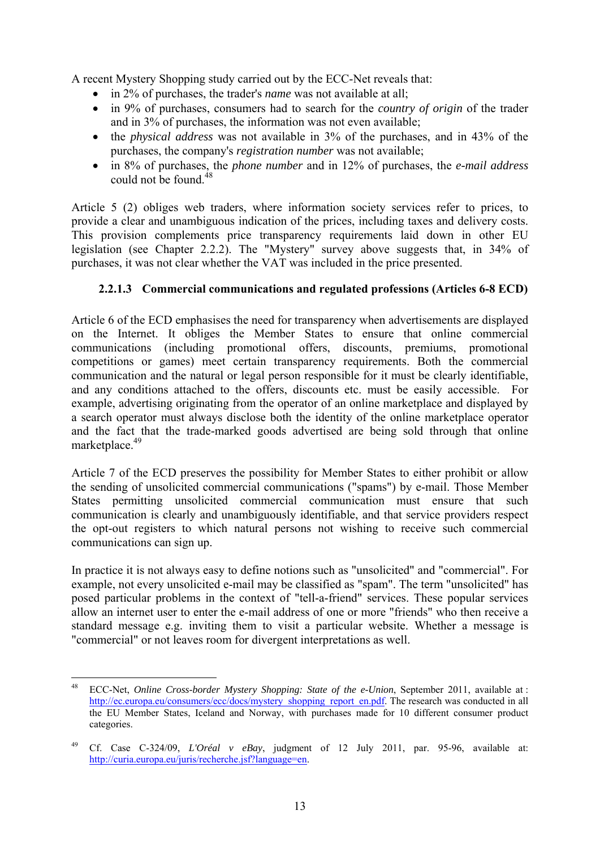A recent Mystery Shopping study carried out by the ECC-Net reveals that:

- in 2% of purchases, the trader's *name* was not available at all;
- in 9% of purchases, consumers had to search for the *country of origin* of the trader and in 3% of purchases, the information was not even available;
- the *physical address* was not available in 3% of the purchases, and in 43% of the purchases, the company's *registration number* was not available;
- in 8% of purchases, the *phone number* and in 12% of purchases, the *e-mail address* could not be found  $48$

Article 5 (2) obliges web traders, where information society services refer to prices, to provide a clear and unambiguous indication of the prices, including taxes and delivery costs. This provision complements price transparency requirements laid down in other EU legislation (see Chapter 2.2.2). The "Mystery" survey above suggests that, in 34% of purchases, it was not clear whether the VAT was included in the price presented.

#### **2.2.1.3 Commercial communications and regulated professions (Articles 6-8 ECD)**

<span id="page-13-0"></span>Article 6 of the ECD emphasises the need for transparency when advertisements are displayed on the Internet. It obliges the Member States to ensure that online commercial communications (including promotional offers, discounts, premiums, promotional competitions or games) meet certain transparency requirements. Both the commercial communication and the natural or legal person responsible for it must be clearly identifiable, and any conditions attached to the offers, discounts etc. must be easily accessible. For example, advertising originating from the operator of an online marketplace and displayed by a search operator must always disclose both the identity of the online marketplace operator and the fact that the trade-marked goods advertised are being sold through that online marketplace.<sup>49</sup>

Article 7 of the ECD preserves the possibility for Member States to either prohibit or allow the sending of unsolicited commercial communications ("spams") by e-mail. Those Member States permitting unsolicited commercial communication must ensure that such communication is clearly and unambiguously identifiable, and that service providers respect the opt-out registers to which natural persons not wishing to receive such commercial communications can sign up.

In practice it is not always easy to define notions such as "unsolicited" and "commercial". For example, not every unsolicited e-mail may be classified as "spam". The term "unsolicited" has posed particular problems in the context of "tell-a-friend" services. These popular services allow an internet user to enter the e-mail address of one or more "friends" who then receive a standard message e.g. inviting them to visit a particular website. Whether a message is "commercial" or not leaves room for divergent interpretations as well.

<sup>48</sup> 48 ECC-Net, *Online Cross-border Mystery Shopping: State of the e-Union*, September 2011, available at : [http://ec.europa.eu/consumers/ecc/docs/mystery\\_shopping\\_report\\_en.pdf.](http://ec.europa.eu/consumers/ecc/docs/mystery_shopping_report_en.pdf) The research was conducted in all the EU Member States, Iceland and Norway, with purchases made for 10 different consumer product categories.

<sup>49</sup> Cf. Case C-324/09, *L'Oréal v eBay*, judgment of 12 July 2011, par. 95-96, available at: [http://curia.europa.eu/juris/recherche.jsf?language=en.](http://curia.europa.eu/juris/recherche.jsf?language=en)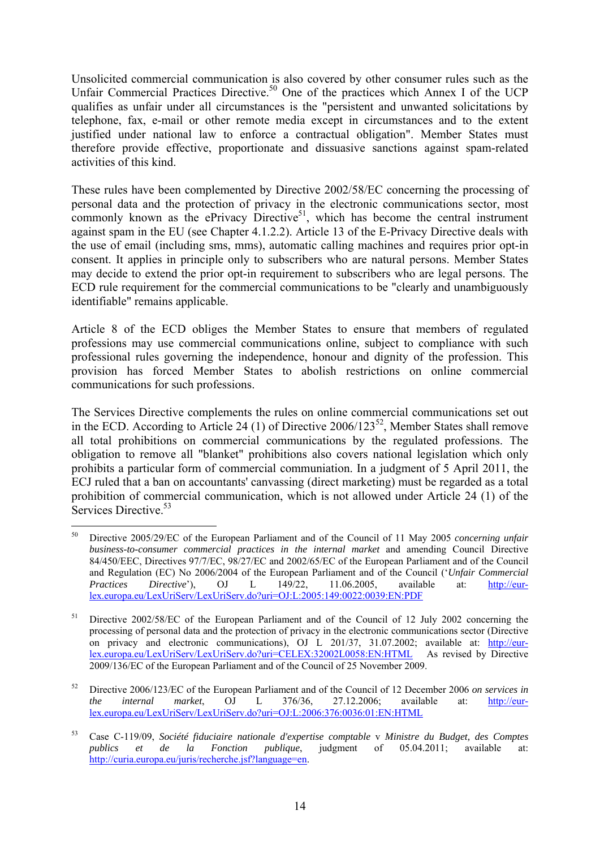Unsolicited commercial communication is also covered by other consumer rules such as the Unfair Commercial Practices Directive.<sup>50</sup> One of the practices which Annex I of the UCP qualifies as unfair under all circumstances is the "persistent and unwanted solicitations by telephone, fax, e-mail or other remote media except in circumstances and to the extent justified under national law to enforce a contractual obligation". Member States must therefore provide effective, proportionate and dissuasive sanctions against spam-related activities of this kind.

These rules have been complemented by Directive 2002/58/EC concerning the processing of personal data and the protection of privacy in the electronic communications sector, most commonly known as the ePrivacy Directive<sup>51</sup>, which has become the central instrument against spam in the EU (see Chapter 4.1.2.2). Article 13 of the E-Privacy Directive deals with the use of email (including sms, mms), automatic calling machines and requires prior opt-in consent. It applies in principle only to subscribers who are natural persons. Member States may decide to extend the prior opt-in requirement to subscribers who are legal persons. The ECD rule requirement for the commercial communications to be "clearly and unambiguously identifiable" remains applicable.

Article 8 of the ECD obliges the Member States to ensure that members of regulated professions may use commercial communications online, subject to compliance with such professional rules governing the independence, honour and dignity of the profession. This provision has forced Member States to abolish restrictions on online commercial communications for such professions.

The Services Directive complements the rules on online commercial communications set out in the ECD. According to Article 24 (1) of Directive  $2006/123^{52}$ , Member States shall remove all total prohibitions on commercial communications by the regulated professions. The obligation to remove all "blanket" prohibitions also covers national legislation which only prohibits a particular form of commercial communiation. In a judgment of 5 April 2011, the ECJ ruled that a ban on accountants' canvassing (direct marketing) must be regarded as a total prohibition of commercial communication, which is not allowed under Article 24 (1) of the Services Directive<sup>53</sup>

<sup>&</sup>lt;u>.</u> 50 Directive 2005/29/EC of the European Parliament and of the Council of 11 May 2005 *concerning unfair business-to-consumer commercial practices in the internal market* and amending Council Directive 84/450/EEC, Directives 97/7/EC, 98/27/EC and 2002/65/EC of the European Parliament and of the Council and Regulation (EC) No 2006/2004 of the European Parliament and of the Council ('*Unfair Commercial Practices Directive*'), OJ L 149/22, 11.06.2005, available at: [http://eur](http://eur-lex.europa.eu/LexUriServ/LexUriServ.do?uri=OJ:L:2005:149:0022:0039:EN:PDF)[lex.europa.eu/LexUriServ/LexUriServ.do?uri=OJ:L:2005:149:0022:0039:EN:PDF](http://eur-lex.europa.eu/LexUriServ/LexUriServ.do?uri=OJ:L:2005:149:0022:0039:EN:PDF) 

<sup>&</sup>lt;sup>51</sup> Directive 2002/58/EC of the European Parliament and of the Council of 12 July 2002 concerning the processing of personal data and the protection of privacy in the electronic communications sector (Directive on privacy and electronic communications), OJ L 201/37, 31.07.2002; available at: [http://eur](http://eur-lex.europa.eu/LexUriServ/LexUriServ.do?uri=CELEX:32002L0058:EN:HTML)[lex.europa.eu/LexUriServ/LexUriServ.do?uri=CELEX:32002L0058:EN:HTML](http://eur-lex.europa.eu/LexUriServ/LexUriServ.do?uri=CELEX:32002L0058:EN:HTML) As revised by Directive 2009/136/EC of the European Parliament and of the Council of 25 November 2009.

<sup>52</sup> Directive 2006/123/EC of the European Parliament and of the Council of 12 December 2006 *on services in the internal market*, OJ L 376/36, 27.12.2006; available at: [http://eur](http://eur-lex.europa.eu/LexUriServ/LexUriServ.do?uri=OJ:L:2006:376:0036:01:EN:HTML)[lex.europa.eu/LexUriServ/LexUriServ.do?uri=OJ:L:2006:376:0036:01:EN:HTML](http://eur-lex.europa.eu/LexUriServ/LexUriServ.do?uri=OJ:L:2006:376:0036:01:EN:HTML)

<sup>53</sup> Case C-119/09, *Société fiduciaire nationale d'expertise comptable* v *Ministre du Budget, des Comptes publics et de la Fonction publique*, judgment of 05.04.2011; available at: [http://curia.europa.eu/juris/recherche.jsf?language=en.](http://curia.europa.eu/juris/recherche.jsf?language=en)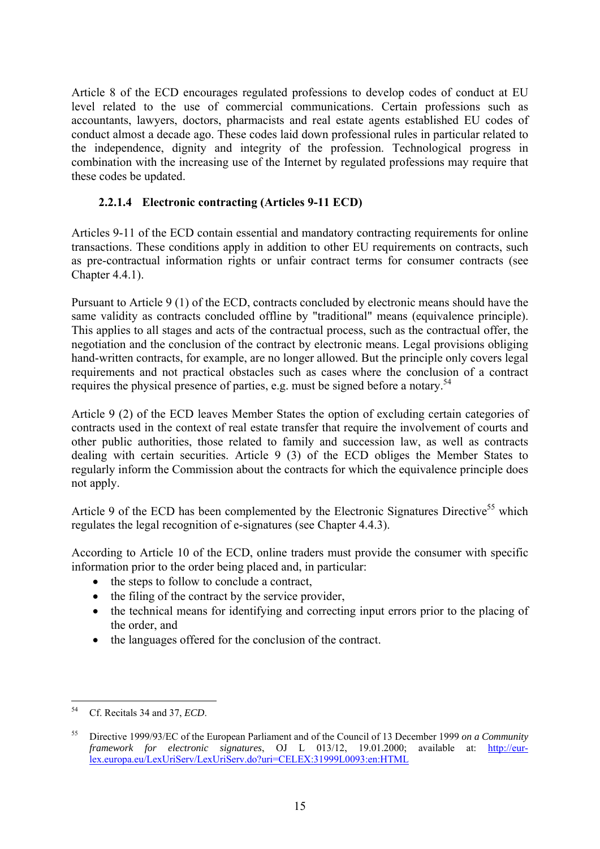Article 8 of the ECD encourages regulated professions to develop codes of conduct at EU level related to the use of commercial communications. Certain professions such as accountants, lawyers, doctors, pharmacists and real estate agents established EU codes of conduct almost a decade ago. These codes laid down professional rules in particular related to the independence, dignity and integrity of the profession. Technological progress in combination with the increasing use of the Internet by regulated professions may require that these codes be updated.

### **2.2.1.4 Electronic contracting (Articles 9-11 ECD)**

<span id="page-15-0"></span>Articles 9-11 of the ECD contain essential and mandatory contracting requirements for online transactions. These conditions apply in addition to other EU requirements on contracts, such as pre-contractual information rights or unfair contract terms for consumer contracts (see Chapter 4.4.1).

Pursuant to Article 9 (1) of the ECD, contracts concluded by electronic means should have the same validity as contracts concluded offline by "traditional" means (equivalence principle). This applies to all stages and acts of the contractual process, such as the contractual offer, the negotiation and the conclusion of the contract by electronic means. Legal provisions obliging hand-written contracts, for example, are no longer allowed. But the principle only covers legal requirements and not practical obstacles such as cases where the conclusion of a contract requires the physical presence of parties, e.g. must be signed before a notary.54

Article 9 (2) of the ECD leaves Member States the option of excluding certain categories of contracts used in the context of real estate transfer that require the involvement of courts and other public authorities, those related to family and succession law, as well as contracts dealing with certain securities. Article 9 (3) of the ECD obliges the Member States to regularly inform the Commission about the contracts for which the equivalence principle does not apply.

Article 9 of the ECD has been complemented by the Electronic Signatures Directive<sup>55</sup> which regulates the legal recognition of e-signatures (see Chapter 4.4.3).

According to Article 10 of the ECD, online traders must provide the consumer with specific information prior to the order being placed and, in particular:

- the steps to follow to conclude a contract,
- the filing of the contract by the service provider,
- the technical means for identifying and correcting input errors prior to the placing of the order, and
- the languages offered for the conclusion of the contract.

<sup>54</sup> 54 Cf. Recitals 34 and 37, *ECD*.

<sup>55</sup> Directive 1999/93/EC of the European Parliament and of the Council of 13 December 1999 *on a Community framework for electronic signatures*, OJ L 013/12, 19.01.2000; available at: [http://eur](http://eur-lex.europa.eu/LexUriServ/LexUriServ.do?uri=CELEX:31999L0093:en:HTML)[lex.europa.eu/LexUriServ/LexUriServ.do?uri=CELEX:31999L0093:en:HTML](http://eur-lex.europa.eu/LexUriServ/LexUriServ.do?uri=CELEX:31999L0093:en:HTML)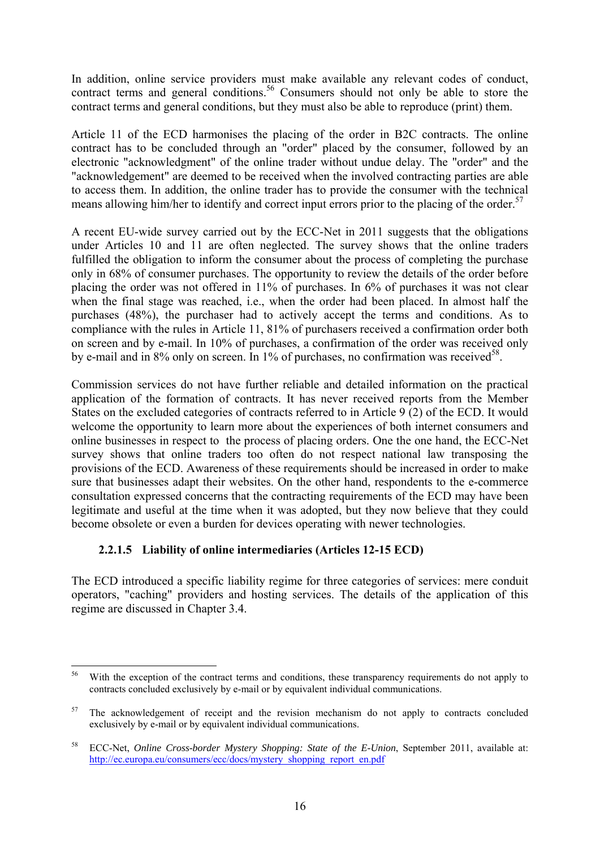In addition, online service providers must make available any relevant codes of conduct, contract terms and general conditions.<sup>56</sup> Consumers should not only be able to store the contract terms and general conditions, but they must also be able to reproduce (print) them.

Article 11 of the ECD harmonises the placing of the order in B2C contracts. The online contract has to be concluded through an "order" placed by the consumer, followed by an electronic "acknowledgment" of the online trader without undue delay. The "order" and the "acknowledgement" are deemed to be received when the involved contracting parties are able to access them. In addition, the online trader has to provide the consumer with the technical means allowing him/her to identify and correct input errors prior to the placing of the order.<sup>57</sup>

A recent EU-wide survey carried out by the ECC-Net in 2011 suggests that the obligations under Articles 10 and 11 are often neglected. The survey shows that the online traders fulfilled the obligation to inform the consumer about the process of completing the purchase only in 68% of consumer purchases. The opportunity to review the details of the order before placing the order was not offered in 11% of purchases. In 6% of purchases it was not clear when the final stage was reached, i.e., when the order had been placed. In almost half the purchases (48%), the purchaser had to actively accept the terms and conditions. As to compliance with the rules in Article 11, 81% of purchasers received a confirmation order both on screen and by e-mail. In 10% of purchases, a confirmation of the order was received only by e-mail and in  $8\%$  only on screen. In  $1\%$  of purchases, no confirmation was received<sup>58</sup>.

Commission services do not have further reliable and detailed information on the practical application of the formation of contracts. It has never received reports from the Member States on the excluded categories of contracts referred to in Article 9 (2) of the ECD. It would welcome the opportunity to learn more about the experiences of both internet consumers and online businesses in respect to the process of placing orders. One the one hand, the ECC-Net survey shows that online traders too often do not respect national law transposing the provisions of the ECD. Awareness of these requirements should be increased in order to make sure that businesses adapt their websites. On the other hand, respondents to the e-commerce consultation expressed concerns that the contracting requirements of the ECD may have been legitimate and useful at the time when it was adopted, but they now believe that they could become obsolete or even a burden for devices operating with newer technologies.

### **2.2.1.5 Liability of online intermediaries (Articles 12-15 ECD)**

<span id="page-16-0"></span>The ECD introduced a specific liability regime for three categories of services: mere conduit operators, "caching" providers and hosting services. The details of the application of this regime are discussed in Chapter 3.4.

<sup>56</sup> With the exception of the contract terms and conditions, these transparency requirements do not apply to contracts concluded exclusively by e-mail or by equivalent individual communications.

 $57$  The acknowledgement of receipt and the revision mechanism do not apply to contracts concluded exclusively by e-mail or by equivalent individual communications.

<sup>58</sup> ECC-Net, *Online Cross-border Mystery Shopping: State of the E-Union*, September 2011, available at: [http://ec.europa.eu/consumers/ecc/docs/mystery\\_shopping\\_report\\_en.pdf](http://ec.europa.eu/consumers/ecc/docs/mystery_shopping_report_en.pdf)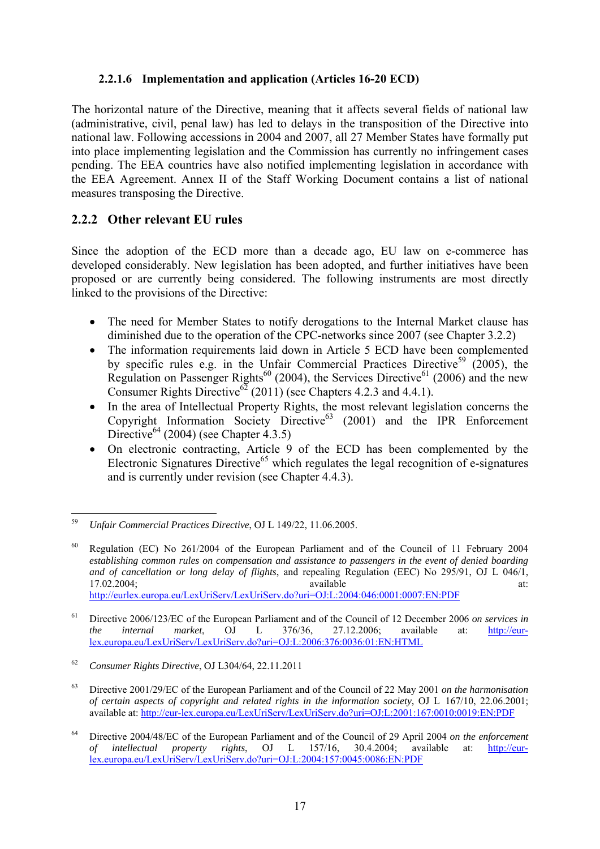#### **2.2.1.6 Implementation and application (Articles 16-20 ECD)**

<span id="page-17-0"></span>The horizontal nature of the Directive, meaning that it affects several fields of national law (administrative, civil, penal law) has led to delays in the transposition of the Directive into national law. Following accessions in 2004 and 2007, all 27 Member States have formally put into place implementing legislation and the Commission has currently no infringement cases pending. The EEA countries have also notified implementing legislation in accordance with the EEA Agreement. Annex II of the Staff Working Document contains a list of national measures transposing the Directive.

## <span id="page-17-1"></span>**2.2.2 Other relevant EU rules**

Since the adoption of the ECD more than a decade ago, EU law on e-commerce has developed considerably. New legislation has been adopted, and further initiatives have been proposed or are currently being considered. The following instruments are most directly linked to the provisions of the Directive:

- The need for Member States to notify derogations to the Internal Market clause has diminished due to the operation of the CPC-networks since 2007 (see Chapter 3.2.2)
- The information requirements laid down in Article 5 ECD have been complemented by specific rules e.g. in the Unfair Commercial Practices Directive<sup>59</sup> (2005), the Regulation on Passenger Rights<sup>60</sup> (2004), the Services Directive<sup>61</sup> (2006) and the new Consumer Rights Directive<sup>62</sup> (2011) (see Chapters 4.2.3 and 4.4.1).
- In the area of Intellectual Property Rights, the most relevant legislation concerns the Copyright Information Society Directive<sup>63</sup> (2001) and the IPR Enforcement Directive<sup>64</sup> (2004) (see Chapter 4.3.5)
- On electronic contracting, Article 9 of the ECD has been complemented by the Electronic Signatures Directive<sup>65</sup> which regulates the legal recognition of e-signatures and is currently under revision (see Chapter 4.4.3).

<sup>59</sup> 59 *Unfair Commercial Practices Directive*, OJ L 149/22, 11.06.2005.

 $60$  Regulation (EC) No 261/2004 of the European Parliament and of the Council of 11 February 2004 *establishing common rules on compensation and assistance to passengers in the event of denied boarding and of cancellation or long delay of flights*, and repealing Regulation (EEC) No 295/91, O[J L 046/1,](http://eur-lex.europa.eu/LexUriServ/LexUriServ.do?uri=OJ:L:2000:013:0012:0020:EN:PDF)  17.02.2004; **available at: at: at: at: at: at: at: at: at: at: at: at: at: at: at: at: at: at: at: at: at: at: at: at: at: at: at: at: at: at: at: at: at:** <http://eurlex.europa.eu/LexUriServ/LexUriServ.do?uri=OJ:L:2004:046:0001:0007:EN:PDF>

<sup>61</sup> Directive 2006/123/EC of the European Parliament and of the Council of 12 December 2006 *on services in* 

*the internal market*, OJ L 376/36, 27.12.2006; available at: [http://eur](http://eur-lex.europa.eu/LexUriServ/LexUriServ.do?uri=OJ:L:2006:376:0036:01:EN:HTML)[lex.europa.eu/LexUriServ/LexUriServ.do?uri=OJ:L:2006:376:0036:01:EN:HTML](http://eur-lex.europa.eu/LexUriServ/LexUriServ.do?uri=OJ:L:2006:376:0036:01:EN:HTML)

<sup>62</sup> *Consumer Rights Directive*, OJ L304/64, 22.11.2011

<sup>63</sup> Directive 2001/29/EC of the European Parliament and of the Council of 22 May 2001 *on the harmonisation of certain aspects of copyright and related rights in the information society*, OJ L 167/10, 22.06.2001; available at:<http://eur-lex.europa.eu/LexUriServ/LexUriServ.do?uri=OJ:L:2001:167:0010:0019:EN:PDF>

<sup>64</sup> Directive 2004/48/EC of the European Parliament and of the Council of 29 April 2004 *on the enforcement of intellectual property rights*, OJ L 157/16, 30.4.2004; available at: [http://eur](http://eur-lex.europa.eu/LexUriServ/LexUriServ.do?uri=OJ:L:2004:157:0045:0086:EN:PDF)[lex.europa.eu/LexUriServ/LexUriServ.do?uri=OJ:L:2004:157:0045:0086:EN:PDF](http://eur-lex.europa.eu/LexUriServ/LexUriServ.do?uri=OJ:L:2004:157:0045:0086:EN:PDF)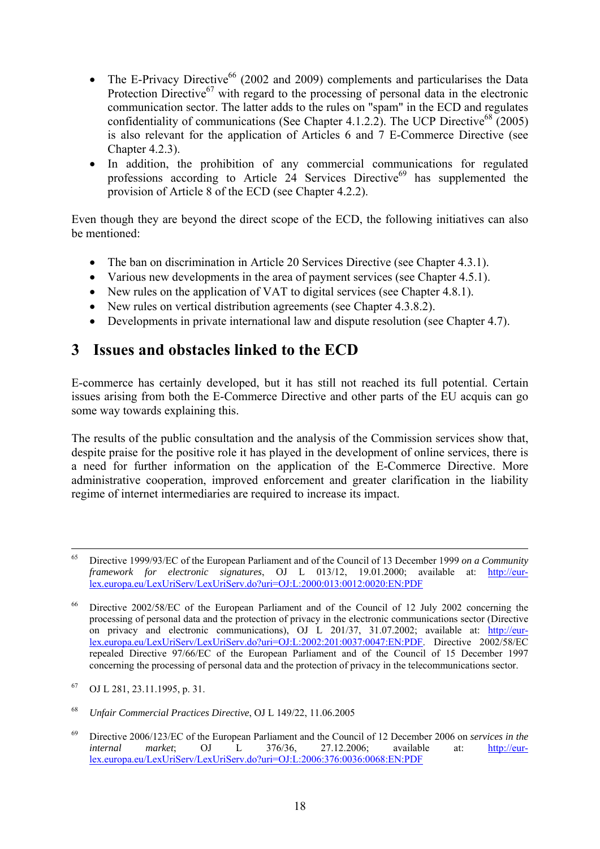- The E-Privacy Directive<sup>66</sup> (2002 and 2009) complements and particularises the Data Protection Directive $^{67}$  with regard to the processing of personal data in the electronic communication sector. The latter adds to the rules on "spam" in the ECD and regulates confidentiality of communications (See Chapter 4.1.2.2). The UCP Directive<sup>68</sup> (2005) is also relevant for the application of Articles 6 and 7 E-Commerce Directive (see Chapter 4.2.3).
- In addition, the prohibition of any commercial communications for regulated professions according to Article  $24$  Services Directive<sup>69</sup> has supplemented the provision of Article 8 of the ECD (see Chapter 4.2.2).

Even though they are beyond the direct scope of the ECD, the following initiatives can also be mentioned:

- The ban on discrimination in Article 20 Services Directive (see Chapter 4.3.1).
- Various new developments in the area of payment services (see Chapter 4.5.1).
- New rules on the application of VAT to digital services (see Chapter 4.8.1).
- New rules on vertical distribution agreements (see Chapter 4.3.8.2).
- Developments in private international law and dispute resolution (see Chapter 4.7).

# <span id="page-18-0"></span>**3 Issues and obstacles linked to the ECD**

E-commerce has certainly developed, but it has still not reached its full potential. Certain issues arising from both the E-Commerce Directive and other parts of the EU acquis can go some way towards explaining this.

The results of the public consultation and the analysis of the Commission services show that, despite praise for the positive role it has played in the development of online services, there is a need for further information on the application of the E-Commerce Directive. More administrative cooperation, improved enforcement and greater clarification in the liability regime of internet intermediaries are required to increase its impact.

 <sup>65</sup> Directive 1999/93/EC of the European Parliament and of the Council of 13 December 1999 *on a Community framework for electronic signatures*, OJ L 013/12, 19.01.2000; available at: http://eurlex.europa.eu/LexUriServ/LexUriServ.do?uri=OJ:L:2000:013:0012:0020:EN:PDF

<sup>&</sup>lt;sup>66</sup> Directive 2002/58/EC of the European Parliament and of the Council of 12 July 2002 concerning the processing of personal data and the protection of privacy in the electronic communications sector (Directive on privacy and electronic communications), OJ L 201/37, 31.07.2002; available at: [http://eur](http://eur-lex.europa.eu/LexUriServ/LexUriServ.do?uri=OJ:L:2002:201:0037:0047:EN:PDF)[lex.europa.eu/LexUriServ/LexUriServ.do?uri=OJ:L:2002:201:0037:0047:EN:PDF.](http://eur-lex.europa.eu/LexUriServ/LexUriServ.do?uri=OJ:L:2002:201:0037:0047:EN:PDF) Directive 2002/58/EC repealed Directive 97/66/EC of the European Parliament and of the Council of 15 December 1997 concerning the processing of personal data and the protection of privacy in the telecommunications sector.

<sup>67</sup> OJ L 281, 23.11.1995, p. 31.

<sup>68</sup> *Unfair Commercial Practices Directive*, OJ L 149/22, 11.06.2005

<sup>69</sup> Directive 2006/123/EC of the European Parliament and the Council of 12 December 2006 on *services in the internal market*; OJ L 376/36, 27.12.2006; available at: [http://eur](http://eur-lex.europa.eu/LexUriServ/LexUriServ.do?uri=OJ:L:2006:376:0036:0068:EN:PDF)[lex.europa.eu/LexUriServ/LexUriServ.do?uri=OJ:L:2006:376:0036:0068:EN:PDF](http://eur-lex.europa.eu/LexUriServ/LexUriServ.do?uri=OJ:L:2006:376:0036:0068:EN:PDF)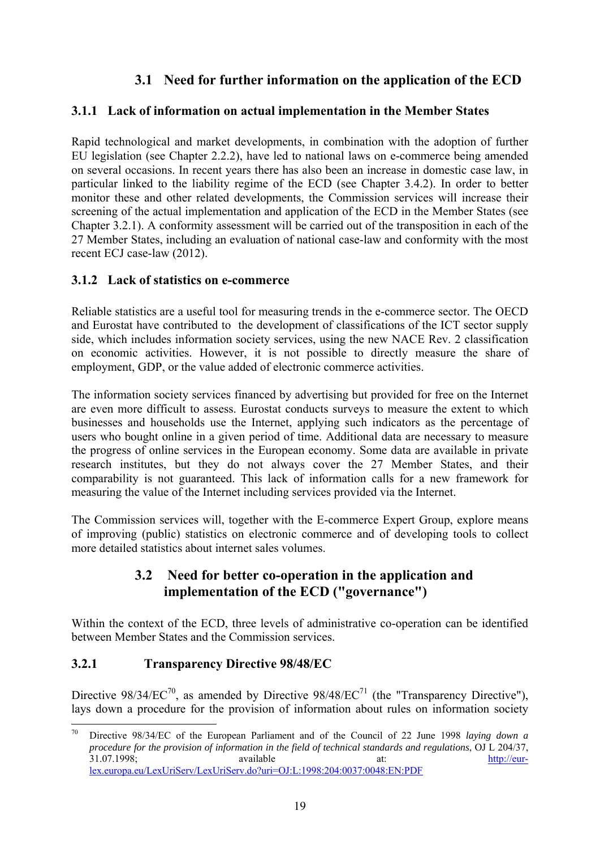# **3.1 Need for further information on the application of the ECD**

## <span id="page-19-1"></span><span id="page-19-0"></span>**3.1.1 Lack of information on actual implementation in the Member States**

Rapid technological and market developments, in combination with the adoption of further EU legislation (see Chapter 2.2.2), have led to national laws on e-commerce being amended on several occasions. In recent years there has also been an increase in domestic case law, in particular linked to the liability regime of the ECD (see Chapter 3.4.2). In order to better monitor these and other related developments, the Commission services will increase their screening of the actual implementation and application of the ECD in the Member States (see Chapter 3.2.1). A conformity assessment will be carried out of the transposition in each of the 27 Member States, including an evaluation of national case-law and conformity with the most recent ECJ case-law (2012).

### <span id="page-19-2"></span>**3.1.2 Lack of statistics on e-commerce**

Reliable statistics are a useful tool for measuring trends in the e-commerce sector. The OECD and Eurostat have contributed to the development of classifications of the ICT sector supply side, which includes information society services, using the new NACE Rev. 2 classification on economic activities. However, it is not possible to directly measure the share of employment, GDP, or the value added of electronic commerce activities.

The information society services financed by advertising but provided for free on the Internet are even more difficult to assess. Eurostat conducts surveys to measure the extent to which businesses and households use the Internet, applying such indicators as the percentage of users who bought online in a given period of time. Additional data are necessary to measure the progress of online services in the European economy. Some data are available in private research institutes, but they do not always cover the 27 Member States, and their comparability is not guaranteed. This lack of information calls for a new framework for measuring the value of the Internet including services provided via the Internet.

<span id="page-19-3"></span>The Commission services will, together with the E-commerce Expert Group, explore means of improving (public) statistics on electronic commerce and of developing tools to collect more detailed statistics about internet sales volumes.

## **3.2 Need for better co-operation in the application and implementation of the ECD ("governance")**

Wi[thin the context of the ECD, three levels of administrative co-operati](http://eur-lex.europa.eu/LexUriServ/LexUriServ.do?uri=OJ:L:1998:217:0018:0026:EN:PDF)on can be identified between Member States and the Commission services.

## <span id="page-19-4"></span>**3.2.1 Transparency Directive 98/48/EC**

Directive  $98/34/EC^{70}$ , as amended by Directive  $98/48/EC^{71}$  (the "Transparency Directive"), lays down a procedure for the provision of information about rules on information society

<sup>70</sup> 70 Directive 98/34/EC of the European Parliament and of the Council of 22 June 1998 *laying down a procedure for the provision of information in the field of technical standards and regulations*, OJ L 204/37,<br>available at: http://eur31.07.1998; available at: [http://eur](http://eur-lex.europa.eu/LexUriServ/LexUriServ.do?uri=OJ:L:1998:204:0037:0048:EN:PDF)[lex.europa.eu/LexUriServ/LexUriServ.do?uri=OJ:L:1998:204:0037:0048:EN:PDF](http://eur-lex.europa.eu/LexUriServ/LexUriServ.do?uri=OJ:L:1998:204:0037:0048:EN:PDF)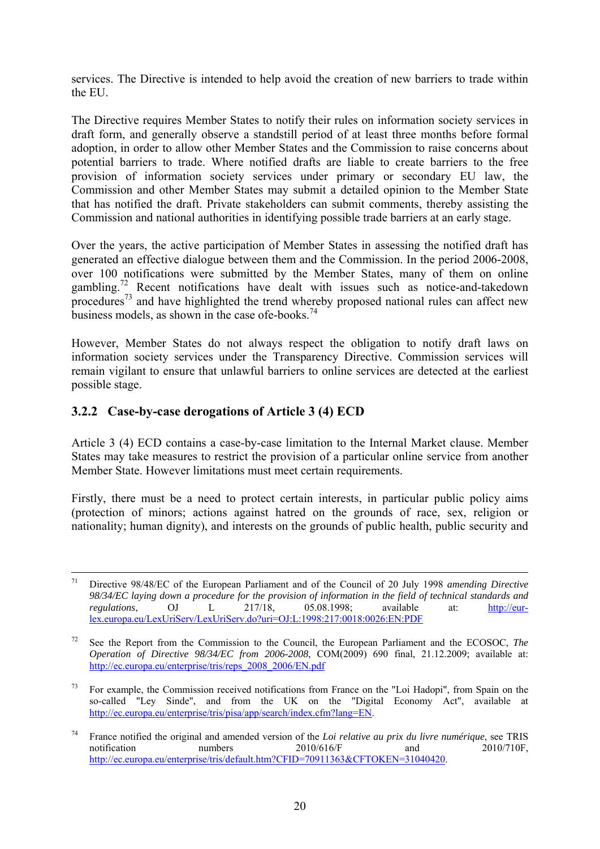services. The Directive is intended to help avoid the creation of new barriers to trade within the EU.

The Directive requires Member States to notify their rules on information society services in draft form, and generally observe a standstill period of at least three months before formal adoption, in order to allow other Member States and the Commission to raise concerns about potential barriers to trade. Where notified drafts are liable to create barriers to the free provision of information society services under primary or secondary EU law, the Commission and other Member States may submit a detailed opinion to the Member State that has notified the draft. Private stakeholders can submit comments, thereby assisting the Commission and national authorities in identifying possible trade barriers at an early stage.

Over the years, the active participation of Member States in assessing the notified draft has generated an effective dialogue between them and the Commission. In the period 2006-2008, over 100 notifications were submitted by the Member States, many of them on online gambling.<sup>72</sup> Recent notifications have dealt with issues such as notice-and-takedown procedures<sup>73</sup> and have highlighted the trend whereby proposed national rules can affect new business models, as shown in the case ofe-books. $74$ 

However, Member States do not always respect the obligation to notify draft laws on information society services under the Transparency Directive. Commission services will remain vigilant to ensure that unlawful barriers to online services are detected at the earliest possible stage.

#### <span id="page-20-0"></span>**3.2.2 Case-by-case derogations of Article 3 (4) ECD**

Article 3 (4) ECD contains a case-by-case limitation to the Internal Market clause. Member States may take measures to restrict the provision of a particular online service from another Member State. However limitations must meet certain requirements.

Firstly, there must be a need to protect certain interests, in particular public policy aims (protection of minors; actions against hatred on the grounds of race, sex, religion or nationality; human dignity), and interests on the grounds of public health, public security and

 <sup>71</sup> Directive 98/48/EC of the European Parliament and of the Council of 20 July 1998 *amending Directive 98/34/EC laying down a procedure for the provision of information in the field of technical standards and regulations*, OJ L 217/18, 05.08.1998; available at: http://eurlex.europa.eu/LexUriServ/LexUriServ.do?uri=OJ:L:1998:217:0018:0026:EN:PDF

<sup>72</sup> See the Report from the Commission to the Council, the European Parliament and the ECOSOC, *The Operation of Directive 98/34/EC from 2006-2008*, COM(2009) 690 final, 21.12.2009; available at: [http://ec.europa.eu/enterprise/tris/reps\\_2008\\_2006/EN.pdf](http://ec.europa.eu/enterprise/tris/reps_2008_2006/EN.pdf) 

 $73$  For example, the Commission received notifications from France on the "Loi Hadopi", from Spain on the so-called "Ley Sinde", and from the UK on the "Digital Economy Act", available at [http://ec.europa.eu/enterprise/tris/pisa/app/search/index.cfm?lang=EN.](http://ec.europa.eu/enterprise/tris/pisa/app/search/index.cfm?lang=EN) 

<sup>&</sup>lt;sup>74</sup> France notified the original and amended version of the *Loi relative au prix du livre numérique*, see TRIS<br>notification numbers 2010/616/F and 2010/710F. notification numbers 2010/616/F and 2010/710F, http://ec.europa.eu/enterprise/tris/default.htm?CFID=70911363&CFTOKEN=31040420.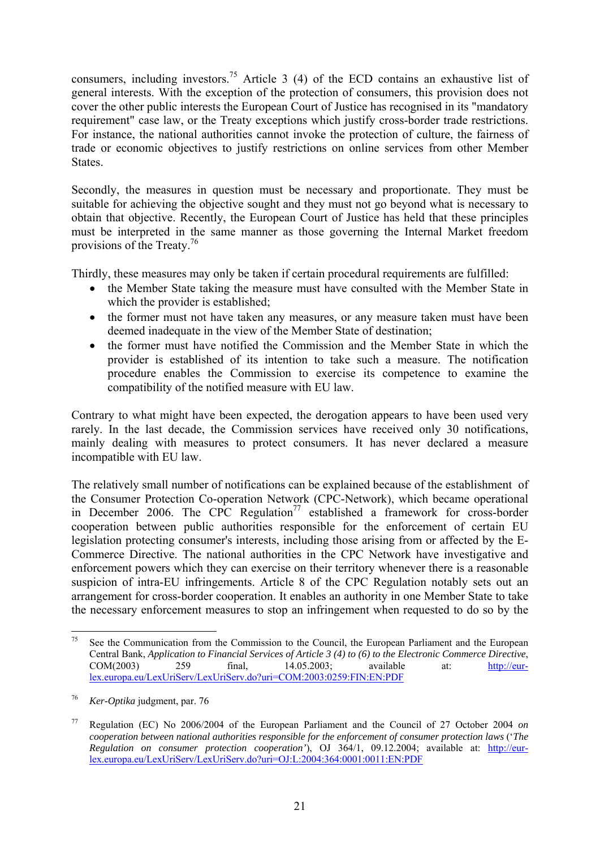consumers, including investors.<sup>75</sup> Article 3 (4) of the ECD contains an exhaustive list of general interests. With the exception of the protection of consumers, this provision does not cover the other public interests the European Court of Justice has recognised in its "mandatory requirement" case law, or the Treaty exceptions which justify cross-border trade restrictions. For instance, the national authorities cannot invoke the protection of culture, the fairness of trade or economic objectives to justify restrictions on online services from other Member States.

Secondly, the measures in question must be necessary and proportionate. They must be suitable for achieving the objective sought and they must not go beyond what is necessary to obtain that objective. Recently, the European Court of Justice has held that these principles must be interpreted in the same manner as those governing the Internal Market freedom provisions of the Treaty.<sup>76</sup>

Thirdly, these measures may only be taken if certain procedural requirements are fulfilled:

- the Member State taking the measure must have consulted with the Member State in which the provider is established;
- the former must not have taken any measures, or any measure taken must have been deemed inadequate in the view of the Member State of destination;
- the former must have notified the Commission and the Member State in which the provider is established of its intention to take such a measure. The notification procedure enables the Commission to exercise its competence to examine the compatibility of the notified measure with EU law.

Contrary to what might have been expected, the derogation appears to have been used very rarely. In the last decade, the Commission services have received only 30 notifications, mainly dealing with measures to protect consumers. It has never declared a measure incompatible with EU law.

The relatively small number of notifications can be explained because of the establishment of the Consumer Protection Co-operation Network (CPC-Network), which became operational in December 2006. The CPC Regulation<sup>77</sup> established a framework for cross-border cooperation between public authorities responsible for the enforcement of certain EU legislation protecting consumer's interests, including those arising from or affected by the E-Commerce Directive. The national authorities in the CPC Network have investigative and enforcement powers which they can exercise on their territory whenever there is a reasonable suspicion of intra-EU infringements. Article 8 of the CPC Regulation notably sets out an arrangement for cross-border cooperation. It enables an authority in one Member State to take the necessary enforcement measures to stop an infringement when requested to do so by the

<sup>75</sup> 75 See the Communication from the Commission to the Council, the European Parliament and the European Central Bank, *Application to Financial Services of Article 3 (4) to (6) to the Electronic Commerce Directive*, COM(2003) 259 final, 14.05.2003; available at: [http://eur](http://eur-lex.europa.eu/LexUriServ/LexUriServ.do?uri=COM:2003:0259:FIN:EN:PDF)[lex.europa.eu/LexUriServ/LexUriServ.do?uri=COM:2003:0259:FIN:EN:PDF](http://eur-lex.europa.eu/LexUriServ/LexUriServ.do?uri=COM:2003:0259:FIN:EN:PDF) 

<sup>76</sup> *Ker-Optika* judgment, par. 76

<sup>77</sup> Regulation (EC) No 2006/2004 of the European Parliament and the Council of 27 October 2004 *on cooperation between national authorities responsible for the enforcement of consumer protection laws* ('*The Regulation on consumer protection cooperation'*), OJ 364/1, 09.12.2004; available at: [http://eur](http://eur-lex.europa.eu/LexUriServ/LexUriServ.do?uri=OJ:L:2004:364:0001:0011:EN:PDF)[lex.europa.eu/LexUriServ/LexUriServ.do?uri=OJ:L:2004:364:0001:0011:EN:PDF](http://eur-lex.europa.eu/LexUriServ/LexUriServ.do?uri=OJ:L:2004:364:0001:0011:EN:PDF)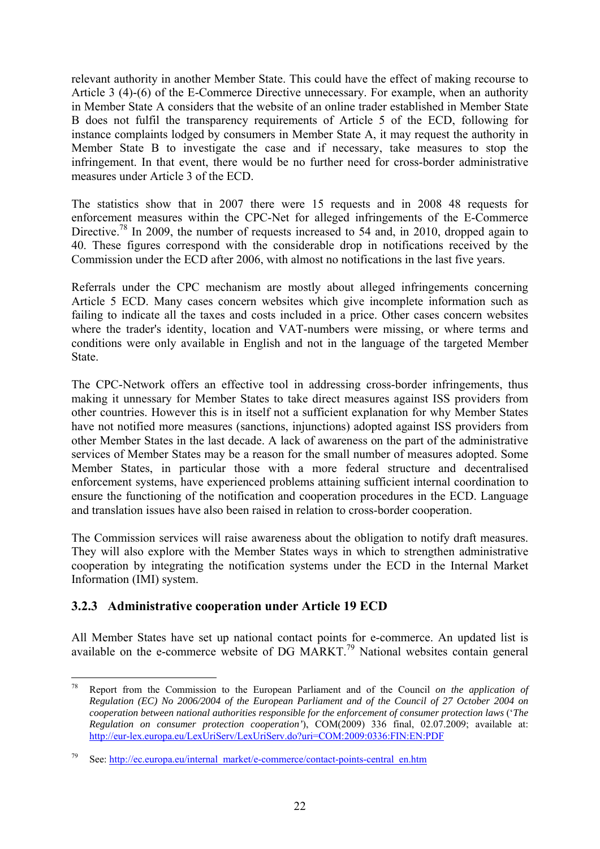relevant authority in another Member State. This could have the effect of making recourse to Article 3 (4)-(6) of the E-Commerce Directive unnecessary. For example, when an authority in Member State A considers that the website of an online trader established in Member State B does not fulfil the transparency requirements of Article 5 of the ECD, following for instance complaints lodged by consumers in Member State A, it may request the authority in Member State B to investigate the case and if necessary, take measures to stop the infringement. In that event, there would be no further need for cross-border administrative measures under Article 3 of the ECD.

The statistics show that in 2007 there were 15 requests and in 2008 48 requests for enforcement measures within the CPC-Net for alleged infringements of the E-Commerce Directive.<sup>78</sup> In 2009, the number of requests increased to 54 and, in 2010, dropped again to 40. These figures correspond with the considerable drop in notifications received by the Commission under the ECD after 2006, with almost no notifications in the last five years.

Referrals under the CPC mechanism are mostly about alleged infringements concerning Article 5 ECD. Many cases concern websites which give incomplete information such as failing to indicate all the taxes and costs included in a price. Other cases concern websites where the trader's identity, location and VAT-numbers were missing, or where terms and conditions were only available in English and not in the language of the targeted Member State.

The CPC-Network offers an effective tool in addressing cross-border infringements, thus making it unnessary for Member States to take direct measures against ISS providers from other countries. However this is in itself not a sufficient explanation for why Member States have not notified more measures (sanctions, injunctions) adopted against ISS providers from other Member States in the last decade. A lack of awareness on the part of the administrative services of Member States may be a reason for the small number of measures adopted. Some Member States, in particular those with a more federal structure and decentralised enforcement systems, have experienced problems attaining sufficient internal coordination to ensure the functioning of the notification and cooperation procedures in the ECD. Language and translation issues have also been raised in relation to cross-border cooperation.

The Commission services will raise awareness about the obligation to notify draft measures. They will also explore with the Member States ways in which to strengthen administrative cooperation by integrating the notification systems under the ECD in the Internal Market Information (IMI) system.

### <span id="page-22-0"></span>**3.2.3 Administrative cooperation under Article 19 ECD**

All Member States have set up national contact points for e-commerce. An updated list is available on the e-commerce website of DG MARKT.79 National websites contain general

<sup>1</sup> 78 Report from the Commission to the European Parliament and of the Council *on the application of Regulation (EC) No 2006/2004 of the European Parliament and of the Council of 27 October 2004 on cooperation between national authorities responsible for the enforcement of consumer protection laws* ('*The Regulation on consumer protection cooperation'*), COM(2009) 336 final, 02.07.2009; available at: <http://eur-lex.europa.eu/LexUriServ/LexUriServ.do?uri=COM:2009:0336:FIN:EN:PDF>

[<sup>79</sup> See: http://ec.europa.eu/internal\\_market/e-commerce/contact-points-central\\_en.htm](http://ec.europa.eu/internal_market/e-commerce/contact-points-central_en.htm)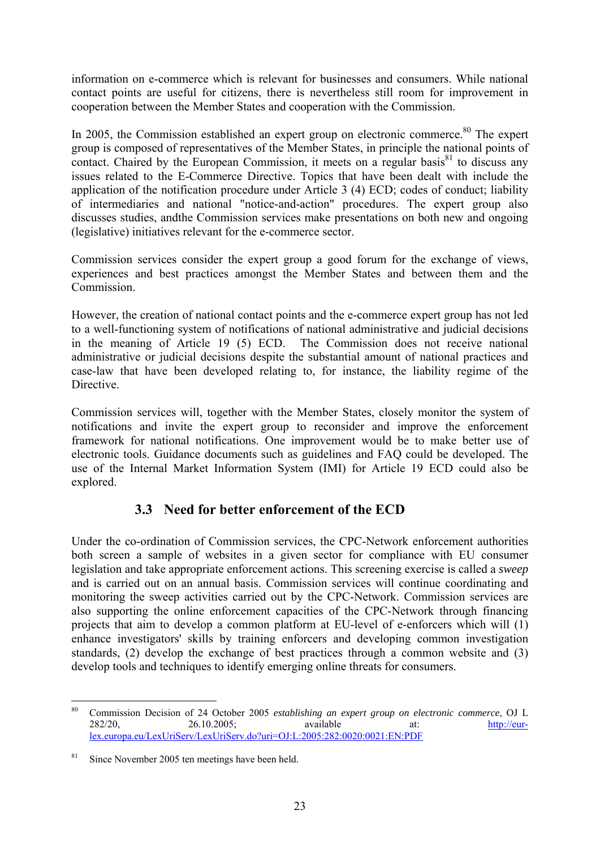information on e-commerce which is relevant for businesses and consumers. While national contact points are useful for citizens, there is nevertheless still room for improvement in cooperation between the Member States and cooperation with the Commission.

In 2005, the Commission established an expert group on electronic commerce.<sup>80</sup> The expert group is composed of representatives of the Member States, in principle the national points of contact. Chaired by the European Commission, it meets on a regular basis<sup>81</sup> to discuss any issues related to the E-Commerce Directive. Topics that have been dealt with include the application of the notification procedure under Article 3 (4) ECD; codes of conduct; liability of intermediaries and national "notice-and-action" procedures. The expert group also discusses studies, andthe Commission services make presentations on both new and ongoing (legislative) initiatives relevant for the e-commerce sector.

Commission services consider the expert group a good forum for the exchange of views, experiences and best practices amongst the Member States and between them and the **Commission** 

However, the creation of national contact points and the e-commerce expert group has not led to a well-functioning system of notifications of national administrative and judicial decisions in the meaning of Article 19 (5) ECD. The Commission does not receive national administrative or judicial decisions despite the substantial amount of national practices and case-law that have been developed relating to, for instance, the liability regime of the Directive.

Commission services will, together with the Member States, closely monitor the system of notifications and invite the expert group to reconsider and improve the enforcement framework for national notifications. One improvement would be to make better use of electronic tools. Guidance documents such as guidelines and FAQ could be developed. The use of the Internal Market Information System (IMI) for Article 19 ECD could also be explored.

## **3.3 Need for better enforcement of the ECD**

<span id="page-23-0"></span>Under the co-ordination of Commission services, the CPC-Network enforcement authorities both screen a sample of websites in a given sector for compliance with EU consumer legislation and take appropriate enforcement actions. This screening exercise is called a *sweep* and is carried out on an annual basis. Commission services will continue coordinating and monitoring the sweep activities carried out by the CPC-Network. Commission services are also supporting the online enforcement capacities of the CPC-Network through financing projects that aim to develop a common platform at EU-level of e-enforcers which will (1) enhance investigators' skills by training enforcers and developing common investigation standards, (2) develop the exchange of best practices through a common website and (3) develop tools and techniques to identify emerging online threats for consumers.

 $80$ 80 Commission Decision of 24 October 2005 *establishing an expert group on electronic commerce*, OJ L 282/20, 26.10.2005; available at: [http://eur](http://eur-lex.europa.eu/LexUriServ/LexUriServ.do?uri=OJ:L:2005:282:0020:0021:EN:PDF)[lex.europa.eu/LexUriServ/LexUriServ.do?uri=OJ:L:2005:282:0020:0021:EN:PDF](http://eur-lex.europa.eu/LexUriServ/LexUriServ.do?uri=OJ:L:2005:282:0020:0021:EN:PDF) 

<sup>81</sup> Since November 2005 ten meetings have been held.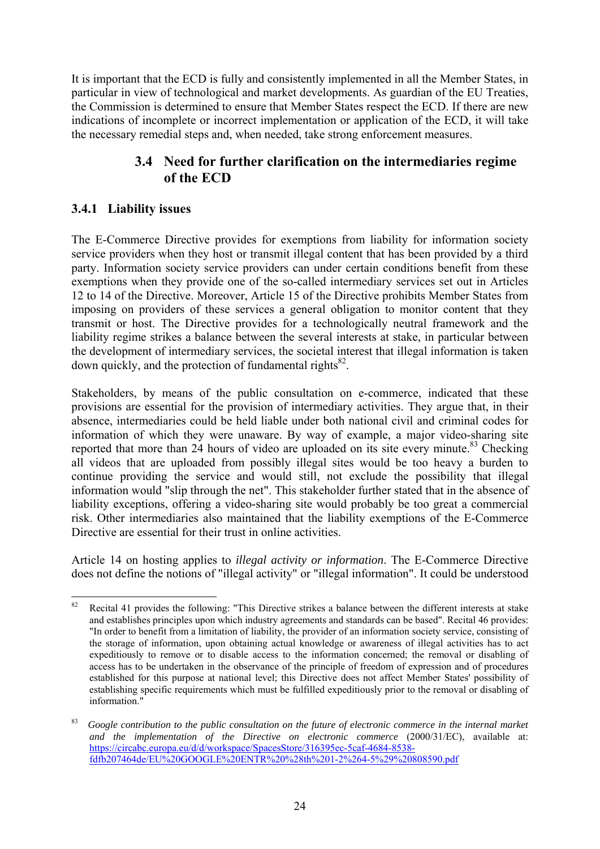It is important that the ECD is fully and consistently implemented in all the Member States, in particular in view of technological and market developments. As guardian of the EU Treaties, the Commission is determined to ensure that Member States respect the ECD. If there are new indications of incomplete or incorrect implementation or application of the ECD, it will take the necessary remedial steps and, when needed, take strong enforcement measures.

## **3.4 Need for further clarification on the intermediaries regime of the ECD**

## <span id="page-24-1"></span><span id="page-24-0"></span>**3.4.1 Liability issues**

The E-Commerce Directive provides for exemptions from liability for information society service providers when they host or transmit illegal content that has been provided by a third party. Information society service providers can under certain conditions benefit from these exemptions when they provide one of the so-called intermediary services set out in Articles 12 to 14 of the Directive. Moreover, Article 15 of the Directive prohibits Member States from imposing on providers of these services a general obligation to monitor content that they transmit or host. The Directive provides for a technologically neutral framework and the liability regime strikes a balance between the several interests at stake, in particular between the development of intermediary services, the societal interest that illegal information is taken down quickly, and the protection of fundamental rights $^{82}$ .

Stakeholders, by means of the public consultation on e-commerce, indicated that these provisions are essential for the provision of intermediary activities. They argue that, in their absence, intermediaries could be held liable under both national civil and criminal codes for information of which they were unaware. By way of example, a major video-sharing site reported that more than  $24$  hours of video are uploaded on its site every minute.<sup>83</sup> Checking all videos that are uploaded from possibly illegal sites would be too heavy a burden to continue providing the service and would still, not exclude the possibility that illegal information would "slip through the net". This stakeholder further stated that in the absence of liability exceptions, offering a video-sharing site would probably be too great a commercial risk. Other intermediaries also maintained that the liability exemptions of the E-Commerce Directive are essential for their trust in online activities.

Article 14 on hosting applies to *illegal activity or information*. The E-Commerce Directive does not define the notions of "illegal activity" or "illegal information". It could be understood

<sup>82</sup> Recital 41 provides the following: "This Directive strikes a balance between the different interests at stake and establishes principles upon which industry agreements and standards can be based". Recital 46 provides: "In order to benefit from a limitation of liability, the provider of an information society service, consisting of the storage of information, upon obtaining actual knowledge or awareness of illegal activities has to act expeditiously to remove or to disable access to the information concerned; the removal or disabling of access has to be undertaken in the observance of the principle of freedom of expression and of procedures established for this purpose at national level; this Directive does not affect Member States' possibility of establishing specific requirements which must be fulfilled expeditiously prior to the removal or disabling of information."

<sup>83</sup> *Google contribution to the public consultation on the future of electronic commerce in the internal market and the implementation of the Directive on electronic commerce* (2000/31/EC), available at: [https://circabc.europa.eu/d/d/workspace/SpacesStore/316395ec-5caf-4684-8538](https://circabc.europa.eu/d/d/workspace/SpacesStore/316395ec-5caf-4684-8538-fdfb207464de/EU GOOGLE ENTR %28th 1-2%264-5%29 808590.pdf) [fdfb207464de/EU%20GOOGLE%20ENTR%20%28th%201-2%264-5%29%20808590.pdf](https://circabc.europa.eu/d/d/workspace/SpacesStore/316395ec-5caf-4684-8538-fdfb207464de/EU GOOGLE ENTR %28th 1-2%264-5%29 808590.pdf)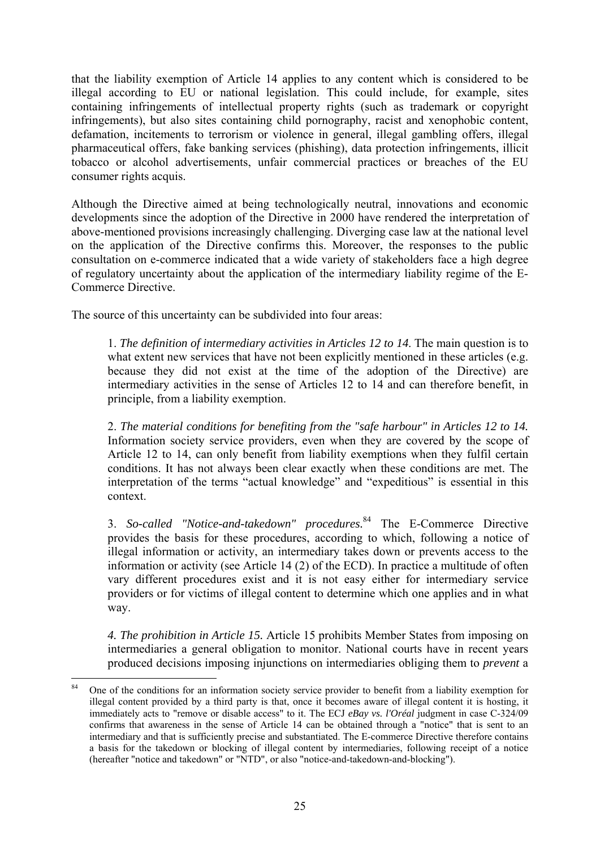that the liability exemption of Article 14 applies to any content which is considered to be illegal according to EU or national legislation. This could include, for example, sites containing infringements of intellectual property rights (such as trademark or copyright infringements), but also sites containing child pornography, racist and xenophobic content, defamation, incitements to terrorism or violence in general, illegal gambling offers, illegal pharmaceutical offers, fake banking services (phishing), data protection infringements, illicit tobacco or alcohol advertisements, unfair commercial practices or breaches of the EU consumer rights acquis.

Although the Directive aimed at being technologically neutral, innovations and economic developments since the adoption of the Directive in 2000 have rendered the interpretation of above-mentioned provisions increasingly challenging. Diverging case law at the national level on the application of the Directive confirms this. Moreover, the responses to the public consultation on e-commerce indicated that a wide variety of stakeholders face a high degree of regulatory uncertainty about the application of the intermediary liability regime of the E-Commerce Directive.

The source of this uncertainty can be subdivided into four areas:

1. *The definition of intermediary activities in Articles 12 to 14*. The main question is to what extent new services that have not been explicitly mentioned in these articles (e.g. because they did not exist at the time of the adoption of the Directive) are intermediary activities in the sense of Articles 12 to 14 and can therefore benefit, in principle, from a liability exemption.

2. *The material conditions for benefiting from the "safe harbour" in Articles 12 to 14.* Information society service providers, even when they are covered by the scope of Article 12 to 14, can only benefit from liability exemptions when they fulfil certain conditions. It has not always been clear exactly when these conditions are met. The interpretation of the terms "actual knowledge" and "expeditious" is essential in this context.

3. *So-called "Notice-and-takedown" procedures.*<sup>84</sup> The E-Commerce Directive provides the basis for these procedures, according to which, following a notice of illegal information or activity, an intermediary takes down or prevents access to the information or activity (see Article 14 (2) of the ECD). In practice a multitude of often vary different procedures exist and it is not easy either for intermediary service providers or for victims of illegal content to determine which one applies and in what way.

*4. The prohibition in Article 15.* Article 15 prohibits Member States from imposing on intermediaries a general obligation to monitor. National courts have in recent years produced decisions imposing injunctions on intermediaries obliging them to *prevent* a

 $84$ 84 One of the conditions for an information society service provider to benefit from a liability exemption for illegal content provided by a third party is that, once it becomes aware of illegal content it is hosting, it immediately acts to "remove or disable access" to it. The ECJ *eBay vs. l'Oréal* judgment in case C-324/09 confirms that awareness in the sense of Article 14 can be obtained through a "notice" that is sent to an intermediary and that is sufficiently precise and substantiated. The E-commerce Directive therefore contains a basis for the takedown or blocking of illegal content by intermediaries, following receipt of a notice (hereafter "notice and takedown" or "NTD", or also "notice-and-takedown-and-blocking").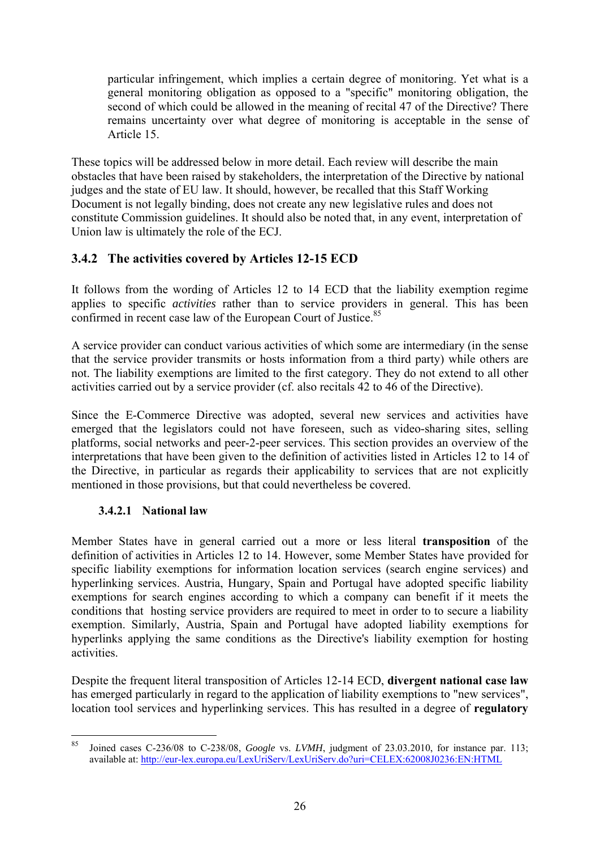particular infringement, which implies a certain degree of monitoring. Yet what is a general monitoring obligation as opposed to a "specific" monitoring obligation, the second of which could be allowed in the meaning of recital 47 of the Directive? There remains uncertainty over what degree of monitoring is acceptable in the sense of Article 15.

These topics will be addressed below in more detail. Each review will describe the main obstacles that have been raised by stakeholders, the interpretation of the Directive by national judges and the state of EU law. It should, however, be recalled that this Staff Working Document is not legally binding, does not create any new legislative rules and does not constitute Commission guidelines. It should also be noted that, in any event, interpretation of Union law is ultimately the role of the ECJ.

## <span id="page-26-0"></span>**3.4.2 The activities covered by Articles 12-15 ECD**

It follows from the wording of Articles 12 to 14 ECD that the liability exemption regime applies to specific *activities* rather than to service providers in general. This has been confirmed in recent case law of the European Court of Justice.<sup>85</sup>

A service provider can conduct various activities of which some are intermediary (in the sense that the service provider transmits or hosts information from a third party) while others are not. The liability exemptions are limited to the first category. They do not extend to all other activities carried out by a service provider (cf. also recitals 42 to 46 of the Directive).

Since the E-Commerce Directive was adopted, several new services and activities have emerged that the legislators could not have foreseen, such as video-sharing sites, selling platforms, social networks and peer-2-peer services. This section provides an overview of the interpretations that have been given to the definition of activities listed in Articles 12 to 14 of the Directive, in particular as regards their applicability to services that are not explicitly mentioned in those provisions, but that could nevertheless be covered.

### **3.4.2.1 National law**

<span id="page-26-1"></span>Member States have in general carried out a more or less literal **transposition** of the definition of activities in Articles 12 to 14. However, some Member States have provided for specific liability exemptions for information location services (search engine services) and hyperlinking services. Austria, Hungary, Spain and Portugal have adopted specific liability exemptions for search engines according to which a company can benefit if it meets the conditions that hosting service providers are required to meet in order to to secure a liability exemption. Similarly, Austria, Spain and Portugal have adopted liability exemptions for hyperlinks applying the same conditions as the Directive's liability exemption for hosting activities.

Despite the frequent literal transposition of Articles 12-14 ECD, **divergent national case law** has emerged particularly in regard to the application of liability exemptions to "new services", location tool services and hyperlinking services. This has resulted in a degree of **regulatory** 

 $85$ 85 Joined cases C-236/08 to C-238/08, *Google* vs. *LVMH*, judgment of 23.03.2010, for instance par. 113; [available at: http://eur-lex.europa.eu/LexUriServ/LexUriServ.do?uri=CELEX:62008J0236:EN:HTML](http://eur-lex.europa.eu/LexUriServ/LexUriServ.do?uri=CELEX:62008J0236:EN:HTML)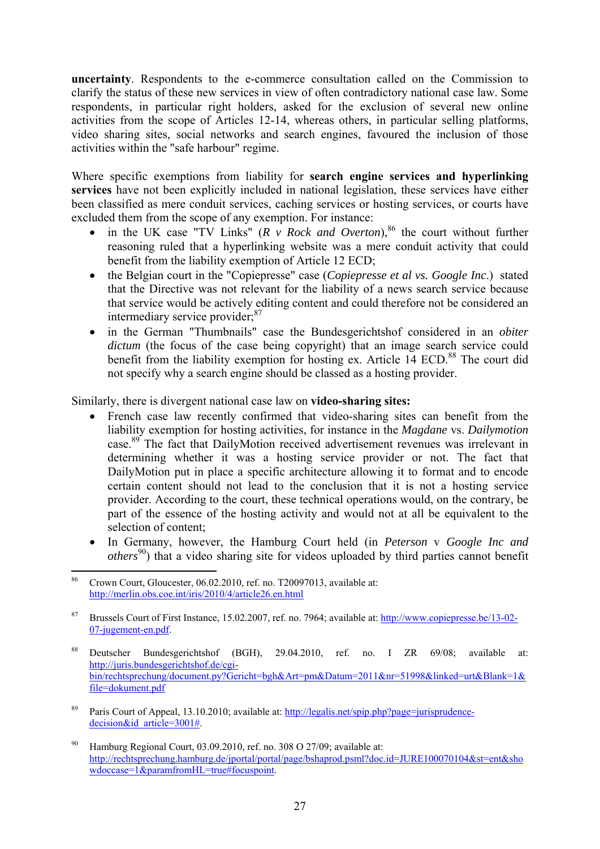**uncertainty**. Respondents to the e-commerce consultation called on the Commission to clarify the status of these new services in view of often contradictory national case law. Some respondents, in particular right holders, asked for the exclusion of several new online activities from the scope of Articles 12-14, whereas others, in particular selling platforms, video sharing sites, social networks and search engines, favoured the inclusion of those activities within the "safe harbour" regime.

Where specific exemptions from liability for **search engine services and hyperlinking services** have not been explicitly included in national legislation, these services have either been classified as mere conduit services, caching services or hosting services, or courts have excluded them from the scope of any exemption. For instance:

- in the UK case "TV Links"  $(R \text{ } v \text{ } Rock \text{ } and \text{ } Overton)$ ,<sup>86</sup> the court without further reasoning ruled that a hyperlinking website was a mere conduit activity that could benefit from the liability exemption of Article 12 ECD;
- the Belgian court in the "Copiepresse" case (*Copiepresse et al vs. Google Inc*.) stated that the Directive was not relevant for the liability of a news search service because that service would be actively editing content and could therefore not be considered an intermediary service provider:<sup>87</sup>
- in the German "Thumbnails" case the Bundesgerichtshof considered in an *obiter dictum* (the focus of the case being copyright) that an image search service could benefit from the liability exemption for hosting ex. Article  $14$  ECD.<sup>88</sup> The court did not specify why a search engine should be classed as a hosting provider.

Similarly, there is divergent national case law on **video-sharing sites:** 

- French case law recently confirmed that video-sharing sites can benefit from the liability exemption for hosting activities, for instance in the *Magdane* vs. *Dailymotion*  case.89 The fact that DailyMotion received advertisement revenues was irrelevant in determining whether it was a hosting service provider or not. The fact that DailyMotion put in place a specific architecture allowing it to format and to encode certain content should not lead to the conclusion that it is not a hosting service provider. According to the court, these technical operations would, on the contrary, be part of the essence of the hosting activity and would not at all be equivalent to the selection of content;
- In Germany, however, the Hamburg Court held (in *Peterson* v *Google Inc and others*<sup>90</sup>) that a video sharing site for videos uploaded by third parties cannot benefit

- 88 Deutscher Bundesgerichtshof (BGH), 29.04.2010, ref. no. I ZR 69/08; available at: [http://juris.bundesgerichtshof.de/cgi](http://juris.bundesgerichtshof.de/cgi-bin/rechtsprechung/document.py?Gericht=bgh&Art=pm&Datum=2011&nr=51998&linked=urt&Blank=1&file=dokument.pdf)[bin/rechtsprechung/document.py?Gericht=bgh&Art=pm&Datum=2011&nr=51998&linked=urt&Blank=1&](http://juris.bundesgerichtshof.de/cgi-bin/rechtsprechung/document.py?Gericht=bgh&Art=pm&Datum=2011&nr=51998&linked=urt&Blank=1&file=dokument.pdf) [file=dokument.pdf](http://juris.bundesgerichtshof.de/cgi-bin/rechtsprechung/document.py?Gericht=bgh&Art=pm&Datum=2011&nr=51998&linked=urt&Blank=1&file=dokument.pdf)
- <sup>89</sup> Paris Court of Appeal, 13.10.2010; available at: [http://legalis.net/spip.php?page=jurisprudence](http://legalis.net/spip.php?page=jurisprudence-decision&id_article=3001)decision&id\_article=3001#.
- <sup>90</sup> Hamburg Regional Court, 03.09.2010, ref. no. 308 O 27/09; available at: [http://rechtsprechung.hamburg.de/jportal/portal/page/bshaprod.psml?doc.id=JURE100070104&st=ent&sho](http://rechtsprechung.hamburg.de/jportal/portal/page/bshaprod.psml?doc.id=JURE100070104&st=ent&showdoccase=1¶mfromHL=true#focuspoint) wdoccase=1&paramfromHL=true#focuspoint.

<sup>86</sup> Crown Court, Gloucester, 06.02.2010, ref. no. T20097013, available at: <http://merlin.obs.coe.int/iris/2010/4/article26.en.html>

<sup>87</sup> Brussels Court of First Instance, 15.02.2007, ref. no. 7964; available at: [http://www.copiepresse.be/13-02-](http://www.copiepresse.be/13-02-07-jugement-en.pdf) [07-jugement-en.pdf.](http://www.copiepresse.be/13-02-07-jugement-en.pdf)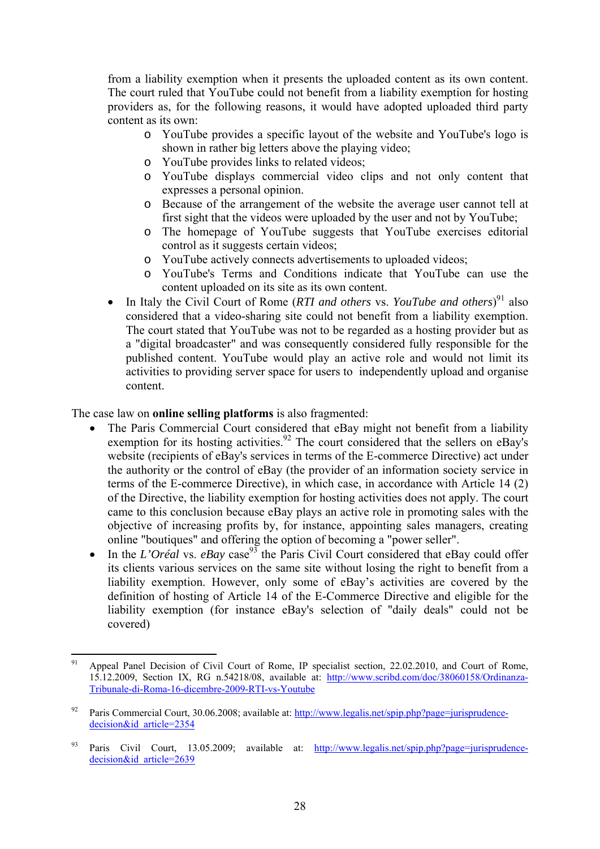from a liability exemption when it presents the uploaded content as its own content. The court ruled that YouTube could not benefit from a liability exemption for hosting providers as, for the following reasons, it would have adopted uploaded third party content as its own:

- o YouTube provides a specific layout of the website and YouTube's logo is shown in rather big letters above the playing video;
- o YouTube provides links to related videos;
- o YouTube displays commercial video clips and not only content that expresses a personal opinion.
- o Because of the arrangement of the website the average user cannot tell at first sight that the videos were uploaded by the user and not by YouTube;
- o The homepage of YouTube suggests that YouTube exercises editorial control as it suggests certain videos;
- o YouTube actively connects advertisements to uploaded videos;
- o YouTube's Terms and Conditions indicate that YouTube can use the content uploaded on its site as its own content.
- In Italy the Civil Court of Rome (*RTI and others* vs. *YouTube and others*)<sup>91</sup> also considered that a video-sharing site could not benefit from a liability exemption. The court stated that YouTube was not to be regarded as a hosting provider but as a "digital broadcaster" and was consequently considered fully responsible for the published content. YouTube would play an active role and would not limit its activities to providing server space for users to independently upload and organise content.

The case law on **online selling platforms** is also fragmented:

- The Paris Commercial Court considered that eBay might not benefit from a liability exemption for its hosting activities.<sup>92</sup> The court considered that the sellers on eBay's website (recipients of eBay's services in terms of the E-commerce Directive) act under the authority or the control of eBay (the provider of an information society service in terms of the E-commerce Directive), in which case, in accordance with Article 14 (2) of the Directive, the liability exemption for hosting activities does not apply. The court came to this conclusion because eBay plays an active role in promoting sales with the objective of increasing profits by, for instance, appointing sales managers, creating online "boutiques" and offering the option of becoming a "power seller".
- In the *L'Oréal* vs.  $eBay$  case<sup>93</sup> the Paris Civil Court considered that eBay could offer its clients various services on the same site without losing the right to benefit from a liability exemption. However, only some of eBay's activities are covered by the definition of hosting of Article 14 of the E-Commerce Directive and eligible for the liability exemption (for instance eBay's selection of "daily deals" could not be covered)

<sup>91</sup> Appeal Panel Decision of Civil Court of Rome, IP specialist section, 22.02.2010, and Court of Rome, 15.12.2009, Section IX, RG n.54218/08, available at: [http://www.scribd.com/doc/38060158/Ordinanza-](http://www.scribd.com/doc/38060158/Ordinanza-Tribunale-di-Roma-16-dicembre-2009-RTI-vs-Youtube)[Tribunale-di-Roma-16-dicembre-2009-RTI-vs-Youtube](http://www.scribd.com/doc/38060158/Ordinanza-Tribunale-di-Roma-16-dicembre-2009-RTI-vs-Youtube) 

<sup>&</sup>lt;sup>92</sup> Paris Commercial Court, 30.06.2008; available at: [http://www.legalis.net/spip.php?page=jurisprudence](http://www.legalis.net/spip.php?page=jurisprudence-decision&id_article=2354)[decision&id\\_article=2354](http://www.legalis.net/spip.php?page=jurisprudence-decision&id_article=2354) 

<sup>93</sup> Paris Civil Court, 13.05.2009; available at: [http://www.legalis.net/spip.php?page=jurisprudence](http://www.legalis.net/spip.php?page=jurisprudence-decision&id_article=2639)[decision&id\\_article=2639](http://www.legalis.net/spip.php?page=jurisprudence-decision&id_article=2639)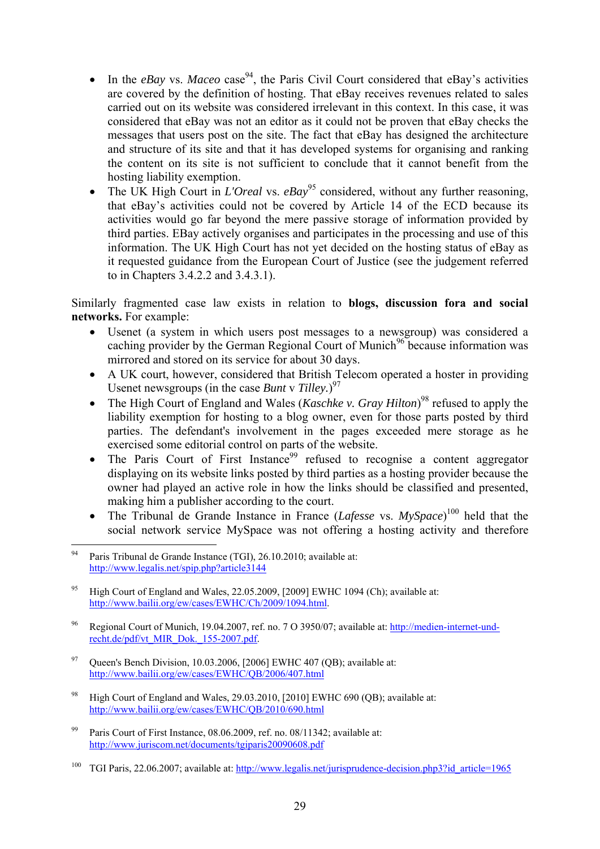- In the *eBay* vs. *Maceo* case<sup>94</sup>, the Paris Civil Court considered that eBay's activities are covered by the definition of hosting. That eBay receives revenues related to sales carried out on its website was considered irrelevant in this context. In this case, it was considered that eBay was not an editor as it could not be proven that eBay checks the messages that users post on the site. The fact that eBay has designed the architecture and structure of its site and that it has developed systems for organising and ranking the content on its site is not sufficient to conclude that it cannot benefit from the hosting liability exemption.
- The UK High Court in *L'Oreal* vs. *eBay*<sup>95</sup> considered, without any further reasoning, that eBay's activities could not be covered by Article 14 of the ECD because its activities would go far beyond the mere passive storage of information provided by third parties. EBay actively organises and participates in the processing and use of this information. The UK High Court has not yet decided on the hosting status of eBay as it requested guidance from the European Court of Justice (see the judgement referred to in Chapters 3.4.2.2 and 3.4.3.1).

Similarly fragmented case law exists in relation to **blogs, discussion fora and social networks.** For example:

- Usenet (a system in which users post messages to a newsgroup) was considered a caching provider by the German Regional Court of Munich<sup>96</sup> because information was mirrored and stored on its service for about 30 days.
- A UK court, however, considered that British Telecom operated a hoster in providing Usenet newsgroups (in the case *Bunt v Tilley.*)<sup>97</sup>
- The High Court of England and Wales (*Kaschke v. Gray Hilton*)<sup>98</sup> refused to apply the liability exemption for hosting to a blog owner, even for those parts posted by third parties. The defendant's involvement in the pages exceeded mere storage as he exercised some editorial control on parts of the website.
- The Paris Court of First Instance<sup>99</sup> refused to recognise a content aggregator displaying on its website links posted by third parties as a hosting provider because the owner had played an active role in how the links should be classified and presented, making him a publisher according to the court.
- The Tribunal de Grande Instance in France (*Lafesse* vs. *MySpace*)<sup>100</sup> held that the social network service MySpace was not offering a hosting activity and therefore

- 96 Regional Court of Munich, 19.04.2007, ref. no. 7 O 3950/07; available at: [http://medien-internet-und](http://medien-internet-und-recht.de/pdf/vt_MIR_Dok._155-2007.pdf)[recht.de/pdf/vt\\_MIR\\_Dok.\\_155-2007.pdf.](http://medien-internet-und-recht.de/pdf/vt_MIR_Dok._155-2007.pdf)
- <sup>97</sup> Queen's Bench Division, 10.03.2006, [2006] EWHC 407 (QB); available at: <http://www.bailii.org/ew/cases/EWHC/QB/2006/407.html>
- 98 High Court of England and Wales, 29.03.2010, [2010] EWHC 690 (QB); available at: <http://www.bailii.org/ew/cases/EWHC/QB/2010/690.html>
- Paris Court of First Instance, 08.06.2009, ref. no. 08/11342; available at: <http://www.juriscom.net/documents/tgiparis20090608.pdf>

<sup>94</sup> Paris Tribunal de Grande Instance (TGI), 26.10.2010; available at: [http://www.legalis.net/spip.php?article3](http://www.legalis.net/spip.php?article3144)144

<sup>95</sup> High Court of England and Wales, 22.05.2009, [2009] EWHC 1094 (Ch); available at: [http://www.bailii.org/ew/cases/EWHC/Ch/2009/1094.html.](http://www.bailii.org/ew/cases/EWHC/Ch/2009/1094.html) 

<sup>&</sup>lt;sup>100</sup> TGI Paris, 22.06.2007; available at: http://www.legalis.net/jurisprudence-decision.php3?id\_article=1965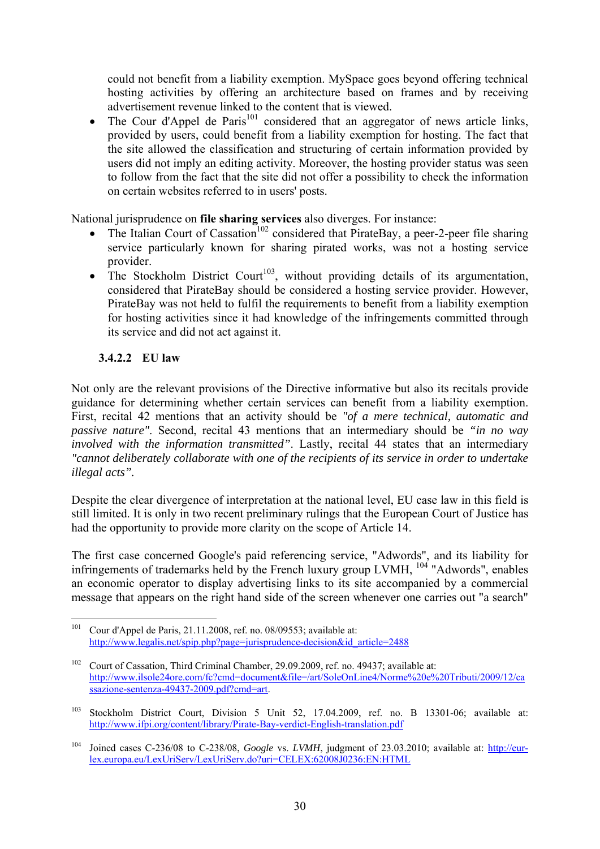could not benefit from a liability exemption. MySpace goes beyond offering technical hosting activities by offering an architecture based on frames and by receiving advertisement revenue linked to the content that is viewed.

The Cour d'Appel de Paris<sup>101</sup> considered that an aggregator of news article links, provided by users, could benefit from a liability exemption for hosting. The fact that the site allowed the classification and structuring of certain information provided by users did not imply an editing activity. Moreover, the hosting provider status was seen to follow from the fact that the site did not offer a possibility to check the information on certain websites referred to in users' posts.

National jurisprudence on **file sharing services** also diverges. For instance:

- The Italian Court of Cassation<sup>102</sup> considered that PirateBay, a peer-2-peer file sharing service particularly known for sharing pirated works, was not a hosting service provider.
- The Stockholm District Court<sup>103</sup>, without providing details of its argumentation, considered that PirateBay should be considered a hosting service provider. However, PirateBay was not held to fulfil the requirements to benefit from a liability exemption for hosting activities since it had knowledge of the infringements committed through its service and did not act against it.

## **3.4.2.2 EU law**

<span id="page-30-0"></span>Not only are the relevant provisions of the Directive informative but also its recitals provide guidance for determining whether certain services can benefit from a liability exemption. First, recital 42 mentions that an activity should be *"of a mere technical, automatic and passive nature"*. Second, recital 43 mentions that an intermediary should be *"in no way involved with the information transmitted"*. Lastly, recital 44 states that an intermediary *"cannot deliberately collaborate with one of the recipients of its service in order to undertake illegal acts".* 

Despite the clear divergence of interpretation at the national level, EU case law in this field is still limited. It is only in two recent preliminary rulings that the European Court of Justice has had the opportunity to provide more clarity on the scope of Article 14.

The first case concerned Google's paid referencing service, "Adwords", and its liability for infringements of trademarks held by the French luxury group LVMH, <sup>104</sup> "Adwords", enables an economic operator to display advertising links to its site accompanied by a commercial message that appears on the right hand side of the screen whenever one carries out "a search"

<sup>101</sup> Cour d'Appel de Paris, 21.11.2008, ref. no. 08/09553; available at: [http://www.legalis.net/spip.php?page=jurisprudence-decision&id\\_article=2488](http://www.legalis.net/spip.php?page=jurisprudence-decision&id_article=2488) 

<sup>&</sup>lt;sup>102</sup> Court of Cassation, Third Criminal Chamber, 29.09.2009, ref. no. 49437; available at: [http://www.ilsole24ore.com/fc?cmd=document&file=/art/SoleOnLine4/Norme%20e%20Tributi/2009/12/ca](http://www.ilsole24ore.com/fc?cmd=document&file=/art/SoleOnLine4/Norme%20e%20Tributi/2009/12/cassazione-sentenza-49437-2009.pdf?cmd=art) [ssazione-sentenza-49437-2009.pdf?cmd=art.](http://www.ilsole24ore.com/fc?cmd=document&file=/art/SoleOnLine4/Norme%20e%20Tributi/2009/12/cassazione-sentenza-49437-2009.pdf?cmd=art) 

<sup>&</sup>lt;sup>103</sup> Stockholm District Court, Division 5 Unit 52, 17.04.2009, ref. no. B 13301-06; available at: <http://www.ifpi.org/content/library/Pirate-Bay-verdict-English-translation.pdf>

<sup>&</sup>lt;sup>104</sup> Joined cases C-236/08 to C-238/08, *Google* vs. *LVMH*, judgment of 23.03.2010; available at: [http://eur](http://eur-lex.europa.eu/LexUriServ/LexUriServ.do?uri=CELEX:62008J0236:EN:HTML)[lex.europa.eu/LexUriServ/LexUriServ.do?uri=CELEX:62008J0236:EN:HTML](http://eur-lex.europa.eu/LexUriServ/LexUriServ.do?uri=CELEX:62008J0236:EN:HTML)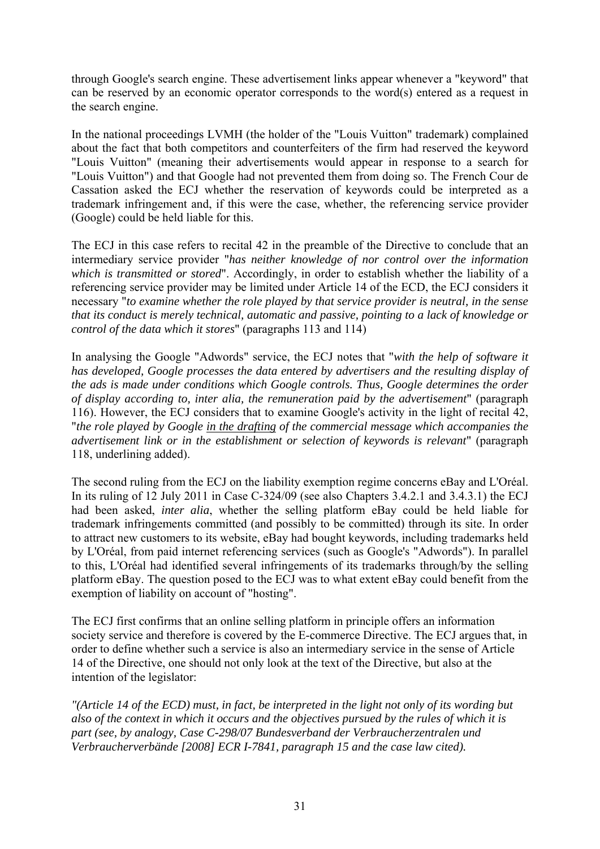through Google's search engine. These advertisement links appear whenever a "keyword" that can be reserved by an economic operator corresponds to the word(s) entered as a request in the search engine.

In the national proceedings LVMH (the holder of the "Louis Vuitton" trademark) complained about the fact that both competitors and counterfeiters of the firm had reserved the keyword "Louis Vuitton" (meaning their advertisements would appear in response to a search for "Louis Vuitton") and that Google had not prevented them from doing so. The French Cour de Cassation asked the ECJ whether the reservation of keywords could be interpreted as a trademark infringement and, if this were the case, whether, the referencing service provider (Google) could be held liable for this.

The ECJ in this case refers to recital 42 in the preamble of the Directive to conclude that an intermediary service provider "*has neither knowledge of nor control over the information which is transmitted or stored*". Accordingly, in order to establish whether the liability of a referencing service provider may be limited under Article 14 of the ECD, the ECJ considers it necessary "*to examine whether the role played by that service provider is neutral, in the sense that its conduct is merely technical, automatic and passive, pointing to a lack of knowledge or control of the data which it stores*" (paragraphs 113 and 114)

In analysing the Google "Adwords" service, the ECJ notes that "*with the help of software it has developed, Google processes the data entered by advertisers and the resulting display of the ads is made under conditions which Google controls. Thus, Google determines the order of display according to, inter alia, the remuneration paid by the advertisement*" (paragraph 116). However, the ECJ considers that to examine Google's activity in the light of recital 42, "*the role played by Google in the drafting of the commercial message which accompanies the advertisement link or in the establishment or selection of keywords is relevant*" (paragraph 118, underlining added).

The second ruling from the ECJ on the liability exemption regime concerns eBay and L'Oréal. In its ruling of 12 July 2011 in Case C-324/09 (see also Chapters 3.4.2.1 and 3.4.3.1) the ECJ had been asked, *inter alia*, whether the selling platform eBay could be held liable for trademark infringements committed (and possibly to be committed) through its site. In order to attract new customers to its website, eBay had bought keywords, including trademarks held by L'Oréal, from paid internet referencing services (such as Google's "Adwords"). In parallel to this, L'Oréal had identified several infringements of its trademarks through/by the selling platform eBay. The question posed to the ECJ was to what extent eBay could benefit from the exemption of liability on account of "hosting".

The ECJ first confirms that an online selling platform in principle offers an information society service and therefore is covered by the E-commerce Directive. The ECJ argues that, in order to define whether such a service is also an intermediary service in the sense of Article 14 of the Directive, one should not only look at the text of the Directive, but also at the intention of the legislator:

*"(Article 14 of the ECD) must, in fact, be interpreted in the light not only of its wording but also of the context in which it occurs and the objectives pursued by the rules of which it is part (see, by analogy, Case C-298/07 Bundesverband der Verbraucherzentralen und Verbraucherverbände [2008] ECR I-7841, paragraph 15 and the case law cited).*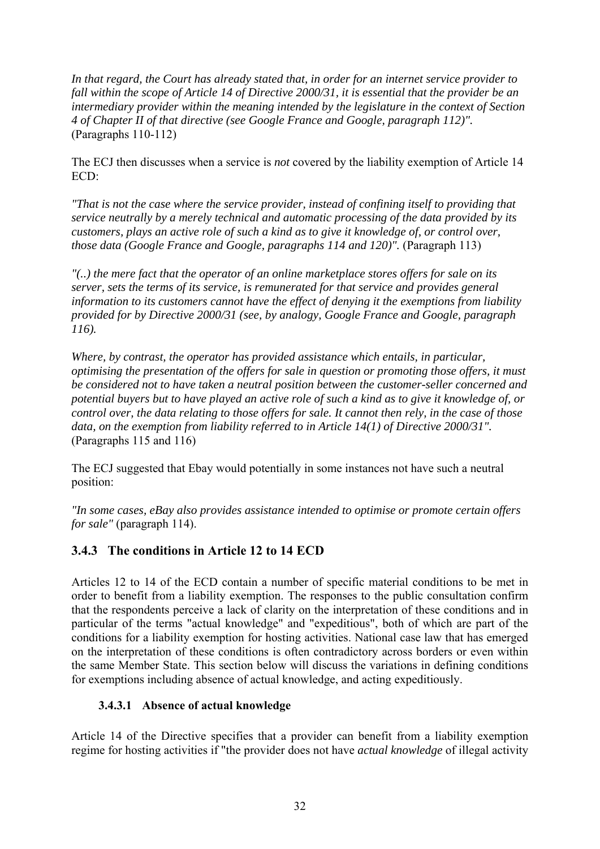*In that regard, the Court has already stated that, in order for an internet service provider to fall within the scope of Article 14 of Directive 2000/31, it is essential that the provider be an intermediary provider within the meaning intended by the legislature in the context of Section 4 of Chapter II of that directive (see Google France and Google, paragraph 112)".*  (Paragraphs 110-112)

The ECJ then discusses when a service is *not* covered by the liability exemption of Article 14  $ECD$ 

*"That is not the case where the service provider, instead of confining itself to providing that service neutrally by a merely technical and automatic processing of the data provided by its customers, plays an active role of such a kind as to give it knowledge of, or control over, those data (Google France and Google, paragraphs 114 and 120)".* (Paragraph 113)

*"(..) the mere fact that the operator of an online marketplace stores offers for sale on its server, sets the terms of its service, is remunerated for that service and provides general information to its customers cannot have the effect of denying it the exemptions from liability provided for by Directive 2000/31 (see, by analogy, Google France and Google, paragraph 116).* 

*Where, by contrast, the operator has provided assistance which entails, in particular, optimising the presentation of the offers for sale in question or promoting those offers, it must be considered not to have taken a neutral position between the customer-seller concerned and potential buyers but to have played an active role of such a kind as to give it knowledge of, or control over, the data relating to those offers for sale. It cannot then rely, in the case of those data, on the exemption from liability referred to in Article 14(1) of Directive 2000/31".*  (Paragraphs 115 and 116)

The ECJ suggested that Ebay would potentially in some instances not have such a neutral position:

*"In some cases, eBay also provides assistance intended to optimise or promote certain offers for sale"* (paragraph 114).

## <span id="page-32-0"></span>**3.4.3 The conditions in Article 12 to 14 ECD**

Articles 12 to 14 of the ECD contain a number of specific material conditions to be met in order to benefit from a liability exemption. The responses to the public consultation confirm that the respondents perceive a lack of clarity on the interpretation of these conditions and in particular of the terms "actual knowledge" and "expeditious", both of which are part of the conditions for a liability exemption for hosting activities. National case law that has emerged on the interpretation of these conditions is often contradictory across borders or even within the same Member State. This section below will discuss the variations in defining conditions for exemptions including absence of actual knowledge, and acting expeditiously.

### **3.4.3.1 Absence of actual knowledge**

<span id="page-32-1"></span>Article 14 of the Directive specifies that a provider can benefit from a liability exemption regime for hosting activities if "the provider does not have *actual knowledge* of illegal activity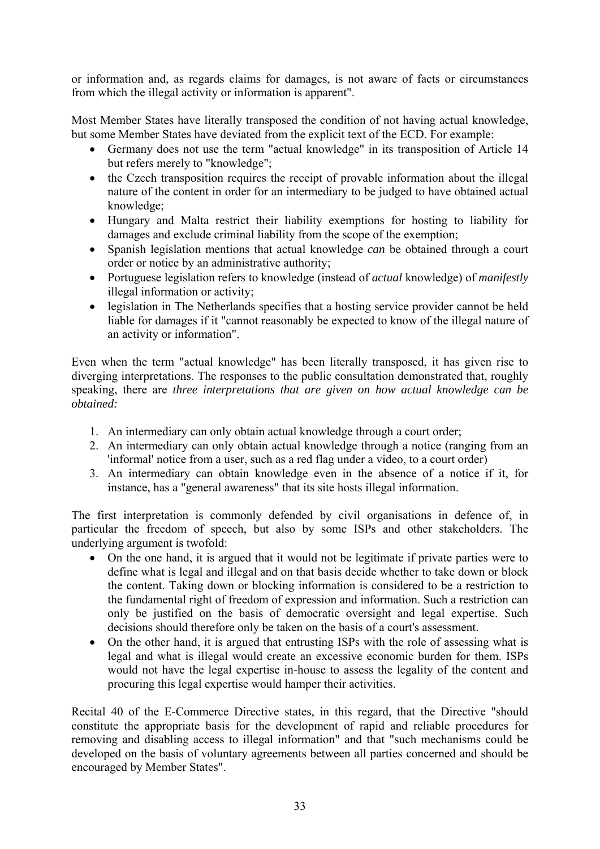or information and, as regards claims for damages, is not aware of facts or circumstances from which the illegal activity or information is apparent".

Most Member States have literally transposed the condition of not having actual knowledge, but some Member States have deviated from the explicit text of the ECD. For example:

- Germany does not use the term "actual knowledge" in its transposition of Article 14 but refers merely to "knowledge";
- the Czech transposition requires the receipt of provable information about the illegal nature of the content in order for an intermediary to be judged to have obtained actual knowledge;
- Hungary and Malta restrict their liability exemptions for hosting to liability for damages and exclude criminal liability from the scope of the exemption;
- Spanish legislation mentions that actual knowledge *can* be obtained through a court order or notice by an administrative authority;
- Portuguese legislation refers to knowledge (instead of *actual* knowledge) of *manifestly* illegal information or activity;
- legislation in The Netherlands specifies that a hosting service provider cannot be held liable for damages if it "cannot reasonably be expected to know of the illegal nature of an activity or information".

Even when the term "actual knowledge" has been literally transposed, it has given rise to diverging interpretations. The responses to the public consultation demonstrated that, roughly speaking, there are *three interpretations that are given on how actual knowledge can be obtained:* 

- 1. An intermediary can only obtain actual knowledge through a court order;
- 2. An intermediary can only obtain actual knowledge through a notice (ranging from an 'informal' notice from a user, such as a red flag under a video, to a court order)
- 3. An intermediary can obtain knowledge even in the absence of a notice if it, for instance, has a "general awareness" that its site hosts illegal information.

The first interpretation is commonly defended by civil organisations in defence of, in particular the freedom of speech, but also by some ISPs and other stakeholders. The underlying argument is twofold:

- On the one hand, it is argued that it would not be legitimate if private parties were to define what is legal and illegal and on that basis decide whether to take down or block the content. Taking down or blocking information is considered to be a restriction to the fundamental right of freedom of expression and information. Such a restriction can only be justified on the basis of democratic oversight and legal expertise. Such decisions should therefore only be taken on the basis of a court's assessment.
- On the other hand, it is argued that entrusting ISPs with the role of assessing what is legal and what is illegal would create an excessive economic burden for them. ISPs would not have the legal expertise in-house to assess the legality of the content and procuring this legal expertise would hamper their activities.

Recital 40 of the E-Commerce Directive states, in this regard, that the Directive "should constitute the appropriate basis for the development of rapid and reliable procedures for removing and disabling access to illegal information" and that "such mechanisms could be developed on the basis of voluntary agreements between all parties concerned and should be encouraged by Member States".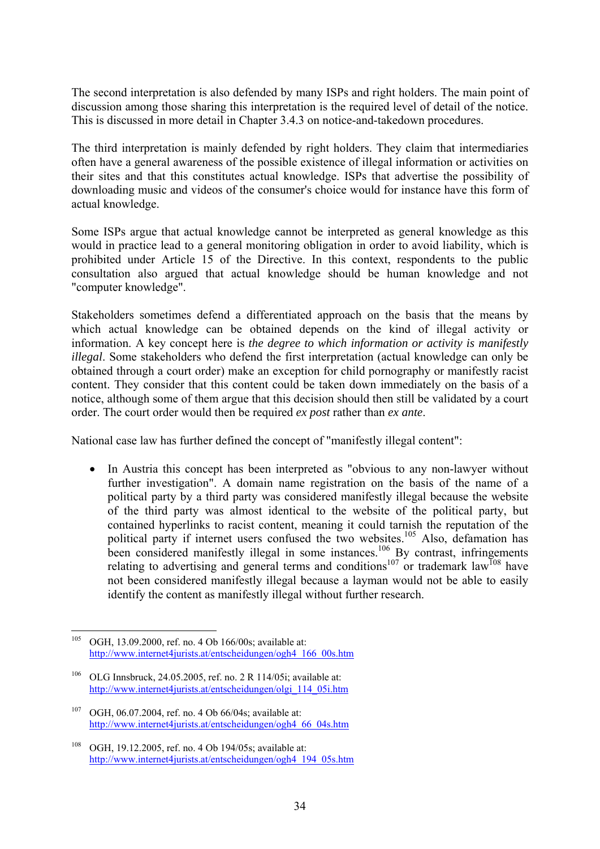The second interpretation is also defended by many ISPs and right holders. The main point of discussion among those sharing this interpretation is the required level of detail of the notice. This is discussed in more detail in Chapter 3.4.3 on notice-and-takedown procedures.

The third interpretation is mainly defended by right holders. They claim that intermediaries often have a general awareness of the possible existence of illegal information or activities on their sites and that this constitutes actual knowledge. ISPs that advertise the possibility of downloading music and videos of the consumer's choice would for instance have this form of actual knowledge.

Some ISPs argue that actual knowledge cannot be interpreted as general knowledge as this would in practice lead to a general monitoring obligation in order to avoid liability, which is prohibited under Article 15 of the Directive. In this context, respondents to the public consultation also argued that actual knowledge should be human knowledge and not "computer knowledge".

Stakeholders sometimes defend a differentiated approach on the basis that the means by which actual knowledge can be obtained depends on the kind of illegal activity or information. A key concept here is *the degree to which information or activity is manifestly illegal*. Some stakeholders who defend the first interpretation (actual knowledge can only be obtained through a court order) make an exception for child pornography or manifestly racist content. They consider that this content could be taken down immediately on the basis of a notice, although some of them argue that this decision should then still be validated by a court order. The court order would then be required *ex post* rather than *ex ante*.

National case law has further defined the concept of "manifestly illegal content":

• In Austria this concept has been interpreted as "obvious to any non-lawyer without further investigation". A domain name registration on the basis of the name of a political party by a third party was considered manifestly illegal because the website of the third party was almost identical to the website of the political party, but contained hyperlinks to racist content, meaning it could tarnish the reputation of the political party if internet users confused the two websites.<sup>105</sup> Also, defamation has been considered manifestly illegal in some instances.<sup>106</sup> By contrast, infringements relating to advertising and general terms and conditions<sup>107</sup> or trademark law<sup>108</sup> have not been considered manifestly illegal because a layman would not be able to easily identify the content as manifestly illegal without further research.

<sup>105</sup> OGH, 13.09.2000, ref. no. 4 Ob 166/00s; available at: [http://www.internet4jurists.at/entscheidungen/ogh4\\_166\\_00s.htm](http://www.internet4jurists.at/entscheidungen/ogh4_166_00s.htm) 

<sup>&</sup>lt;sup>106</sup> OLG Innsbruck, 24.05.2005, ref. no. 2 R 114/05i; available at: [http://www.internet4jurists.at/entscheidungen/olgi\\_114\\_05i.htm](http://www.internet4jurists.at/entscheidungen/olgi_114_05i.htm) 

<sup>107</sup> OGH, 06.07.2004, ref. no. 4 Ob 66/04s; available at: [http://www.internet4jurists.at/entscheidungen/ogh4\\_66\\_04s.htm](http://www.internet4jurists.at/entscheidungen/ogh4_66_04s.htm) 

<sup>108</sup> OGH, 19.12.2005, ref. no. 4 Ob 194/05s; available at: [http://www.internet4jurists.at/entscheidungen/ogh4\\_194\\_05s.htm](http://www.internet4jurists.at/entscheidungen/ogh4_194_05s.htm)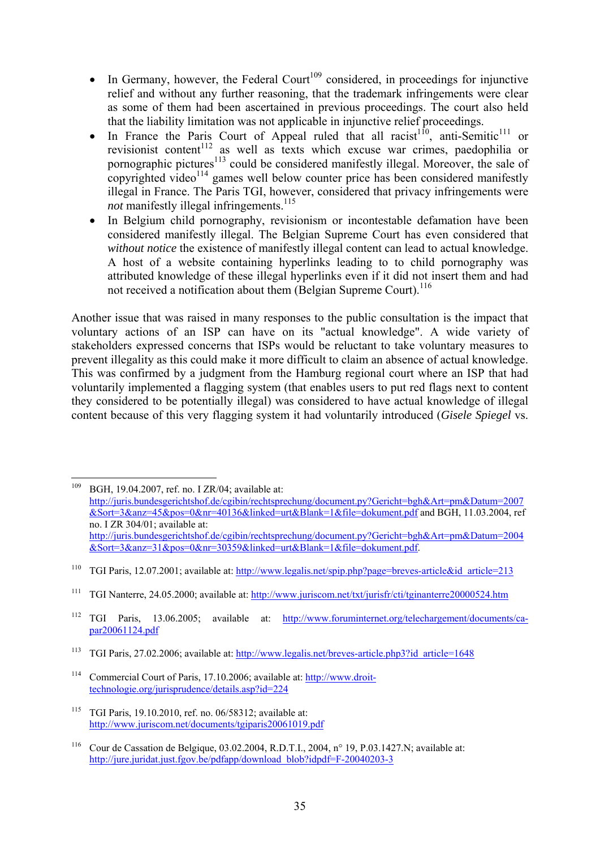- In Germany, however, the Federal Court<sup>109</sup> considered, in proceedings for injunctive relief and without any further reasoning, that the trademark infringements were clear as some of them had been ascertained in previous proceedings. The court also held that the liability limitation was not applicable in injunctive relief proceedings.
- In France the Paris Court of Appeal ruled that all racist<sup>110</sup>, anti-Semitic<sup>111</sup> or revisionist content<sup>112</sup> as well as texts which excuse war crimes, paedophilia or pornographic pictures<sup> $113$ </sup> could be considered manifestly illegal. Moreover, the sale of copyrighted video<sup>114</sup> games well below counter price has been considered manifestly illegal in France. The Paris TGI, however, considered that privacy infringements were *not* manifestly illegal infringements.<sup>115</sup>
- In Belgium child pornography, revisionism or incontestable defamation have been considered manifestly illegal. The Belgian Supreme Court has even considered that *without notice* the existence of manifestly illegal content can lead to actual knowledge. A host of a website containing hyperlinks leading to to child pornography was attributed knowledge of these illegal hyperlinks even if it did not insert them and had not received a notification about them (Belgian Supreme Court).<sup>116</sup>

Another issue that was raised in many responses to the public consultation is the impact that voluntary actions of an ISP can have on its "actual knowledge". A wide variety of stakeholders expressed concerns that ISPs would be reluctant to take voluntary measures to prevent illegality as this could make it more difficult to claim an absence of actual knowledge. This was confirmed by a judgment from the Hamburg regional court where an ISP that had voluntarily implemented a flagging system (that enables users to put red flags next to content they considered to be potentially illegal) was considered to have actual knowledge of illegal content because of this very flagging system it had voluntarily introduced (*Gisele Spiegel* vs.

<sup>109</sup> 109 BGH, 19.04.2007, ref. no. I ZR/04; available at: [http://juris.bundesgerichtshof.de/cgibin/rechtsprechung/document.py?Gericht=bgh&Art=pm&Datum=2007](http://juris.bundesgerichtshof.de/cgibin/rechtsprechung/document.py?Gericht=bgh&Art=pm&Datum=2007&Sort=3&anz=45&pos=0&nr=40136&linked=urt&Blank=1&file=dokument.pdf) [&Sort=3&anz=45&pos=0&nr=40136&linked=urt&Blank=1&file=dokument.pdf a](http://juris.bundesgerichtshof.de/cgibin/rechtsprechung/document.py?Gericht=bgh&Art=pm&Datum=2007&Sort=3&anz=45&pos=0&nr=40136&linked=urt&Blank=1&file=dokument.pdf)nd BGH, 11.03.2004, ref no. I ZR 304/01; available at: [http://juris.bundesgerichtshof.de/cgibin/rechtsprechung/document.py?Gericht=bgh&Art=pm&Datum=2004](http://juris.bundesgerichtshof.de/cgibin/rechtsprechung/document.py?Gericht=bgh&Art=pm&Datum=2004&Sort=3&anz=31&pos=0&nr=30359&linked=urt&Blank=1&file=dokument.pdf) [&Sort=3&anz=31&pos=0&nr=30359&linked=urt&Blank=1&file=dokument.pdf.](http://juris.bundesgerichtshof.de/cgibin/rechtsprechung/document.py?Gericht=bgh&Art=pm&Datum=2004&Sort=3&anz=31&pos=0&nr=30359&linked=urt&Blank=1&file=dokument.pdf) 

<sup>&</sup>lt;sup>110</sup> TGI Paris, 12.07.2001; available at: http://www.legalis.net/spip.php?page=breves-article&id\_article=213

<sup>111</sup> TGI Nanterre, 24.05.2000; available at:<http://www.juriscom.net/txt/jurisfr/cti/tginanterre20000524.htm>

<sup>112</sup> TGI Paris, 13.06.2005; available at: [http://www.foruminternet.org/telechargement/documents/ca](http://www.foruminternet.org/telechargement/documents/ca-par20061124.pdf)[par20061124.pdf](http://www.foruminternet.org/telechargement/documents/ca-par20061124.pdf) 

<sup>113</sup> TGI Paris, 27.02.2006; available at: [http://www.legalis.net/breves-article.php3?id\\_article=1648](http://www.legalis.net/breves-article.php3?id_article=1648) 

<sup>&</sup>lt;sup>114</sup> Commercial Court of Paris, 17.10.2006; available at: [http://www.droit](http://www.droit-technologie.org/jurisprudence/details.asp?id=224)[technologie.org/jurisprudence/details.asp?id=224](http://www.droit-technologie.org/jurisprudence/details.asp?id=224) 

<sup>115</sup> TGI Paris, 19.10.2010, ref. no. 06/58312; available at: <http://www.juriscom.net/documents/tgiparis20061019.pdf>

<sup>116</sup> Cour de Cassation de Belgique, 03.02.2004, R.D.T.I., 2004, n° 19, P.03.1427.N; available at: http://jure.juridat.just.fgov.be/pdfapp/download\_blob?idpdf=F-20040203-3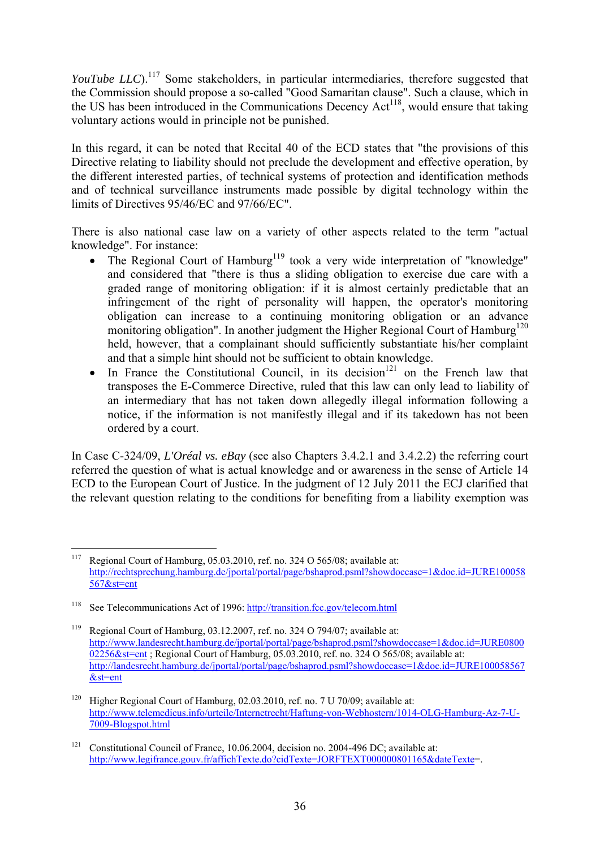*YouTube LLC*).<sup>117</sup> Some stakeholders, in particular intermediaries, therefore suggested that the Commission should propose a so-called "Good Samaritan clause". Such a clause, which in the US has been introduced in the Communications Decency  $Act^{118}$ , would ensure that taking voluntary actions would in principle not be punished.

In this regard, it can be noted that Recital 40 of the ECD states that "the provisions of this Directive relating to liability should not preclude the development and effective operation, by the different interested parties, of technical systems of protection and identification methods and of technical surveillance instruments made possible by digital technology within the limits of Directives 95/46/EC and 97/66/EC".

There is also national case law on a variety of other aspects related to the term "actual knowledge". For instance:

- The Regional Court of Hamburg<sup>119</sup> took a very wide interpretation of "knowledge" and considered that "there is thus a sliding obligation to exercise due care with a graded range of monitoring obligation: if it is almost certainly predictable that an infringement of the right of personality will happen, the operator's monitoring obligation can increase to a continuing monitoring obligation or an advance monitoring obligation". In another judgment the Higher Regional Court of Hamburg<sup>120</sup> held, however, that a complainant should sufficiently substantiate his/her complaint and that a simple hint should not be sufficient to obtain knowledge.
- In France the Constitutional Council, in its decision<sup>121</sup> on the French law that transposes the E-Commerce Directive, ruled that this law can only lead to liability of an intermediary that has not taken down allegedly illegal information following a notice, if the information is not manifestly illegal and if its takedown has not been ordered by a court.

In Case C-324/09, *L'Oréal vs. eBay* (see also Chapters 3.4.2.1 and 3.4.2.2) the referring court referred the question of what is actual knowledge and or awareness in the sense of Article 14 ECD to the European Court of Justice. In the judgment of 12 July 2011 the ECJ clarified that the relevant question relating to the conditions for benefiting from a liability exemption was

<sup>117</sup> Regional Court of Hamburg, 05.03.2010, ref. no. 324 O 565/08; available at: [http://rechtsprechung.hamburg.de/jportal/portal/page/bshaprod.psml?showdoccase=1&doc.id=JURE100058](http://rechtsprechung.hamburg.de/jportal/portal/page/bshaprod.psml?showdoccase=1&doc.id=JURE100058567&st=ent) [567&st=ent](http://rechtsprechung.hamburg.de/jportal/portal/page/bshaprod.psml?showdoccase=1&doc.id=JURE100058567&st=ent) 

<sup>118</sup> See Telecommunications Act of 1996:<http://transition.fcc.gov/telecom.html>

<sup>&</sup>lt;sup>119</sup> Regional Court of Hamburg, 03.12.2007, ref. no. 324 O 794/07; available at: [http://www.landesrecht.hamburg.de/jportal/portal/page/bshaprod.psml?showdoccase=1&doc.id=JURE0800](http://www.landesrecht.hamburg.de/jportal/portal/page/bshaprod.psml?showdoccase=1&doc.id=JURE080002256&st=ent) 02256&st=ent; Regional Court of Hamburg, 05.03.2010, ref. no. 324 O 565/08; available at: [http://landesrecht.hamburg.de/jportal/portal/page/bshaprod.psml?showdoccase=1&doc.id=JURE100058567](http://landesrecht.hamburg.de/jportal/portal/page/bshaprod.psml?showdoccase=1&doc.id=JURE100058567&st=ent) [&st=ent](http://landesrecht.hamburg.de/jportal/portal/page/bshaprod.psml?showdoccase=1&doc.id=JURE100058567&st=ent) 

<sup>&</sup>lt;sup>120</sup> Higher Regional Court of Hamburg, 02.03.2010, ref. no. 7 U 70/09; available at: [http://www.telemedicus.info/urteile/Internetrecht/Haftung-von-Webhostern/1014-OLG-Hamburg-Az-7-U-](http://www.telemedicus.info/urteile/Internetrecht/Haftung-von-Webhostern/1014-OLG-Hamburg-Az-7-U-7009-Blogspot.html)[7009-Blogspot.html](http://www.telemedicus.info/urteile/Internetrecht/Haftung-von-Webhostern/1014-OLG-Hamburg-Az-7-U-7009-Blogspot.html) 

<sup>&</sup>lt;sup>121</sup> Constitutional Council of France, 10.06.2004, decision no. 2004-496 DC; available at: http://www.legifrance.gouv.fr/affichTexte.do?cidTexte=JORFTEXT000000801165&dateTexte=.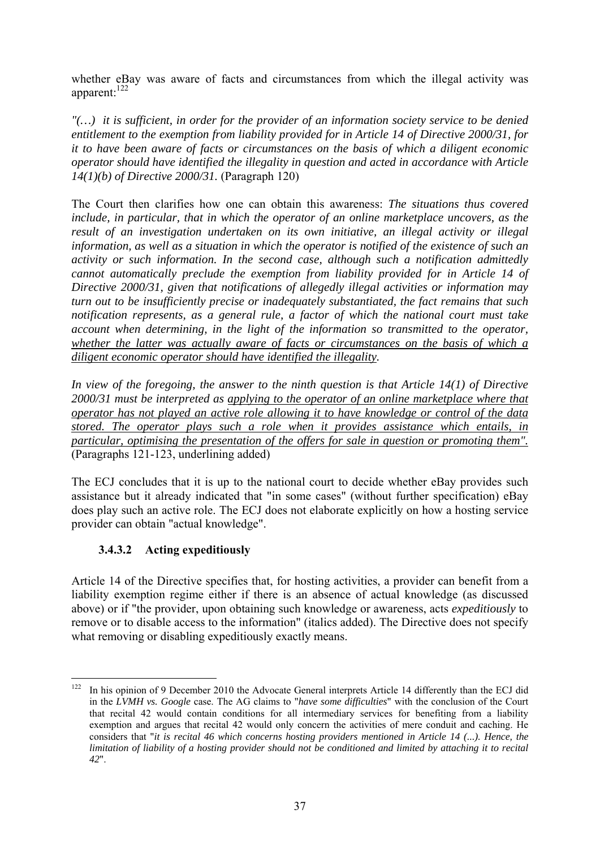whether eBay was aware of facts and circumstances from which the illegal activity was apparent:<sup>122</sup>

*"(…) it is sufficient, in order for the provider of an information society service to be denied entitlement to the exemption from liability provided for in Article 14 of Directive 2000/31, for it to have been aware of facts or circumstances on the basis of which a diligent economic operator should have identified the illegality in question and acted in accordance with Article 14(1)(b) of Directive 2000/31.* (Paragraph 120)

The Court then clarifies how one can obtain this awareness: *The situations thus covered include, in particular, that in which the operator of an online marketplace uncovers, as the result of an investigation undertaken on its own initiative, an illegal activity or illegal information, as well as a situation in which the operator is notified of the existence of such an activity or such information. In the second case, although such a notification admittedly cannot automatically preclude the exemption from liability provided for in Article 14 of Directive 2000/31, given that notifications of allegedly illegal activities or information may turn out to be insufficiently precise or inadequately substantiated, the fact remains that such notification represents, as a general rule, a factor of which the national court must take account when determining, in the light of the information so transmitted to the operator, whether the latter was actually aware of facts or circumstances on the basis of which a diligent economic operator should have identified the illegality.* 

*In view of the foregoing, the answer to the ninth question is that Article 14(1) of Directive 2000/31 must be interpreted as applying to the operator of an online marketplace where that operator has not played an active role allowing it to have knowledge or control of the data stored. The operator plays such a role when it provides assistance which entails, in particular, optimising the presentation of the offers for sale in question or promoting them".* (Paragraphs 121-123, underlining added)

The ECJ concludes that it is up to the national court to decide whether eBay provides such assistance but it already indicated that "in some cases" (without further specification) eBay does play such an active role. The ECJ does not elaborate explicitly on how a hosting service provider can obtain "actual knowledge".

### **3.4.3.2 Acting expeditiously**

Article 14 of the Directive specifies that, for hosting activities, a provider can benefit from a liability exemption regime either if there is an absence of actual knowledge (as discussed above) or if "the provider, upon obtaining such knowledge or awareness, acts *expeditiously* to remove or to disable access to the information" (italics added). The Directive does not specify what removing or disabling expeditiously exactly means.

<sup>122</sup> 122 In his opinion of 9 December 2010 the Advocate General interprets Article 14 differently than the ECJ did in the *LVMH vs. Google* case. The AG claims to "*have some difficulties*" with the conclusion of the Court that recital 42 would contain conditions for all intermediary services for benefiting from a liability exemption and argues that recital 42 would only concern the activities of mere conduit and caching. He considers that "*it is recital 46 which concerns hosting providers mentioned in Article 14 (...). Hence, the limitation of liability of a hosting provider should not be conditioned and limited by attaching it to recital 42*".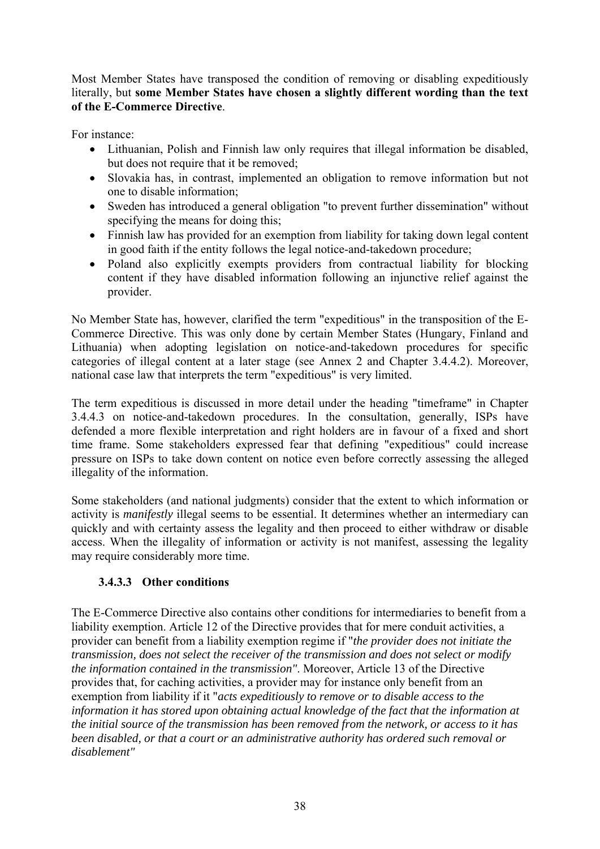Most Member States have transposed the condition of removing or disabling expeditiously literally, but **some Member States have chosen a slightly different wording than the text of the E-Commerce Directive**.

For instance:

- Lithuanian, Polish and Finnish law only requires that illegal information be disabled, but does not require that it be removed;
- Slovakia has, in contrast, implemented an obligation to remove information but not one to disable information;
- Sweden has introduced a general obligation "to prevent further dissemination" without specifying the means for doing this;
- Finnish law has provided for an exemption from liability for taking down legal content in good faith if the entity follows the legal notice-and-takedown procedure;
- Poland also explicitly exempts providers from contractual liability for blocking content if they have disabled information following an injunctive relief against the provider.

No Member State has, however, clarified the term "expeditious" in the transposition of the E-Commerce Directive. This was only done by certain Member States (Hungary, Finland and Lithuania) when adopting legislation on notice-and-takedown procedures for specific categories of illegal content at a later stage (see Annex 2 and Chapter 3.4.4.2). Moreover, national case law that interprets the term "expeditious" is very limited.

The term expeditious is discussed in more detail under the heading "timeframe" in Chapter 3.4.4.3 on notice-and-takedown procedures. In the consultation, generally, ISPs have defended a more flexible interpretation and right holders are in favour of a fixed and short time frame. Some stakeholders expressed fear that defining "expeditious" could increase pressure on ISPs to take down content on notice even before correctly assessing the alleged illegality of the information.

Some stakeholders (and national judgments) consider that the extent to which information or activity is *manifestly* illegal seems to be essential. It determines whether an intermediary can quickly and with certainty assess the legality and then proceed to either withdraw or disable access. When the illegality of information or activity is not manifest, assessing the legality may require considerably more time.

### **3.4.3.3 Other conditions**

The E-Commerce Directive also contains other conditions for intermediaries to benefit from a liability exemption. Article 12 of the Directive provides that for mere conduit activities, a provider can benefit from a liability exemption regime if "*the provider does not initiate the transmission, does not select the receiver of the transmission and does not select or modify the information contained in the transmission"*. Moreover, Article 13 of the Directive provides that, for caching activities, a provider may for instance only benefit from an exemption from liability if it "*acts expeditiously to remove or to disable access to the information it has stored upon obtaining actual knowledge of the fact that the information at the initial source of the transmission has been removed from the network, or access to it has been disabled, or that a court or an administrative authority has ordered such removal or disablement"*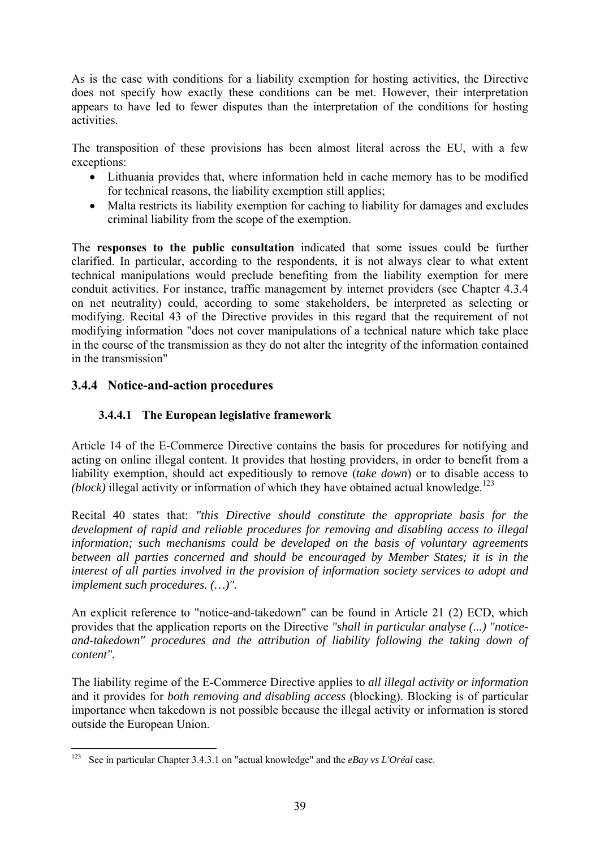As is the case with conditions for a liability exemption for hosting activities, the Directive does not specify how exactly these conditions can be met. However, their interpretation appears to have led to fewer disputes than the interpretation of the conditions for hosting activities.

The transposition of these provisions has been almost literal across the EU, with a few exceptions:

- Lithuania provides that, where information held in cache memory has to be modified for technical reasons, the liability exemption still applies;
- Malta restricts its liability exemption for caching to liability for damages and excludes criminal liability from the scope of the exemption.

The **responses to the public consultation** indicated that some issues could be further clarified. In particular, according to the respondents, it is not always clear to what extent technical manipulations would preclude benefiting from the liability exemption for mere conduit activities. For instance, traffic management by internet providers (see Chapter 4.3.4 on net neutrality) could, according to some stakeholders, be interpreted as selecting or modifying. Recital 43 of the Directive provides in this regard that the requirement of not modifying information "does not cover manipulations of a technical nature which take place in the course of the transmission as they do not alter the integrity of the information contained in the transmission"

### **3.4.4 Notice-and-action procedures**

### **3.4.4.1 The European legislative framework**

Article 14 of the E-Commerce Directive contains the basis for procedures for notifying and acting on online illegal content. It provides that hosting providers, in order to benefit from a liability exemption, should act expeditiously to remove (*take down*) or to disable access to *(block)* illegal activity or information of which they have obtained actual knowledge.<sup>123</sup>

Recital 40 states that: *"this Directive should constitute the appropriate basis for the development of rapid and reliable procedures for removing and disabling access to illegal information; such mechanisms could be developed on the basis of voluntary agreements between all parties concerned and should be encouraged by Member States; it is in the interest of all parties involved in the provision of information society services to adopt and implement such procedures. (…)".* 

An explicit reference to "notice-and-takedown" can be found in Article 21 (2) ECD, which provides that the application reports on the Directive *"shall in particular analyse (...) "noticeand-takedown" procedures and the attribution of liability following the taking down of content".* 

The liability regime of the E-Commerce Directive applies to *all illegal activity or information*  and it provides for *both removing and disabling access* (blocking). Blocking is of particular importance when takedown is not possible because the illegal activity or information is stored outside the European Union.

<sup>&</sup>lt;u>.</u> 123 See in particular Chapter 3.4.3.1 on "actual knowledge" and the *eBay vs L'Oréal* case.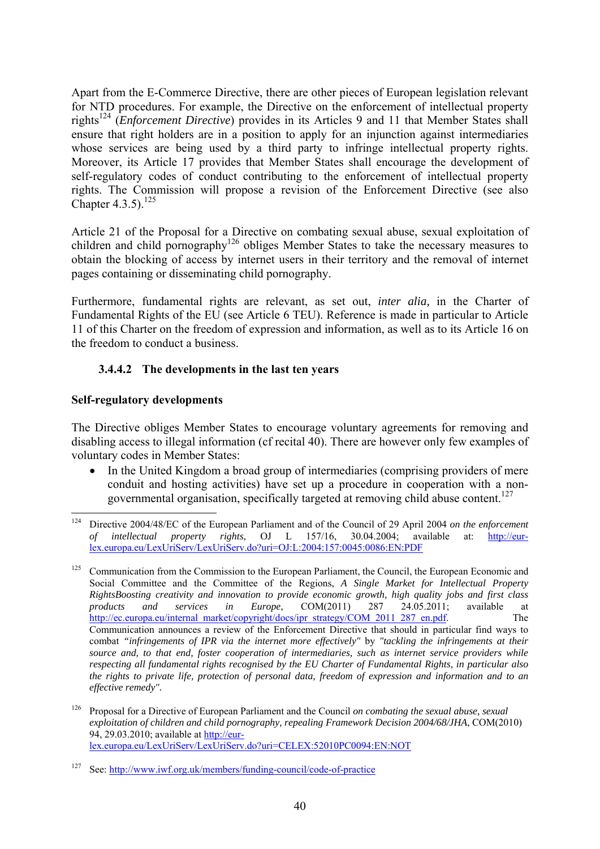Apart from the E-Commerce Directive, there are other pieces of European legislation relevant for NTD procedures. For example, the Directive on the enforcement of intellectual property rights124 (*Enforcement Directive*) provides in its Articles 9 and 11 that Member States shall ensure that right holders are in a position to apply for an injunction against intermediaries whose services are being used by a third party to infringe intellectual property rights. Moreover, its Article 17 provides that Member States shall encourage the development of self-regulatory codes of conduct contributing to the enforcement of intellectual property rights. The Commission will propose a revision of the Enforcement Directive (see also Chapter 4.3.5).<sup>125</sup>

Article 21 of the Proposal for a Directive on combating sexual abuse, sexual exploitation of children and child pornography<sup>126</sup> obliges Member States to take the necessary measures to obtain the blocking of access by internet users in their territory and the removal of internet pages containing or disseminating child pornography.

Furthermore, fundamental rights are relevant, as set out, *inter alia,* in the Charter of Fundamental Rights of the EU (see Article 6 TEU). Reference is made in particular to Article 11 of this Charter on the freedom of expression and information, as well as to its Article 16 on the freedom to conduct a business.

#### **3.4.4.2 The developments in the last ten years**

#### **Self-regulatory developments**

The Directive obliges Member States to encourage voluntary agreements for removing and disabling access to illegal information (cf recital 40). There are however only few examples of voluntary codes in Member States:

• In the United Kingdom a broad group of intermediaries (comprising providers of mere conduit and hosting activities) have set up a procedure in cooperation with a nongovernmental organisation, specifically targeted at removing child abuse content.<sup>127</sup>

<sup>124</sup> Directive 2004/48/EC of the European Parliament and of the Council of 29 April 2004 *on the enforcement* of *intellectual property rights*. OJ L 157/16 30.04.2004: available at: http://eur*of intellectual property rights*, OJ L 157/16, 30.04.2004; available at: [http://eur](http://eur-lex.europa.eu/LexUriServ/LexUriServ.do?uri=OJ:L:2004:157:0045:0086:EN:PDF)[lex.europa.eu/LexUriServ/LexUriServ.do?uri=OJ:L:2004:157:0045:0086:EN:PDF](http://eur-lex.europa.eu/LexUriServ/LexUriServ.do?uri=OJ:L:2004:157:0045:0086:EN:PDF) 

<sup>&</sup>lt;sup>125</sup> Communication from the Commission to the European Parliament, the Council, the European Economic and Social Committee and the Committee of the Regions, *A Single Market for Intellectual Property RightsBoosting creativity and innovation to provide economic growth, high quality jobs and first class products and services in Europe*, COM(2011) 287 24.05.2011; available at [http://ec.europa.eu/internal\\_market/copyright/docs/ipr\\_strategy/COM\\_2011\\_287\\_en.pdf.](http://ec.europa.eu/internal_market/copyright/docs/ipr_strategy/COM_2011_287_en.pdf) The Communication announces a review of the Enforcement Directive that should in particular find ways to combat *"infringements of IPR via the internet more effectively"* by *"tackling the infringements at their source and, to that end, foster cooperation of intermediaries, such as internet service providers while respecting all fundamental rights recognised by the EU Charter of Fundamental Rights, in particular also the rights to private life, protection of personal data, freedom of expression and information and to an effective remedy".*

<sup>126</sup> Proposal for a Directive of European Parliament and the Council *on combating the sexual abuse, sexual exploitation of children and child pornography, repealing Framework Decision 2004/68/JHA*, COM(2010) 94, 29.03.2010; available at [http://eur](http://eur-lex.europa.eu/LexUriServ/LexUriServ.do?uri=CELEX:52010PC0094:EN:NOT)[lex.europa.eu/LexUriServ/LexUriServ.do?uri=CELEX:52010PC0094:EN:NOT](http://eur-lex.europa.eu/LexUriServ/LexUriServ.do?uri=CELEX:52010PC0094:EN:NOT) 

See: http://www.iwf.org.uk/members/funding-council/code-of-practice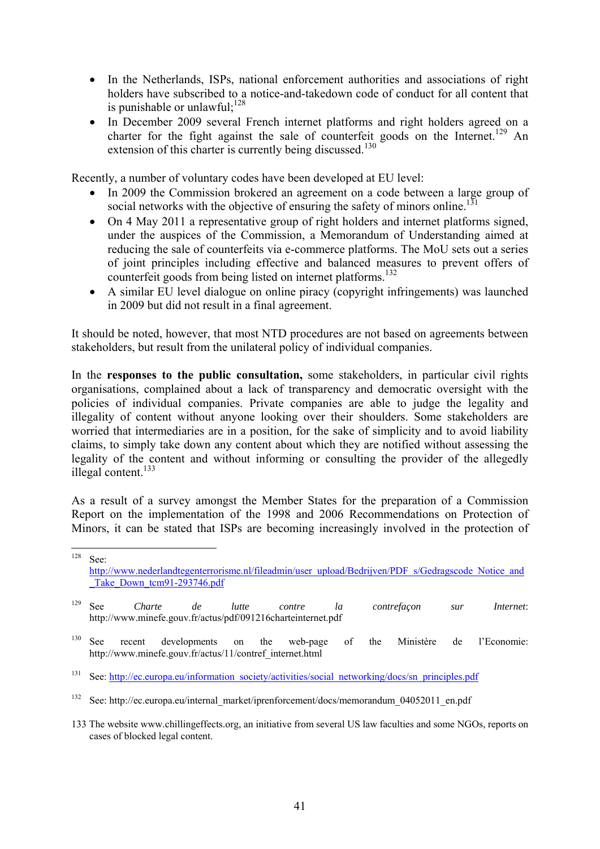- In the Netherlands, ISPs, national enforcement authorities and associations of right holders have subscribed to a notice-and-takedown code of conduct for all content that is punishable or unlawful: $^{128}$
- In December 2009 several French internet platforms and right holders agreed on a charter for the fight against the sale of counterfeit goods on the Internet.<sup>129</sup> An extension of this charter is currently being discussed.<sup>130</sup>

Recently, a number of voluntary codes have been developed at EU level:

- In 2009 the Commission brokered an agreement on a code between a large group of social networks with the objective of ensuring the safety of minors online.<sup>131</sup>
- On 4 May 2011 a representative group of right holders and internet platforms signed, under the auspices of the Commission, a Memorandum of Understanding aimed at reducing the sale of counterfeits via e-commerce platforms. The MoU sets out a series of joint principles including effective and balanced measures to prevent offers of counterfeit goods from being listed on internet platforms.<sup>132</sup>
- A similar EU level dialogue on online piracy (copyright infringements) was launched in 2009 but did not result in a final agreement.

It should be noted, however, that most NTD procedures are not based on agreements between stakeholders, but result from the unilateral policy of individual companies.

In the **responses to the public consultation,** some stakeholders, in particular civil rights organisations, complained about a lack of transparency and democratic oversight with the policies of individual companies. Private companies are able to judge the legality and illegality of content without anyone looking over their shoulders. Some stakeholders are worried that intermediaries are in a position, for the sake of simplicity and to avoid liability claims, to simply take down any content about which they are notified without assessing the legality of the content and without informing or consulting the provider of the allegedly illegal content.<sup>133</sup>

As a result of a survey amongst the Member States for the preparation of a Commission Report on the implementation of the 1998 and 2006 Recommendations on Protection of Minors, it can be stated that ISPs are becoming increasingly involved in the protection of

- 129 See *Charte de lutte contre la contrefaçon sur Internet*: <http://www.minefe.gouv.fr/actus/pdf/091216charteinternet.pdf>
- <sup>130</sup> See recent developments on the web-page of the Ministère de l'Economie: [http://www.minefe.gouv.fr/actus/11/contref\\_internet.html](http://www.minefe.gouv.fr/actus/11/contref_internet.html)
- <sup>131</sup> See: http://ec.europa.eu/information\_society/activities/social\_networking/docs/sn\_principles.pdf

<sup>128</sup>  $S_{\rho\rho}$ [http://www.nederlandtegenterrorisme.nl/fileadmin/user\\_upload/Bedrijven/PDF\\_s/Gedragscode\\_Notice\\_and](http://www.nederlandtegenterrorisme.nl/fileadmin/user_upload/Bedrijven/PDF_s/Gedragscode_Notice_and_Take_Down_tcm91-293746.pdf) Take Down tcm91-293746.pdf

<sup>&</sup>lt;sup>132</sup> See: http://ec.europa.eu/internal\_market/iprenforcement/docs/memorandum\_04052011\_en.pdf

<sup>133</sup> The website www.chillingeffects.org, an initiative from several US law faculties and some NGOs, reports on cases of blocked legal content.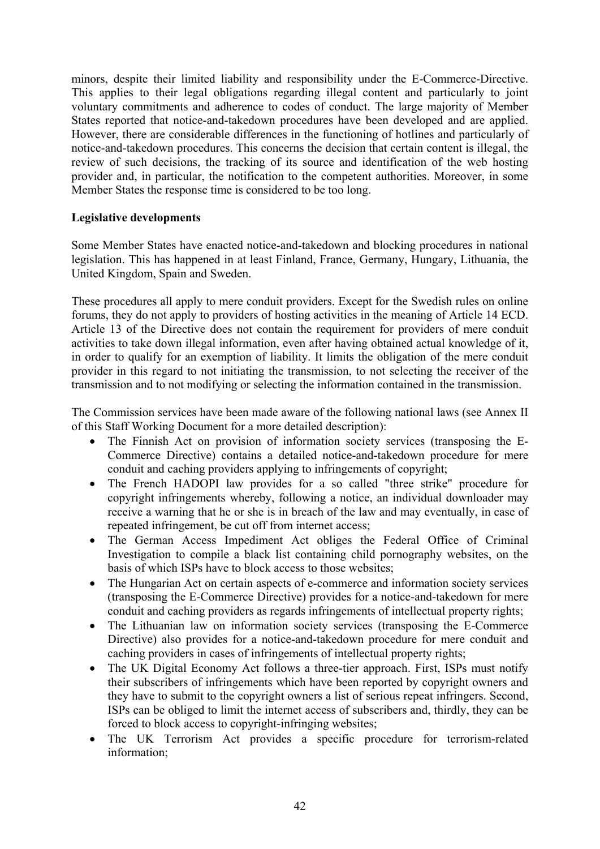minors, despite their limited liability and responsibility under the E-Commerce-Directive. This applies to their legal obligations regarding illegal content and particularly to joint voluntary commitments and adherence to codes of conduct. The large majority of Member States reported that notice-and-takedown procedures have been developed and are applied. However, there are considerable differences in the functioning of hotlines and particularly of notice-and-takedown procedures. This concerns the decision that certain content is illegal, the review of such decisions, the tracking of its source and identification of the web hosting provider and, in particular, the notification to the competent authorities. Moreover, in some Member States the response time is considered to be too long.

#### **Legislative developments**

Some Member States have enacted notice-and-takedown and blocking procedures in national legislation. This has happened in at least Finland, France, Germany, Hungary, Lithuania, the United Kingdom, Spain and Sweden.

These procedures all apply to mere conduit providers. Except for the Swedish rules on online forums, they do not apply to providers of hosting activities in the meaning of Article 14 ECD. Article 13 of the Directive does not contain the requirement for providers of mere conduit activities to take down illegal information, even after having obtained actual knowledge of it, in order to qualify for an exemption of liability. It limits the obligation of the mere conduit provider in this regard to not initiating the transmission, to not selecting the receiver of the transmission and to not modifying or selecting the information contained in the transmission.

The Commission services have been made aware of the following national laws (see Annex II of this Staff Working Document for a more detailed description):

- The Finnish Act on provision of information society services (transposing the E-Commerce Directive) contains a detailed notice-and-takedown procedure for mere conduit and caching providers applying to infringements of copyright;
- The French HADOPI law provides for a so called "three strike" procedure for copyright infringements whereby, following a notice, an individual downloader may receive a warning that he or she is in breach of the law and may eventually, in case of repeated infringement, be cut off from internet access;
- The German Access Impediment Act obliges the Federal Office of Criminal Investigation to compile a black list containing child pornography websites, on the basis of which ISPs have to block access to those websites;
- The Hungarian Act on certain aspects of e-commerce and information society services (transposing the E-Commerce Directive) provides for a notice-and-takedown for mere conduit and caching providers as regards infringements of intellectual property rights;
- The Lithuanian law on information society services (transposing the E-Commerce Directive) also provides for a notice-and-takedown procedure for mere conduit and caching providers in cases of infringements of intellectual property rights;
- The UK Digital Economy Act follows a three-tier approach. First, ISPs must notify their subscribers of infringements which have been reported by copyright owners and they have to submit to the copyright owners a list of serious repeat infringers. Second, ISPs can be obliged to limit the internet access of subscribers and, thirdly, they can be forced to block access to copyright-infringing websites;
- The UK Terrorism Act provides a specific procedure for terrorism-related information;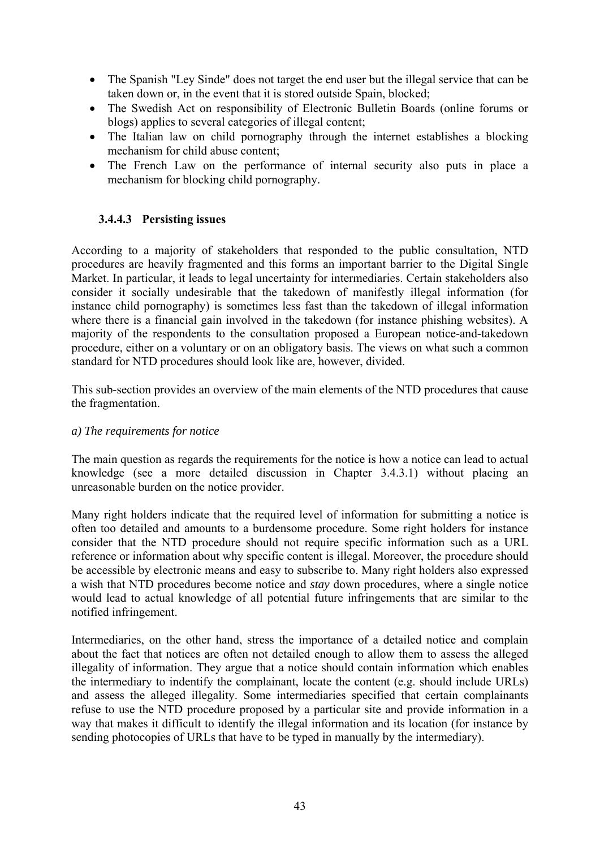- The Spanish "Ley Sinde" does not target the end user but the illegal service that can be taken down or, in the event that it is stored outside Spain, blocked;
- The Swedish Act on responsibility of Electronic Bulletin Boards (online forums or blogs) applies to several categories of illegal content;
- The Italian law on child pornography through the internet establishes a blocking mechanism for child abuse content;
- The French Law on the performance of internal security also puts in place a mechanism for blocking child pornography.

#### **3.4.4.3 Persisting issues**

According to a majority of stakeholders that responded to the public consultation, NTD procedures are heavily fragmented and this forms an important barrier to the Digital Single Market. In particular, it leads to legal uncertainty for intermediaries. Certain stakeholders also consider it socially undesirable that the takedown of manifestly illegal information (for instance child pornography) is sometimes less fast than the takedown of illegal information where there is a financial gain involved in the takedown (for instance phishing websites). A majority of the respondents to the consultation proposed a European notice-and-takedown procedure, either on a voluntary or on an obligatory basis. The views on what such a common standard for NTD procedures should look like are, however, divided.

This sub-section provides an overview of the main elements of the NTD procedures that cause the fragmentation.

#### *a) The requirements for notice*

The main question as regards the requirements for the notice is how a notice can lead to actual knowledge (see a more detailed discussion in Chapter 3.4.3.1) without placing an unreasonable burden on the notice provider.

Many right holders indicate that the required level of information for submitting a notice is often too detailed and amounts to a burdensome procedure. Some right holders for instance consider that the NTD procedure should not require specific information such as a URL reference or information about why specific content is illegal. Moreover, the procedure should be accessible by electronic means and easy to subscribe to. Many right holders also expressed a wish that NTD procedures become notice and *stay* down procedures, where a single notice would lead to actual knowledge of all potential future infringements that are similar to the notified infringement.

Intermediaries, on the other hand, stress the importance of a detailed notice and complain about the fact that notices are often not detailed enough to allow them to assess the alleged illegality of information. They argue that a notice should contain information which enables the intermediary to indentify the complainant, locate the content (e.g. should include URLs) and assess the alleged illegality. Some intermediaries specified that certain complainants refuse to use the NTD procedure proposed by a particular site and provide information in a way that makes it difficult to identify the illegal information and its location (for instance by sending photocopies of URLs that have to be typed in manually by the intermediary).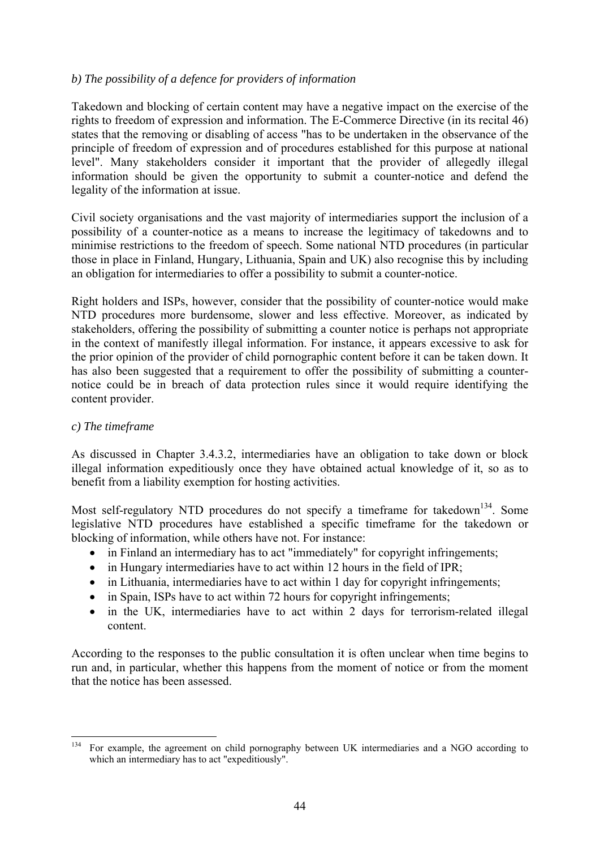#### *b) The possibility of a defence for providers of information*

Takedown and blocking of certain content may have a negative impact on the exercise of the rights to freedom of expression and information. The E-Commerce Directive (in its recital 46) states that the removing or disabling of access "has to be undertaken in the observance of the principle of freedom of expression and of procedures established for this purpose at national level". Many stakeholders consider it important that the provider of allegedly illegal information should be given the opportunity to submit a counter-notice and defend the legality of the information at issue.

Civil society organisations and the vast majority of intermediaries support the inclusion of a possibility of a counter-notice as a means to increase the legitimacy of takedowns and to minimise restrictions to the freedom of speech. Some national NTD procedures (in particular those in place in Finland, Hungary, Lithuania, Spain and UK) also recognise this by including an obligation for intermediaries to offer a possibility to submit a counter-notice.

Right holders and ISPs, however, consider that the possibility of counter-notice would make NTD procedures more burdensome, slower and less effective. Moreover, as indicated by stakeholders, offering the possibility of submitting a counter notice is perhaps not appropriate in the context of manifestly illegal information. For instance, it appears excessive to ask for the prior opinion of the provider of child pornographic content before it can be taken down. It has also been suggested that a requirement to offer the possibility of submitting a counternotice could be in breach of data protection rules since it would require identifying the content provider.

#### *c) The timeframe*

As discussed in Chapter 3.4.3.2, intermediaries have an obligation to take down or block illegal information expeditiously once they have obtained actual knowledge of it, so as to benefit from a liability exemption for hosting activities.

Most self-regulatory NTD procedures do not specify a timeframe for takedown<sup>134</sup>. Some legislative NTD procedures have established a specific timeframe for the takedown or blocking of information, while others have not. For instance:

- in Finland an intermediary has to act "immediately" for copyright infringements;
- in Hungary intermediaries have to act within 12 hours in the field of IPR;
- in Lithuania, intermediaries have to act within 1 day for copyright infringements;
- in Spain, ISPs have to act within 72 hours for copyright infringements;
- in the UK, intermediaries have to act within 2 days for terrorism-related illegal content.

According to the responses to the public consultation it is often unclear when time begins to run and, in particular, whether this happens from the moment of notice or from the moment that the notice has been assessed.

<sup>134</sup> 134 For example, the agreement on child pornography between UK intermediaries and a NGO according to which an intermediary has to act "expeditiously".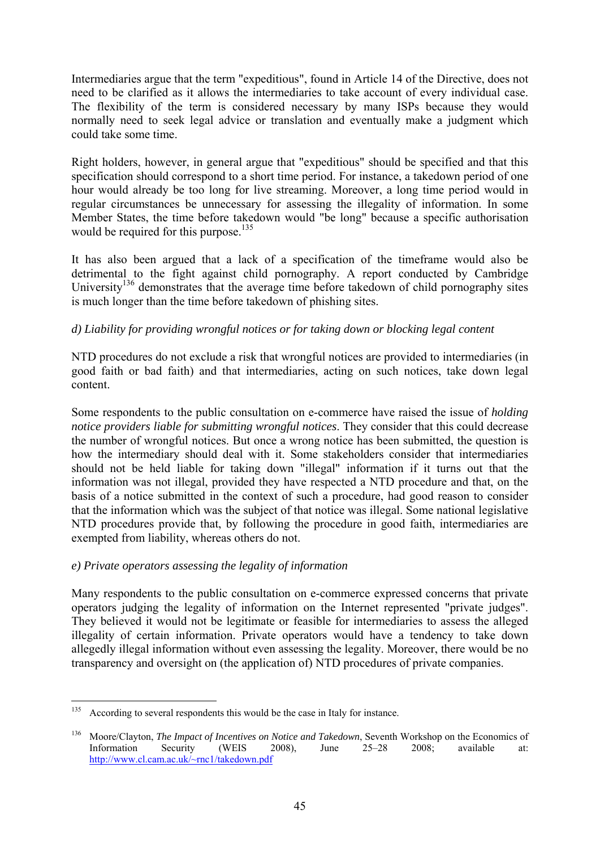Intermediaries argue that the term "expeditious", found in Article 14 of the Directive, does not need to be clarified as it allows the intermediaries to take account of every individual case. The flexibility of the term is considered necessary by many ISPs because they would normally need to seek legal advice or translation and eventually make a judgment which could take some time.

Right holders, however, in general argue that "expeditious" should be specified and that this specification should correspond to a short time period. For instance, a takedown period of one hour would already be too long for live streaming. Moreover, a long time period would in regular circumstances be unnecessary for assessing the illegality of information. In some Member States, the time before takedown would "be long" because a specific authorisation would be required for this purpose.<sup>135</sup>

It has also been argued that a lack of a specification of the timeframe would also be detrimental to the fight against child pornography. A report conducted by Cambridge University<sup>136</sup> demonstrates that the average time before takedown of child pornography sites is much longer than the time before takedown of phishing sites.

#### *d) Liability for providing wrongful notices or for taking down or blocking legal content*

NTD procedures do not exclude a risk that wrongful notices are provided to intermediaries (in good faith or bad faith) and that intermediaries, acting on such notices, take down legal content.

Some respondents to the public consultation on e-commerce have raised the issue of *holding notice providers liable for submitting wrongful notices*. They consider that this could decrease the number of wrongful notices. But once a wrong notice has been submitted, the question is how the intermediary should deal with it. Some stakeholders consider that intermediaries should not be held liable for taking down "illegal" information if it turns out that the information was not illegal, provided they have respected a NTD procedure and that, on the basis of a notice submitted in the context of such a procedure, had good reason to consider that the information which was the subject of that notice was illegal. Some national legislative NTD procedures provide that, by following the procedure in good faith, intermediaries are exempted from liability, whereas others do not.

#### *e) Private operators assessing the legality of information*

Many respondents to the public consultation on e-commerce expressed concerns that private operators judging the legality of information on the Internet represented "private judges". They believed it would not be legitimate or feasible for intermediaries to assess the alleged illegality of certain information. Private operators would have a tendency to take down allegedly illegal information without even assessing the legality. Moreover, there would be no transparency and oversight on (the application of) NTD procedures of private companies.

<sup>135</sup> According to several respondents this would be the case in Italy for instance.

<sup>136</sup> Moore/Clayton, *The Impact of Incentives on Notice and Takedown*, Seventh Workshop on the Economics of Information Security (WEIS 2008), June 25–28 2008; available at: <http://www.cl.cam.ac.uk/~rnc1/takedown.pdf>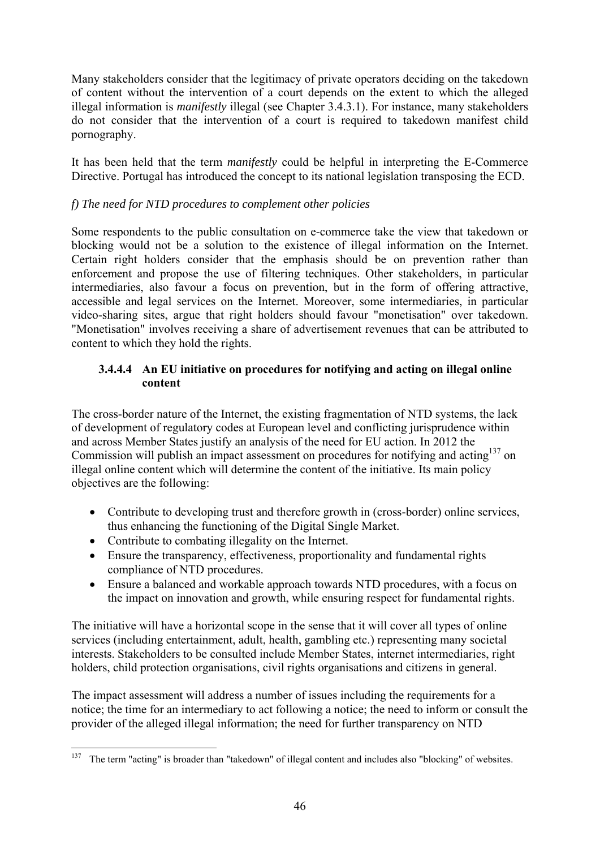Many stakeholders consider that the legitimacy of private operators deciding on the takedown of content without the intervention of a court depends on the extent to which the alleged illegal information is *manifestly* illegal (see Chapter 3.4.3.1). For instance, many stakeholders do not consider that the intervention of a court is required to takedown manifest child pornography.

It has been held that the term *manifestly* could be helpful in interpreting the E-Commerce Directive. Portugal has introduced the concept to its national legislation transposing the ECD.

### *f) The need for NTD procedures to complement other policies*

Some respondents to the public consultation on e-commerce take the view that takedown or blocking would not be a solution to the existence of illegal information on the Internet. Certain right holders consider that the emphasis should be on prevention rather than enforcement and propose the use of filtering techniques. Other stakeholders, in particular intermediaries, also favour a focus on prevention, but in the form of offering attractive, accessible and legal services on the Internet. Moreover, some intermediaries, in particular video-sharing sites, argue that right holders should favour "monetisation" over takedown. "Monetisation" involves receiving a share of advertisement revenues that can be attributed to content to which they hold the rights.

#### **3.4.4.4 An EU initiative on procedures for notifying and acting on illegal online content**

The cross-border nature of the Internet, the existing fragmentation of NTD systems, the lack of development of regulatory codes at European level and conflicting jurisprudence within and across Member States justify an analysis of the need for EU action. In 2012 the Commission will publish an impact assessment on procedures for notifying and acting<sup>137</sup> on illegal online content which will determine the content of the initiative. Its main policy objectives are the following:

- Contribute to developing trust and therefore growth in (cross-border) online services, thus enhancing the functioning of the Digital Single Market.
- Contribute to combating illegality on the Internet.
- Ensure the transparency, effectiveness, proportionality and fundamental rights compliance of NTD procedures.
- Ensure a balanced and workable approach towards NTD procedures, with a focus on the impact on innovation and growth, while ensuring respect for fundamental rights.

The initiative will have a horizontal scope in the sense that it will cover all types of online services (including entertainment, adult, health, gambling etc.) representing many societal interests. Stakeholders to be consulted include Member States, internet intermediaries, right holders, child protection organisations, civil rights organisations and citizens in general.

The impact assessment will address a number of issues including the requirements for a notice; the time for an intermediary to act following a notice; the need to inform or consult the provider of the alleged illegal information; the need for further transparency on NTD

<sup>1</sup> <sup>137</sup> The term "acting" is broader than "takedown" of illegal content and includes also "blocking" of websites.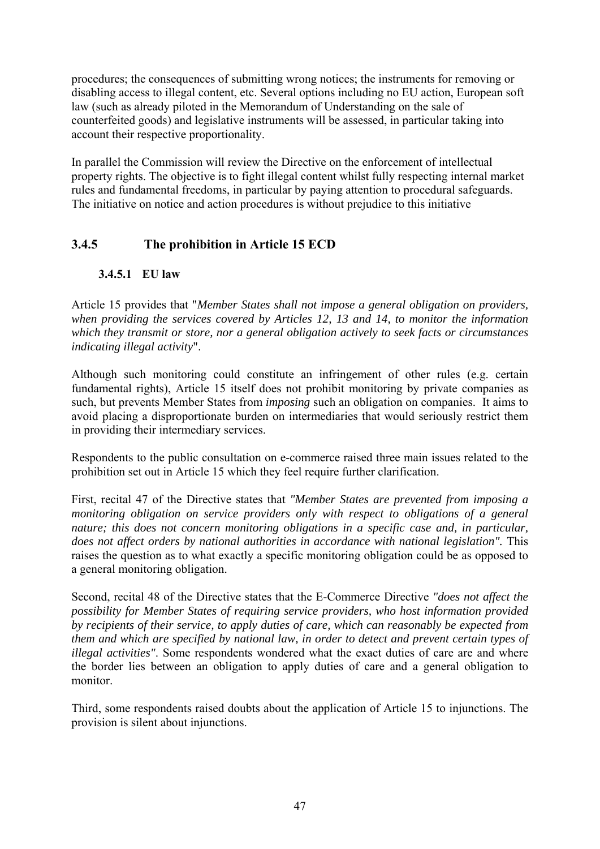procedures; the consequences of submitting wrong notices; the instruments for removing or disabling access to illegal content, etc. Several options including no EU action, European soft law (such as already piloted in the Memorandum of Understanding on the sale of counterfeited goods) and legislative instruments will be assessed, in particular taking into account their respective proportionality.

In parallel the Commission will review the Directive on the enforcement of intellectual property rights. The objective is to fight illegal content whilst fully respecting internal market rules and fundamental freedoms, in particular by paying attention to procedural safeguards. The initiative on notice and action procedures is without prejudice to this initiative

### **3.4.5 The prohibition in Article 15 ECD**

#### **3.4.5.1 EU law**

Article 15 provides that "*Member States shall not impose a general obligation on providers, when providing the services covered by Articles 12, 13 and 14, to monitor the information which they transmit or store, nor a general obligation actively to seek facts or circumstances indicating illegal activity*".

Although such monitoring could constitute an infringement of other rules (e.g. certain fundamental rights), Article 15 itself does not prohibit monitoring by private companies as such, but prevents Member States from *imposing* such an obligation on companies. It aims to avoid placing a disproportionate burden on intermediaries that would seriously restrict them in providing their intermediary services.

Respondents to the public consultation on e-commerce raised three main issues related to the prohibition set out in Article 15 which they feel require further clarification.

First, recital 47 of the Directive states that *"Member States are prevented from imposing a monitoring obligation on service providers only with respect to obligations of a general nature; this does not concern monitoring obligations in a specific case and, in particular,*  does not affect orders by national authorities in accordance with national legislation". This raises the question as to what exactly a specific monitoring obligation could be as opposed to a general monitoring obligation.

Second, recital 48 of the Directive states that the E-Commerce Directive *"does not affect the possibility for Member States of requiring service providers, who host information provided by recipients of their service, to apply duties of care, which can reasonably be expected from them and which are specified by national law, in order to detect and prevent certain types of illegal activities"*. Some respondents wondered what the exact duties of care are and where the border lies between an obligation to apply duties of care and a general obligation to monitor.

Third, some respondents raised doubts about the application of Article 15 to injunctions. The provision is silent about injunctions.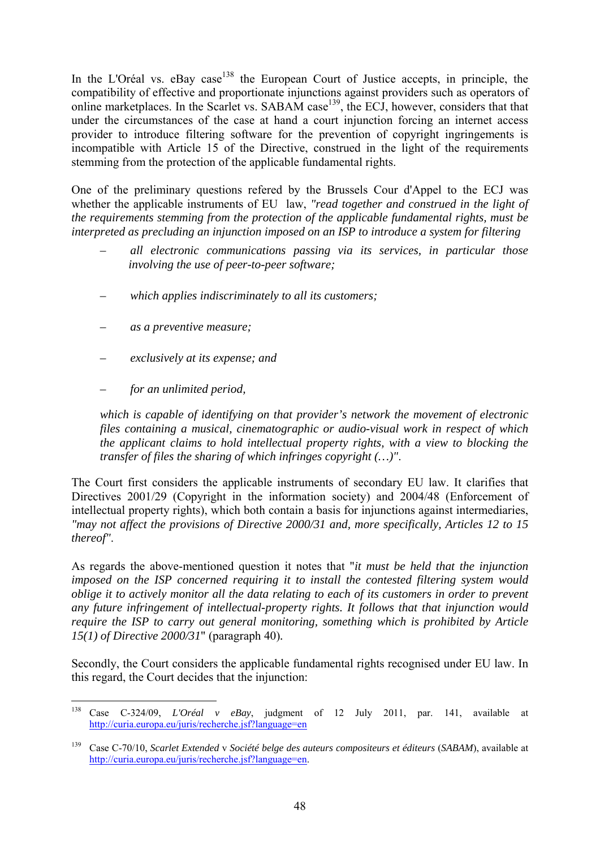In the L'Oréal vs.  $eBay \cose^{138}$  the European Court of Justice accepts, in principle, the compatibility of effective and proportionate injunctions against providers such as operators of online marketplaces. In the Scarlet vs. SABAM case<sup>139</sup>, the ECJ, however, considers that that under the circumstances of the case at hand a court injunction forcing an internet access provider to introduce filtering software for the prevention of copyright ingringements is incompatible with Article 15 of the Directive, construed in the light of the requirements stemming from the protection of the applicable fundamental rights.

One of the preliminary questions refered by the Brussels Cour d'Appel to the ECJ was whether the applicable instruments of EU law, *"read together and construed in the light of the requirements stemming from the protection of the applicable fundamental rights, must be interpreted as precluding an injunction imposed on an ISP to introduce a system for filtering* 

- *all electronic communications passing via its services, in particular those involving the use of peer-to-peer software;*
- *which applies indiscriminately to all its customers;*
- *as a preventive measure;*
- *exclusively at its expense; and*
- *for an unlimited period,*

*which is capable of identifying on that provider's network the movement of electronic files containing a musical, cinematographic or audio-visual work in respect of which the applicant claims to hold intellectual property rights, with a view to blocking the transfer of files the sharing of which infringes copyright (…)"*.

The Court first considers the applicable instruments of secondary EU law. It clarifies that Directives 2001/29 (Copyright in the information society) and 2004/48 (Enforcement of intellectual property rights), which both contain a basis for injunctions against intermediaries, *"may not affect the provisions of Directive 2000/31 and, more specifically, Articles 12 to 15 thereof"*.

As regards the above-mentioned question it notes that "*it must be held that the injunction imposed on the ISP concerned requiring it to install the contested filtering system would oblige it to actively monitor all the data relating to each of its customers in order to prevent any future infringement of intellectual-property rights. It follows that that injunction would require the ISP to carry out general monitoring, something which is prohibited by Article 15(1) of Directive 2000/31*" (paragraph 40)*.* 

Secondly, the Court considers the applicable fundamental rights recognised under EU law. In this regard, the Court decides that the injunction:

<sup>138</sup> 138 Case C-324/09, *L'Oréal v eBay*, judgment of 12 July 2011, par. 141, available at [http://curia.europa.eu/juris/recherc](http://curia.europa.eu/juris/recherche.jsf?language=en)he.jsf?language=en

<sup>139</sup> Case C-70/10, *Scarlet Extended* v *Société belge des auteurs compositeurs et éditeurs* (*SABAM*), available at [http://curia.europa.eu/juris/recherche.jsf?language=en.](http://curia.europa.eu/juris/recherche.jsf?language=en)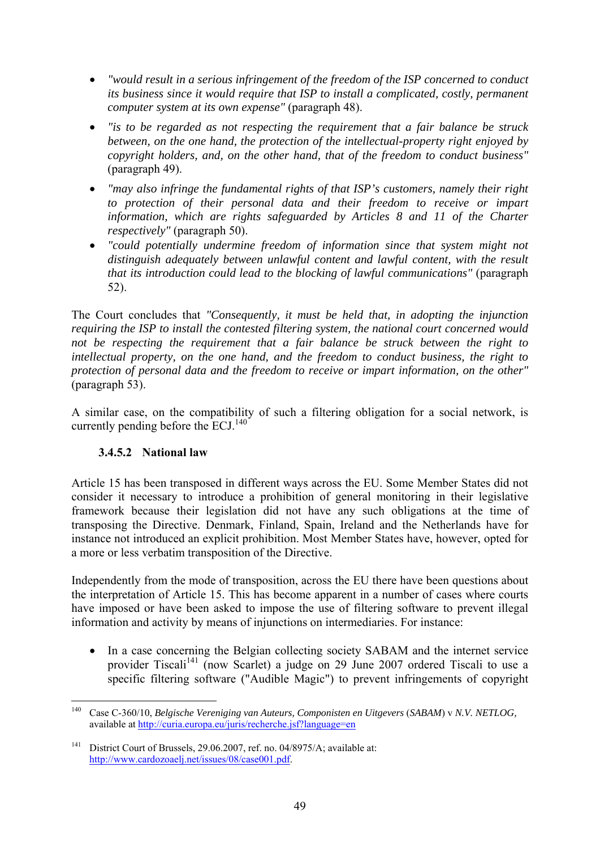- *"would result in a serious infringement of the freedom of the ISP concerned to conduct its business since it would require that ISP to install a complicated, costly, permanent computer system at its own expense"* (paragraph 48).
- *"is to be regarded as not respecting the requirement that a fair balance be struck between, on the one hand, the protection of the intellectual-property right enjoyed by copyright holders, and, on the other hand, that of the freedom to conduct business"*  (paragraph 49).
- *"may also infringe the fundamental rights of that ISP's customers, namely their right to protection of their personal data and their freedom to receive or impart information, which are rights safeguarded by Articles 8 and 11 of the Charter respectively"* (paragraph 50).
- *"could potentially undermine freedom of information since that system might not distinguish adequately between unlawful content and lawful content, with the result that its introduction could lead to the blocking of lawful communications"* (paragraph 52).

The Court concludes that *"Consequently, it must be held that, in adopting the injunction requiring the ISP to install the contested filtering system, the national court concerned would not be respecting the requirement that a fair balance be struck between the right to intellectual property, on the one hand, and the freedom to conduct business, the right to protection of personal data and the freedom to receive or impart information, on the other"* (paragraph 53).

A similar case, on the compatibility of such a filtering obligation for a social network, is currently pending before the ECJ. $^{140}$ 

#### **3.4.5.2 National law**

Article 15 has been transposed in different ways across the EU. Some Member States did not consider it necessary to introduce a prohibition of general monitoring in their legislative framework because their legislation did not have any such obligations at the time of transposing the Directive. Denmark, Finland, Spain, Ireland and the Netherlands have for instance not introduced an explicit prohibition. Most Member States have, however, opted for a more or less verbatim transposition of the Directive.

Independently from the mode of transposition, across the EU there have been questions about the interpretation of Article 15. This has become apparent in a number of cases where courts have imposed or have been asked to impose the use of filtering software to prevent illegal information and activity by means of injunctions on intermediaries. For instance:

• In a case concerning the Belgian collecting society SABAM and the internet service provider Tiscali<sup>141</sup> (now Scarlet) a judge on 29 June 2007 ordered Tiscali to use a specific filtering software ("Audible Magic") to prevent infringements of copyright

<sup>140</sup> 140 Case C-360/10, *Belgische Vereniging van Auteurs, Componisten en Uitgevers* (*SABAM*) v *N.V. NETLOG,*  available at<http://curia.europa.eu/juris/recherche.jsf?language=en>

<sup>&</sup>lt;sup>141</sup> District Court of Brussels, 29.06.2007, ref. no. 04/8975/A; available at: [http://www.cardozoaelj.net/issues/08/case001.pdf.](http://www.cardozoaelj.net/issues/08/case001.pdf)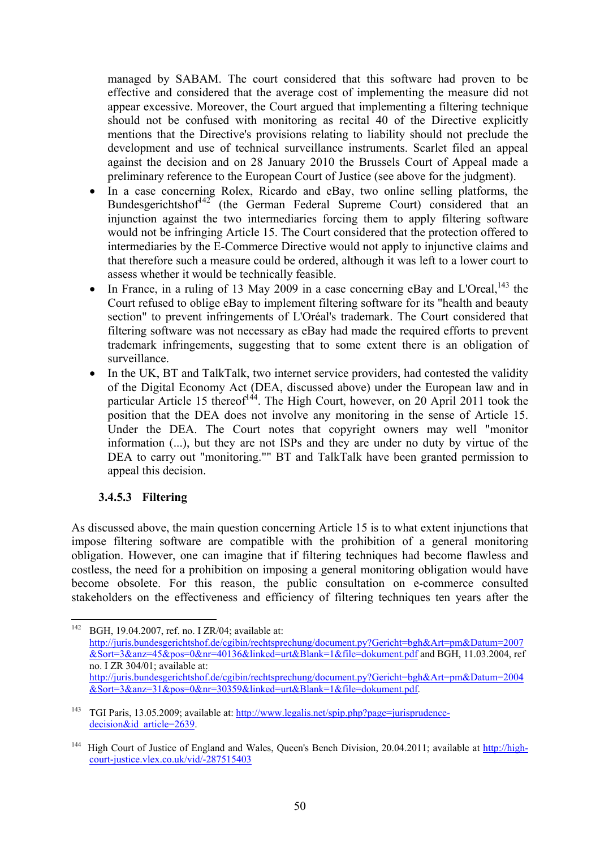managed by SABAM. The court considered that this software had proven to be effective and considered that the average cost of implementing the measure did not appear excessive. Moreover, the Court argued that implementing a filtering technique should not be confused with monitoring as recital 40 of the Directive explicitly mentions that the Directive's provisions relating to liability should not preclude the development and use of technical surveillance instruments. Scarlet filed an appeal against the decision and on 28 January 2010 the Brussels Court of Appeal made a preliminary reference to the European Court of Justice (see above for the judgment).

- In a case concerning Rolex, Ricardo and eBay, two online selling platforms, the Bundesgerichtshof $42^{\circ}$  (the German Federal Supreme Court) considered that an injunction against the two intermediaries forcing them to apply filtering software would not be infringing Article 15. The Court considered that the protection offered to intermediaries by the E-Commerce Directive would not apply to injunctive claims and that therefore such a measure could be ordered, although it was left to a lower court to assess whether it would be technically feasible.
- In France, in a ruling of 13 May 2009 in a case concerning eBay and L'Oreal,  $143$  the Court refused to oblige eBay to implement filtering software for its "health and beauty section" to prevent infringements of L'Oréal's trademark. The Court considered that filtering software was not necessary as eBay had made the required efforts to prevent trademark infringements, suggesting that to some extent there is an obligation of surveillance.
- In the UK, BT and TalkTalk, two internet service providers, had contested the validity of the Digital Economy Act (DEA, discussed above) under the European law and in particular Article 15 thereof<sup>144</sup>. The High Court, however, on 20 April 2011 took the position that the DEA does not involve any monitoring in the sense of Article 15. Under the DEA. The Court notes that copyright owners may well "monitor information (...), but they are not ISPs and they are under no duty by virtue of the DEA to carry out "monitoring."" BT and TalkTalk have been granted permission to appeal this decision.

#### **3.4.5.3 Filtering**

As discussed above, the main question concerning Article 15 is to what extent injunctions that impose filtering software are compatible with the prohibition of a general monitoring obligation. However, one can imagine that if filtering techniques had become flawless and costless, the need for a prohibition on imposing a general monitoring obligation would have become obsolete. For this reason, the public consultation on e-commerce consulted stakeholders on the effectiveness and efficiency of filtering techniques ten years after the

<sup>142</sup> BGH, 19.04.2007, ref. no. I ZR/04; available at: [http://juris.bundesgerichtshof.de/cgibin/rechtsprechung/document.py?Gericht=bgh&Art=pm&Datum=2007](http://juris.bundesgerichtshof.de/cgibin/rechtsprechung/document.py?Gericht=bgh&Art=pm&Datum=2007&Sort=3&anz=45&pos=0&nr=40136&linked=urt&Blank=1&file=dokument.pdf) [&Sort=3&anz=45&pos=0&nr=40136&linked=urt&Blank=1&file=dokument.pdf a](http://juris.bundesgerichtshof.de/cgibin/rechtsprechung/document.py?Gericht=bgh&Art=pm&Datum=2007&Sort=3&anz=45&pos=0&nr=40136&linked=urt&Blank=1&file=dokument.pdf)nd BGH, 11.03.2004, ref no. I ZR 304/01; available at: [http://juris.bundesgerichtshof.de/cgibin/rechtsprechung/document.py?Gericht=bgh&Art=pm&Datum=2004](http://juris.bundesgerichtshof.de/cgibin/rechtsprechung/document.py?Gericht=bgh&Art=pm&Datum=2004&Sort=3&anz=31&pos=0&nr=30359&linked=urt&Blank=1&file=dokument.pdf) [&Sort=3&anz=31&pos=0&nr=30359&linked=urt&Blank=1&file=dokument.pdf.](http://juris.bundesgerichtshof.de/cgibin/rechtsprechung/document.py?Gericht=bgh&Art=pm&Datum=2004&Sort=3&anz=31&pos=0&nr=30359&linked=urt&Blank=1&file=dokument.pdf) 

<sup>&</sup>lt;sup>143</sup> TGI Paris, 13.05.2009; available at: [http://www.legalis.net/spip.php?page=jurisprudence](http://www.legalis.net/spip.php?page=jurisprudence-decision&id_article=2639)decision&id\_article=2639.

<sup>&</sup>lt;sup>144</sup> High Court of Justice of England and Wales, Queen's Bench Division, 20.04.2011; available at [http://high](http://high-court-justice.vlex.co.uk/vid/-287515403)[court-justice.vlex.co.uk/vid/-287515403](http://high-court-justice.vlex.co.uk/vid/-287515403)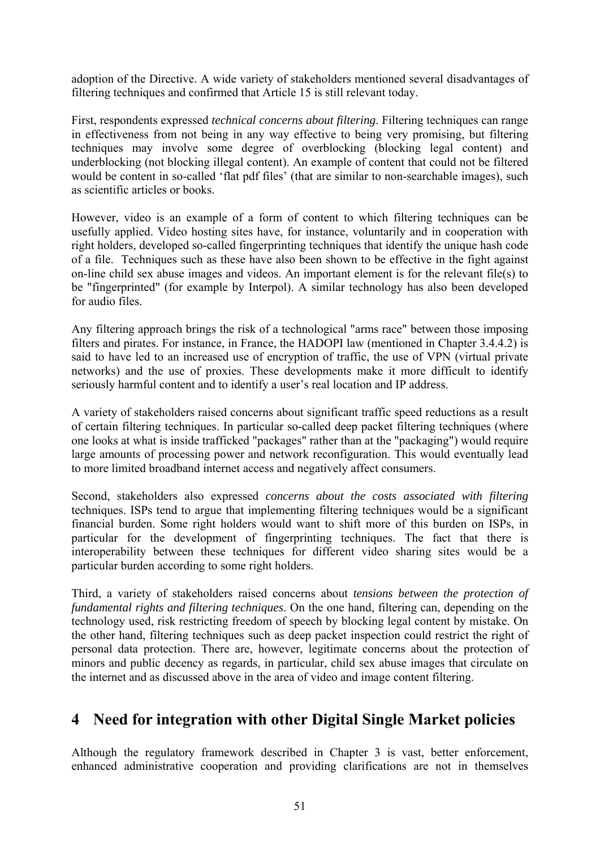adoption of the Directive. A wide variety of stakeholders mentioned several disadvantages of filtering techniques and confirmed that Article 15 is still relevant today.

First, respondents expressed *technical concerns about filtering*. Filtering techniques can range in effectiveness from not being in any way effective to being very promising, but filtering techniques may involve some degree of overblocking (blocking legal content) and underblocking (not blocking illegal content). An example of content that could not be filtered would be content in so-called 'flat pdf files' (that are similar to non-searchable images), such as scientific articles or books.

However, video is an example of a form of content to which filtering techniques can be usefully applied. Video hosting sites have, for instance, voluntarily and in cooperation with right holders, developed so-called fingerprinting techniques that identify the unique hash code of a file. Techniques such as these have also been shown to be effective in the fight against on-line child sex abuse images and videos. An important element is for the relevant file(s) to be "fingerprinted" (for example by Interpol). A similar technology has also been developed for audio files.

Any filtering approach brings the risk of a technological "arms race" between those imposing filters and pirates. For instance, in France, the HADOPI law (mentioned in Chapter 3.4.4.2) is said to have led to an increased use of encryption of traffic, the use of VPN (virtual private networks) and the use of proxies. These developments make it more difficult to identify seriously harmful content and to identify a user's real location and IP address.

A variety of stakeholders raised concerns about significant traffic speed reductions as a result of certain filtering techniques. In particular so-called deep packet filtering techniques (where one looks at what is inside trafficked "packages" rather than at the "packaging") would require large amounts of processing power and network reconfiguration. This would eventually lead to more limited broadband internet access and negatively affect consumers.

Second, stakeholders also expressed *concerns about the costs associated with filtering* techniques. ISPs tend to argue that implementing filtering techniques would be a significant financial burden. Some right holders would want to shift more of this burden on ISPs, in particular for the development of fingerprinting techniques. The fact that there is interoperability between these techniques for different video sharing sites would be a particular burden according to some right holders.

Third, a variety of stakeholders raised concerns about *tensions between the protection of fundamental rights and filtering techniques*. On the one hand, filtering can, depending on the technology used, risk restricting freedom of speech by blocking legal content by mistake. On the other hand, filtering techniques such as deep packet inspection could restrict the right of personal data protection. There are, however, legitimate concerns about the protection of minors and public decency as regards, in particular, child sex abuse images that circulate on the internet and as discussed above in the area of video and image content filtering.

# **4 Need for integration with other Digital Single Market policies**

Although the regulatory framework described in Chapter 3 is vast, better enforcement, enhanced administrative cooperation and providing clarifications are not in themselves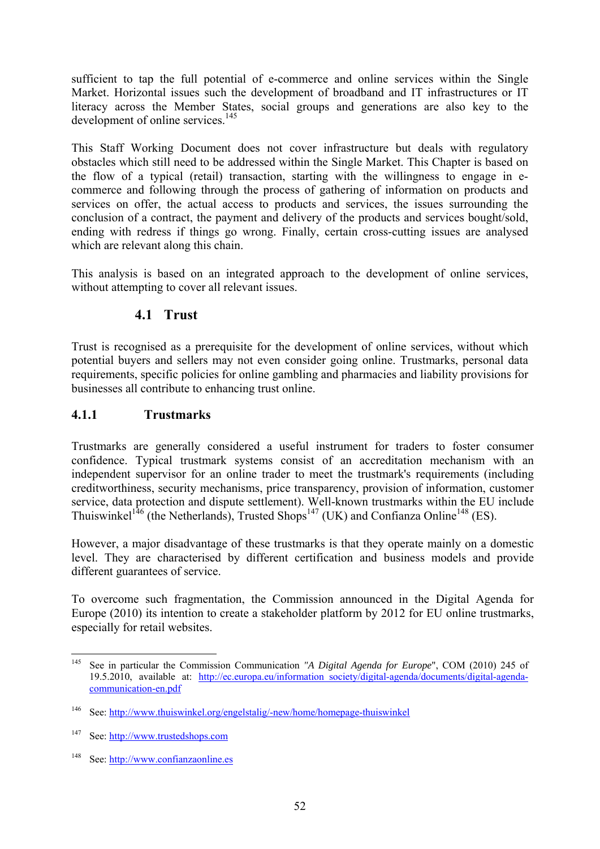sufficient to tap the full potential of e-commerce and online services within the Single Market. Horizontal issues such the development of broadband and IT infrastructures or IT literacy across the Member States, social groups and generations are also key to the development of online services.<sup>145</sup>

This Staff Working Document does not cover infrastructure but deals with regulatory obstacles which still need to be addressed within the Single Market. This Chapter is based on the flow of a typical (retail) transaction, starting with the willingness to engage in ecommerce and following through the process of gathering of information on products and services on offer, the actual access to products and services, the issues surrounding the conclusion of a contract, the payment and delivery of the products and services bought/sold, ending with redress if things go wrong. Finally, certain cross-cutting issues are analysed which are relevant along this chain.

This analysis is based on an integrated approach to the development of online services, without attempting to cover all relevant issues.

### **4.1 Trust**

Trust is recognised as a prerequisite for the development of online services, without which potential buyers and sellers may not even consider going online. Trustmarks, personal data requirements, specific policies for online gambling and pharmacies and liability provisions for businesses all contribute to enhancing trust online.

### **4.1.1 Trustmarks**

Trustmarks are generally considered a useful instrument for traders to foster consumer confidence. Typical trustmark systems consist of an accreditation mechanism with an independent supervisor for an online trader to meet the trustmark's requirements (including creditworthiness, security mechanisms, price transparency, provision of information, customer service, data protection and dispute settlement). Well-known trustmarks within the EU include Thuiswinkel<sup>146</sup> (the Netherlands), Trusted Shops<sup>147</sup> (UK) and Confianza Online<sup>148</sup> (ES).

However, a major disadvantage of these trustmarks is that they operate mainly on a domestic level. They are characterised by different certification and business models and provide different guarantees of service.

To overcome such fragmentation, the Commission announced in the Digital Agenda for Europe (2010) its intention to create a stakeholder platform by 2012 for EU online trustmarks, especially for retail websites.

<sup>145</sup> 145 See in particular the Commission Communication *"A Digital Agenda for Europe*", COM (2010) 245 of 19.5.2010, available at: [http://ec.europa.eu/information\\_society/digital-agenda/documents/digital-agenda](http://ec.europa.eu/information_society/digital-agenda/documents/digital-agenda-communication-en.pdf)[communication-en.pdf](http://ec.europa.eu/information_society/digital-agenda/documents/digital-agenda-communication-en.pdf) 

<sup>146</sup> See[: http://www.thuiswinkel.org/engelstalig/-new/home/homepage-thuiswinkel](http://www.thuiswinkel.org/engelstalig/-new/home/homepage-thuiswinkel) 

<sup>147</sup> See[: http://www.trustedshops.com](http://www.trustedshops.com/) 

[<sup>148</sup> See: http://www.confianzaonline.es](http://www.confianzaonline.es/)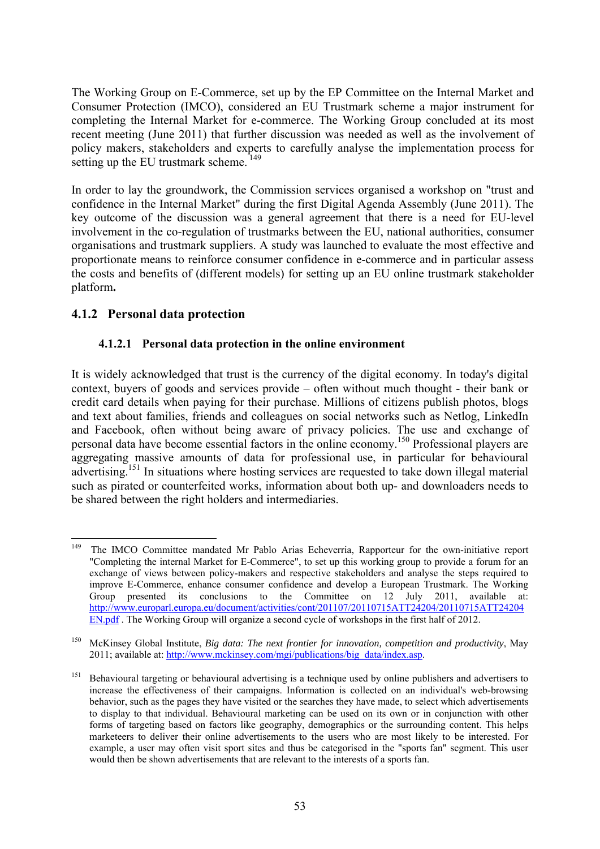The Working Group on E-Commerce, set up by the EP Committee on the Internal Market and Consumer Protection (IMCO), considered an EU Trustmark scheme a major instrument for completing the Internal Market for e-commerce. The Working Group concluded at its most recent meeting (June 2011) that further discussion was needed as well as the involvement of policy makers, stakeholders and experts to carefully analyse the implementation process for setting up the EU trustmark scheme.<sup>149</sup>

In order to lay the groundwork, the Commission services organised a workshop on "trust and confidence in the Internal Market" during the first Digital Agenda Assembly (June 2011). The key outcome of the discussion was a general agreement that there is a need for EU-level involvement in the co-regulation of trustmarks between the EU, national authorities, consumer organisations and trustmark suppliers. A study was launched to evaluate the most effective and proportionate means to reinforce consumer confidence in e-commerce and in particular assess the costs and benefits of (different models) for setting up an EU online trustmark stakeholder platform**.** 

### **4.1.2 Personal data protection**

#### **4.1.2.1 Personal data protection in the online environment**

It is widely acknowledged that trust is the currency of the digital economy. In today's digital context, buyers of goods and services provide – often without much thought - their bank or credit card details when paying for their purchase. Millions of citizens publish photos, blogs and text about families, friends and colleagues on social networks such as Netlog, LinkedIn and Facebook, often without being aware of privacy policies. The use and exchange of personal data have become essential factors in the online economy.150 Professional players are aggregating massive amounts of data for professional use, in particular for behavioural advertising.151 In situations where hosting services are requested to take down illegal material such as pirated or counterfeited works, information about both up- and downloaders needs to be shared between the right holders and intermediaries.

<sup>149</sup> 149 The IMCO Committee mandated Mr Pablo Arias Echeverria, Rapporteur for the own-initiative report "Completing the internal Market for E-Commerce", to set up this working group to provide a forum for an exchange of views between policy-makers and respective stakeholders and analyse the steps required to improve E-Commerce, enhance consumer confidence and develop a European Trustmark. The Working<br>Group presented its conclusions to the Committee on 12 July 2011, available at: Group presented its conclusions to the Committee on  $12$  July [http://www.europarl.europa.eu/document/activities/cont/201107/20110715ATT24204/20110715ATT24204](http://www.europarl.europa.eu/document/activities/cont/201107/20110715ATT24204/20110715ATT24204EN.pdf) [EN.pdf .](http://www.europarl.europa.eu/document/activities/cont/201107/20110715ATT24204/20110715ATT24204EN.pdf) The Working Group will organize a second cycle of workshops in the first half of 2012.

<sup>150</sup> McKinsey Global Institute, *Big data: The next frontier for innovation, competition and productivity*, May 2011; available at: http://www.mckinsey.com/mgi/publications/big\_data/index.asp.

<sup>&</sup>lt;sup>151</sup> Behavioural targeting or behavioural advertising is a technique used by online publishers and advertisers to increase the effectiveness of their campaigns. Information is collected on an individual's web-browsing behavior, such as the pages they have visited or the searches they have made, to select which advertisements to display to that individual. Behavioural marketing can be used on its own or in conjunction with other forms of targeting based on factors like geography, demographics or the surrounding content. This helps marketeers to deliver their online advertisements to the users who are most likely to be interested. For example, a user may often visit sport sites and thus be categorised in the "sports fan" segment. This user would then be shown advertisements that are relevant to the interests of a sports fan.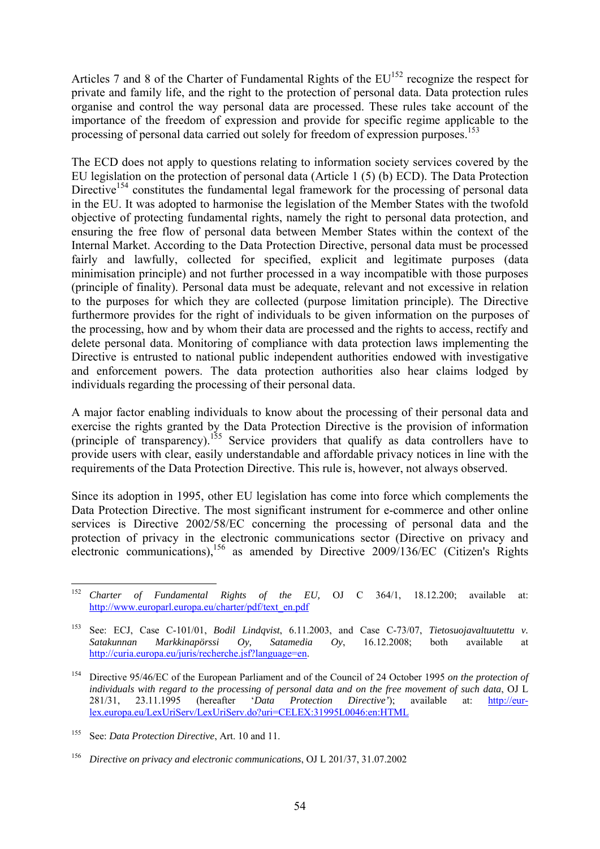Articles 7 and 8 of the Charter of Fundamental Rights of the  $EU^{152}$  recognize the respect for private and family life, and the right to the protection of personal data. Data protection rules organise and control the way personal data are processed. These rules take account of the importance of the freedom of expression and provide for specific regime applicable to the processing of personal data carried out solely for freedom of expression purposes.<sup>153</sup>

The ECD does not apply to questions relating to information society services covered by the EU legislation on the protection of personal data (Article 1 (5) (b) ECD). The Data Protection Directive<sup>154</sup> constitutes the fundamental legal framework for the processing of personal data in the EU. It was adopted to harmonise the legislation of the Member States with the twofold objective of protecting fundamental rights, namely the right to personal data protection, and ensuring the free flow of personal data between Member States within the context of the Internal Market. According to the Data Protection Directive, personal data must be processed fairly and lawfully, collected for specified, explicit and legitimate purposes (data minimisation principle) and not further processed in a way incompatible with those purposes (principle of finality). Personal data must be adequate, relevant and not excessive in relation to the purposes for which they are collected (purpose limitation principle). The Directive furthermore provides for the right of individuals to be given information on the purposes of the processing, how and by whom their data are processed and the rights to access, rectify and delete personal data. Monitoring of compliance with data protection laws implementing the Directive is entrusted to national public independent authorities endowed with investigative and enforcement powers. The data protection authorities also hear claims lodged by individuals regarding the processing of their personal data.

A major factor enabling individuals to know about the processing of their personal data and exercise the rights granted by the Data Protection Directive is the provision of information (principle of transparency).<sup>155</sup> Service providers that qualify as data controllers have to provide users with clear, easily understandable and affordable privacy notices in line with the requirements of the Data Protection Directive. This rule is, however, not always observed.

Since its adoption in 1995, other EU legislation has come into force which complements the Data Protection Directive. The most significant instrument for e-commerce and other online services is Directive 2002/58/EC concerning the processing of personal data and the protection of privacy in the electronic communications sector (Directive on privacy and electronic communications),  $156$  as amended by Directive 2009/136/EC (Citizen's Rights

<sup>152</sup> 152 *Charter of Fundamental Rights of the EU,* OJ C 364/1, 18.12.200; available at: [http://www.europarl.europa.eu/charter/pdf/text\\_en.pdf](http://www.europarl.europa.eu/charter/pdf/text_en.pdf) 

<sup>153</sup> See: ECJ, Case C-101/01, *Bodil Lindqvist*, 6.11.2003, and Case C-73/07, *Tietosuojavaltuutettu v. Satakunnan Markkinapörssi Oy, Satamedia Oy*, 16.12.2008; both available at [http://curia.europa.eu/juris/recherche.jsf?language=en.](http://curia.europa.eu/juris/recherche.jsf?language=en) 

<sup>154</sup> Directive 95/46/EC of the European Parliament and of the Council of 24 October 1995 *on the protection of individuals with regard to the processing of personal data and on the free movement of such data*, OJ L 281/31, 23.11.1995 (hereafter '*Data Protection Directive'*); available at: [http://eur](http://eur-lex.europa.eu/LexUriServ/LexUriServ.do?uri=CELEX:31995L0046:en:HTML)[lex.europa.eu/LexUriServ/LexUriServ.do?uri=CELEX:31995L0046:en:HTML](http://eur-lex.europa.eu/LexUriServ/LexUriServ.do?uri=CELEX:31995L0046:en:HTML)

<sup>155</sup> See: *Data Protection Directive*, Art. 10 and 11.

<sup>156</sup> *Directive on privacy and electronic communications*, OJ L 201/37, 31.07.2002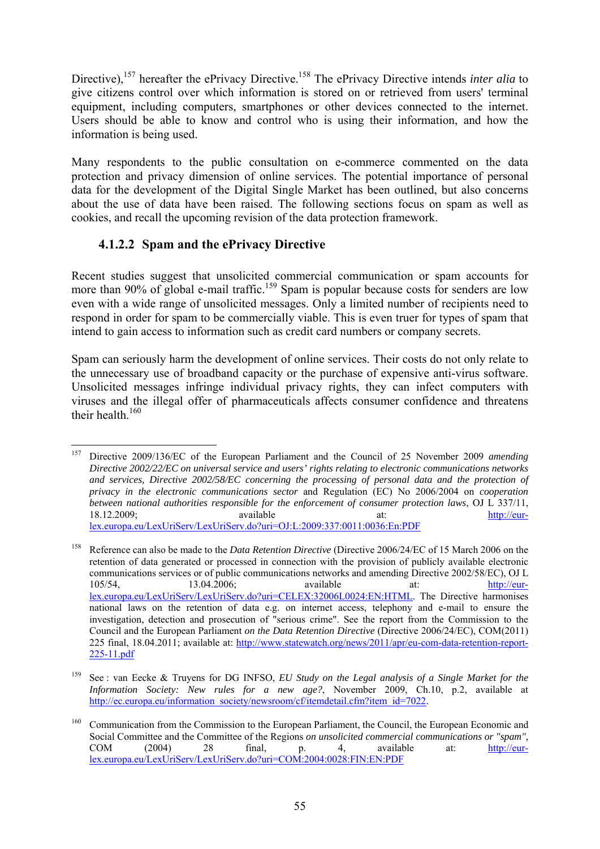Directive),<sup>157</sup> hereafter the ePrivacy Directive.<sup>158</sup> The ePrivacy Directive intends *inter alia* to give citizens control over which information is stored on or retrieved from users' terminal equipment, including computers, smartphones or other devices connected to the internet. Users should be able to know and control who is using their information, and how the information is being used.

Many respondents to the public consultation on e-commerce commented on the data protection and privacy dimension of online services. The potential importance of personal data for the development of the Digital Single Market has been outlined, but also concerns about the use of data have been raised. The following sections focus on spam as well as cookies, and recall the upcoming revision of the data protection framework.

### **4.1.2.2 Spam and the ePrivacy Directive**

Recent studies suggest that unsolicited commercial communication or spam accounts for more than 90% of global e-mail traffic.<sup>159</sup> Spam is popular because costs for senders are low even with a wide range of unsolicited messages. Only a limited number of recipients need to respond in order for spam to be commercially viable. This is even truer for types of spam that intend to gain access to information such as credit card numbers or company secrets.

Spam can seriously harm the development of online services. Their costs do not only relate to the unnecessary use of broadband capacity or the purchase of expensive anti-virus software. Unsolicited messages infringe individual privacy rights, they can infect computers with viruses and the illegal offer of pharmaceuticals affects consumer confidence and threatens their health. $160$ 

<sup>157</sup> 157 Directive 2009/136/EC of the European Parliament and the Council of 25 November 2009 *amending Directive 2002/22/EC on universal service and users' rights relating to electronic communications networks and services, Directive 2002/58/EC concerning the processing of personal data and the protection of privacy in the electronic communications sector* and Regulation (EC) No 2006/2004 on *cooperation between national authorities responsible for the enforcement of consumer protection laws*, OJ L 337/11, 18.12.2009; available at: [http://eur](http://eur-lex.europa.eu/LexUriServ/LexUriServ.do?uri=OJ:L:2009:337:0011:0036:En:PDF)[lex.europa.eu/LexUriServ/LexUriServ.do?uri=OJ:L:2009:337:0011:0036:En:PDF](http://eur-lex.europa.eu/LexUriServ/LexUriServ.do?uri=OJ:L:2009:337:0011:0036:En:PDF) 

<sup>158</sup> Reference can also be made to the *Data Retention Directive* (Directive 2006/24/EC of 15 March 2006 on the retention of data generated or processed in connection with the provision of publicly available electronic communications services or of public communications networks and amending Directive 2002/58/EC), OJ L 105/54, 13.04.2006; available at: [http://eur](http://eur-lex.europa.eu/LexUriServ/LexUriServ.do?uri=CELEX:32006L0024:EN:HTML)[lex.europa.eu/LexUriServ/LexUriServ.do?uri=CELEX:32006L0024:EN:HTML.](http://eur-lex.europa.eu/LexUriServ/LexUriServ.do?uri=CELEX:32006L0024:EN:HTML) The Directive harmonises national laws on the retention of data e.g. on internet access, telephony and e-mail to ensure the investigation, detection and prosecution of "serious crime". See the report from the Commission to the Council and the European Parliament *on the Data Retention Directive* (Directive 2006/24/EC), COM(2011) 225 final, 18.04.2011; available at: [http://www.statewatch.org/news/2011/apr/eu-com-data-retention-report-](http://www.statewatch.org/news/2011/apr/eu-com-data-retention-report-225-11.pdf)[225-11.pdf](http://www.statewatch.org/news/2011/apr/eu-com-data-retention-report-225-11.pdf) 

<sup>159</sup> See : van Eecke & Truyens for DG INFSO, *EU Study on the Legal analysis of a Single Market for the Information Society: New rules for a new age?*, November 2009, Ch.10, p.2, available at http://ec.europa.eu/information\_society/newsroom/cf/itemdetail.cfm?item\_id=7022.

<sup>160</sup> Communication from the Commission to the European Parliament, the Council, the European Economic and Social Committee and the Committee of the Regions *on unsolicited commercial communications or "spam"*,<br>COM (2004) 28 final, p. 4, available at:  $\frac{http://eur-}{}$ COM  $(2004)$  28 final, p. 4, available at:  $\frac{http://eur$ [lex.europa.eu/LexUriServ/LexUriServ.do?uri=COM:2004:0028:FIN:EN:PDF](http://eur-lex.europa.eu/LexUriServ/LexUriServ.do?uri=COM:2004:0028:FIN:EN:PDF)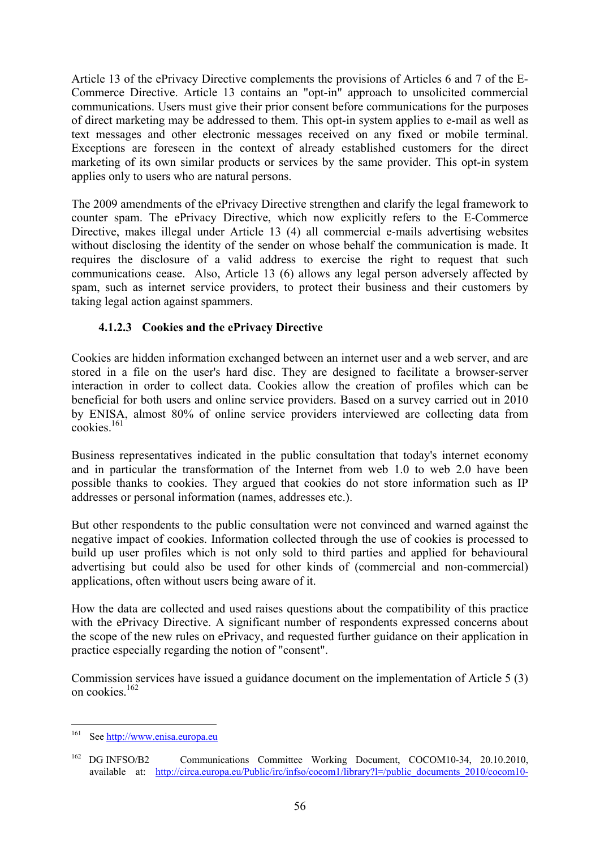Article 13 of the ePrivacy Directive complements the provisions of Articles 6 and 7 of the E-Commerce Directive. Article 13 contains an "opt-in" approach to unsolicited commercial communications. Users must give their prior consent before communications for the purposes of direct marketing may be addressed to them. This opt-in system applies to e-mail as well as text messages and other electronic messages received on any fixed or mobile terminal. Exceptions are foreseen in the context of already established customers for the direct marketing of its own similar products or services by the same provider. This opt-in system applies only to users who are natural persons.

The 2009 amendments of the ePrivacy Directive strengthen and clarify the legal framework to counter spam. The ePrivacy Directive, which now explicitly refers to the E-Commerce Directive, makes illegal under Article 13 (4) all commercial e-mails advertising websites without disclosing the identity of the sender on whose behalf the communication is made. It requires the disclosure of a valid address to exercise the right to request that such communications cease. Also, Article 13 (6) allows any legal person adversely affected by spam, such as internet service providers, to protect their business and their customers by taking legal action against spammers.

### **4.1.2.3 Cookies and the ePrivacy Directive**

Cookies are hidden information exchanged between an internet user and a web server, and are stored in a file on the user's hard disc. They are designed to facilitate a browser-server interaction in order to collect data. Cookies allow the creation of profiles which can be beneficial for both users and online service providers. Based on a survey carried out in 2010 by ENISA, almost 80% of online service providers interviewed are collecting data from  $\cosh$ <sub>161</sub>

Business representatives indicated in the public consultation that today's internet economy and in particular the transformation of the Internet from web 1.0 to web 2.0 have been possible thanks to cookies. They argued that cookies do not store information such as IP addresses or personal information (names, addresses etc.).

But other respondents to the public consultation were not convinced and warned against the negative impact of cookies. Information collected through the use of cookies is processed to build up user profiles which is not only sold to third parties and applied for behavioural advertising but could also be used for other kinds of (commercial and non-commercial) applications, often without users being aware of it.

How the data are collected and used raises questions about the compatibility of this practice with the ePrivacy Dir[ective. A significant number of respondents expressed concerns a](http://ec.europa.eu/justice/policies/privacy/workinggroup/wpdocs/2011_en.htm)bout the scope of the new rules on ePrivacy, and requested further guidance on their application in practice especially regarding the notion of "consent".

Commission services have issued a guidance document on the implementation of Article 5 (3) on cookies.<sup>162</sup>

<sup>161</sup> Se[e http://www.enisa.europa.eu](http://www.enisa.europa.eu/)

<sup>162</sup> DG INFSO/B2 Communications Committee Working Document, COCOM10-34, 20.10.2010, available at: [http://circa.eur](http://circa.europa.eu/Public/irc/infso/cocom1/library?l=/public_documents_2010/cocom10-34_guidance/_EN_1.0_&a=d)opa.eu/Public/irc/infso/cocom1/library?l=/public\_documents\_2010/cocom10-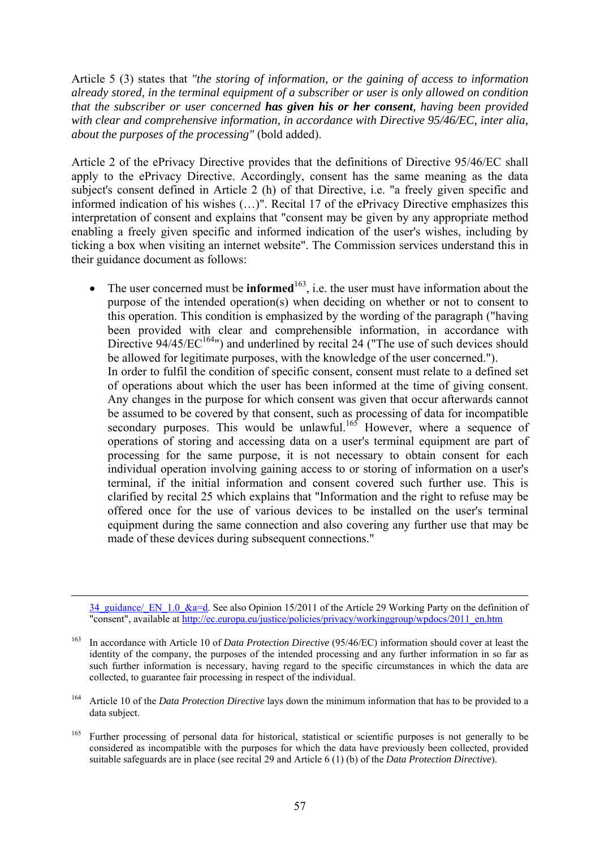Article 5 (3) states that *"the storing of information, or the gaining of access to information already stored, in the terminal equipment of a subscriber or user is only allowed on condition that the subscriber or user concerned has given his or her consent, having been provided with clear and comprehensive information, in accordance with Directive 95/46/EC, inter alia, about the purposes of the processing"* (bold added).

Article 2 of the ePrivacy Directive provides that the definitions of Directive 95/46/EC shall apply to the ePrivacy Directive. Accordingly, consent has the same meaning as the data subject's consent defined in Article 2 (h) of that Directive, i.e. "a freely given specific and informed indication of his wishes (…)". Recital 17 of the ePrivacy Directive emphasizes this interpretation of consent and explains that "consent may be given by any appropriate method enabling a freely given specific and informed indication of the user's wishes, including by ticking a box when visiting an internet website". The Commission services understand this in their guidance document as follows:

• The user concerned must be **informed**<sup>163</sup>, i.e. the user must have information about the purpose of the intended operation(s) when deciding on whether or not to consent to this operation. This condition is emphasized by the wording of the paragraph ("having been provided with clear and comprehensible information, in accordance with Directive  $94/45/EC^{164}$ ") and underlined by recital 24 ("The use of such devices should be allowed for legitimate purposes, with the knowledge of the user concerned."). In order to fulfil the condition of specific consent, consent must relate to a defined set of operations about which the user has been informed at the time of giving consent. Any changes in the purpose for which consent was given that occur afterwards cannot be assumed to be covered by that consent, such as processing of data for incompatible secondary purposes. This would be unlawful.<sup>165</sup> However, where a sequence of operations of storing and accessing data on a user's terminal equipment are part of processing for the same purpose, it is not necessary to obtain consent for each individual operation involving gaining access to or storing of information on a user's terminal, if the initial information and consent covered such further use. This is clarified by recital 25 which explains that "Information and the right to refuse may be offered once for the use of various devices to be installed on the user's terminal equipment during the same connection and also covering any further use that may be made of these devices during subsequent connections."

<sup>165</sup> Further processing of personal data for historical, statistical or scientific purposes is not generally to be considered as incompatible with the purposes for which the data have previously been collected, provided suitable safeguards are in place (see recital 29 and Article 6 (1) (b) of the *Data Protection Directive*).

 <sup>34</sup>\_guidance/\_EN\_1.0\_&a=d. See also Opinion 15/2011 of the Article 29 Working Party on the definition of "consent", available at http://ec.europa.eu/justice/policies/privacy/workinggroup/wpdocs/2011\_en.htm

<sup>163</sup> In accordance with Article 10 of *Data Protection Directive* (95/46/EC) information should cover at least the identity of the company, the purposes of the intended processing and any further information in so far as such further information is necessary, having regard to the specific circumstances in which the data are collected, to guarantee fair processing in respect of the individual.

<sup>&</sup>lt;sup>164</sup> Article 10 of the *Data Protection Directive* lays down the minimum information that has to be provided to a data subject.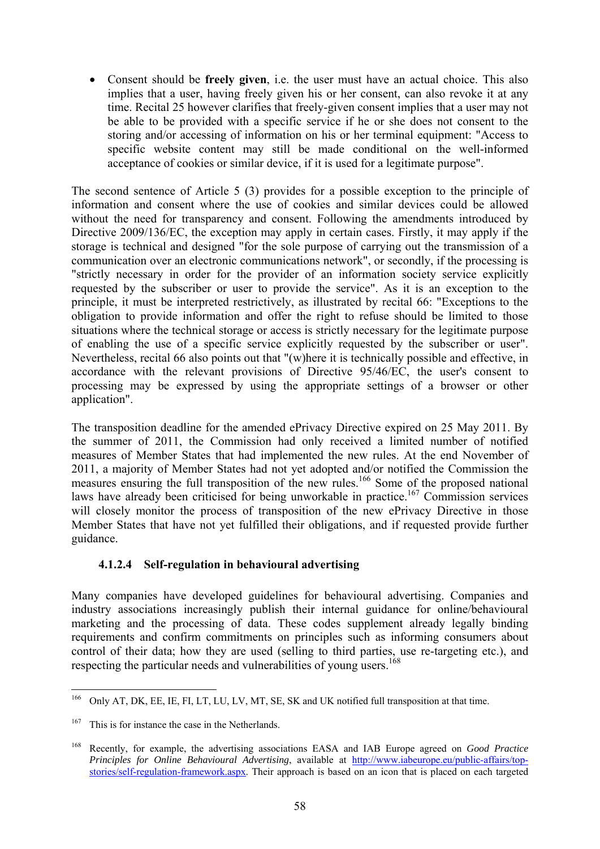• Consent should be **freely given**, i.e. the user must have an actual choice. This also implies that a user, having freely given his or her consent, can also revoke it at any time. Recital 25 however clarifies that freely-given consent implies that a user may not be able to be provided with a specific service if he or she does not consent to the storing and/or accessing of information on his or her terminal equipment: "Access to specific website content may still be made conditional on the well-informed acceptance of cookies or similar device, if it is used for a legitimate purpose".

The second sentence of Article 5 (3) provides for a possible exception to the principle of information and consent where the use of cookies and similar devices could be allowed without the need for transparency and consent. Following the amendments introduced by Directive 2009/136/EC, the exception may apply in certain cases. Firstly, it may apply if the storage is technical and designed "for the sole purpose of carrying out the transmission of a communication over an electronic communications network", or secondly, if the processing is "strictly necessary in order for the provider of an information society service explicitly requested by the subscriber or user to provide the service". As it is an exception to the principle, it must be interpreted restrictively, as illustrated by recital 66: "Exceptions to the obligation to provide information and offer the right to refuse should be limited to those situations where the technical storage or access is strictly necessary for the legitimate purpose of enabling the use of a specific service explicitly requested by the subscriber or user". Nevertheless, recital 66 also points out that "(w)here it is technically possible and effective, in accordance with the relevant provisions of Directive 95/46/EC, the user's consent to processing may be expressed by using the appropriate settings of a browser or other application".

The transposition deadline for the amended ePrivacy Directive expired on 25 May 2011. By the summer of 2011, the Commission had only received a limited number of notified measures of Member States that had implemented the new rules. At the end November of 2011, a majority of Member States had not yet adopted and/or notified the Commission the measures ensuring the full transposition of the new rules.<sup>166</sup> Some of the proposed national laws have already been criticised for being unworkable in practice.<sup>167</sup> Commission services will closely monitor the process of transposition of the new ePrivacy Directive in those Member States that have not yet fulfilled their obligations, and if requested provide further guidance.

#### **4.1.2.4 Self-regulation in behavioural advertising**

Many companies have developed guidelines for behavioural advertising. Companies and industry associations increasingly publish their internal guidance for online/behavioural marketing and the processing of data. These codes supplement already legally binding requirements and confirm commitments on principles such as informing consumers about control of their data; how they are used (selling to third parties, use re-targeting etc.), and respecting the particular needs and vulnerabilities of young users.<sup>168</sup>

<sup>166</sup> 166 Only AT, DK, EE, IE, FI, LT, LU, LV, MT, SE, SK and UK notified full transposition at that time.

 $167$  This is for instance the case in the Netherlands.

<sup>168</sup> Recently, for example, the advertising associations EASA and IAB Europe agreed on *Good Practice Principles for Online Behavioural Advertising*, available at [http://www.iabeurope.eu/public-affairs/top](http://www.iabeurope.eu/public-affairs/top-stories/self-regulation-framework.aspx)[stories/self-regulation-framework.aspx.](http://www.iabeurope.eu/public-affairs/top-stories/self-regulation-framework.aspx) Their approach is based on an icon that is placed on each targeted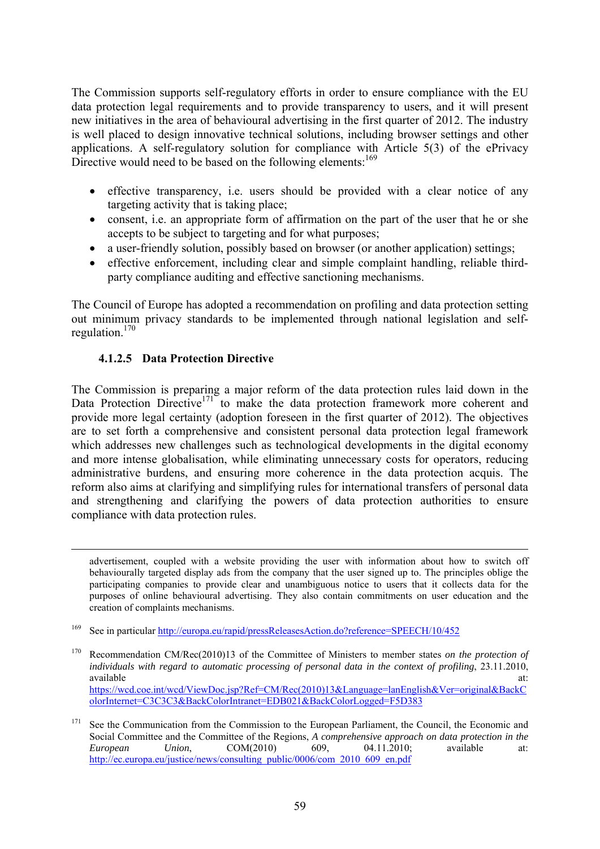The Commission supports self-regulatory efforts in order to ensure compliance with the EU data protection legal requirements and to provide transparency to users, and it will present new initiatives in the area of behavioural advertising in the first quarter of 2012. The industry is well placed to design innovative technical solutions, including browser settings and other applications. A self-regulatory solution for compliance with Article 5(3) of the ePrivacy Directive would need to be based on the following elements:<sup>169</sup>

- effective transparency, i.e. users should be provided with a clear notice of any targeting activity that is taking place;
- consent, i.e. an appropriate form of affirmation on the part of the user that he or she accepts to be subject to targeting and for what purposes;
- a user-friendly solution, possibly based on browser (or another application) settings;
- effective enforcement, including clear and simple complaint handling, reliable thirdparty compliance auditing and effective sanctioning mechanisms.

The Council of Europe has adopted a recommendation on profiling and data protection setting out minimum privacy standards to be implemented through national legislation and selfregulation.170

#### **4.1.2.5 Data Protection Directive**

The Commission is preparing a major reform of the data protection rules laid down in the Data Protection Directive<sup>171</sup> to make the data protection framework more coherent and provide more legal certainty (adoption foreseen in the first quarter of 2012). The objectives are to set forth a comprehensive and consistent personal data protection legal framework which addresses new challenges such as technological developments in the digital economy and more intense globalisation, while eliminating unnecessary costs for operators, reducing administrative burdens, and ensuring more coherence in the data protection acquis. The reform also aims at clarifying and simplifying rules for international transfers of personal data and strengthening and clarifying the powers of data protection authorities to ensure compliance with data protection rules.

 advertisement, coupled with a website providing the user with information about how to switch off behaviourally targeted display ads from the company that the user signed up to. The principles oblige the participating companies to provide clear and unambiguous notice to users that it collects data for the purposes of online behavioural advertising. They also contain commitments on user education and the creation of complaints mechanisms.

170 Recommendation CM/Rec(2010)13 of the Committee of Ministers to member states *on the protection of individuals with regard to automatic processing of personal data in the context of profiling*, 23.11.2010, available at: and a state at a state at a state at a state at a state at a state at a state at a state at a state at a state at a state at a state at a state at a state at a state at a state at a state at a state at a stat [https://wcd.coe.int/wcd/ViewDoc.jsp?Ref=CM/Rec\(2010\)13&Language=lanEnglish&Ver=original&BackC](https://wcd.coe.int/wcd/ViewDoc.jsp?Ref=CM/Rec(2010)13&Language=lanEnglish&Ver=original&BackColorInternet=C3C3C3&BackColorIntranet=EDB021&BackColorLogged=F5D383) [olorInternet=C3C3C3&BackColorIntranet=EDB021&BackColorLogged=F5D383](https://wcd.coe.int/wcd/ViewDoc.jsp?Ref=CM/Rec(2010)13&Language=lanEnglish&Ver=original&BackColorInternet=C3C3C3&BackColorIntranet=EDB021&BackColorLogged=F5D383)

<sup>169</sup> See in particula[r http://europa.eu/rapid/pressReleasesAction.do?reference=SPEECH/10/452](http://europa.eu/rapid/pressReleasesAction.do?reference=SPEECH/10/452) 

See the Communication from the Commission to the European Parliament, the Council, the Economic and Social Committee and the Committee of the Regions, *A comprehensive approach on data protection in the European* Union, COM(2010) 609, 04.11.2010; available at: **EOM(2010)** 609, 04.11.2010; available at: http://ec.europa.eu/justice/news/consulting\_public/0006/com\_2010\_609\_en.pdf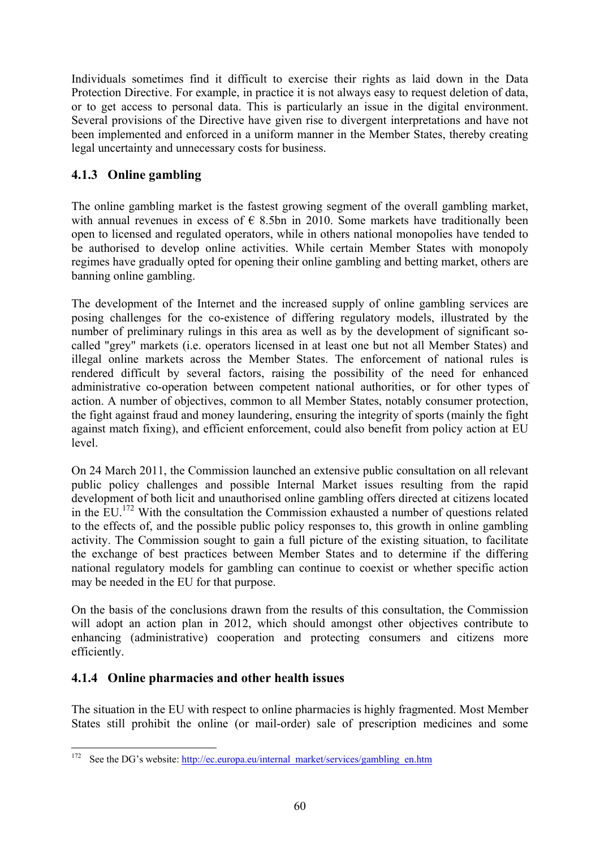Individuals sometimes find it difficult to exercise their rights as laid down in the Data Protection Directive. For example, in practice it is not always easy to request deletion of data, or to get access to personal data. This is particularly an issue in the digital environment. Several provisions of the Directive have given rise to divergent interpretations and have not been implemented and enforced in a uniform manner in the Member States, thereby creating legal uncertainty and unnecessary costs for business.

# **4.1.3 Online gambling**

The online gambling market is the fastest growing segment of the overall gambling market, with annual revenues in excess of  $\epsilon$  8.5bn in 2010. Some markets have traditionally been open to licensed and regulated operators, while in others national monopolies have tended to be authorised to develop online activities. While certain Member States with monopoly regimes have gradually opted for opening their online gambling and betting market, others are banning online gambling.

The development of the Internet and the increased supply of online gambling services are posing challenges for the co-existence of differing regulatory models, illustrated by the number of preliminary rulings in this area as well as by the development of significant socalled "grey" markets (i.e. operators licensed in at least one but not all Member States) and illegal online markets across the Member States. The enforcement of national rules is rendered difficult by several factors, raising the possibility of the need for enhanced administrative co-operation between competent national authorities, or for other types of action. A number of objectives, common to all Member States, notably consumer protection, the fight against fraud and money laundering, ensuring the integrity of sports (mainly the fight against match fixing), and efficient enforcement, could also benefit from policy action at EU level.

On 24 March 2011, the Commission launched an extensive public consultation on all relevant public policy challenges and possible Internal Market issues resulting from the rapid development of both licit and unauthorised online gambling offers directed at citizens located in the EU.<sup>172</sup> With the consultation the Commission exhausted a number of questions related to the effects of, and the possible public policy responses to, this growth in online gambling activity. The Commission sought to gain a full picture of the existing situation, to facilitate the exchange of best practices between Member States and to determine if the differing national regulatory models for gambling can continue to coexist or whether specific action may be needed in the EU for that purpose.

On the basis of the conclusions drawn from the results of this consultation, the Commission will adopt an action plan in 2012, which should amongst other objectives contribute to enhancing (administrative) cooperation and protecting consumers and citizens more efficiently.

### **4.1.4 Online pharmacies and other health issues**

1

The situation in the EU with respect to online pharmacies is highly fragmented. Most Member States still prohibit the online (or mail-order) sale of prescription medicines and some

<sup>&</sup>lt;sup>172</sup> See the DG's website: http://ec.europa.eu/internal\_market/services/gambling\_en.htm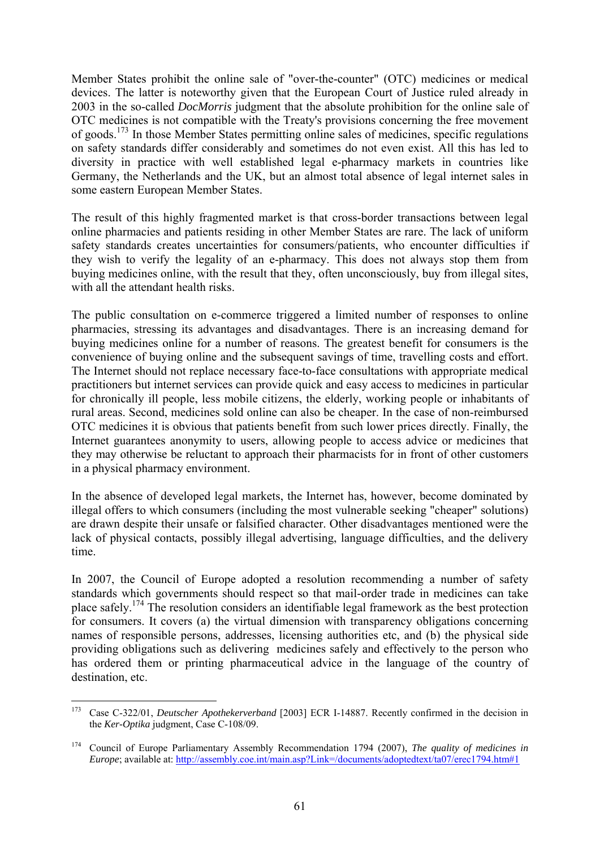Member States prohibit the online sale of "over-the-counter" (OTC) medicines or medical devices. The latter is noteworthy given that the European Court of Justice ruled already in 2003 in the so-called *DocMorris* judgment that the absolute prohibition for the online sale of OTC medicines is not compatible with the Treaty's provisions concerning the free movement of goods.<sup>173</sup> In those Member States permitting online sales of medicines, specific regulations on safety standards differ considerably and sometimes do not even exist. All this has led to diversity in practice with well established legal e-pharmacy markets in countries like Germany, the Netherlands and the UK, but an almost total absence of legal internet sales in some eastern European Member States.

The result of this highly fragmented market is that cross-border transactions between legal online pharmacies and patients residing in other Member States are rare. The lack of uniform safety standards creates uncertainties for consumers/patients, who encounter difficulties if they wish to verify the legality of an e-pharmacy. This does not always stop them from buying medicines online, with the result that they, often unconsciously, buy from illegal sites, with all the attendant health risks.

The public consultation on e-commerce triggered a limited number of responses to online pharmacies, stressing its advantages and disadvantages. There is an increasing demand for buying medicines online for a number of reasons. The greatest benefit for consumers is the convenience of buying online and the subsequent savings of time, travelling costs and effort. The Internet should not replace necessary face-to-face consultations with appropriate medical practitioners but internet services can provide quick and easy access to medicines in particular for chronically ill people, less mobile citizens, the elderly, working people or inhabitants of rural areas. Second, medicines sold online can also be cheaper. In the case of non-reimbursed OTC medicines it is obvious that patients benefit from such lower prices directly. Finally, the Internet guarantees anonymity to users, allowing people to access advice or medicines that they may otherwise be reluctant to approach their pharmacists for in front of other customers in a physical pharmacy environment.

In the absence of developed legal markets, the Internet has, however, become dominated by illegal offers to which consumers (including the most vulnerable seeking "cheaper" solutions) are drawn despite their unsafe or falsified character. Other disadvantages mentioned were the lack of physical contacts, possibly illegal advertising, language difficulties, and the delivery time.

In 2007, the Council of Europe adopted a resolution recommending a number of safety standards which governments should respect so that mail-order trade in medicines can take place safely.174 The resolution considers an identifiable legal framework as the best protection for consumers. It covers (a) the virtual dimension with transparency obligations concerning names of responsible persons, addresses, licensing authorities etc, and (b) the physical side providing obligations such as delivering medicines safely and effectively to the person who has ordered them or printing pharmaceutical advice in the language of the country of destination, etc.

<sup>173</sup> 173 Case C-322/01, *Deutscher Apothekerverband* [2003] ECR I-14887. Recently confirmed in the decision in the *Ker-Optika* judgment, Case C-108/09.

<sup>174</sup> Council of Europe Parliamentary Assembly Recommendation 1794 (2007), *The quality of medicines in Europe*; available at: http://assembly.coe.int/main.asp?Link=/documents/adoptedtext/ta07/erec1794.htm#1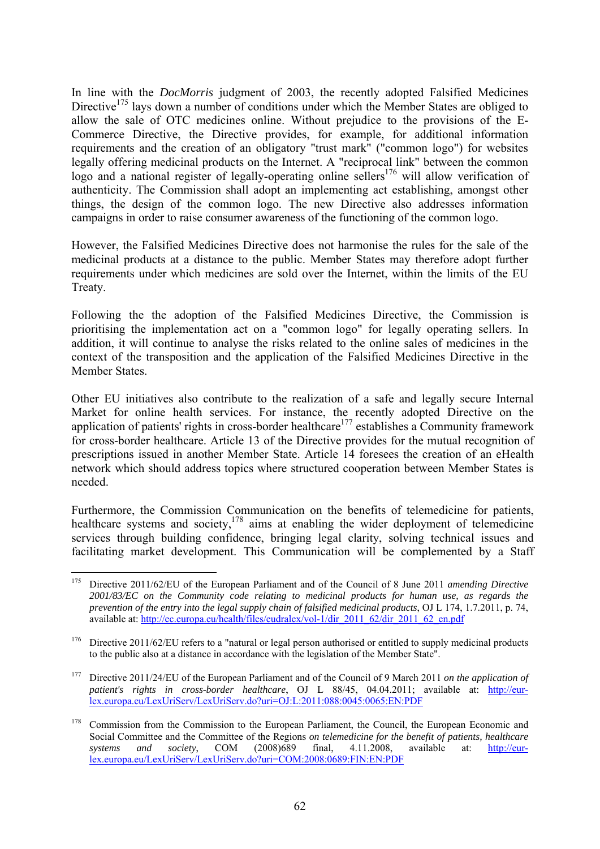In line with the *DocMorris* judgment of 2003, the recently adopted Falsified Medicines Directive<sup>175</sup> lays down a number of conditions under which the Member States are obliged to allow the sale of OTC medicines online. Without prejudice to the provisions of the E-Commerce Directive, the Directive provides, for example, for additional information requirements and the creation of an obligatory "trust mark" ("common logo") for websites legally offering medicinal products on the Internet. A "reciprocal link" between the common logo and a national register of legally-operating online sellers<sup>176</sup> will allow verification of authenticity. The Commission shall adopt an implementing act establishing, amongst other things, the design of the common logo. The new Directive also addresses information campaigns in order to raise consumer awareness of the functioning of the common logo.

However, the Falsified Medicines Directive does not harmonise the rules for the sale of the medicinal products at a distance to the public. Member States may therefore adopt further requirements under which medicines are sold over the Internet, within the limits of the EU Treaty.

Following the the adoption of the Falsified Medicines Directive, the Commission is prioritising the implementation act on a "common logo" for legally operating sellers. In addition, it will continue to analyse the risks related to the online sales of medicines in the context of the transposition and the application of the Falsified Medicines Directive in the Member States.

Other EU initiatives also contribute to the realization of a safe and legally secure Internal Market for online health services. For instance, the recently adopted Directive on the application of patients' rights in cross-border healthcare<sup>177</sup> establishes a Community framework for cross-border healthcare. Article 13 of the Directive provides for the mutual recognition of prescriptions issued in another Member State. Article 14 foresees the creation of an eHealth network which should address topics where structured cooperation between Member States is needed.

Furthermore, the Commission Communication on the benefits of telemedicine for patients, healthcare systems and society, $178$  aims at enabling the wider deployment of telemedicine services through building confidence, bringing legal clarity, solving technical issues and facilitating market development. This Communication will be complemented by a Staff

<sup>175</sup> 175 Directive 2011/62/EU of the European Parliament and of the Council of 8 June 2011 *amending Directive 2001/83/EC on the Community code relating to medicinal products for human use, as regards the prevention of the entry into the legal supply chain of falsified medicinal products*, OJ L 174, 1.7.2011, p. 74, availab[le at:](http://ec.europa.eu/health/files/eudralex/vol-1/dir_2011_62/dir_2011_62_en.pdf) http://ec.europa.eu/health/files/eudralex/vol-1/dir\_2011\_62/dir\_2011\_62\_en.pdf

<sup>&</sup>lt;sup>176</sup> Directive 2011/62/EU refers to a "natural or legal person authorised or entitled to supply medicinal products to the public also at a distance in accordance with the legislation of the Member State".

<sup>177</sup> Directive 2011/24/EU of the European Parliament and of the Council of 9 March 2011 *on the application of patient's rights in cross-border healthcare*, OJ L 88/45, 04.04.2011; available at: [http://eur](http://eur-lex.europa.eu/LexUriServ/LexUriServ.do?uri=OJ:L:2011:088:0045:0065:EN:PDF)[lex.europa.eu/LexUriServ/LexUriServ.do?uri=OJ:L:2011:088:0045:0065:EN:PDF](http://eur-lex.europa.eu/LexUriServ/LexUriServ.do?uri=OJ:L:2011:088:0045:0065:EN:PDF) 

<sup>&</sup>lt;sup>178</sup> Commission from the Commission to the European Parliament, the Council, the European Economic and Social Committee and the Committee of the Regions *on telemedicine for the benefit of patients, healthcare systems* and *society*. COM (2008)689 final. 4.11.2008 available at: http://eur*systems and society*, COM (2008)689 final, 4.11.2008, available at: [http://eur](http://eur-lex.europa.eu/LexUriServ/LexUriServ.do?uri=COM:2008:0689:FIN:EN:PDF)[lex.europa.eu/LexUriServ/LexUriServ.do?uri=COM:2008:0689:FIN:EN:PDF](http://eur-lex.europa.eu/LexUriServ/LexUriServ.do?uri=COM:2008:0689:FIN:EN:PDF)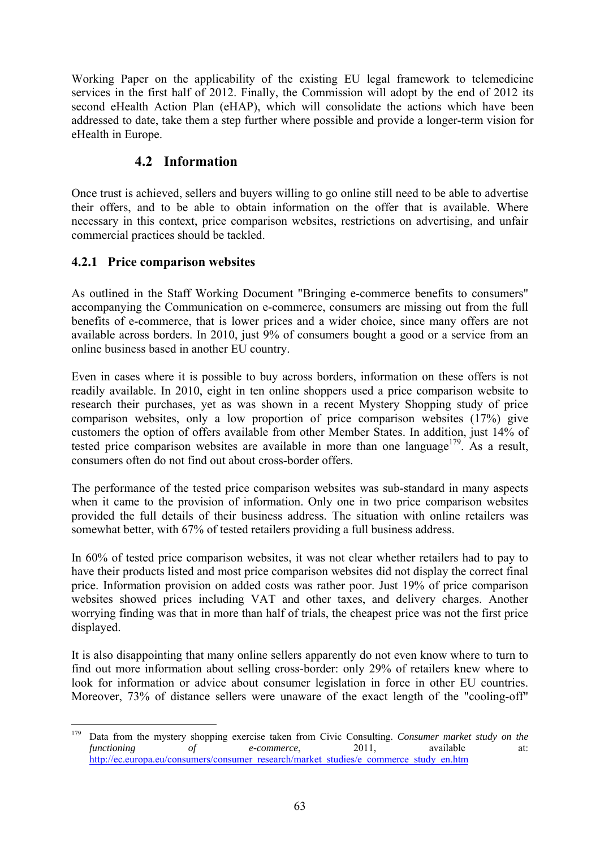Working Paper on the applicability of the existing EU legal framework to telemedicine services in the first half of 2012. Finally, the Commission will adopt by the end of 2012 its second eHealth Action Plan (eHAP), which will consolidate the actions which have been addressed to date, take them a step further where possible and provide a longer-term vision for eHealth in Europe.

### **4.2 Information**

Once trust is achieved, sellers and buyers willing to go online still need to be able to advertise their offers, and to be able to obtain information on the offer that is available. Where necessary in this context, price comparison websites, restrictions on advertising, and unfair commercial practices should be tackled.

### **4.2.1 Price comparison websites**

As outlined in the Staff Working Document "Bringing e-commerce benefits to consumers" accompanying the Communication on e-commerce, consumers are missing out from the full benefits of e-commerce, that is lower prices and a wider choice, since many offers are not available across borders. In 2010, just 9% of consumers bought a good or a service from an online business based in another EU country.

Even in cases where it is possible to buy across borders, information on these offers is not readily available. In 2010, eight in ten online shoppers used a price comparison website to research their purchases, yet as was shown in a recent Mystery Shopping study of price comparison websites, only a low proportion of price comparison websites (17%) give customers the option of offers available from other Member States. In addition, just 14% of tested price comparison websites are available in more than one language<sup>179</sup>. As a result, consumers often do not find out about cross-border offers.

The performance of the tested price comparison websites was sub-standard in many aspects when it came to the provision of information. Only one in two price comparison websites provided the full details of their business address. The situation with online retailers was somewhat better, with 67% of tested retailers providing a full business address.

In 60% of tested price comparison websites, it was not clear whether retailers had to pay to have their products listed and most price comparison websites did not display the correct final price. Information provision on added costs was rather poor. Just 19% of price comparison websites showed prices including VAT and other taxes, and delivery charges. Another worrying finding was that in more than half of trials, the cheapest price was not the first price displayed.

It is also disappointing that many online sellers apparently do not even know where to turn to find out more information about selling cross-border: only 29% of retailers knew where to look for information or advice about consumer legislation in force in other EU countries. Moreover, 73% of distance sellers were unaware of the exact length of the "cooling-off"

<sup>179</sup> 179 Data from the mystery shopping exercise taken from Civic Consulting. *Consumer market study on the functioning of e-commerce*, 2011, available at: [http://ec.europa.eu/consumers/consumer\\_research/market\\_studies/e\\_commerce\\_study\\_en.htm](http://ec.europa.eu/consumers/consumer_research/market_studies/e_commerce_study_en.htm)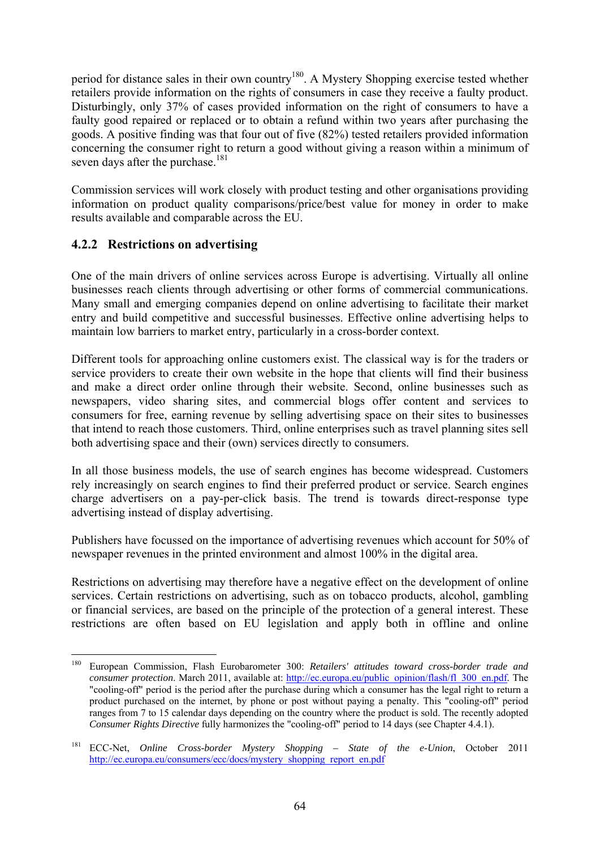period for distance sales in their own country<sup>180</sup>. A Mystery Shopping exercise tested whether retailers provide information on the rights of consumers in case they receive a faulty product. Disturbingly, only 37% of cases provided information on the right of consumers to have a faulty good repaired or replaced or to obtain a refund within two years after purchasing the goods. A positive finding was that four out of five (82%) tested retailers provided information concerning the consumer right to return a good without giving a reason within a minimum of seven days after the purchase.<sup>181</sup>

Commission services will work closely with product testing and other organisations providing information on product quality comparisons/price/best value for money in order to make results available and comparable across the EU.

### **4.2.2 Restrictions on advertising**

One of the main drivers of online services across Europe is advertising. Virtually all online businesses reach clients through advertising or other forms of commercial communications. Many small and emerging companies depend on online advertising to facilitate their market entry and build competitive and successful businesses. Effective online advertising helps to maintain low barriers to market entry, particularly in a cross-border context.

Different tools for approaching online customers exist. The classical way is for the traders or service providers to create their own website in the hope that clients will find their business and make a direct order online through their website. Second, online businesses such as newspapers, video sharing sites, and commercial blogs offer content and services to consumers for free, earning revenue by selling advertising space on their sites to businesses that intend to reach those customers. Third, online enterprises such as travel planning sites sell both advertising space and their (own) services directly to consumers.

In all those business models, the use of search engines has become widespread. Customers rely increasingly on search engines to find their preferred product or service. Search engines charge advertisers on a pay-per-click basis. The trend is towards direct-response type advertising instead of display advertising.

Publishers have focussed on the importance of advertising revenues which account for 50% of newspaper revenues in the printed environment and almost 100% in the digital area.

Restrictions on advertising may therefore have a negative effect on the development of online services. Certain restrictions on advertising, such as on tobacco products, alcohol, gambling or financial services, are based on the principle of the protection of a general interest. These restrictions are often based on EU legislation and apply both in offline and online

<sup>180</sup> 180 European Commission, Flash Eurobarometer 300: *Retailers' attitudes toward cross-border trade and consumer protection*. March 2011, available at: [http://ec.europa.eu/public\\_opinion/flash/fl\\_300\\_en.pdf.](http://ec.europa.eu/public_opinion/flash/fl_300_en.pdf) The "cooling-off" period is the period after the purchase during which a consumer has the legal right to return a product purchased on the internet, by phone or post without paying a penalty. This "cooling-off" period ranges from 7 to 15 calendar days depending on the country where the product is sold. The recently adopted *Consumer Rights Directive* fully harmonizes the "cooling-off" period to 14 days (see Chapter 4.4.1).

<sup>181</sup> ECC-Net, *Online Cross-border Mystery Shopping – State of the e-Union*, October 2011 [http://ec.europa.eu/consumers/ecc/docs/mystery\\_shopping\\_report\\_en.pdf](http://ec.europa.eu/consumers/ecc/docs/mystery_shopping_report_en.pdf)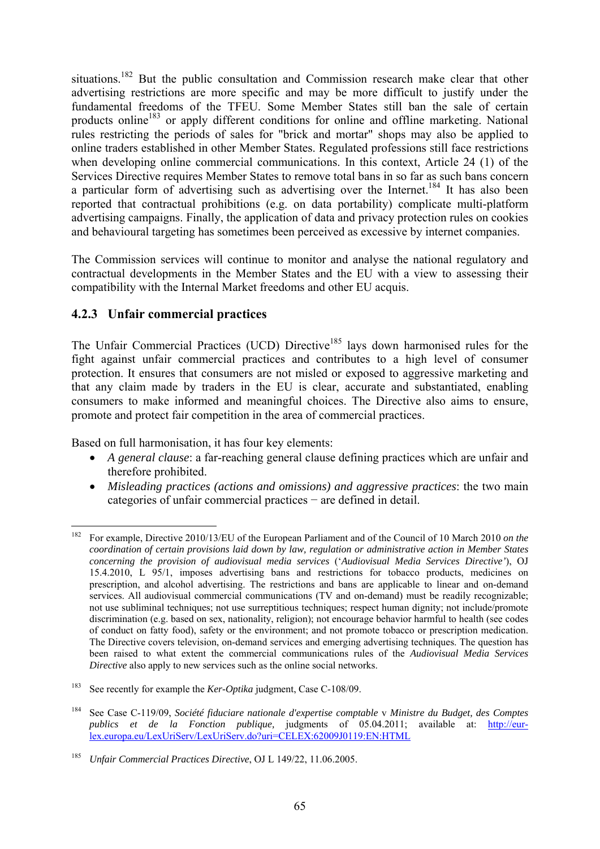situations.<sup>182</sup> But the public consultation and Commission research make clear that other advertising restrictions are more specific and may be more difficult to justify under the fundamental freedoms of the TFEU. Some Member States still ban the sale of certain products online<sup>183</sup> or apply different conditions for online and offline marketing. National rules restricting the periods of sales for "brick and mortar" shops may also be applied to online traders established in other Member States. Regulated professions still face restrictions when developing online commercial communications. In this context, Article 24 (1) of the Services Directive requires Member States to remove total bans in so far as such bans concern a particular form of advertising such as advertising over the Internet.<sup>184</sup> It has also been reported that contractual prohibitions (e.g. on data portability) complicate multi-platform advertising campaigns. Finally, the application of data and privacy protection rules on cookies and behavioural targeting has sometimes been perceived as excessive by internet companies.

The Commission services will continue to monitor and analyse the national regulatory and contractual developments in the Member States and the EU with a view to assessing their compatibility with the Internal Market freedoms and other EU acquis.

### **4.2.3 Unfair commercial practices**

The Unfair Commercial Practices (UCD) Directive<sup>185</sup> lays down harmonised rules for the fight against unfair commercial practices and contributes to a high level of consumer protection. It ensures that consumers are not misled or exposed to aggressive marketing and that any claim made by traders in the EU is clear, accurate and substantiated, enabling consumers to make informed and meaningful choices. The Directive also aims to ensure, promote and protect fair competition in the area of commercial practices.

Based on full harmonisation, it has four key elements:

- *A general clause*: a far-reaching general clause defining practices which are unfair and therefore prohibited.
- *Misleading practices (actions and omissions) and aggressive practices*: the two main categories of unfair commercial practices − are defined in detail.

<sup>&</sup>lt;u>.</u> 182 For example, Directive 2010/13/EU of the European Parliament and of the Council of 10 March 2010 *on the coordination of certain provisions laid down by law, regulation or administrative action in Member States concerning the provision of audiovisual media services* ('*Audiovisual Media Services Directive'*), OJ 15.4.2010, L 95/1, imposes advertising bans and restrictions for tobacco products, medicines on prescription, and alcohol advertising. The restrictions and bans are applicable to linear and on-demand services. All audiovisual commercial communications (TV and on-demand) must be readily recognizable; not use subliminal techniques; not use surreptitious techniques; respect human dignity; not include/promote discrimination (e.g. based on sex, nationality, religion); not encourage behavior harmful to health (see codes of conduct on fatty food), safety or the environment; and not promote tobacco or prescription medication. The Directive covers television, on-demand services and emerging advertising techniques. The question has been raised to what extent the commercial communications rules of the *Audiovisual Media Services Directive* also apply to new services such as the online social networks.

<sup>183</sup> See recently for example the *Ker-Optika* judgment, Case C-108/09.

<sup>184</sup> See Case C-119/09, *Société fiduciare nationale d'expertise comptable* v *Ministre du Budget, des Comptes publics et de la Fonction publique,* judgments of 05.04.2011; available at: [http://eur](http://eur-lex.europa.eu/LexUriServ/LexUriServ.do?uri=CELEX:62009J0119:EN:HTML)[lex.europa.eu/LexUriServ/LexUriServ.do?uri=CELEX:62009J0119:EN:HTML](http://eur-lex.europa.eu/LexUriServ/LexUriServ.do?uri=CELEX:62009J0119:EN:HTML)

<sup>185</sup> *Unfair Commercial Practices Directive*, OJ L 149/22, 11.06.2005.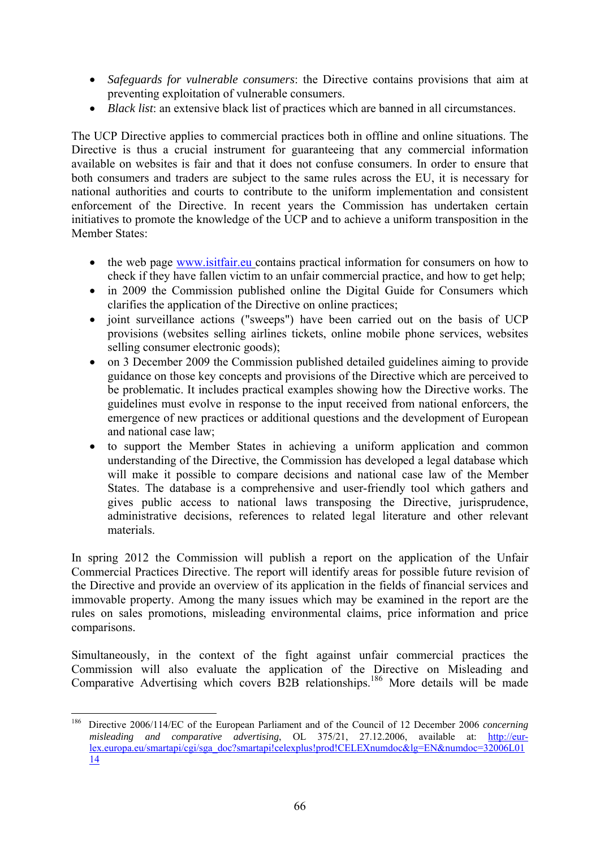- *Safeguards for vulnerable consumers*: the Directive contains provisions that aim at preventing exploitation of vulnerable consumers.
- *Black list*: an extensive black list of practices which are banned in all circumstances.

The UCP Directive applies to commercial practices both in offline and online situations. The Directive is thus a crucial instrument for guaranteeing that any commercial information available on websites is fair and that it does not confuse consumers. In order to ensure that both consumers and traders are subject to the same rules across the EU, it is necessary for national authorities and courts to contribute to the uniform implementation and consistent enforcement of the Directive. In recent years the Commission has undertaken certain initiatives to promote the knowledge of the UCP and to achieve a uniform transposition in the Member States:

- the web page [www.isitfair.eu](http://www.isitfair.eu/) contains practical information for consumers on how to check if they have fallen victim to an unfair commercial practice, and how to get help;
- in 2009 the Commission published online the Digital Guide for Consumers which clarifies the application of the Directive on online practices;
- joint surveillance actions ("sweeps") have been carried out on the basis of UCP provisions (websites selling airlines tickets, online mobile phone services, websites selling consumer electronic goods);
- on 3 December 2009 the Commission published detailed guidelines aiming to provide guidance on those key concepts and provisions of the Directive which are perceived to be problematic. It includes practical examples showing how the Directive works. The guidelines must evolve in response to the input received from national enforcers, the emergence of new practices or additional questions and the development of European and national case law;
- to support the Member States in achieving a uniform application and common understanding of the Directive, the Commission has developed a legal database which will make it possible to compare decisions and national case law of the Member States. The database is a comprehensive and user-friendly tool which gathers and gives public access to national laws transposing the Directive, jurisprudence, administrative decisions, references to related legal literature and other relevant materials.

In spring 2012 the Commission will publish a report on the application of the Unfair Commercial Practices Directive. The report will identify areas for possible future revision of the Directive and provide an overview of its application in the fields of financial services and immovable property. Among the many issues which may be examined in the report are the rules on sales promotions, misleading environmental claims, price information and price comparisons.

Simultaneously, in the context of the fight against unfair commercial practices the Commission will also evaluate the application of the Directive on Misleading and Comparative Advertising which covers B2B relationships.186 More details will be made

<sup>186</sup> 186 Directive 2006/114/EC of the European Parliament and of the Council of 12 December 2006 *concerning misleading and comparative advertising*, OL 375/21, 27.12.2006, available at: [http://eur](http://eur-lex.europa.eu/smartapi/cgi/sga_doc?smartapi!celexplus!prod!CELEXnumdoc&lg=EN&numdoc=32006L0114)[lex.europa.eu/smartapi/cgi/sga\\_doc?smartapi!celexplus!prod!CELEXnumdoc&lg=EN&numdoc=32006L01](http://eur-lex.europa.eu/smartapi/cgi/sga_doc?smartapi!celexplus!prod!CELEXnumdoc&lg=EN&numdoc=32006L0114) [14](http://eur-lex.europa.eu/smartapi/cgi/sga_doc?smartapi!celexplus!prod!CELEXnumdoc&lg=EN&numdoc=32006L0114)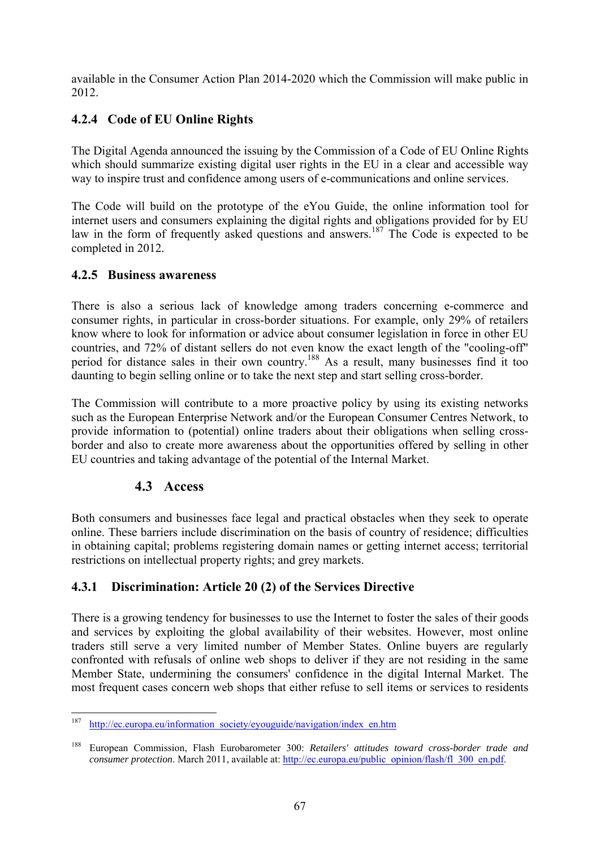available in the Consumer Action Plan 2014-2020 which the Commission will make public in 2012.

# **4.2.4 Code of EU Online Rights**

The Digital Agenda announced the issuing by the Commission of a Code of EU Online Rights which should summarize existing digital user rights in the EU in a clear and accessible way way to inspire trust and confidence among users of e-communications and online services.

The Code will build on the prototype of the eYou Guide, the online information tool for internet users and consumers explaining the digital rights and obligations provided for by EU law in the form of frequently asked questions and answers.<sup>187</sup> The Code is expected to be completed in 2012.

### **4.2.5 Business awareness**

There is also a serious lack of knowledge among traders concerning e-commerce and consumer rights, in particular in cross-border situations. For example, only 29% of retailers know where to look for information or advice about consumer legislation in force in other EU countries, and 72% of distant sellers do not even know the exact length of the "cooling-off" period for distance sales in their own country.188 As a result, many businesses find it too daunting to begin selling online or to take the next step and start selling cross-border.

The Commission will contribute to a more proactive policy by using its existing networks such as the European Enterprise Network and/or the European Consumer Centres Network, to provide information to (potential) online traders about their obligations when selling crossborder and also to create more awareness about the opportunities offered by selling in other EU countries and taking advantage of the potential of the Internal Market.

# **4.3 Access**

Both consumers and businesses face legal and practical obstacles when they seek to operate online. These barriers include discrimination on the basis of country of residence; difficulties in obtaining capital; problems registering domain names or getting internet access; territorial restrictions on intellectual property rights; and grey markets.

# **4.3.1 Discrimination: Article 20 (2) of the Services Directive**

There is a growing tendency for businesses to use the Internet to foster the sales of their goods and services by exploiting the global availability of their websites. However, most online traders still serve a very limited number of Member States. Online buyers are regularly confronted with refusals of online web shops to deliver if they are not residing in the same Member State, undermining the consumers' confidence in the digital Internal Market. The most frequent cases concern web shops that either refuse to sell items or services to residents

<sup>187</sup> http://ec.europa.eu/information\_society/eyouguide/navigation/index\_en.htm

<sup>188</sup> European Commission, Flash Eurobarometer 300: *Retailers' attitudes toward cross-border trade and consumer protection*. March 2011, available at: http://ec.europa.eu/public\_opinion/flash/fl\_300\_en.pdf.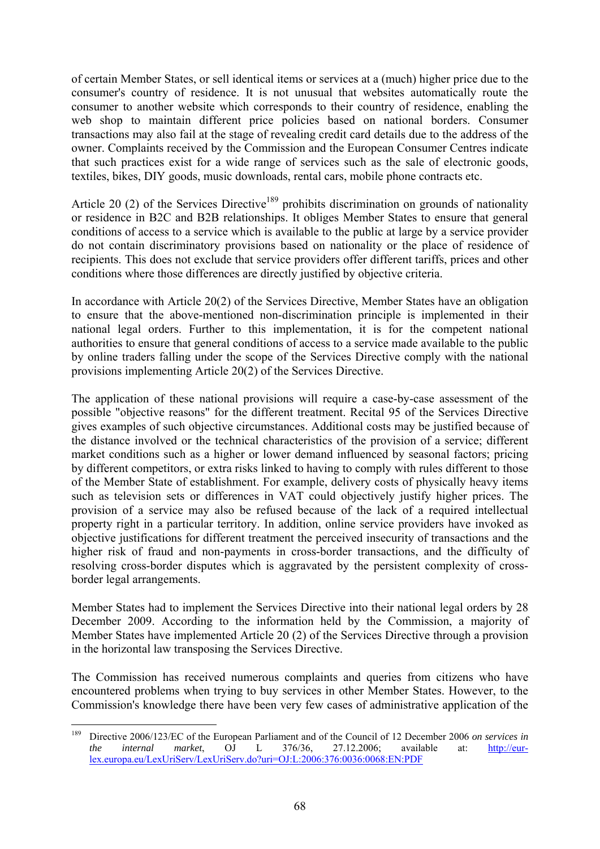of certain Member States, or sell identical items or services at a (much) higher price due to the consumer's country of residence. It is not unusual that websites automatically route the consumer to another website which corresponds to their country of residence, enabling the web shop to maintain different price policies based on national borders. Consumer transactions may also fail at the stage of revealing credit card details due to the address of the owner. Complaints received by the Commission and the European Consumer Centres indicate that such practices exist for a wide range of services such as the sale of electronic goods, textiles, bikes, DIY goods, music downloads, rental cars, mobile phone contracts etc.

Article 20 (2) of the Services Directive<sup>189</sup> prohibits discrimination on grounds of nationality or residence in B2C and B2B relationships. It obliges Member States to ensure that general conditions of access to a service which is available to the public at large by a service provider do not contain discriminatory provisions based on nationality or the place of residence of recipients. This does not exclude that service providers offer different tariffs, prices and other conditions where those differences are directly justified by objective criteria.

In accordance with Article 20(2) of the Services Directive, Member States have an obligation to ensure that the above-mentioned non-discrimination principle is implemented in their national legal orders. Further to this implementation, it is for the competent national authorities to ensure that general conditions of access to a service made available to the public by online traders falling under the scope of the Services Directive comply with the national provisions implementing Article 20(2) of the Services Directive.

The application of these national provisions will require a case-by-case assessment of the possible "objective reasons" for the different treatment. Recital 95 of the Services Directive gives examples of such objective circumstances. Additional costs may be justified because of the distance involved or the technical characteristics of the provision of a service; different market conditions such as a higher or lower demand influenced by seasonal factors; pricing by different competitors, or extra risks linked to having to comply with rules different to those of the Member State of establishment. For example, delivery costs of physically heavy items such as television sets or differences in VAT could objectively justify higher prices. The provision of a service may also be refused because of the lack of a required intellectual property right in a particular territory. In addition, online service providers have invoked as objective justifications for different treatment the perceived insecurity of transactions and the higher risk of fraud and non-payments in cross-border transactions, and the difficulty of resolving cross-border disputes which is aggravated by the persistent complexity of crossborder legal arrangements.

Member States had to implement the Services Directive into their national legal orders by 28 December 2009. According to the information held by the Commission, a majority of Member States have implemented Article 20 (2) of the Services Directive through a provision in the horizontal law transposing the Services Directive.

The Commission has received numerous complaints and queries from citizens who have encountered problems when trying to buy services in other Member States. However, to the Commission's knowledge there have been very few cases of administrative application of the

<sup>189</sup> 189 Directive 2006/123/EC of the European Parliament and of the Council of 12 December 2006 *on services in the internal market*, OJ L 376/36, 27.12.2006; available at: [http://eur](http://eur-lex.europa.eu/LexUriServ/LexUriServ.do?uri=OJ:L:2006:376:0036:0068:EN:PDF)[lex.europa.eu/LexUriServ/LexUriServ.do?uri=OJ:L:2006:376:0036:0068:EN:PDF](http://eur-lex.europa.eu/LexUriServ/LexUriServ.do?uri=OJ:L:2006:376:0036:0068:EN:PDF)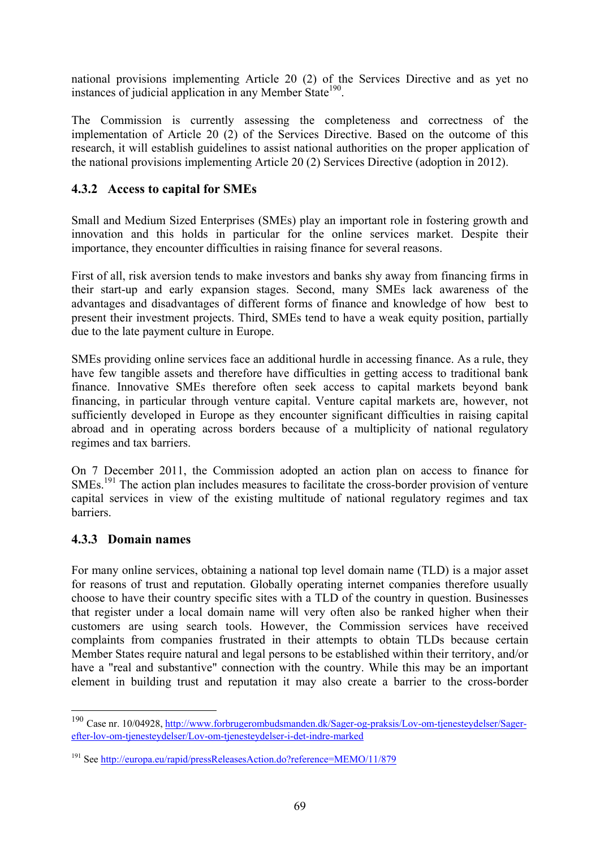national provisions implementing Article 20 (2) of the Services Directive and as yet no instances of judicial application in any Member State<sup>190</sup>.

The Commission is currently assessing the completeness and correctness of the implementation of Article 20 (2) of the Services Directive. Based on the outcome of this research, it will establish guidelines to assist national authorities on the proper application of the national provisions implementing Article 20 (2) Services Directive (adoption in 2012).

### **4.3.2 Access to capital for SMEs**

Small and Medium Sized Enterprises (SMEs) play an important role in fostering growth and innovation and this holds in particular for the online services market. Despite their importance, they encounter difficulties in raising finance for several reasons.

First of all, risk aversion tends to make investors and banks shy away from financing firms in their start-up and early expansion stages. Second, many SMEs lack awareness of the advantages and disadvantages of different forms of finance and knowledge of how best to present their investment projects. Third, SMEs tend to have a weak equity position, partially due to the late payment culture in Europe.

SMEs providing online services face an additional hurdle in accessing finance. As a rule, they have few tangible assets and therefore have difficulties in getting access to traditional bank finance. Innovative SMEs therefore often seek access to capital markets beyond bank financing, in particular through venture capital. Venture capital markets are, however, not sufficiently developed in Europe as they encounter significant difficulties in raising capital abroad and in operating across borders because of a multiplicity of national regulatory regimes and tax barriers.

On 7 December 2011, the Commission adopted an action plan on access to finance for SMEs.<sup>191</sup> The action plan includes measures to facilitate the cross-border provision of venture capital services in view of the existing multitude of national regulatory regimes and tax barriers.

# **4.3.3 Domain names**

1

For many online services, obtaining a national top level domain name (TLD) is a major asset for reasons of trust and reputation. Globally operating internet companies therefore usually choose to have their country specific sites with a TLD of the country in question. Businesses that register under a local domain name will very often also be ranked higher when their customers are using search tools. However, the Commission services have received complaints from companies frustrated in their attempts to obtain TLDs because certain Member States require natural and legal persons to be established within their territory, and/or have a "real and substantive" connection with the country. While this may be an important element in building trust and reputation it may also create a barrier to the cross-border

<sup>190</sup> Case nr. 10/04928, [http://www.forbrugerombudsmanden.dk/Sager-og-praksis/Lov-om-tjenesteydelser/Sager](http://www.forbrugerombudsmanden.dk/Sager-og-praksis/Lov-om-tjenesteydelser/Sager-efter-lov-om-tjenesteydelser/Lov-om-tjenesteydelser-i-det-indre-marked)[efter-lov-om-tjenesteydelser/Lov-om-tjenesteydelser-i-det-indre-marked](http://www.forbrugerombudsmanden.dk/Sager-og-praksis/Lov-om-tjenesteydelser/Sager-efter-lov-om-tjenesteydelser/Lov-om-tjenesteydelser-i-det-indre-marked)

[<sup>191</sup> See http://europa.eu/rapid/pressReleasesAction.do?reference=MEMO/11/879](http://europa.eu/rapid/pressReleasesAction.do?reference=MEMO/11/879)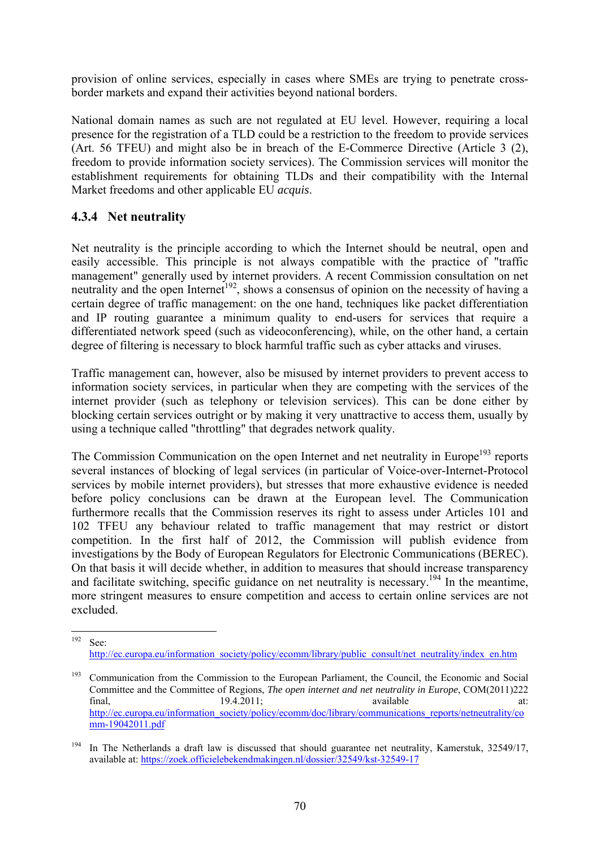provision of online services, especially in cases where SMEs are trying to penetrate crossborder markets and expand their activities beyond national borders.

National domain names as such are not regulated at EU level. However, requiring a local presence for the registration of a TLD could be a restriction to the freedom to provide services (Art. 56 TFEU) and might also be in breach of the E-Commerce Directive (Article 3 (2), freedom to provide information society services). The Commission services will monitor the establishment requirements for obtaining TLDs and their compatibility with the Internal Market freedoms and other applicable EU *acquis*.

### **4.3.4 Net neutrality**

Net neutrality is the principle according to which the Internet should be neutral, open and easily accessible. This principle is not always compatible with the practice of "traffic management" generally used by internet providers. A recent Commission consultation on net neutrality and the open Internet<sup> $192$ </sup>, shows a consensus of opinion on the necessity of having a certain degree of traffic management: on the one hand, techniques like packet differentiation and IP routing guarantee a minimum quality to end-users for services that require a differentiated network speed (such as videoconferencing), while, on the other hand, a certain degree of filtering is necessary to block harmful traffic such as cyber attacks and viruses.

Traffic management can, however, also be misused by internet providers to prevent access to information society services, in particular when they are competing with the services of the internet provider (such as telephony or television services). This can be done either by blocking certain services outright or by making it very unattractive to access them, usually by using a technique called "throttling" that degrades network quality.

The Commission Communication on the open Internet and net neutrality in Europe<sup>193</sup> reports several instances of blocking of legal services (in particular of Voice-over-Internet-Protocol services by mobile internet providers), but stresses that more exhaustive evidence is needed before policy conclusions can be drawn at the European level. The Communication furthermore recalls that the Commission reserves its right to assess under Articles 101 and 102 TFEU any behaviour related to traffic management that may restrict or distort competition. In the first half of 2012, the Commission will publish evidence from investigations by the Body of European Regulators for Electronic Communications (BEREC). On that basis it will decide whether, in addition to measures that should increase transparency and facilitate switching, specific guidance on net neutrality is necessary.<sup>194</sup> In the meantime, more stringent measures to ensure competition and access to certain online services are not excluded.

<sup>192</sup> See:

[http://ec.europa.eu/information\\_society/policy/ecomm/library/public\\_consult/net\\_neutrality/index\\_en.htm](http://ec.europa.eu/information_society/policy/ecomm/library/public_consult/net_neutrality/index_en.htm) 

<sup>&</sup>lt;sup>193</sup> Communication from the Commission to the European Parliament, the Council, the Economic and Social Committee and the Committee of Regions, *The open internet and net neutrality in Europe*, COM(2011)222 final, 19.4.2011; available at: [http://ec.europa.eu/information\\_society/policy/ecomm/doc/library/communications\\_reports/netneutrality/co](http://ec.europa.eu/information_society/policy/ecomm/doc/library/communications_reports/netneutrality/comm-19042011.pdf) [mm-19042011.pdf](http://ec.europa.eu/information_society/policy/ecomm/doc/library/communications_reports/netneutrality/comm-19042011.pdf)

<sup>&</sup>lt;sup>194</sup> In The Netherlands a draft law is discussed that should guarantee net neutrality, Kamerstuk, 32549/17, [available at: https://zoek.officielebekendmakingen.nl/dossier/32549/kst-32549-17](https://zoek.officielebekendmakingen.nl/dossier/32549/kst-32549-17)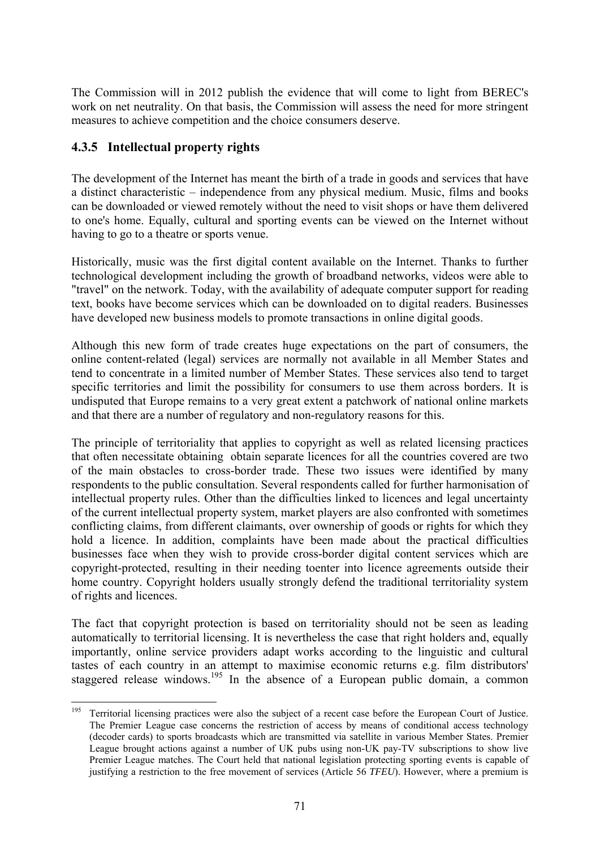The Commission will in 2012 publish the evidence that will come to light from BEREC's work on net neutrality. On that basis, the Commission will assess the need for more stringent measures to achieve competition and the choice consumers deserve.

### **4.3.5 Intellectual property rights**

The development of the Internet has meant the birth of a trade in goods and services that have a distinct characteristic – independence from any physical medium. Music, films and books can be downloaded or viewed remotely without the need to visit shops or have them delivered to one's home. Equally, cultural and sporting events can be viewed on the Internet without having to go to a theatre or sports venue.

Historically, music was the first digital content available on the Internet. Thanks to further technological development including the growth of broadband networks, videos were able to "travel" on the network. Today, with the availability of adequate computer support for reading text, books have become services which can be downloaded on to digital readers. Businesses have developed new business models to promote transactions in online digital goods.

Although this new form of trade creates huge expectations on the part of consumers, the online content-related (legal) services are normally not available in all Member States and tend to concentrate in a limited number of Member States. These services also tend to target specific territories and limit the possibility for consumers to use them across borders. It is undisputed that Europe remains to a very great extent a patchwork of national online markets and that there are a number of regulatory and non-regulatory reasons for this.

The principle of territoriality that applies to copyright as well as related licensing practices that often necessitate obtaining obtain separate licences for all the countries covered are two of the main obstacles to cross-border trade. These two issues were identified by many respondents to the public consultation. Several respondents called for further harmonisation of intellectual property rules. Other than the difficulties linked to licences and legal uncertainty of the current intellectual property system, market players are also confronted with sometimes conflicting claims, from different claimants, over ownership of goods or rights for which they hold a licence. In addition, complaints have been made about the practical difficulties businesses face when they wish to provide cross-border digital content services which are copyright-protected, resulting in their needing toenter into licence agreements outside their home country. Copyright holders usually strongly defend the traditional territoriality system of rights and licences.

Th[e fact that copyright protection is based on](http://curia.europa.eu/juris/recherche.jsf?language=en) territoriality should not be seen as leading automatically to territorial licensing. It is nevertheless the case that right holders and, equally importantly, online service providers adapt works according to the linguistic and cultural tastes of each country in an attempt to maximise economic returns e.g. film distributors' staggered release windows.<sup>195</sup> In the absence of a European public domain, a common

<sup>195</sup> 195 Territorial licensing practices were also the subject of a recent case before the European Court of Justice. The Premier League case concerns the restriction of access by means of conditional access technology (decoder cards) to sports broadcasts which are transmitted via satellite in various Member States. Premier League brought actions against a number of UK pubs using non-UK pay-TV subscriptions to show live Premier League matches. The Court held that national legislation protecting sporting events is capable of justifying a restriction to the free movement of services (Article 56 *TFEU*). However, where a premium is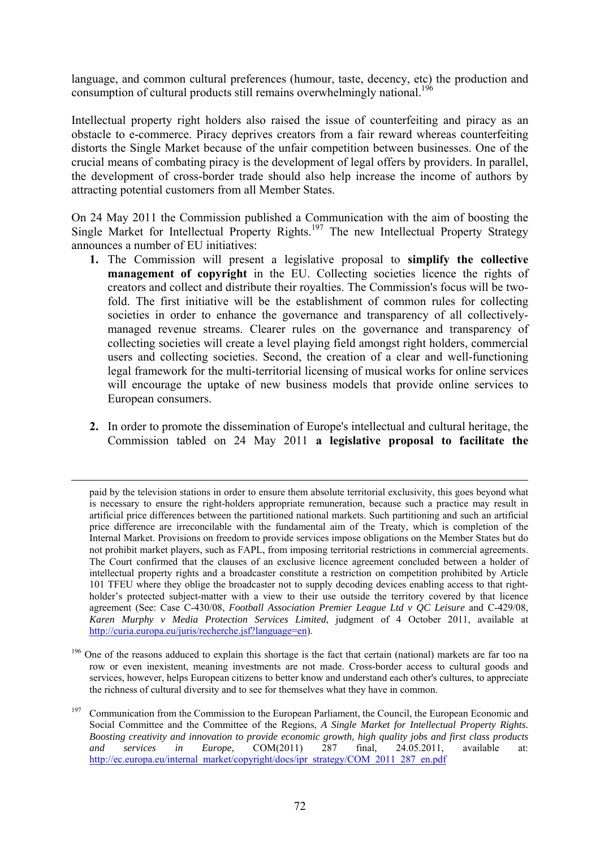language, and common cultural preferences (humour, taste, decency, etc) the production and consumption of cultural products still remains overwhelmingly national.<sup>196</sup>

Intellectual property right holders also raised the issue of counterfeiting and piracy as an obstacle to e-commerce. Piracy deprives creators from a fair reward whereas counterfeiting distorts the Single Market because of the unfair competition between businesses. One of the crucial means of combating piracy is the development of legal offers by providers. In parallel, the development of cross-border trade should also help increase the income of authors by attracting potential customers from all Member States.

On 24 May 2011 the Commission published a Communication with the aim of boosting the Single Market for Intellectual Property Rights.<sup>197</sup> The new Intellectual Property Strategy announces a number of EU initiatives:

- **1.** The Commission will present a legislative proposal to **simplify the collective management of copyright** in the EU. Collecting societies licence the rights of creators and collect and distribute their royalties. The Commission's focus will be twofold. The first initiative will be the establishment of common rules for collecting societies in order to enhance the governance and transparency of all collectivelymanaged revenue streams. Clearer rules on the governance and transparency of collecting societies will create a level playing field amongst right holders, commercial users and collecting societies. Second, the creation of a clear and well-functioning legal framework for the multi-territorial licensing of musical works for online services will encourage the uptake of new business models that provide online services to European consumers.
- **2.** In order to promote the dissemination of Europe's intellectual and cultural heritage, the Commission tabled on 24 May 2011 **a legislative proposal to facilitate the**

paid by the television stations in order to ensure them absolute territorial exclusivity, this goes beyond what is necessary to ensure the right-holders appropriate remuneration, because such a practice may result in artificial price differences between the partitioned national markets. Such partitioning and such an artificial price difference are irreconcilable with the fundamental aim of the Treaty, which is completion of the Internal Market. Provisions on freedom to provide services impose obligations on the Member States but do not prohibit market players, such as FAPL, from imposing territorial restrictions in commercial agreements. The Court confirmed that the clauses of an exclusive licence agreement concluded between a holder of intellectual property rights and a broadcaster constitute a restriction on competition prohibited by Article 101 TFEU where they oblige the broadcaster not to supply decoding devices enabling access to that rightholder's protected subject-matter with a view to their use outside the territory covered by that licence agreement (See: Case C-430/08, *Football Association Premier League Ltd v QC Leisure* and C-429/08, *Karen Murphy v Media Protection Services Limited*, judgment of 4 October 2011, available at http://curia.europa.eu/juris/recherche.jsf?language=en).

<sup>&</sup>lt;sup>196</sup> One of the reasons adduced to explain this shortage is the fact that certain (national) markets are far too na row or even inexistent, meaning investments are not made. Cross-border access to cultural goods and services, however, helps European citizens to better know and understand each other's cultures, to appreciate the richness of cultural diversity and to see for themselves what they have in common.

<sup>&</sup>lt;sup>197</sup> Communication from the Commission to the European Parliament, the Council, the European Economic and Social Committee and the Committee of the Regions, *A Single Market for Intellectual Property Rights. Boosting creativity and innovation to provide economic growth, high quality jobs and first class products and services in Europe*, COM(2011) 287 final, 24.05.2011, available at: http://ec.europa.eu/internal\_market/copyright/docs/ipr\_strategy/COM\_2011\_287\_en.pdf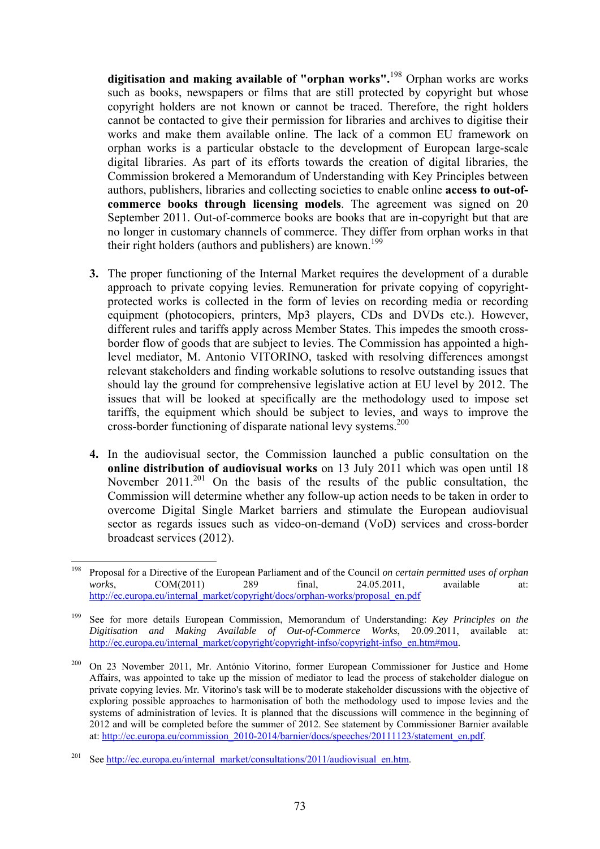**digitisation and making available of "orphan works".**198 Orphan works are works such as books, newspapers or films that are still protected by copyright but whose copyright holders are not known or cannot be traced. Therefore, the right holders cannot be contacted to give their permission for libraries and archives to digitise their works and make them available online. The lack of a common EU framework on orphan works is a particular obstacle to the development of European large-scale digital libraries. As part of its efforts towards the creation of digital libraries, the Commission brokered a Memorandum of Understanding with Key Principles between authors, publishers, libraries and collecting societies to enable online **access to out-ofcommerce books through licensing models**. The agreement was signed on 20 September 2011. Out-of-commerce books are books that are in-copyright but that are no longer in customary channels of commerce. They differ from orphan works in that their right holders (authors and publishers) are known.<sup>199</sup>

- **3.** The proper functioning of the Internal Market requires the development of a durable approach to private copying levies. Remuneration for private copying of copyrightprotected works is collected in the form of levies on recording media or recording equipment (photocopiers, printers, Mp3 players, CDs and DVDs etc.). However, different rules and tariffs apply across Member States. This impedes the smooth crossborder flow of goods that are subject to levies. The Commission has appointed a highlevel mediator, M. Antonio VITORINO, tasked with resolving differences amongst relevant stakeholders and finding workable solutions to resolve outstanding issues that should lay the ground for comprehensive legislative action at EU level by 2012. The issues that will be looked at specifically are the methodology used to impose set tariffs, the equipment which should be subject to levies, and ways to improve the cross-border functioning of disparate national levy systems.<sup>200</sup>
- **4.** In the audiovisual sector, the Commission launched a public consultation on the **online distribution of audiovisual works** on 13 July 2011 which was open until 18 November  $2011$ <sup>201</sup> On the basis of the results of the public consultation, the Commission will determine whether any follow-up action needs to be taken in order to overcome Digital Single Market barriers and stimulate the European audiovisual sector as regards issues such as video-on-demand (VoD) services and cross-border broadcast services (2012).

<sup>198</sup> 198 Proposal for a Directive of the European Parliament and of the Council *on certain permitted uses of orphan works*, COM(2011) 289 final, 24.05.2011, available at: [http://ec.europa.eu/internal\\_market/copyright/docs/orphan-works/proposal\\_](http://ec.europa.eu/internal_market/copyright/docs/orphan-works/proposal_en.pdf)en.pdf

<sup>199</sup> See for more details European Commission, Memorandum of Understanding: *Key Principles on the Digitisation and Making Available of Out-of-Commerce Works*, 20.09.2011, available at: http://ec.europa.eu/internal\_market/copyright/copyright-infso/copyright-infso\_en.htm#mou.

<sup>&</sup>lt;sup>200</sup> On 23 November 2011, Mr. António Vitorino, former European Commissioner for Justice and Home Affairs, was appointed to take up the mission of mediator to lead the process of stakeholder dialogue on private copying levies. Mr. Vitorino's task will be to moderate stakeholder discussions with the objective of exploring possible approaches to harmonisation of both the methodology used to impose levies and the systems of administration of levies. It is planned that the discussions will commence in the beginning of 2012 and will be completed before the summer of 2012. See statement by Commissioner Barnier available at: http://ec.europa.eu/commission\_2010-2014/barnier/docs/speeches/20111123/statement\_en.pdf.

<sup>&</sup>lt;sup>201</sup> See http://ec.europa.eu/internal\_market/consultations/2011/audiovisual\_en.htm.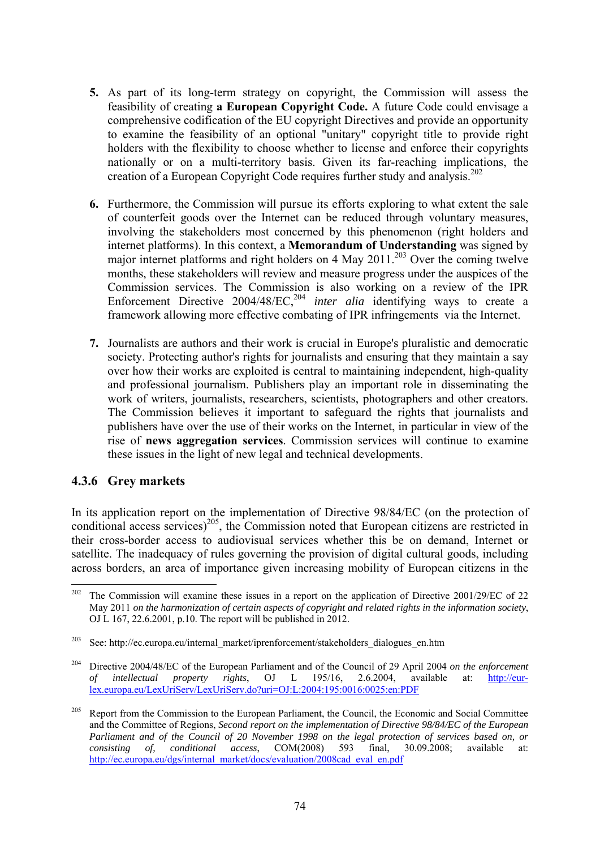- **5.** As part of its long-term strategy on copyright, the Commission will assess the feasibility of creating **a European Copyright Code.** A future Code could envisage a comprehensive codification of the EU copyright Directives and provide an opportunity to examine the feasibility of an optional "unitary" copyright title to provide right holders with the flexibility to choose whether to license and enforce their copyrights nationally or on a multi-territory basis. Given its far-reaching implications, the creation of a European Copyright Code requires further study and analysis.<sup>202</sup>
- **6.** Furthermore, the Commission will pursue its efforts exploring to what extent the sale of counterfeit goods over the Internet can be reduced through voluntary measures, involving the stakeholders most concerned by this phenomenon (right holders and internet platforms). In this context, a **Memorandum of Understanding** was signed by major internet platforms and right holders on 4 May 2011.<sup>203</sup> Over the coming twelve months, these stakeholders will review and measure progress under the auspices of the Commission services. The Commission is also working on a review of the IPR Enforcement Directive 2004/48/EC,<sup>204</sup> *inter alia* identifying ways to create a framework allowing more effective combating of IPR infringements via the Internet.
- **7.** Journalists are authors and their work is crucial in Europe's pluralistic and democratic society. Protecting author's rights for journalists and ensuring that they maintain a say over how their works are exploited is central to maintaining independent, high-quality and professional journalism. Publishers play an important role in disseminating the work of writers, journalists, researchers, scientists, photographers and other creators. The Commission believes it important to safeguard the rights that journalists and publishers have over the use of their works on the Internet, in particular in view of the rise of **news aggregation services**. Commission services will continue to examine these issues in the light of new legal and technical developments.

## **4.3.6 Grey markets**

In its application report on the implementation of Directive 98/84/EC (on the protection of conditional access services)<sup>205</sup>, the Commission noted that European citizens are restricted in their cross-border access to audiovisual services whether this be on demand, Internet or satellite. The inadequacy of rules governing the provision of digital cultural goods, including across borders, an area of importance given increasing mobility of European citizens in the

<sup>202</sup> 202 The Commission will examine these issues in a report on the application of Directive 2001/29/EC of 22 May 2011 *on the harmonization of certain aspects of copyright and related rights in the information society*, OJ L 167, 22.6.2001, p.10. The report will be published in 2012.

<sup>&</sup>lt;sup>203</sup> See: [http://ec.europa.eu/internal\\_market/iprenforcement/stakeholders\\_dialogues\\_en.htm](http://ec.europa.eu/internal_market/iprenforcement/stakeholders_dialogues_en.htm)

<sup>204</sup> Directive 2004/48/EC of the European Parliament and of the Council of 29 April 2004 *on the enforcement of intellectual property rights*, OJ L 195/16, 2.6.2004, available at: [http://eur](http://eur-lex.europa.eu/LexUriServ/LexUriServ.do?uri=OJ:L:2004:195:0016:0025:en:PDF)[lex.europa.eu/LexUriServ/LexUriServ.do?uri=OJ:L:2004:195:0016:0025:en:PDF](http://eur-lex.europa.eu/LexUriServ/LexUriServ.do?uri=OJ:L:2004:195:0016:0025:en:PDF) 

<sup>&</sup>lt;sup>205</sup> Report from the Commission to the European Parliament, the Council, the Economic and Social Committee and the Committee of Regions, *Second report on the implementation of Directive 98/84/EC of the European Parliament and of the Council of 20 November 1998 on the legal protection of services based on, or consisting of conditional access.* COM(2008) 593 final 30.09.2008: available at: *consisting of, conditional access*, COM(2008) 593 final, 30.09.2008; available at: http://ec.europa.eu/dgs/internal\_market/docs/evaluation/2008cad\_eval\_en.pdf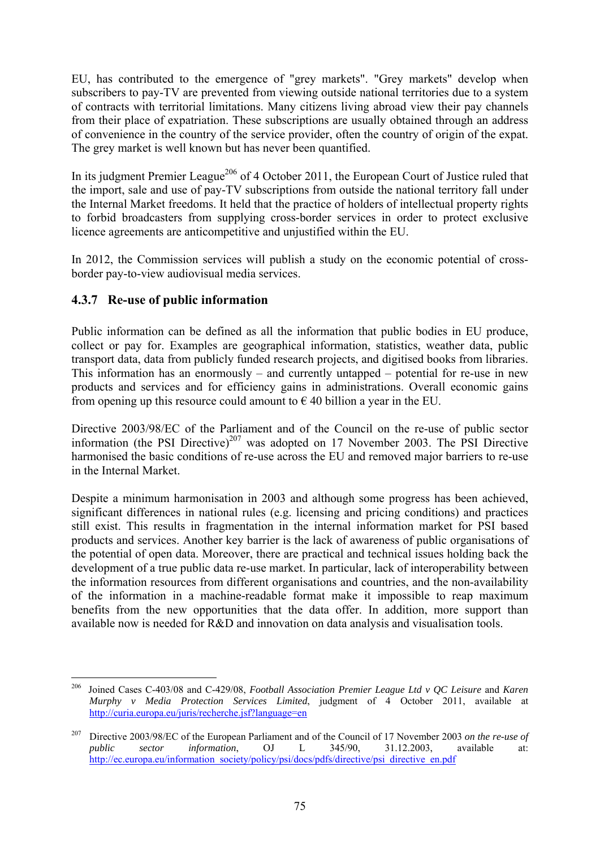EU, has contributed to the emergence of "grey markets". "Grey markets" develop when subscribers to pay-TV are prevented from viewing outside national territories due to a system of contracts with territorial limitations. Many citizens living abroad view their pay channels from their place of expatriation. These subscriptions are usually obtained through an address of convenience in the country of the service provider, often the country of origin of the expat. The grey market is well known but has never been quantified.

In its judgment Premier League<sup>206</sup> of 4 October 2011, the European Court of Justice ruled that the import, sale and use of pay-TV subscriptions from outside the national territory fall under the Internal Market freedoms. It held that the practice of holders of intellectual property rights to forbid broadcasters from supplying cross-border services in order to protect exclusive licence agreements are anticompetitive and unjustified within the EU.

In 2012, the Commission services will publish a study on the economic potential of crossborder pay-to-view audiovisual media services.

# **4.3.7 Re-use of public information**

Public information can be defined as all the information that public bodies in EU produce, collect or pay for. Examples are geographical information, statistics, weather data, public transport data, data from publicly funded research projects, and digitised books from libraries. This information has an enormously – and currently untapped – potential for re-use in new products and services and for efficiency gains in administrations. Overall economic gains from opening up this resource could amount to  $\epsilon$  40 billion a year in the EU.

Directive 2003/98/EC of the Parliament and of the Council on the re-use of public sector information (the PSI Directive) $207$  was adopted on 17 November 2003. The PSI Directive harmonised the basic conditions of re-use across the EU and removed major barriers to re-use in the Internal Market.

Despite a minimum harmonisation in 2003 and although some progress has been achieved, significant differences in national rules (e.g. licensing and pricing conditions) and practices still exist. This results in fragmentation in the internal information market for PSI based products and services. Another key barrier is the lack of awareness of public organisations of the potential of open data. Moreover, there are practical and technical issues holding back the development of a true public data re-use market. In particular, lack of interoperability between the information resources from different organisations and countries, and the non-availability of the information in a machine-readable format make it impossible to reap maximum benefits from the new opportunities that the data offer. In addition, more support than available now is needed for R&D and innovation on data analysis and visualisation tools.

<sup>1</sup> 206 Joined Cases C-403/08 and C-429/08, *Football Association Premier League Ltd v QC Leisure* and *Karen Murphy v Media Protection Services Limited*, judgment of 4 October 2011, available at <http://curia.europa.eu/juris/recherche.jsf?language=en>

<sup>207</sup> Directive 2003/98/EC of the European Parliament and of the Council of 17 November 2003 *on the re-use of public sector information*, OJ L 345/90, 31.12.2003, available at: http://ec.europa.eu/information\_society/policy/psi/docs/pdfs/directive/psi\_directive\_en.pdf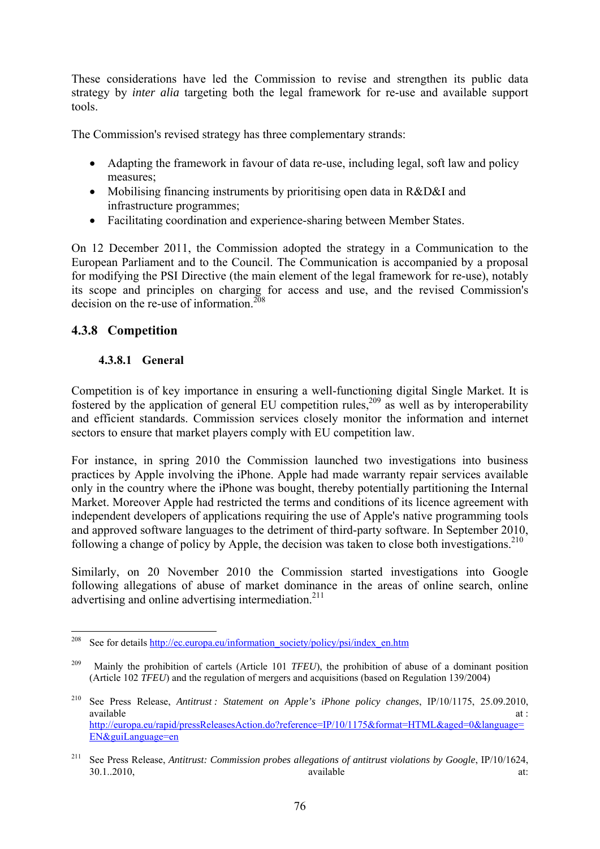These considerations have led the Commission to revise and strengthen its public data strategy by *inter alia* targeting both the legal framework for re-use and available support tools.

The Commission's revised strategy has three complementary strands:

- Adapting the framework in favour of data re-use, including legal, soft law and policy measures;
- Mobilising financing instruments by prioritising open data in R&D&I and infrastructure programmes;
- Facilitating coordination and experience-sharing between Member States.

On 12 December 2011, the Commission adopted the strategy in a Communication to the European Parliament and to the Council. The Communication is accompanied by a proposal for modifying the PSI Directive (the main element of the legal framework for re-use), notably its scope and principles on charging for access and use, and the revised Commission's decision on the re-use of information  $208$ 

# **4.3.8 Competition**

## **4.3.8.1 General**

Competition is of key importance in ensuring a well-functioning digital Single Market. It is fostered by the application of general EU competition rules,<sup>209</sup> as well as by interoperability and efficient standards. Commission services closely monitor the information and internet sectors to ensure that market players comply with EU competition law.

For instance, in spring 2010 the Commission launched two investigations into business practices by Apple involving the iPhone. Apple had made warranty repair services available only in the country where the iPhone was bought, thereby potentially partitioning the Internal Market. Moreover Apple had restricted the terms and conditions of its licence agreement with independent developers of applications requiring the use of Apple's native programming tools and approved software languages to the detriment of third-party software. In September 2010, following a change of policy by Apple, the decision was taken to close both investigations.<sup>210</sup>

Similarly, on 20 November 2010 the Commission started investigations into Google following allegations of abuse of market dominance in the areas of online search, online advertising and online advertising intermediation.<sup>211</sup>

<sup>208</sup> See for details http://ec.europa.eu/information\_society/policy/psi/index\_en.htm

<sup>&</sup>lt;sup>209</sup> Mainly the prohibition of cartels (Article 101 *TFEU*), the prohibition of abuse of a dominant position (Article 102 *TFEU*) and the regulation of mergers and acquisitions (based on Regulation 139/2004)

<sup>210</sup> See Press Release, *Antitrust : Statement on Apple's iPhone policy changes*, IP/10/1175, 25.09.2010, available at : and  $\alpha$  at : and  $\alpha$  at : and  $\alpha$  at :  $\alpha$  at :  $\alpha$  at :  $\alpha$  at : [http://europa.eu/rapid/pressReleasesAction.do?reference=IP/10/1175&format=HTML&aged=0&language=](http://europa.eu/rapid/pressReleasesAction.do?reference=IP/10/1175&format=HTML&aged=0&language=EN&guiLanguage=en) [EN&guiLanguage=en](http://europa.eu/rapid/pressReleasesAction.do?reference=IP/10/1175&format=HTML&aged=0&language=EN&guiLanguage=en) 

<sup>211</sup> See Press Release, *Antitrust: Commission probes allegations of antitrust violations by Google*, IP/10/1624, 30.1..2010, available at: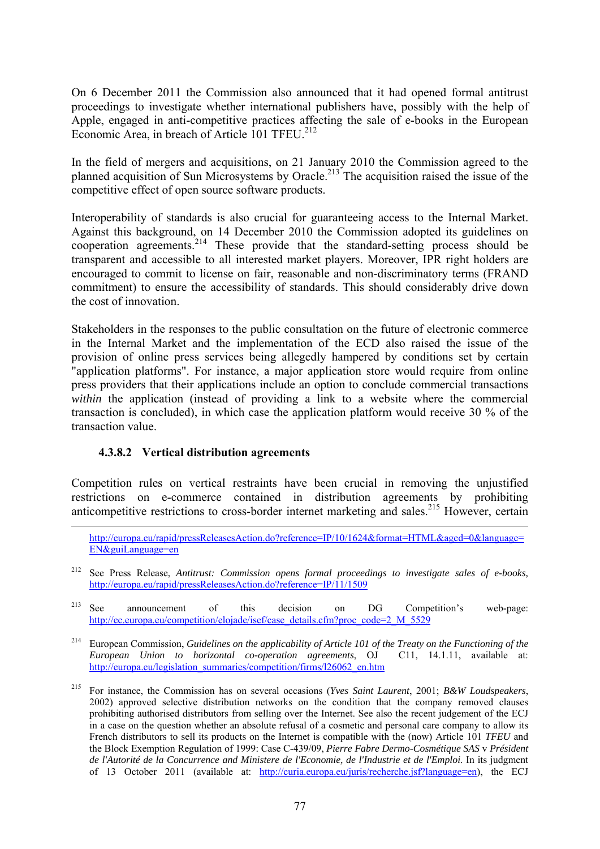On 6 December 2011 the Commission also announced that it had opened formal antitrust proceedings to investigate whether international publishers have, possibly with the help of Apple, engaged in anti-competitive practices affecting the sale of e-books in the European Economic Area, in breach of Article 101 TFEU. $^{212}$ 

In the field of mergers and acquisitions, on 21 January 2010 the Commission agreed to the planned acquisition of Sun Microsystems by Oracle.<sup>213</sup> The acquisition raised the issue of the competitive effect of open source software products.

Interoperability of standards is also crucial for guaranteeing access to the Internal Market. Against this background, on 14 December 2010 the Commission adopted its guidelines on cooperation agreements.<sup>214</sup> These provide that the standard-setting process should be transparent and accessible to all interested market players. Moreover, IPR right holders are encouraged to commit to license on fair, reasonable and non-discriminatory terms (FRAND commitment) to ensure the accessibility of standards. This should considerably drive down the cost of innovation.

Stakeholders in the responses to the public consultation on the future of electronic commerce in the Internal Market and the implementation of the ECD also raised the issue of the provision of online press services being allegedly hampered by conditions set by certain "application platforms". For instance, a major application store would require from online press providers that their applications include an option to conclude commercial transactions *within* the application (instead of providing a link to a website where the commercial transaction is concluded), in which case the application platform would receive 30 % of the transaction value.

#### **4.3.8.2 Vertical distribution agreements**

Competition rules on vertical restraints have been crucial in removing the unjustified restrictions on e-commerce contained in distribution agreements by prohibiting anticompetitive restrictions to cross-border internet marketing and sales.<sup>215</sup> However, certain

213 See announcement of this decision on DG Competition's web-page: http://ec.europa.eu/competition/elojade/isef/case\_details.cfm?proc\_code=2\_M\_5529

214 European Commission, *Guidelines on the applicability of Article 101 of the Treaty on the Functioning of the European Union to horizontal co-operation agreements*, OJ C11, 14.1.11, available at: [http://europa.eu/legislation\\_summaries/competition/firms/l26062\\_en.htm](http://europa.eu/legislation_summaries/competition/firms/l26062_en.htm) 

http://europa.eu/rapid/pressReleasesAction.do?reference=IP/10/1624&format=HTML&aged=0&language= EN&guiLanguage=en

<sup>212</sup> See Press Release, *Antitrust: Commission opens formal proceedings to investigate sales of e-books,*  <http://europa.eu/rapid/pressReleasesAction.do?reference=IP/11/1509>

<sup>215</sup> For instance, the Commission has on several occasions (*Yves Saint Laurent*, 2001; *B&W Loudspeakers*, 2002) approved selective distribution networks on the condition that the company removed clauses prohibiting authorised distributors from selling over the Internet. See also the recent judgement of the ECJ in a case on the question whether an absolute refusal of a cosmetic and personal care company to allow its French distributors to sell its products on the Internet is compatible with the (now) Article 101 *TFEU* and the Block Exemption Regulation of 1999: Case C-439/09, *Pierre Fabre Dermo-Cosmétique SAS* v *Président de l'Autorité de la Concurrence and Ministere de l'Economie, de l'Industrie et de l'Emploi*. In its judgment [of 13 October 2011 \(available at: http://curia.europa.eu/juris/recherche.jsf?language=en\), the ECJ](http://curia.europa.eu/juris/recherche.jsf?language=en)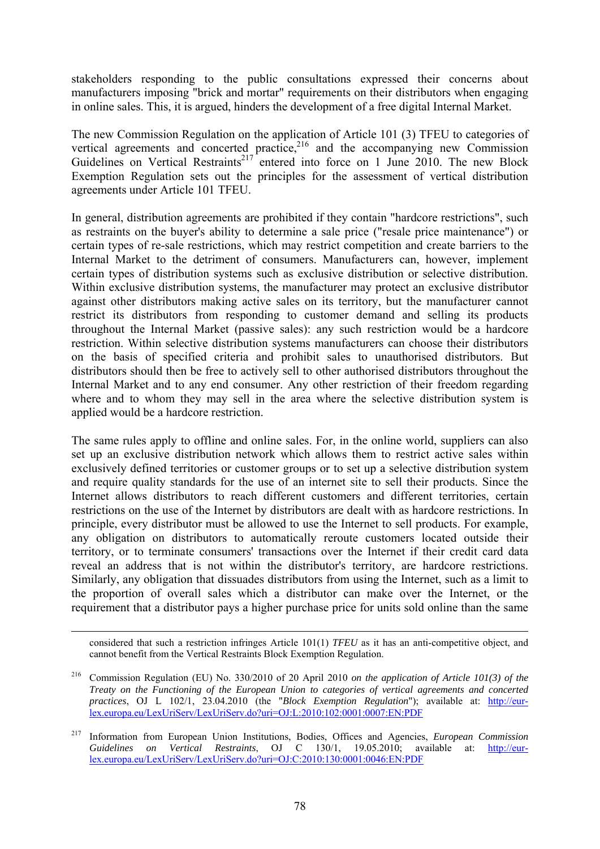stakeholders responding to the public consultations expressed their concerns about manufacturers imposing "brick and mortar" requirements on their distributors when engaging in online sales. This, it is argued, hinders the development of a free digital Internal Market.

The new Commission Regulation on the application of Article 101 (3) TFEU to categories of vertical agreements and concerted practice,<sup>216</sup> and the accompanying new Commission Guidelines on Vertical Restraints<sup>217</sup> entered into force on 1 June 2010. The new Block Exemption Regulation sets out the principles for the assessment of vertical distribution agreements under Article 101 TFEU.

In general, distribution agreements are prohibited if they contain "hardcore restrictions", such as restraints on the buyer's ability to determine a sale price ("resale price maintenance") or certain types of re-sale restrictions, which may restrict competition and create barriers to the Internal Market to the detriment of consumers. Manufacturers can, however, implement certain types of distribution systems such as exclusive distribution or selective distribution. Within exclusive distribution systems, the manufacturer may protect an exclusive distributor against other distributors making active sales on its territory, but the manufacturer cannot restrict its distributors from responding to customer demand and selling its products throughout the Internal Market (passive sales): any such restriction would be a hardcore restriction. Within selective distribution systems manufacturers can choose their distributors on the basis of specified criteria and prohibit sales to unauthorised distributors. But distributors should then be free to actively sell to other authorised distributors throughout the Internal Market and to any end consumer. Any other restriction of their freedom regarding where and to whom they may sell in the area where the selective distribution system is applied would be a hardcore restriction.

The same rules apply to offline and online sales. For, in the online world, suppliers can also set up an exclusive distribution network which allows them to restrict active sales within exclusively defined territories or customer groups or to set up a selective distribution system and require quality standards for the use of an internet site to sell their products. Since the Internet allows distributors to reach different customers and different territories, certain restrictions on the use of the Internet by distributors are dealt with as hardcore restrictions. In principle, every distributor must be allowed to use the Internet to sell products. For example, any obligation on distributors to automatically reroute customers located outside their territory, or to terminate consumers' transactions over the Internet if their credit card data reveal an address that is not within the distributor's territory, are hardcore restrictions. Similarly, any obligation that dissuades distributors from using the Internet, such as a limit to the proportion of overall sales which a distributor can make over the Internet, or the requirement that a distributor pays a higher purchase price for units sold online than the same

 considered that such a restriction infringes Article 101(1) *TFEU* as it has an anti-competitive object, and cannot benefit from the Vertical Restraints Block Exemption Regulation.

<sup>216</sup> Commission Regulation (EU) No. 330/2010 of 20 April 2010 *on the application of Article 101(3) of the Treaty on the Functioning of the European Union to categories of vertical agreements and concerted practices*, OJ L 102/1, 23.04.2010 (the "*Block Exemption Regulation*"); available at: [http://eur](http://eur-lex.europa.eu/LexUriServ/LexUriServ.do?uri=OJ:L:2010:102:0001:0007:EN:PDF)[lex.europa.eu/LexUriServ/LexUriServ.do?uri=OJ:L:2010:102:0001:0007:EN:PDF](http://eur-lex.europa.eu/LexUriServ/LexUriServ.do?uri=OJ:L:2010:102:0001:0007:EN:PDF) 

<sup>217</sup> Information from European Union Institutions, Bodies, Offices and Agencies, *European Commission Guidelines on Vertical Restraints*, OJ C 130/1, 19.05.2010; [available](http://ec.europa.eu/competition/antitrust/legislation/vertical.html) at: [http://eur](http://eur-lex.europa.eu/LexUriServ/LexUriServ.do?uri=OJ:C:2010:130:0001:0046:EN:PDF)[lex.europa.eu/LexUriServ/LexUriServ.do?uri=OJ:C:2010:130:0001:0046:EN:PDF](http://eur-lex.europa.eu/LexUriServ/LexUriServ.do?uri=OJ:C:2010:130:0001:0046:EN:PDF)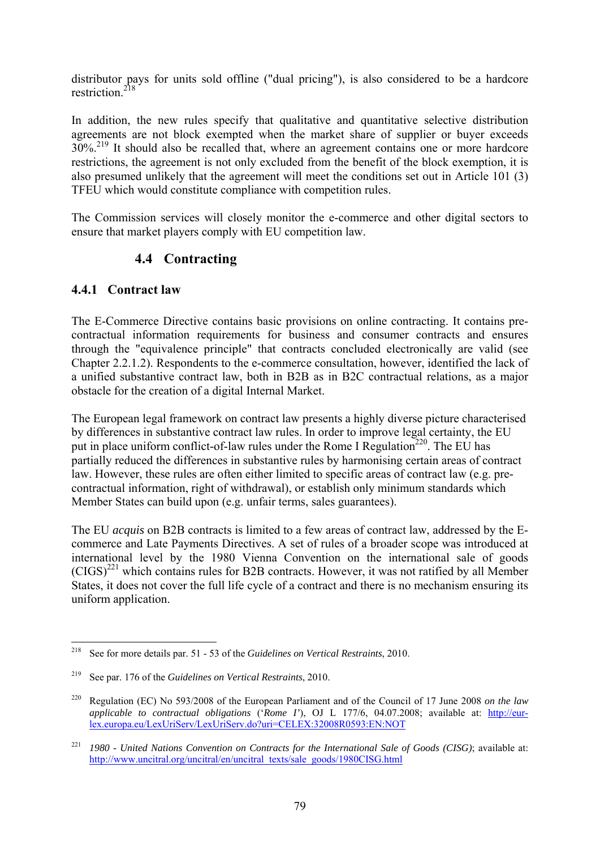distributor pays for units sold offline ("dual pricing"), is also considered to be a hardcore restriction.<sup>218</sup>

In addition, the new rules specify that qualitative and quantitative selective distribution agreements are not block exempted when the market share of supplier or buyer exceeds  $30\%$ <sup>219</sup> It should also be recalled that, where an agreement contains one or more hardcore restrictions, the agreement is not only excluded from the benefit of the block exemption, it is also presumed unlikely that the agreement will meet the conditions set out in Article 101 (3) TFEU which would constitute compliance with competition rules.

The Commission services will closely monitor the e-commerce and other digital sectors to ensure that market players comply with EU competition law.

# **4.4 Contracting**

## **4.4.1 Contract law**

The E-Commerce Directive contains basic provisions on online contracting. It contains precontractual information requirements for business and consumer contracts and ensures through the "equivalence principle" that contracts concluded electronically are valid (see Chapter 2.2.1.2). Respondents to the e-commerce consultation, however, identified the lack of a unified substantive contract law, both in B2B as in B2C contractual relations, as a major obstacle for the creation of a digital Internal Market.

The European legal framework on contract law presents a highly diverse picture characterised by differences in substantive contract law rules. In order to improve legal certainty, the EU put in place uniform conflict-of-law rules under the Rome I Regulation<sup>220</sup>. The EU has partially reduced the differences in substantive rules by harmonising certain areas of contract law. However, these rules are often either limited to specific areas of contract law (e.g. precontractual information, right of withdrawal), or establish only minimum standards which Member States can build upon (e.g. unfair terms, sales guarantees).

The EU *acquis* on B2B contracts is limited to a few areas of contract law, addressed by the Ecommerce and Late Payments Directives. A set of rules of a broader scope was introduced at international level by the 1980 Vienna Convention on the international sale of goods  $(CIGS)^{221}$  which contains rules for B2B contracts. However, it was not ratified by all Member States, it does not cover the full life cycle of a contract and there is no mechanism ensuring its uniform application.

<sup>218</sup> 218 See for more details par. 51 - 53 of the *Guidelines on Vertical Restraints*, 2010.

<sup>219</sup> See par. 176 of the *Guidelines on Vertical Restraints*, 2010.

<sup>220</sup> Regulation (EC) No 593/2008 of the European Parliament and of the Council of 17 June 2008 *on the law applicable to contractual obligations* ('*Rome I'*), OJ L 177/6, 04.07.2008; available at: [http://eur](http://eur-lex.europa.eu/LexUriServ/LexUriServ.do?uri=CELEX:32008R0593:EN:NOT)[lex.europa.eu/LexUriServ/LexUriServ.do?uri=CELEX:32008R0593:EN:NOT](http://eur-lex.europa.eu/LexUriServ/LexUriServ.do?uri=CELEX:32008R0593:EN:NOT) 

<sup>221</sup> *1980 - United Nations Convention on Contracts for the International Sale of Goods (CISG)*; available at: [http://www.uncitral.org/uncitral/en/uncitral\\_texts/sale\\_goods/1980CISG.html](http://www.uncitral.org/uncitral/en/uncitral_texts/sale_goods/1980CISG.html)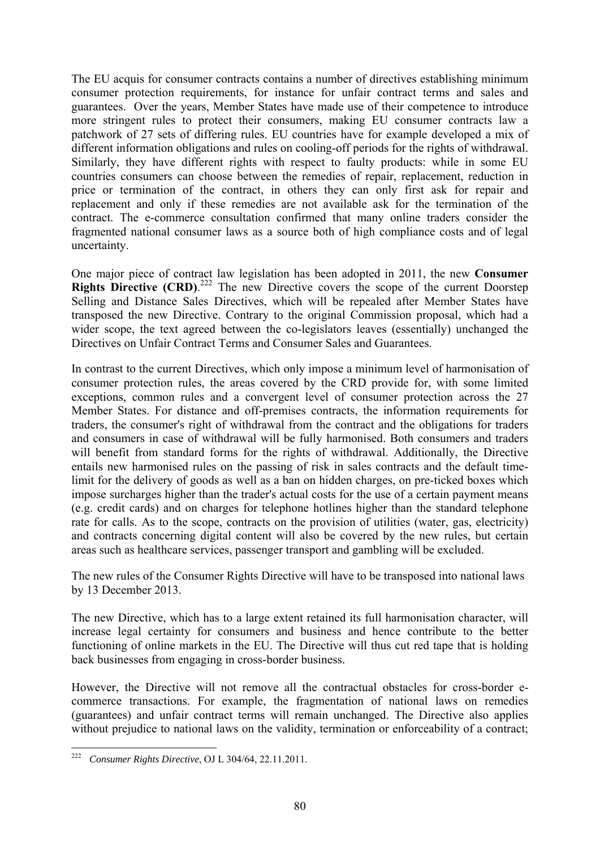The EU acquis for consumer contracts contains a number of directives establishing minimum consumer protection requirements, for instance for unfair contract terms and sales and guarantees. Over the years, Member States have made use of their competence to introduce more stringent rules to protect their consumers, making EU consumer contracts law a patchwork of 27 sets of differing rules. EU countries have for example developed a mix of different information obligations and rules on cooling-off periods for the rights of withdrawal. Similarly, they have different rights with respect to faulty products: while in some EU countries consumers can choose between the remedies of repair, replacement, reduction in price or termination of the contract, in others they can only first ask for repair and replacement and only if these remedies are not available ask for the termination of the contract. The e-commerce consultation confirmed that many online traders consider the fragmented national consumer laws as a source both of high compliance costs and of legal uncertainty.

One major piece of contract law legislation has been adopted in 2011, the new **Consumer Rights Directive (CRD).**<sup>222</sup> The new Directive covers the scope of the current Doorstep Selling and Distance Sales Directives, which will be repealed after Member States have transposed the new Directive. Contrary to the original Commission proposal, which had a wider scope, the text agreed between the co-legislators leaves (essentially) unchanged the Directives on Unfair Contract Terms and Consumer Sales and Guarantees.

In contrast to the current Directives, which only impose a minimum level of harmonisation of consumer protection rules, the areas covered by the CRD provide for, with some limited exceptions, common rules and a convergent level of consumer protection across the 27 Member States. For distance and off-premises contracts, the information requirements for traders, the consumer's right of withdrawal from the contract and the obligations for traders and consumers in case of withdrawal will be fully harmonised. Both consumers and traders will benefit from standard forms for the rights of withdrawal. Additionally, the Directive entails new harmonised rules on the passing of risk in sales contracts and the default timelimit for the delivery of goods as well as a ban on hidden charges, on pre-ticked boxes which impose surcharges higher than the trader's actual costs for the use of a certain payment means (e.g. credit cards) and on charges for telephone hotlines higher than the standard telephone rate for calls. As to the scope, contracts on the provision of utilities (water, gas, electricity) and contracts concerning digital content will also be covered by the new rules, but certain areas such as healthcare services, passenger transport and gambling will be excluded.

The new rules of the Consumer Rights Directive will have to be transposed into national laws by 13 December 2013.

The new Directive, which has to a large extent retained its full harmonisation character, will increase legal certainty for consumers and business and hence contribute to the better functioning of online markets in the EU. The Directive will thus cut red tape that is holding back businesses from engaging in cross-border business.

However, the Directive will not remove all the contractual obstacles for cross-border ecommerce transactions. For example, the fragmentation of national laws on remedies (guarantees) and unfair contract terms will remain unchanged. The Directive also applies without prejudice to national laws on the validity, termination or enforceability of a contract;

<sup>1</sup> <sup>222</sup> *Consumer Rights Directive*, OJ L 304/64, 22.11.2011.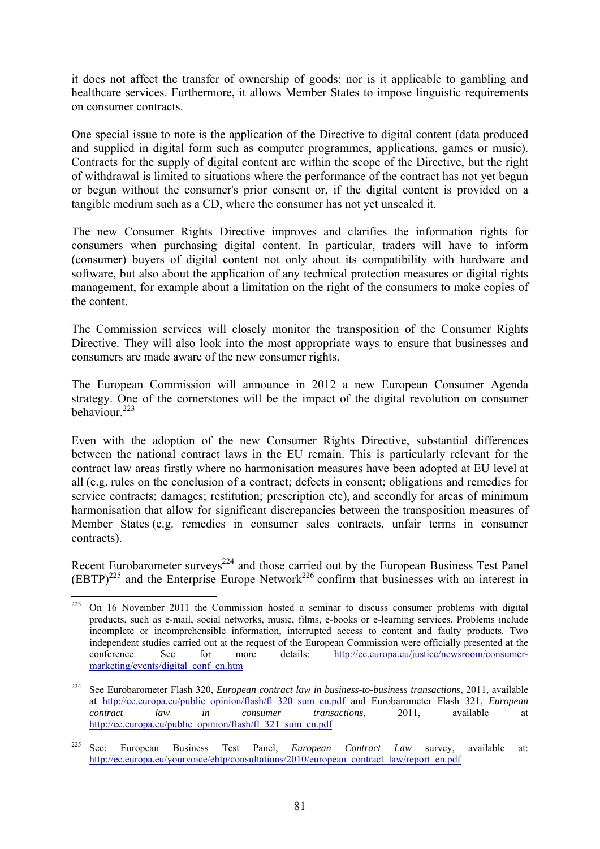it does not affect the transfer of ownership of goods; nor is it applicable to gambling and healthcare services. Furthermore, it allows Member States to impose linguistic requirements on consumer contracts.

One special issue to note is the application of the Directive to digital content (data produced and supplied in digital form such as computer programmes, applications, games or music). Contracts for the supply of digital content are within the scope of the Directive, but the right of withdrawal is limited to situations where the performance of the contract has not yet begun or begun without the consumer's prior consent or, if the digital content is provided on a tangible medium such as a CD, where the consumer has not yet unsealed it.

The new Consumer Rights Directive improves and clarifies the information rights for consumers when purchasing digital content. In particular, traders will have to inform (consumer) buyers of digital content not only about its compatibility with hardware and software, but also about the application of any technical protection measures or digital rights management, for example about a limitation on the right of the consumers to make copies of the content.

The Commission services will closely monitor the transposition of the Consumer Rights Directive. They will also look into the most appropriate ways to ensure that businesses and consumers are made aware of the new consumer rights.

The European Commission will announce in 2012 a new European Consumer Agenda strategy. One of the cornerstones will be the impact of the digital revolution on consumer behaviour.223

Even with the adoption of the new Consumer Rights Directive, substantial differences between the national contract laws in the EU remain. This is particularly relevant for the contract law areas firstly where no harmonisation measures have been adopted at EU level at all (e.g. rules on the conclusion of a contract; defects in consent; obligations and remedies for service contracts; damages; restitution; prescription etc), and secondly for areas of minimum harmonisation that allow for significant discrepancies between the transposition measures of Member States (e.g. remedies in consumer sales contracts, unfair terms in consumer contracts).

Recent Eurobarometer surveys<sup> $224$ </sup> and those carried out by the European Business Test Panel  $(EBTP)^{225}$  and the Enterprise Europe Network<sup>226</sup> confirm that businesses with an interest in

<sup>223</sup> 223 On 16 November 2011 the Commission hosted a seminar to discuss consumer problems with digital products, such as e-mail, social networks, music, films, e-books or e-learning services. Problems include incomplete or incomprehensible information, interrupted access to content and faulty products. Two independent studies carried out at the request of the European Commission were officially presented at the conference. See for more details: [http://ec.europa.eu/justice/newsroom/consumer](http://ec.europa.eu/justice/newsroom/consumer-marketing/events/digital_conf_en.htm)[marketing/events/digital\\_conf\\_en.htm](http://ec.europa.eu/justice/newsroom/consumer-marketing/events/digital_conf_en.htm)

<sup>224</sup> See Eurobarometer Flash 320, *European contract law in business-to-business transactions*, 2011, available at [http://ec.europa.eu/public\\_opinion/flash/fl\\_320\\_sum\\_en.pdf](http://ec.europa.eu/public_opinion/flash/fl_320_sum_en.pdf) and Eurobarometer Flash 321, *European contract law in consumer transactions*, 2011, available at http://ec.europa.eu/public\_opinion/flash/fl\_321\_sum\_en.pdf

<sup>225</sup> See: European Business Test Panel, *European Contract Law* survey, available at: [http://ec.europa.eu/yourvoice/ebtp/consultations/2010/european\\_contract\\_law/report\\_en.pdf](http://ec.europa.eu/yourvoice/ebtp/consultations/2010/european_contract_law/report_en.pdf)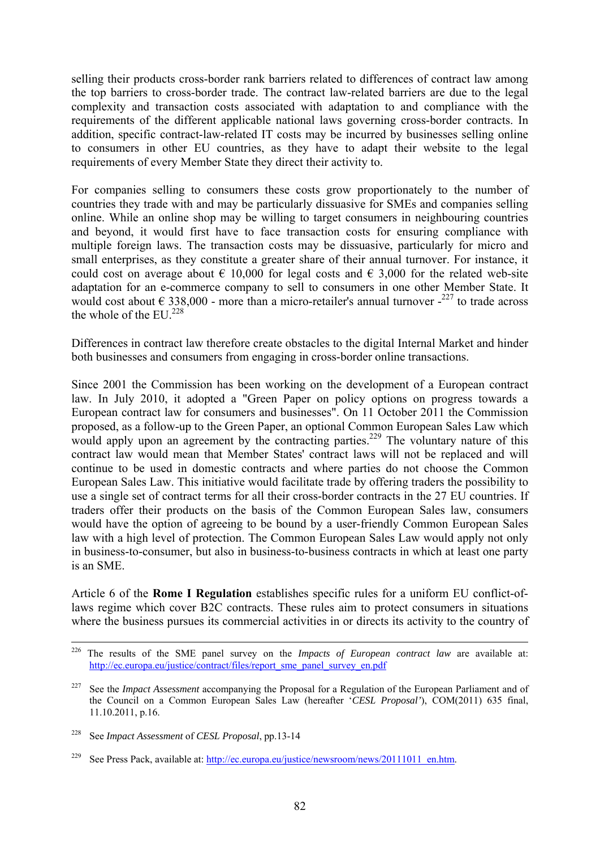selling their products cross-border rank barriers related to differences of contract law among the top barriers to cross-border trade. The contract law-related barriers are due to the legal complexity and transaction costs associated with adaptation to and compliance with the requirements of the different applicable national laws governing cross-border contracts. In addition, specific contract-law-related IT costs may be incurred by businesses selling online to consumers in other EU countries, as they have to adapt their website to the legal requirements of every Member State they direct their activity to.

For companies selling to consumers these costs grow proportionately to the number of countries they trade with and may be particularly dissuasive for SMEs and companies selling online. While an online shop may be willing to target consumers in neighbouring countries and beyond, it would first have to face transaction costs for ensuring compliance with multiple foreign laws. The transaction costs may be dissuasive, particularly for micro and small enterprises, as they constitute a greater share of their annual turnover. For instance, it could cost on average about  $\epsilon$  10,000 for legal costs and  $\epsilon$  3,000 for the related web-site adaptation for an e-commerce company to sell to consumers in one other Member State. It would cost about  $\epsilon$  338,000 - more than a micro-retailer's annual turnover  $2^{227}$  to trade across the whole of the EU  $^{228}$ 

Differences in contract law therefore create obstacles to the digital Internal Market and hinder both businesses and consumers from engaging in cross-border online transactions.

Since 2001 the Commission has been working on the development of a European contract law. In July 2010, it adopted a "Green Paper on policy options on progress towards a European contract law for consumers and businesses". On 11 October 2011 the Commission proposed, as a follow-up to the Green Paper, an optional Common European Sales Law which would apply upon an agreement by the contracting parties.<sup>229</sup> The voluntary nature of this contract law would mean that Member States' contract laws will not be replaced and will continue to be used in domestic contracts and where parties do not choose the Common European Sales Law. This initiative would facilitate trade by offering traders the possibility to use a single set of contract terms for all their cross-border contracts in the 27 EU countries. If traders offer their products on the basis of the Common European Sales law, consumers would have the option of agreeing to be bound by a user-friendly Common European Sales law with a high level of protection. The Common European Sales Law would apply not only in business-to-consumer, but also in business-to-business contracts in which at least one party is an SME.

Article 6 of the **Rome I Regulation** establishes specific rules for a uniform EU conflict-oflaws regime which cover B2C contracts. These rules aim to protect consumers in situations where the business pursues its commercial activities in or directs its activity to the country of

 <sup>226</sup> The results of the SME panel survey on the *Impacts of European contract law* are available at: http://ec.europa.eu/justice/contract/files/report\_sme\_panel\_survey\_en.pdf

<sup>&</sup>lt;sup>227</sup> See the *Impact Assessment* accompanying the Proposal for a Regulation of the European Parliament and of the Council on a Common European Sales Law (hereafter '*CESL Proposal'*), COM(2011) 635 final, 11.10.2011, p.16.

<sup>228</sup> See *Impact Assessment* of *CESL Proposal*, pp.13-14

<sup>&</sup>lt;sup>229</sup> See Press Pack, available at: http://ec.europa.eu/justice/newsroom/news/20111011\_en.htm.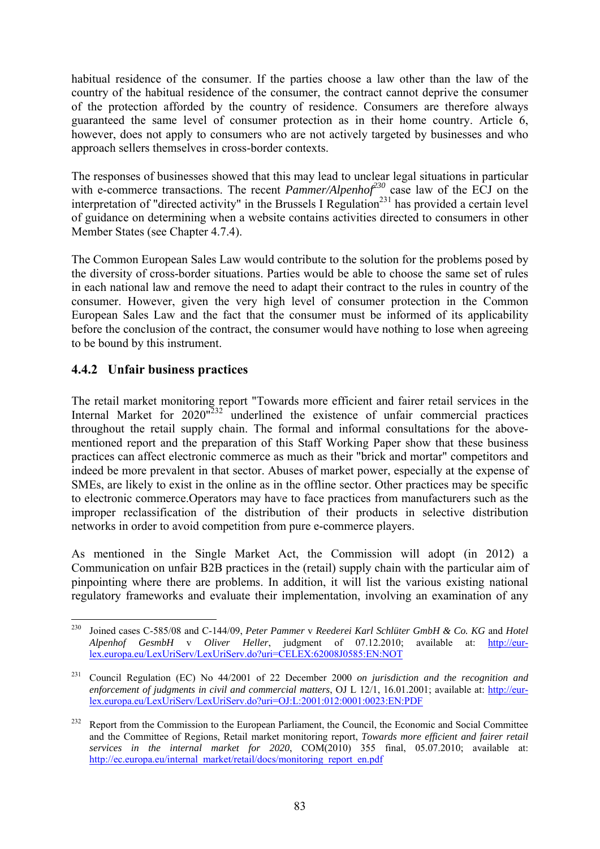habitual residence of the consumer. If the parties choose a law other than the law of the country of the habitual residence of the consumer, the contract cannot deprive the consumer of the protection afforded by the country of residence. Consumers are therefore always guaranteed the same level of consumer protection as in their home country. Article 6, however, does not apply to consumers who are not actively targeted by businesses and who approach sellers themselves in cross-border contexts.

The responses of businesses showed that this may lead to unclear legal situations in particular with e-commerce transactions. The recent *Pammer/Alpenhof*<sup>230</sup> case law of the ECJ on the interpretation of "directed activity" in the Brussels I Regulation<sup>231</sup> has provided a certain level of guidance on determining when a website contains activities directed to consumers in other Member States (see Chapter 4.7.4).

The Common European Sales Law would contribute to the solution for the problems posed by the diversity of cross-border situations. Parties would be able to choose the same set of rules in each national law and remove the need to adapt their contract to the rules in country of the consumer. However, given the very high level of consumer protection in the Common European Sales Law and the fact that the consumer must be informed of its applicability before the conclusion of the contract, the consumer would have nothing to lose when agreeing to be bound by this instrument.

# **4.4.2 Unfair business practices**

The retail market monitoring report "Towards more efficient and fairer retail services in the Internal Market for  $2020^{1232}$  underlined the existence of unfair commercial practices throughout the retail supply chain. The formal and informal consultations for the abovementioned report and the preparation of this Staff Working Paper show that these business practices can affect electronic commerce as much as their "brick and mortar" competitors and indeed be more prevalent in that sector. Abuses of market power, especially at the expense of SMEs, are likely to exist in the online as in the offline sector. Other practices may be specific to electronic commerce.Operators may have to face practices from manufacturers such as the improper reclassification of the distribution of their products in selective distribution networks in order to avoid competition from pure e-commerce players.

As mentioned in the Single Market Act, the Commission will adopt (in 2012) a Communication on unfair B2B practices in the (retail) supply chain with the particular aim of pinpointing where there are problems. In addition, it will list the various existing national regulatory frameworks and evaluate their implementation, involving an examination of any

<sup>230</sup> 230 Joined cases C-585/08 and C-144/09, *Peter Pammer* v *Reederei Karl Schlüter GmbH & Co. KG* and *Hotel Alpenhof GesmbH* v *Oliver Heller*, judgment of 07.12.2010; available at: [http://eur](http://eur-lex.europa.eu/LexUriServ/LexUriServ.do?uri=CELEX:62008J0585:EN:NOT)[lex.europa.eu/LexUriServ/LexUriServ.do?uri=CELEX:62008J0585:EN:NOT](http://eur-lex.europa.eu/LexUriServ/LexUriServ.do?uri=CELEX:62008J0585:EN:NOT) 

<sup>231</sup> Council Regulation (EC) No 44/2001 of 22 December 2000 *on jurisdiction and the recognition and enforcement of judgments in civil and commercial matters*, OJ L 12/1, 16.01.2001; available at: [http://eur](http://eur-lex.europa.eu/LexUriServ/LexUriServ.do?uri=OJ:L:2001:012:0001:0023:EN:PDF)[lex.europa.eu/LexUriServ/LexUriServ.do?uri=OJ:L:2001:012:0001:0023:EN:PDF](http://eur-lex.europa.eu/LexUriServ/LexUriServ.do?uri=OJ:L:2001:012:0001:0023:EN:PDF) 

<sup>&</sup>lt;sup>232</sup> Report from the Commission to the European Parliament, the Council, the Economic and Social Committee and the Committee of Regions, Retail market monitoring report, *Towards more efficient and fairer retail services in the internal market for 2020*, COM(2010) 355 final, 05.07.2010; available at: http://ec.europa.eu/internal\_market/retail/docs/monitoring\_report\_en.pdf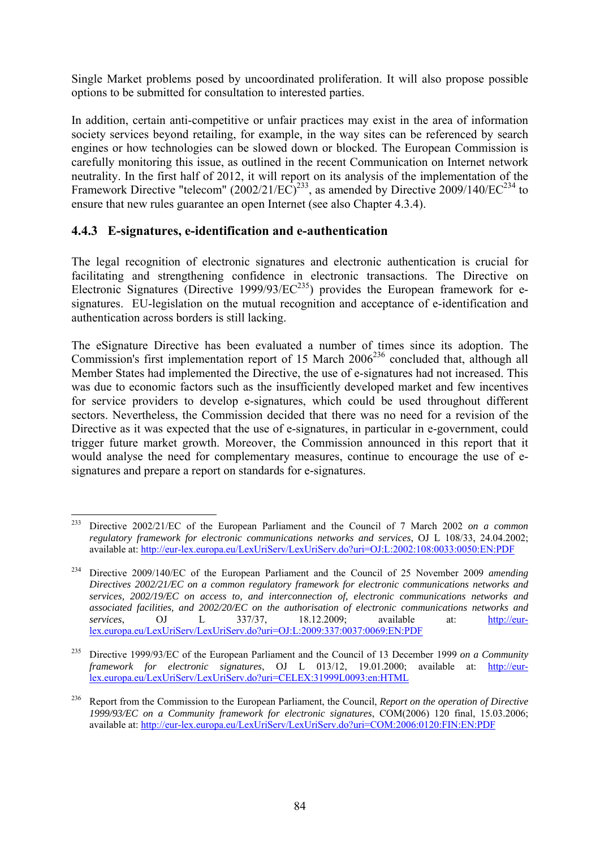Single Market problems posed by uncoordinated proliferation. It will also propose possible options to be submitted for consultation to interested parties.

In addition, certain anti-competitive or unfair practices may exist in the area of information society services beyond retailing, for example, in the way sites can be referenced by search engines or how technologies can be slowed down or blocked. The European Commission is carefully monitoring this issue, as outlined in the recent Communication on Internet network neutrality. In the first half of 2012, it will report on its analysis of the implementation of the Framework Directive "telecom"  $(2002/21/EC)^{233}$ , as amended by Directive 2009/140/EC<sup>234</sup> to ensure that new rules guarantee an open Internet (see also Chapter 4.3.4).

## **4.4.3 E-signatures, e-identification and e-authentication**

The legal recognition of electronic signatures and electronic authentication is crucial for facilitating and strengthening confidence in electronic transactions. The Directive on Electronic Signatures (Directive 1999/93/EC<sup>235</sup>) provides the European framework for esignatures. EU-legislation on the mutual recognition and acceptance of e-identification and authentication across borders is still lacking.

The eSignature Directive has been evaluated a number of times since its adoption. The Commission's first implementation report of 15 March 2006<sup>236</sup> concluded that, although all Member States had implemented the Directive, the use of e-signatures had not increased. This was due to economic factors such as the insufficiently developed market and few incentives for service providers to develop e-signatures, which could be used throughout different sectors. Nevertheless, the Commission decided that there was no need for a revision of the Directive as it was expected that the use of e-signatures, in particular in e-government, could trigger future market growth. Moreover, the Commission announced in this report that it would analyse the need for complementary measures, continue to encourage the use of esignatures and prepare a report on standards for e-signatures.

<sup>233</sup> 233 Directive 2002/21/EC of the European Parliament and the Council of 7 March 2002 *on a common regulatory framework for electronic communications networks and services*, OJ L 108/33, 24.04.2002; available at:<http://eur-lex.europa.eu/LexUriServ/LexUriServ.do?uri=OJ:L:2002:108:0033:0050:EN:PDF>

<sup>234</sup> Directive 2009/140/EC of the European Parliament and the Council of 25 November 2009 *amending Directives 2002/21/EC on a common regulatory framework for electronic communications networks and services, 2002/19/EC on access to, and interconnection of, electronic communications networks and associated facilities, and 2002/20/EC on the authorisation of electronic communications networks and services*, OJ L 337/37, 18.12.2009; available at: [http://eur](http://eur-lex.europa.eu/LexUriServ/LexUriServ.do?uri=OJ:L:2009:337:0037:0069:EN:PDF)[lex.europa.eu/LexUriServ/LexUriServ.do?uri=OJ:L:2009:337:0037:0069:EN:PDF](http://eur-lex.europa.eu/LexUriServ/LexUriServ.do?uri=OJ:L:2009:337:0037:0069:EN:PDF) 

<sup>235</sup> Directive 1999/93/EC of the European Parliament and the Council of 13 December 1999 *on a Community framework for electronic signatures*, OJ L 013/12, 19.01.2000; available at: [http://eur](http://eur-lex.europa.eu/LexUriServ/LexUriServ.do?uri=CELEX:31999L0093:en:HTML)[lex.europa.eu/LexUriServ/LexUriServ.do?uri=CELEX:31999L0093:en:HTML](http://eur-lex.europa.eu/LexUriServ/LexUriServ.do?uri=CELEX:31999L0093:en:HTML) 

<sup>236</sup> Report from the Commission to the European Parliament, the Council, *Report on the operation of Directive 1999/93/EC on a Community framework for electronic signatures*, COM(2006) 120 final, 15.03.2006; [available at: http://eur-lex.europa.eu/LexUriServ/LexUriServ.do?uri=COM:2006:0120:FIN:EN:PDF](http://eur-lex.europa.eu/LexUriServ/LexUriServ.do?uri=COM:2006:0120:FIN:EN:PDF)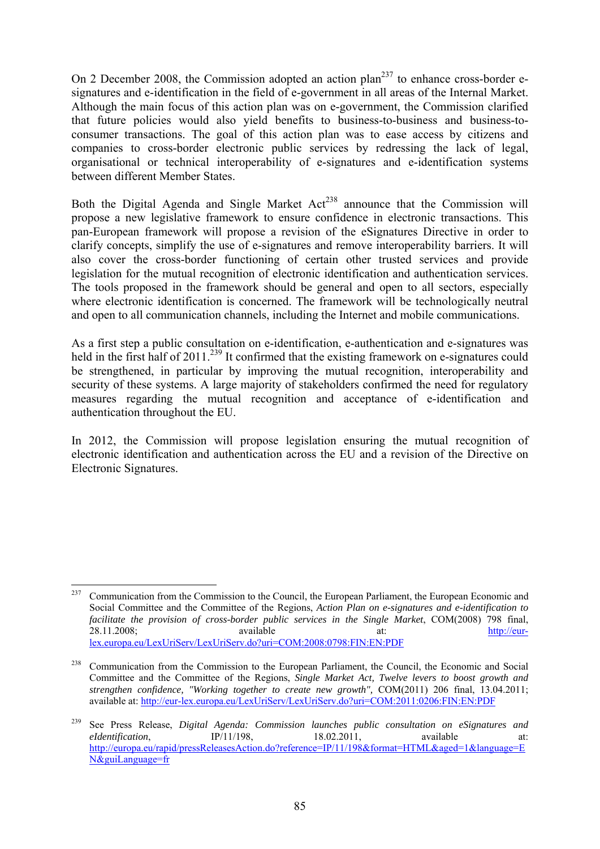On 2 December 2008, the Commission adopted an action plan<sup>237</sup> to enhance cross-border esignatures and e-identification in the field of e-government in all areas of the Internal Market. Although the main focus of this action plan was on e-government, the Commission clarified that future policies would also yield benefits to business-to-business and business-toconsumer transactions. The goal of this action plan was to ease access by citizens and companies to cross-border electronic public services by redressing the lack of legal, organisational or technical interoperability of e-signatures and e-identification systems between different Member States.

Both the Digital Agenda and Single Market  $Act^{238}$  announce that the Commission will propose a new legislative framework to ensure confidence in electronic transactions. This pan-European framework will propose a revision of the eSignatures Directive in order to clarify concepts, simplify the use of e-signatures and remove interoperability barriers. It will also cover the cross-border functioning of certain other trusted services and provide legislation for the mutual recognition of electronic identification and authentication services. The tools proposed in the framework should be general and open to all sectors, especially where electronic identification is concerned. The framework will be technologically neutral and open to all communication channels, including the Internet and mobile communications.

As a first step a public consultation on e-identification, e-authentication and e-signatures was held in the first half of 2011.<sup>239</sup> It confirmed that the existing framework on e-signatures could be strengthened, in particular by improving the mutual recognition, interoperability and security of these systems. A large majority of stakeholders confirmed the need for regulatory measures regarding the mutual recognition and acceptance of e-identification and authentication throughout the EU.

In 2012, the Commission will propose legislation ensuring the mutual recognition of electronic identification and authentication across the EU and a revision of the Directive on Electronic Signatures.

<sup>237</sup> 237 Communication from the Commission to the Council, the European Parliament, the European Economic and Social Committee and the Committee of the Regions, *Action Plan on e-signatures and e-identification to facilitate the provision of cross-border public services in the Single Market*, COM(2008) 798 final, 28.11.2008; available at: [http://eur](http://eur-lex.europa.eu/LexUriServ/LexUriServ.do?uri=COM:2008:0798:FIN:EN:PDF)[lex.europa.eu/LexUriServ/LexUriServ.do?uri=COM:2008:0798:FIN:EN:PDF](http://eur-lex.europa.eu/LexUriServ/LexUriServ.do?uri=COM:2008:0798:FIN:EN:PDF) 

<sup>&</sup>lt;sup>238</sup> Communication from the Commission to the European Parliament, the Council, the Economic and Social Committee and the Committee of the Regions, *Single Market Act, Twelve levers to boost growth and strengthen confidence, "Working together to create new growth",* COM(2011) 206 final, 13.04.2011; available at:<http://eur-lex.europa.eu/LexUriServ/LexUriServ.do?uri=COM:2011:0206:FIN:EN:PDF>

<sup>239</sup> See Press Release, *Digital Agenda: Commission launches public consultation on eSignatures and eIdentification*. IP/11/198, 18.02.2011, available at: [http://europa.eu/rapid/pressReleasesAction.do?reference=IP/11/198&format=HTML&aged=1&language=E](http://europa.eu/rapid/pressReleasesAction.do?reference=IP/11/198&format=HTML&aged=1&language=EN&guiLanguage=fr) [N&guiLanguage=fr](http://europa.eu/rapid/pressReleasesAction.do?reference=IP/11/198&format=HTML&aged=1&language=EN&guiLanguage=fr)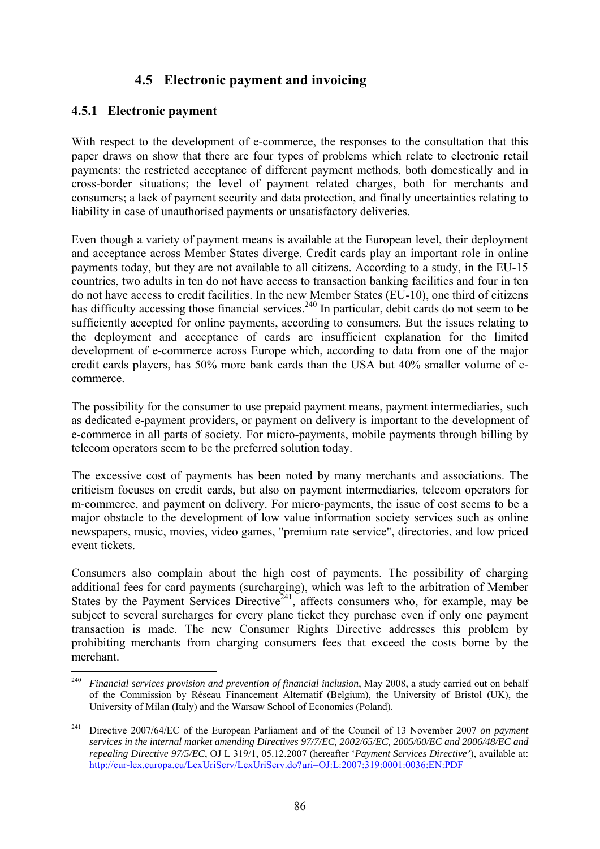# **4.5 Electronic payment and invoicing**

### **4.5.1 Electronic payment**

With respect to the development of e-commerce, the responses to the consultation that this paper draws on show that there are four types of problems which relate to electronic retail payments: the restricted acceptance of different payment methods, both domestically and in cross-border situations; the level of payment related charges, both for merchants and consumers; a lack of payment security and data protection, and finally uncertainties relating to liability in case of unauthorised payments or unsatisfactory deliveries.

Even though a variety of payment means is available at the European level, their deployment and acceptance across Member States diverge. Credit cards play an important role in online payments today, but they are not available to all citizens. According to a study, in the EU-15 countries, two adults in ten do not have access to transaction banking facilities and four in ten do not have access to credit facilities. In the new Member States (EU-10), one third of citizens has difficulty accessing those financial services.<sup>240</sup> In particular, debit cards do not seem to be sufficiently accepted for online payments, according to consumers. But the issues relating to the deployment and acceptance of cards are insufficient explanation for the limited development of e-commerce across Europe which, according to data from one of the major credit cards players, has 50% more bank cards than the USA but 40% smaller volume of ecommerce.

The possibility for the consumer to use prepaid payment means, payment intermediaries, such as dedicated e-payment providers, or payment on delivery is important to the development of e-commerce in all parts of society. For micro-payments, mobile payments through billing by telecom operators seem to be the preferred solution today.

The excessive cost of payments has been noted by many merchants and associations. The criticism focuses on credit cards, but also on payment intermediaries, telecom operators for m-commerce, and payment on delivery. For micro-payments, the issue of cost seems to be a major obstacle to the development of low value information society services such as online newspapers, music, movies, video games, "premium rate service", directories, and low priced event tickets.

Consumers also complain about the high cost of payments. The possibility of charging additional fees for card payments (surcharging), which was left to the arbitration of Member States by the Payment Services Directive<sup>241</sup>, affects consumers who, for example, may be subject to several surcharges for every plane ticket they purchase even if only one payment transaction is made. The new Consumer Rights Directive addresses this problem by prohibiting merchants from charging consumers fees that exceed the costs borne by the merchant.

 $240$ 240 *Financial services provision and prevention of financial inclusion*, May 2008, a study carried out on behalf of the Commission by Réseau Financement Alternatif (Belgium), the University of Bristol (UK), the University of Milan (Italy) and the Warsaw School of Economics (Poland).

<sup>241</sup> Directive 2007/64/EC of the European Parliament and of the Council of 13 November 2007 *on payment services in the internal market amending Directives 97/7/EC, 2002/65/EC, 2005/60/EC and 2006/48/EC and repealing Directive 97/5/EC*, OJ L 319/1, 05.12.2007 (hereafter '*Payment Services Directive'*), available at: <http://eur-lex.europa.eu/LexUriServ/LexUriServ.do?uri=OJ:L:2007:319:0001:0036:EN:PDF>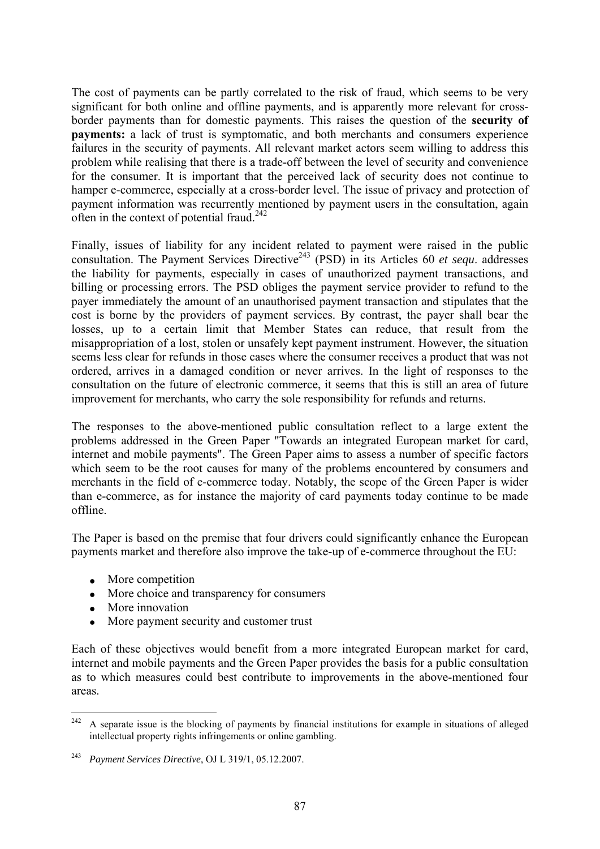The cost of payments can be partly correlated to the risk of fraud, which seems to be very significant for both online and offline payments, and is apparently more relevant for crossborder payments than for domestic payments. This raises the question of the **security of payments:** a lack of trust is symptomatic, and both merchants and consumers experience failures in the security of payments. All relevant market actors seem willing to address this problem while realising that there is a trade-off between the level of security and convenience for the consumer. It is important that the perceived lack of security does not continue to hamper e-commerce, especially at a cross-border level. The issue of privacy and protection of payment information was recurrently mentioned by payment users in the consultation, again often in the context of potential fraud.<sup>242</sup>

Finally, issues of liability for any incident related to payment were raised in the public consultation. The Payment Services Directive<sup>243</sup> (PSD) in its Articles 60 *et sequ*. addresses the liability for payments, especially in cases of unauthorized payment transactions, and billing or processing errors. The PSD obliges the payment service provider to refund to the payer immediately the amount of an unauthorised payment transaction and stipulates that the cost is borne by the providers of payment services. By contrast, the payer shall bear the losses, up to a certain limit that Member States can reduce, that result from the misappropriation of a lost, stolen or unsafely kept payment instrument. However, the situation seems less clear for refunds in those cases where the consumer receives a product that was not ordered, arrives in a damaged condition or never arrives. In the light of responses to the consultation on the future of electronic commerce, it seems that this is still an area of future improvement for merchants, who carry the sole responsibility for refunds and returns.

The responses to the above-mentioned public consultation reflect to a large extent the problems addressed in the Green Paper "Towards an integrated European market for card, internet and mobile payments". The Green Paper aims to assess a number of specific factors which seem to be the root causes for many of the problems encountered by consumers and merchants in the field of e-commerce today. Notably, the scope of the Green Paper is wider than e-commerce, as for instance the majority of card payments today continue to be made offline.

The Paper is based on the premise that four drivers could significantly enhance the European payments market and therefore also improve the take-up of e-commerce throughout the EU:

- More competition
- More choice and transparency for consumers
- More innovation
- More payment security and customer trust

Each of these objectives would benefit from a more integrated European market for card, internet and mobile payments and the Green Paper provides the basis for a public consultation as to which measures could best contribute to improvements in the above-mentioned four areas.

 $242\,$ 242 A separate issue is the blocking of payments by financial institutions for example in situations of alleged intellectual property rights infringements or online gambling.

<sup>243</sup> *Payment Services Directive*, OJ L 319/1, 05.12.2007.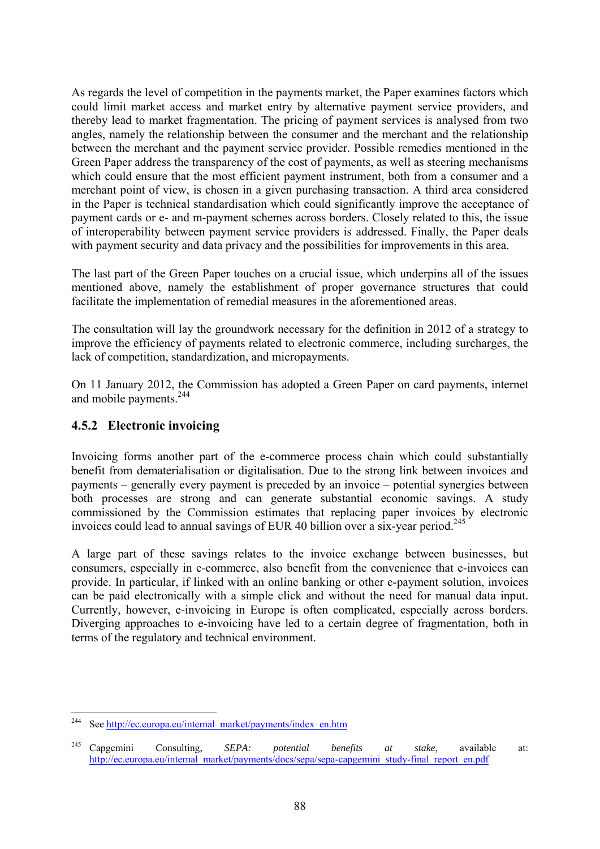As regards the level of competition in the payments market, the Paper examines factors which could limit market access and market entry by alternative payment service providers, and thereby lead to market fragmentation. The pricing of payment services is analysed from two angles, namely the relationship between the consumer and the merchant and the relationship between the merchant and the payment service provider. Possible remedies mentioned in the Green Paper address the transparency of the cost of payments, as well as steering mechanisms which could ensure that the most efficient payment instrument, both from a consumer and a merchant point of view, is chosen in a given purchasing transaction. A third area considered in the Paper is technical standardisation which could significantly improve the acceptance of payment cards or e- and m-payment schemes across borders. Closely related to this, the issue of interoperability between payment service providers is addressed. Finally, the Paper deals with payment security and data privacy and the possibilities for improvements in this area.

The last part of the Green Paper touches on a crucial issue, which underpins all of the issues mentioned above, namely the establishment of proper governance structures that could facilitate the implementation of remedial measures in the aforementioned areas.

The consultation will lay the groundwork necessary for the definition in 2012 of a strategy to improve the efficiency of payments related to electronic commerce, including surcharges, the lack of competition, standardization, and micropayments.

On 11 January 2012, the Commission has adopted a Green Paper on card payments, internet and mobile payments.<sup>244</sup>

## **4.5.2 Electronic invoicing**

Invoicing forms another part of the e-commerce process chain which could substantially benefit from dematerialisation or digitalisation. Due to the strong link between invoices and payments – generally every payment is preceded by an invoice – potential synergies between both processes are strong and can generate substantial economic savings. A study commissioned by the Commission estimates that replacing paper invoices by electronic invoices could lead to annual savings of EUR 40 billion over a six-year period.<sup>245</sup>

A large part of these savings relates to the invoice exchange between businesses, but consumers, especially in e-commerce, also benefit from the convenience that e-invoices can provide. In particular, if linked with an online banking or other e-payment solution, invoices can be paid electronically with a simple click and without the need for manual data input. Currently, however, e-invoicing in Europe is often complicated, especially across borders. Diverging approaches to e-invoicing have led to a certain degree of fragmentation, both in terms of the regulatory and technical environment.

<sup>244</sup> See http://ec.europa.eu/internal\_market/payments/index\_en.htm

<sup>245</sup> Capgemini Consulting, *SEPA: potential benefits at stake*, available at: [http://ec.europa.eu/internal\\_market/payments/docs/sepa/sepa-capgemini\\_study-final\\_report\\_en.pdf](http://ec.europa.eu/internal_market/payments/docs/sepa/sepa-capgemini_study-final_report_en.pdf)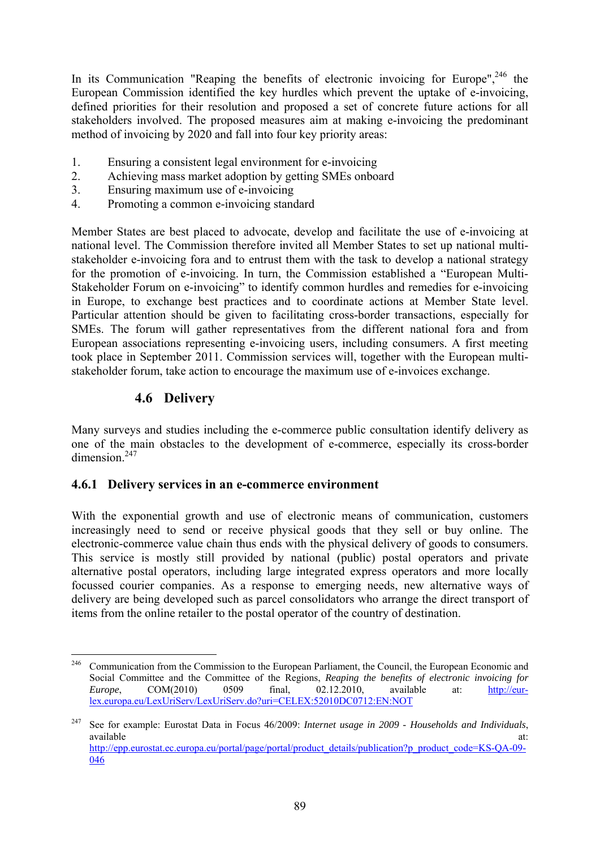In its Communication "Reaping the benefits of electronic invoicing for Europe",  $246$  the European Commission identified the key hurdles which prevent the uptake of e-invoicing, defined priorities for their resolution and proposed a set of concrete future actions for all stakeholders involved. The proposed measures aim at making e-invoicing the predominant method of invoicing by 2020 and fall into four key priority areas:

- 1. Ensuring a consistent legal environment for e-invoicing
- 2. Achieving mass market adoption by getting SMEs onboard
- 3. Ensuring maximum use of e-invoicing
- 4. Promoting a common e-invoicing standard

Member States are best placed to advocate, develop and facilitate the use of e-invoicing at national level. The Commission therefore invited all Member States to set up national multistakeholder e-invoicing fora and to entrust them with the task to develop a national strategy for the promotion of e-invoicing. In turn, the Commission established a "European Multi-Stakeholder Forum on e-invoicing" to identify common hurdles and remedies for e-invoicing in Europe, to exchange best practices and to coordinate actions at Member State level. Particular attention should be given to facilitating cross-border transactions, especially for SMEs. The forum will gather representatives from the different national fora and from European associations representing e-invoicing users, including consumers. A first meeting took place in September 2011. Commission services will, together with the European multistakeholder forum, take action to encourage the maximum use of e-invoices exchange.

# **4.6 Delivery**

Many surveys and studies including the e-commerce public consultation identify delivery as one of the main obstacles to the development of e-commerce, especially its cross-border dimension.<sup>247</sup>

## **4.6.1 Delivery services in an e-commerce environment**

With the exponential growth and use of electronic means of communication, customers increasingly need to send or receive physical goods that they sell or buy online. The electronic-commerce value chain thus ends with the physical delivery of goods to consumers. This service is mostly still provided by national (public) postal operators and private alternative postal operators, including large integrated express operators and more locally focussed courier companies. As a response to emerging needs, new alternative ways of delivery are being developed such as parcel consolidators who arrange the direct transport of items from the online retailer to the postal operator of the country of destination.

<sup>246</sup> 246 Communication from the Commission to the European Parliament, the Council, the European Economic and Social Committee and the Committee of the Regions, *Reaping the benefits of electronic invoicing for Europe*, COM(2010) 0509 final, 02.12.2010, available at: [http://eur](http://eur-lex.europa.eu/LexUriServ/LexUriServ.do?uri=CELEX:52010DC0712:EN:NOT)[lex.europa.eu/LexUriServ/LexUriServ.do?uri=CELEX:52010DC0712:EN:NOT](http://eur-lex.europa.eu/LexUriServ/LexUriServ.do?uri=CELEX:52010DC0712:EN:NOT) 

<sup>247</sup> See for example: Eurostat Data in Focus 46/2009: *Internet usage in 2009 - Households and Individuals*, available at: and a state at a state at a state at a state at a state at a state at a state at a state at a st http://epp.eurostat.ec.europa.eu/portal/page/portal/product\_details/publication?p\_product\_code=KS-OA-09-[046](http://epp.eurostat.ec.europa.eu/portal/page/portal/product_details/publication?p_product_code=KS-QA-09-046)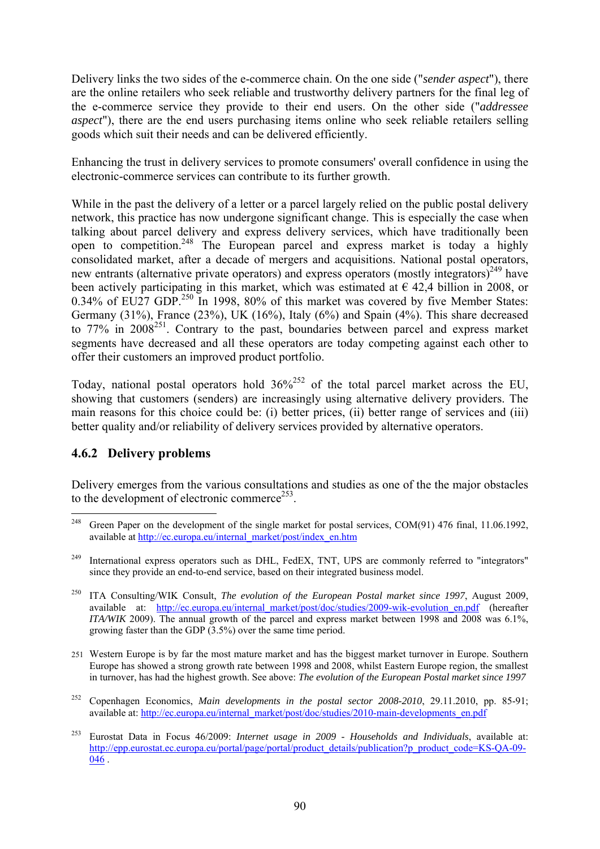Delivery links the two sides of the e-commerce chain. On the one side ("*sender aspect*"), there are the online retailers who seek reliable and trustworthy delivery partners for the final leg of the e-commerce service they provide to their end users. On the other side ("*addressee aspect*"), there are the end users purchasing items online who seek reliable retailers selling goods which suit their needs and can be delivered efficiently.

Enhancing the trust in delivery services to promote consumers' overall confidence in using the electronic-commerce services can contribute to its further growth.

While in the past the delivery of a letter or a parcel largely relied on the public postal delivery network, this practice has now undergone significant change. This is especially the case when talking about parcel delivery and express delivery services, which have traditionally been open to competition.<sup>248</sup> The European parcel and express market is today a highly consolidated market, after a decade of mergers and acquisitions. National postal operators, new entrants (alternative private operators) and express operators (mostly integrators)<sup>249</sup> have been actively participating in this market, which was estimated at  $\epsilon$  42,4 billion in 2008, or 0.34% of EU27 GDP.<sup>250</sup> In 1998, 80% of this market was covered by five Member States: Germany (31%), France (23%), UK (16%), Italy (6%) and Spain (4%). This share decreased to 77% in 2008<sup>251</sup>. Contrary to the past, boundaries between parcel and express market segments have decreased and all these operators are today competing against each other to offer their customers an improved product portfolio.

Today, national postal operators hold  $36\frac{252}{9}$  of the total parcel market across the EU, showing that customers (senders) are increasingly using alternative delivery providers. The main reasons for this choice could be: (i) better prices, (ii) better range of services and (iii) better quality and/or reliability of delivery services provided by alternative operators.

## **4.6.2 Delivery problems**

Delivery emerges from the various consultations and studies as one of the the major obstacles to the development of electronic commerce<sup>253</sup>.

<sup>248</sup> Green Paper on the development of the single market for postal services, COM(91) 476 final, 11.06.1992, available at [http://ec.europa.eu/internal\\_market/post/index\\_en.htm](http://ec.europa.eu/internal_market/post/index_en.htm) 

<sup>&</sup>lt;sup>249</sup> International express operators such as DHL, FedEX, TNT, UPS are commonly referred to "integrators" since they provide an end-to-end service, based on their integrated business model.

<sup>250</sup> ITA Consulting/WIK Consult, *The evolution of the European Postal market since 1997*, August 2009, available at: [http://ec.europa.eu/internal\\_market/post/doc/studies/2009-wik-evolution\\_en.pdf](http://ec.europa.eu/internal_market/post/doc/studies/2009-wik-evolution_en.pdf) (hereafter *ITA/WIK* 2009). The annual growth of the parcel and express market between 1998 and 2008 was 6.1%, growing faster than the GDP (3.5%) over the same time period.

<sup>251</sup> Western Europe is by far the most mature market and has the biggest market turnover in Europe. Southern Europe has showed a strong growth rate between 1998 and 2008, whilst Eastern Europe region, the smallest in turnover, has had the highest growth. See above: *The evolution of the European Postal market since 1997*

<sup>252</sup> Copenhagen Economics, *Main developments in the postal sector 2008-2010*, 29.11.2010, pp. 85-91; available at: [http://ec.europa.eu/internal\\_market/post/doc/studies/2010-main-developments\\_en.pdf](http://ec.europa.eu/internal_market/post/doc/studies/2010-main-developments_en.pdf)

<sup>253</sup> Eurostat Data in Focus 46/2009: *Internet usage in 2009 - Households and Individuals*, available at: http://epp.eurostat.ec.europa.eu/portal/page/portal/product\_details/publication?p\_product\_code=KS-OA-09-[046 .](http://epp.eurostat.ec.europa.eu/portal/page/portal/product_details/publication?p_product_code=KS-QA-09-046)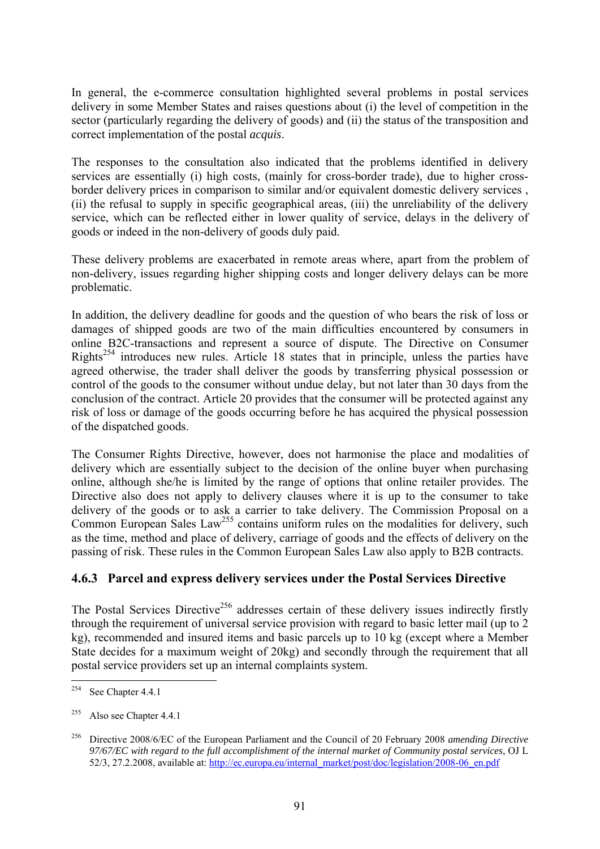In general, the e-commerce consultation highlighted several problems in postal services delivery in some Member States and raises questions about (i) the level of competition in the sector (particularly regarding the delivery of goods) and (ii) the status of the transposition and correct implementation of the postal *acquis*.

The responses to the consultation also indicated that the problems identified in delivery services are essentially (i) high costs, (mainly for cross-border trade), due to higher crossborder delivery prices in comparison to similar and/or equivalent domestic delivery services , (ii) the refusal to supply in specific geographical areas, (iii) the unreliability of the delivery service, which can be reflected either in lower quality of service, delays in the delivery of goods or indeed in the non-delivery of goods duly paid.

These delivery problems are exacerbated in remote areas where, apart from the problem of non-delivery, issues regarding higher shipping costs and longer delivery delays can be more problematic.

In addition, the delivery deadline for goods and the question of who bears the risk of loss or damages of shipped goods are two of the main difficulties encountered by consumers in online B2C-transactions and represent a source of dispute. The Directive on Consumer Rights<sup>254</sup> introduces new rules. Article 18 states that in principle, unless the parties have agreed otherwise, the trader shall deliver the goods by transferring physical possession or control of the goods to the consumer without undue delay, but not later than 30 days from the conclusion of the contract. Article 20 provides that the consumer will be protected against any risk of loss or damage of the goods occurring before he has acquired the physical possession of the dispatched goods.

The Consumer Rights Directive, however, does not harmonise the place and modalities of delivery which are essentially subject to the decision of the online buyer when purchasing online, although she/he is limited by the range of options that online retailer provides. The Directive also does not apply to delivery clauses where it is up to the consumer to take delivery of the goods or to ask a carrier to take delivery. The Commission Proposal on a Common European Sales Law<sup>255</sup> contains uniform rules on the modalities for delivery, such as the time, method and place of delivery, carriage of goods and the effects of delivery on the passing of risk. These rules in the Common European Sales Law also apply to B2B contracts.

# **4.6.3 Parcel and express delivery services under the Postal Services Directive**

The Postal Services Directive<sup>256</sup> addresses certain of these delivery issues indirectly firstly through the requirement of universal service provision with regard to basic letter mail (up to 2 kg), recommended and insured items and basic parcels up to 10 kg (except where a Member State decides for a maximum weight of 20kg) and secondly through the requirement that all postal service providers set up an internal complaints system.

<sup>254</sup> See Chapter 4.4.1

<sup>&</sup>lt;sup>255</sup> Also see Chapter 4.4.1

<sup>256</sup> Directive 2008/6/EC of the European Parliament and the Council of 20 February 2008 *amending Directive 97/67/EC with regard to the full accomplishment of the internal market of Community postal services*, OJ L [52/3, 27.2.2008, available at: http://ec.europa.eu/internal\\_market/post/doc/legislation/2008-06\\_en.pdf](http://ec.europa.eu/internal_market/post/doc/legislation/2008-06_en.pdf)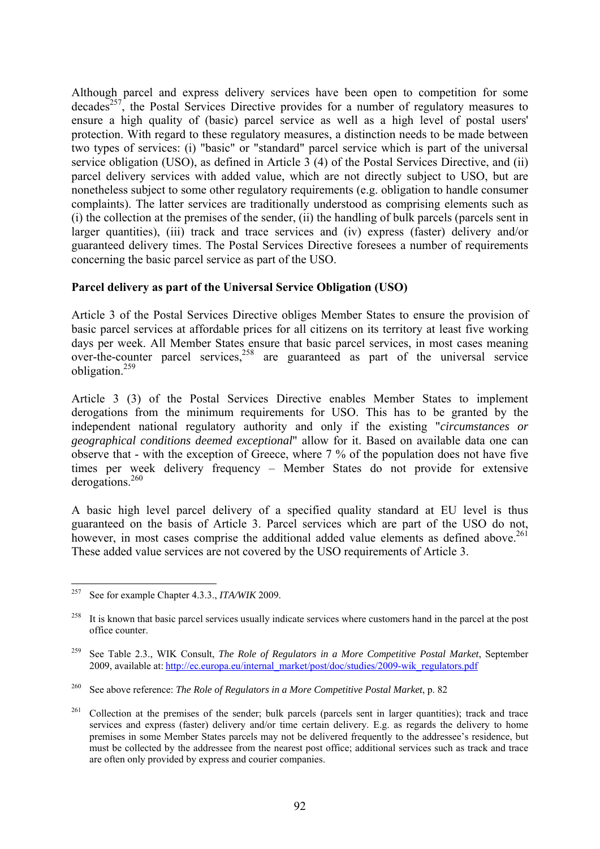Although parcel and express delivery services have been open to competition for some  $decades<sup>257</sup>$ , the Postal Services Directive provides for a number of regulatory measures to ensure a high quality of (basic) parcel service as well as a high level of postal users' protection. With regard to these regulatory measures, a distinction needs to be made between two types of services: (i) "basic" or "standard" parcel service which is part of the universal service obligation (USO), as defined in Article 3 (4) of the Postal Services Directive, and (ii) parcel delivery services with added value, which are not directly subject to USO, but are nonetheless subject to some other regulatory requirements (e.g. obligation to handle consumer complaints). The latter services are traditionally understood as comprising elements such as (i) the collection at the premises of the sender, (ii) the handling of bulk parcels (parcels sent in larger quantities), (iii) track and trace services and (iv) express (faster) delivery and/or guaranteed delivery times. The Postal Services Directive foresees a number of requirements concerning the basic parcel service as part of the USO.

#### **Parcel delivery as part of the Universal Service Obligation (USO)**

Article 3 of the Postal Services Directive obliges Member States to ensure the provision of basic parcel services at affordable prices for all citizens on its territory at least five working days per week. All Member States ensure that basic parcel services, in most cases meaning over-the-counter parcel services,  $258$  are guaranteed as part of the universal service obligation.259

Article 3 (3) of the Postal Services Directive enables Member States to implement derogations from the minimum requirements for USO. This has to be granted by the independent national regulatory authority and only if the existing "*circumstances or geographical conditions deemed exceptional*" allow for it. Based on available data one can observe that - with the exception of Greece, where 7 % of the population does not have five times per week delivery frequency – Member States do not provide for extensive derogations.<sup>260</sup>

A basic high level parcel delivery of a specified quality standard at EU level is thus guaranteed on the basis of Article 3. Parcel services which are part of the USO do not, however, in most cases comprise the additional added value elements as defined above.<sup>261</sup> These added value services are not covered by the USO requirements of Article 3.

<sup>257</sup> 257 See for example Chapter 4.3.3., *ITA/WIK* 2009.

<sup>&</sup>lt;sup>258</sup> It is known that basic parcel services usually indicate services where customers hand in the parcel at the post office counter.

<sup>259</sup> See Table 2.3., WIK Consult, *The Role of Regulators in a More Competitive Postal Market*, September 2009, av[ailable at:](http://ec.europa.eu/internal_market/post/doc/studies/2009-wik_regulators.pdf) http://ec.europa.eu/internal\_market/post/doc/studies/2009-wik\_regulators.pdf

<sup>260</sup> See above reference: *The Role of Regulators in a More Competitive Postal Market*, p. 82

<sup>&</sup>lt;sup>261</sup> Collection at the premises of the sender; bulk parcels (parcels sent in larger quantities); track and trace services and express (faster) delivery and/or time certain delivery. E.g. as regards the delivery to home premises in some Member States parcels may not be delivered frequently to the addressee's residence, but must be collected by the addressee from the nearest post office; additional services such as track and trace are often only provided by express and courier companies.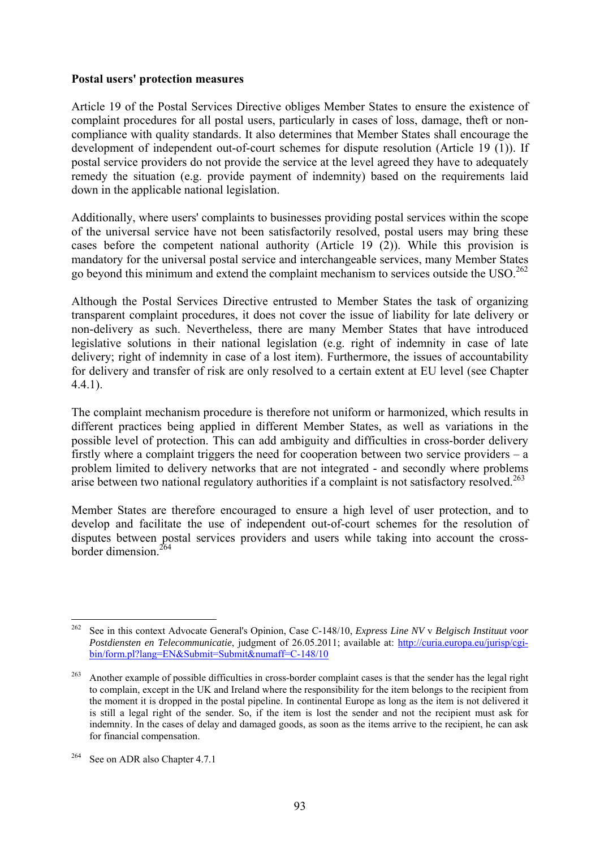#### **Postal users' protection measures**

Article 19 of the Postal Services Directive obliges Member States to ensure the existence of complaint procedures for all postal users, particularly in cases of loss, damage, theft or noncompliance with quality standards. It also determines that Member States shall encourage the development of independent out-of-court schemes for dispute resolution (Article 19 (1)). If postal service providers do not provide the service at the level agreed they have to adequately remedy the situation (e.g. provide payment of indemnity) based on the requirements laid down in the applicable national legislation.

Additionally, where users' complaints to businesses providing postal services within the scope of the universal service have not been satisfactorily resolved, postal users may bring these cases before the competent national authority (Article 19 (2)). While this provision is mandatory for the universal postal service and interchangeable services, many Member States go beyond this minimum and extend the complaint mechanism to services outside the USO.<sup>262</sup>

Although the Postal Services Directive entrusted to Member States the task of organizing transparent complaint procedures, it does not cover the issue of liability for late delivery or non-delivery as such. Nevertheless, there are many Member States that have introduced legislative solutions in their national legislation (e.g. right of indemnity in case of late delivery; right of indemnity in case of a lost item). Furthermore, the issues of accountability for delivery and transfer of risk are only resolved to a certain extent at EU level (see Chapter 4.4.1).

The complaint mechanism procedure is therefore not uniform or harmonized, which results in different practices being applied in different Member States, as well as variations in the possible level of protection. This can add ambiguity and difficulties in cross-border delivery firstly where a complaint triggers the need for cooperation between two service providers – a problem limited to delivery networks that are not integrated - and secondly where problems arise between two national regulatory authorities if a complaint is not satisfactory resolved.<sup>263</sup>

Member States are therefore encouraged to ensure a high level of user protection, and to develop and facilitate the use of independent out-of-court schemes for the resolution of disputes between postal services providers and users while taking into account the crossborder dimension  $^{264}$ 

<sup>262</sup> <sup>262</sup> See in this context Advocate General's Opinion, Case C-148/10, *Express Line NV* v *Belgisch Instituut voor Postdiensten en Telecommunicatie*, judgment of 26.05.2011; available at: [http://curia.europa.eu/jurisp/cgi](http://curia.europa.eu/jurisp/cgi-bin/form.pl?lang=EN&Submit=Submit&numaff=C-148/10)[bin/form.pl?lang=EN&Submit=Submit&numaff=C-148/10](http://curia.europa.eu/jurisp/cgi-bin/form.pl?lang=EN&Submit=Submit&numaff=C-148/10) 

<sup>&</sup>lt;sup>263</sup> Another example of possible difficulties in cross-border complaint cases is that the sender has the legal right to complain, except in the UK and Ireland where the responsibility for the item belongs to the recipient from the moment it is dropped in the postal pipeline. In continental Europe as long as the item is not delivered it is still a legal right of the sender. So, if the item is lost the sender and not the recipient must ask for indemnity. In the cases of delay and damaged goods, as soon as the items arrive to the recipient, he can ask for financial compensation.

<sup>&</sup>lt;sup>264</sup> See on ADR also Chapter 4.7.1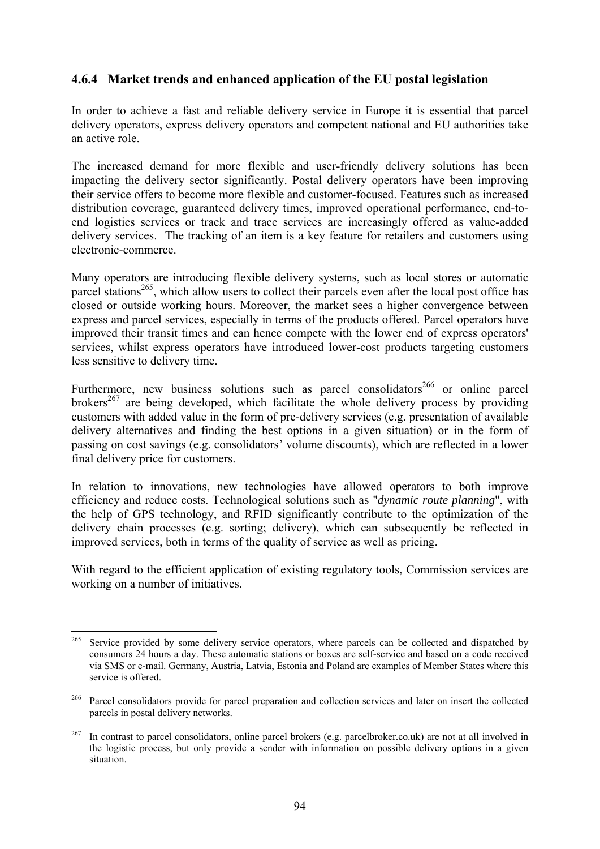### **4.6.4 Market trends and enhanced application of the EU postal legislation**

In order to achieve a fast and reliable delivery service in Europe it is essential that parcel delivery operators, express delivery operators and competent national and EU authorities take an active role.

The increased demand for more flexible and user-friendly delivery solutions has been impacting the delivery sector significantly. Postal delivery operators have been improving their service offers to become more flexible and customer-focused. Features such as increased distribution coverage, guaranteed delivery times, improved operational performance, end-toend logistics services or track and trace services are increasingly offered as value-added delivery services. The tracking of an item is a key feature for retailers and customers using electronic-commerce.

Many operators are introducing flexible delivery systems, such as local stores or automatic parcel stations<sup>265</sup>, which allow users to collect their parcels even after the local post office has closed or outside working hours. Moreover, the market sees a higher convergence between express and parcel services, especially in terms of the products offered. Parcel operators have improved their transit times and can hence compete with the lower end of express operators' services, whilst express operators have introduced lower-cost products targeting customers less sensitive to delivery time.

Furthermore, new business solutions such as parcel consolidators<sup>266</sup> or online parcel brokers<sup>267</sup> are being developed, which facilitate the whole delivery process by providing customers with added value in the form of pre-delivery services (e.g. presentation of available delivery alternatives and finding the best options in a given situation) or in the form of passing on cost savings (e.g. consolidators' volume discounts), which are reflected in a lower final delivery price for customers.

In relation to innovations, new technologies have allowed operators to both improve efficiency and reduce costs. Technological solutions such as "*dynamic route planning*", with the help of GPS technology, and RFID significantly contribute to the optimization of the delivery chain processes (e.g. sorting; delivery), which can subsequently be reflected in improved services, both in terms of the quality of service as well as pricing.

With regard to the efficient application of existing regulatory tools, Commission services are working on a number of initiatives.

<sup>265</sup> 265 Service provided by some delivery service operators, where parcels can be collected and dispatched by consumers 24 hours a day. These automatic stations or boxes are self-service and based on a code received via SMS or e-mail. Germany, Austria, Latvia, Estonia and Poland are examples of Member States where this service is offered.

<sup>&</sup>lt;sup>266</sup> Parcel consolidators provide for parcel preparation and collection services and later on insert the collected parcels in postal delivery networks.

 $267$  In contrast to parcel consolidators, online parcel brokers (e.g. parcelbroker.co.uk) are not at all involved in the logistic process, but only provide a sender with information on possible delivery options in a given situation.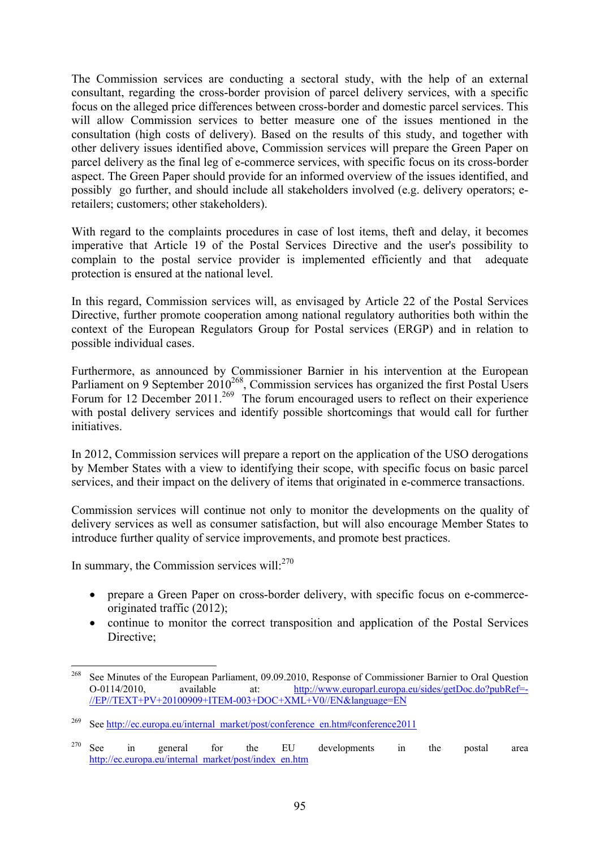The Commission services are conducting a sectoral study, with the help of an external consultant, regarding the cross-border provision of parcel delivery services, with a specific focus on the alleged price differences between cross-border and domestic parcel services. This will allow Commission services to better measure one of the issues mentioned in the consultation (high costs of delivery). Based on the results of this study, and together with other delivery issues identified above, Commission services will prepare the Green Paper on parcel delivery as the final leg of e-commerce services, with specific focus on its cross-border aspect. The Green Paper should provide for an informed overview of the issues identified, and possibly go further, and should include all stakeholders involved (e.g. delivery operators; eretailers; customers; other stakeholders).

With regard to the complaints procedures in case of lost items, theft and delay, it becomes imperative that Article 19 of the Postal Services Directive and the user's possibility to complain to the postal service provider is implemented efficiently and that adequate protection is ensured at the national level.

In this regard, Commission services will, as envisaged by Article 22 of the Postal Services Directive, further promote cooperation among national regulatory authorities both within the context of the European Regulators Group for Postal services (ERGP) and in relation to possible individual cases.

Furthermore, as announced by Commissioner Barnier in his intervention at the European Parliament on 9 September  $2010^{268}$ , Commission services has organized the first Postal Users Forum for 12 December 2011.<sup>269</sup> The forum encouraged users to reflect on their experience with postal delivery services and identify possible shortcomings that would call for further *initiatives* 

In 2012, Commission services will prepare a report on the application of the USO derogations by Member States with a view to identifying their scope, with specific focus on basic parcel services, and their impact on the delivery of items that originated in e-commerce transactions.

Commission services will continue not only to monitor the developments on the quality of delivery services as well as consumer satisfaction, but will also encourage Member States to introduce further quality of service improvements, and promote best practices.

In summary, the Commission services will: $270$ 

- prepare a Green Paper on cross-border delivery, with specific focus on e-commerceoriginated traffic (2012);
- continue to monitor the correct transposition and application of the Postal Services Directive:

<sup>268</sup> See Minutes of the European Parliament, 09.09.2010, Response of Commissioner Barnier to Oral Question O-0114/2010, available at: [http://www.europarl.europa.eu/sides/getDoc.do?pubRef=-](http://www.europarl.europa.eu/sides/getDoc.do?pubRef=-//EP//TEXT+PV+20100909+ITEM-003+DOC+XML+V0//EN&language=EN) [//EP//TEXT+PV+20100909+ITEM-003+DOC+XML+V0//EN&language=EN](http://www.europarl.europa.eu/sides/getDoc.do?pubRef=-//EP//TEXT+PV+20100909+ITEM-003+DOC+XML+V0//EN&language=EN) 

See http://ec.europa.eu/internal\_market/post/conference\_en.htm#conference2011

<sup>&</sup>lt;sup>270</sup> See in general for the EU developments in the postal area [http://ec.europa.eu/internal\\_market/post/index\\_en.htm](http://ec.europa.eu/internal_market/post/index_en.htm)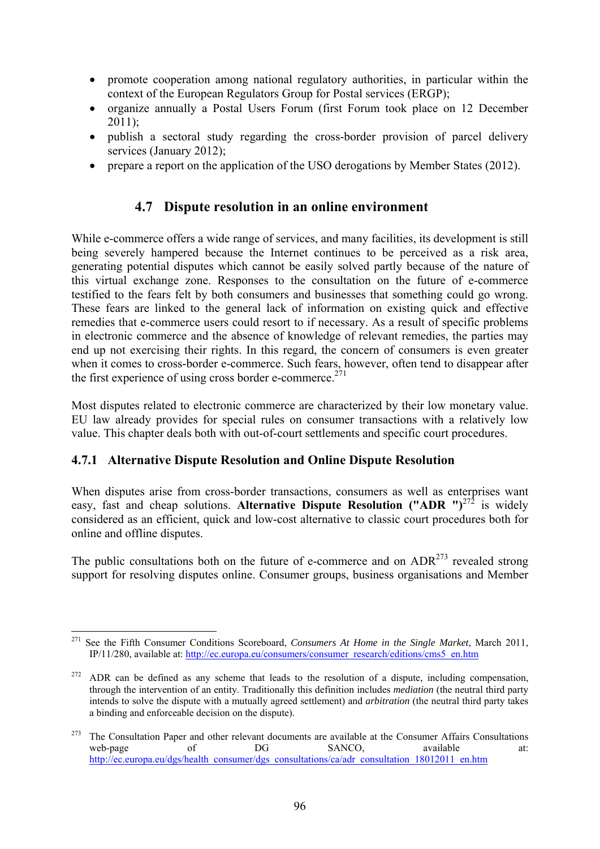- promote cooperation among national regulatory authorities, in particular within the context of the European Regulators Group for Postal services (ERGP);
- organize annually a Postal Users Forum (first Forum took place on 12 December 2011);
- publish a sectoral study regarding the cross-border provision of parcel delivery services (January 2012);
- prepare a report on the application of the USO derogations by Member States (2012).

# **4.7 Dispute resolution in an online environment**

While e-commerce offers a wide range of services, and many facilities, its development is still being severely hampered because the Internet continues to be perceived as a risk area, generating potential disputes which cannot be easily solved partly because of the nature of this virtual exchange zone. Responses to the consultation on the future of e-commerce testified to the fears felt by both consumers and businesses that something could go wrong. These fears are linked to the general lack of information on existing quick and effective remedies that e-commerce users could resort to if necessary. As a result of specific problems in electronic commerce and the absence of knowledge of relevant remedies, the parties may end up not exercising their rights. In this regard, the concern of consumers is even greater when it comes to cross-border e-commerce. Such fears, however, often tend to disappear after the first experience of using cross border e-commerce.<sup>271</sup>

Most disputes related to electronic commerce are characterized by their low monetary value. EU law already provides for special rules on consumer transactions with a relatively low value. This chapter deals both with out-of-court settlements and specific court procedures.

## **4.7.1 Alternative Dispute Resolution and Online Dispute Resolution**

1

When disputes arise from cross-border transactions, consumers as well as enterprises want easy, fast and cheap solutions. **Alternative Dispute Resolution ("ADR ")**<sup>272</sup> is widely considered as an efficient, quick and low-cost alternative to classic court procedures both for online and offline disputes.

The public consultations both on the future of e-commerce and on  $ADR<sup>273</sup>$  revealed strong support for resolving disputes online. Consumer groups, business organisations and Member

<sup>271</sup> See the Fifth Consumer Conditions Scoreboard, *Consumers At Home in the Single Market*, March 2011, IP/11/280, available at: [http://ec.europa.eu/consumers/consumer\\_research/editions/cms5\\_en.htm](http://ec.europa.eu/consumers/consumer_research/editions/cms5_en.htm) 

 $272$  ADR can be defined as any scheme that leads to the resolution of a dispute, including compensation, through the intervention of an entity. Traditionally this definition includes *mediation* (the neutral third party intends to solve the dispute with a mutually agreed settlement) and *arbitration* (the neutral third party takes a binding and enforceable decision on the dispute).

<sup>&</sup>lt;sup>273</sup> The Consultation Paper and other relevant documents are available at the Consumer Affairs Consultations web-page of DG SANCO. web-page of DG SANCO, available at: http://ec.europa.eu/dgs/health\_consumer/dgs\_consultations/ca/adr\_consultation 18012011\_en.htm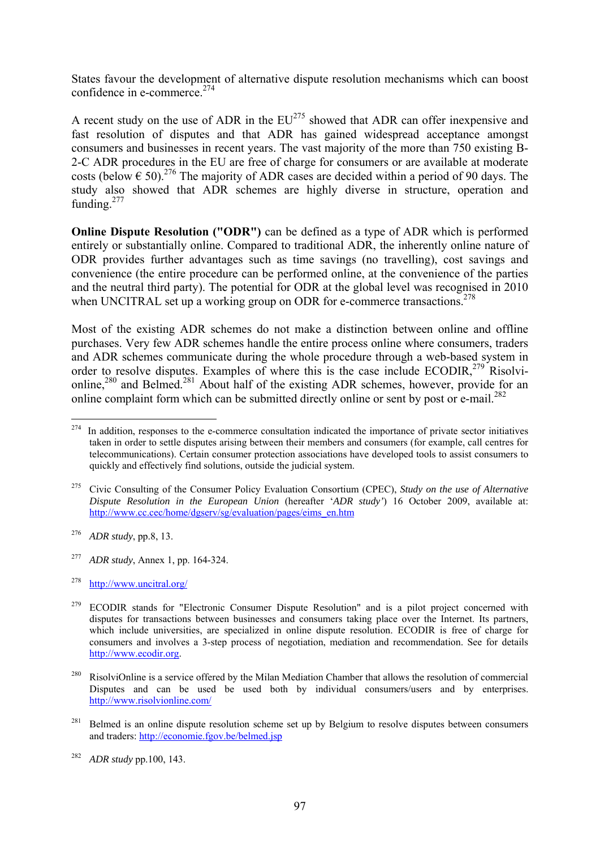States favour the development of alternative dispute resolution mechanisms which can boost confidence in e-commerce.274

A recent study on the use of ADR in the  $EU^{275}$  showed that ADR can offer inexpensive and fast resolution of disputes and that ADR has gained widespread acceptance amongst consumers and businesses in recent years. The vast majority of the more than 750 existing B-2-C ADR procedures in the EU are free of charge for consumers or are available at moderate costs (below  $\epsilon$  50).<sup>276</sup> The majority of ADR cases are decided within a period of 90 days. The study also showed that ADR schemes are highly diverse in structure, operation and funding. $277$ 

**Online Dispute Resolution ("ODR")** can be defined as a type of ADR which is performed entirely or substantially online. Compared to traditional ADR, the inherently online nature of ODR provides further advantages such as time savings (no travelling), cost savings and convenience (the entire procedure can be performed online, at the convenience of the parties and the neutral third party). The potential for ODR at the global level was recognised in 2010 when UNCITRAL set up a working group on ODR for e-commerce transactions.<sup>278</sup>

Most of the existing ADR schemes do not make a distinction between online and offline purchases. Very few ADR schemes handle the entire process online where consumers, traders and ADR schemes communicate during the whole procedure through a web-based system in order to resolve disputes. Examples of where this is the case include ECODIR,<sup>279</sup> Risolvionline,<sup>280</sup> and Belmed.<sup>281</sup> About half of the existing ADR schemes, however, provide for an online complaint form which can be submitted directly online or sent by post or e-mail.<sup>282</sup>

<sup>274</sup> In addition, responses to the e-commerce consultation indicated the importance of private sector initiatives taken in order to settle disputes arising between their members and consumers (for example, call centres for telecommunications). Certain consumer protection associations have developed tools to assist consumers to quickly and effectively find solutions, outside the judicial system.

<sup>275</sup> Civic Consulting of the Consumer Policy Evaluation Consortium (CPEC), *Study on the use of Alternative Dispute Resolution in the European Union* (hereafter '*ADR study'*) 16 October 2009, available at: [http://www.cc.cec/home/dgserv/sg/evaluation/pages](http://www.cc.cec/home/dgserv/sg/evaluation/pages/eims_en.htm)/eims\_en.htm

<sup>276</sup> *ADR study*, pp.8, 13.

<sup>277</sup> *ADR study*, Annex 1, pp. 164-324.

<sup>278</sup> <http://www.uncitral.org/>

<sup>&</sup>lt;sup>279</sup> ECODIR stands for "Electronic Consumer Dispute Resolution" and is a pilot project concerned with disputes for transactions between businesses and consumers taking place over the Internet. Its partners, which include universities, are specialized in online dispute resolution. ECODIR is free of charge for consumers and involves a 3-step process of negotiation, mediation and recommendation. See for details [http://www.ecodir.org.](http://www.ecodir.org/) 

<sup>&</sup>lt;sup>280</sup> RisolviOnline is a service offered by the Milan Mediation Chamber that allows the resolution of commercial Disputes and can be used be used both by individual consumers/users and by enterprises. <http://www.risolvionline.com/>

Belmed is an online dispute resolution scheme set up by Belgium to resolve disputes between consumers and traders:<http://economie.fgov.be/belmed.jsp>

<sup>282</sup> *ADR study* pp.100, 143.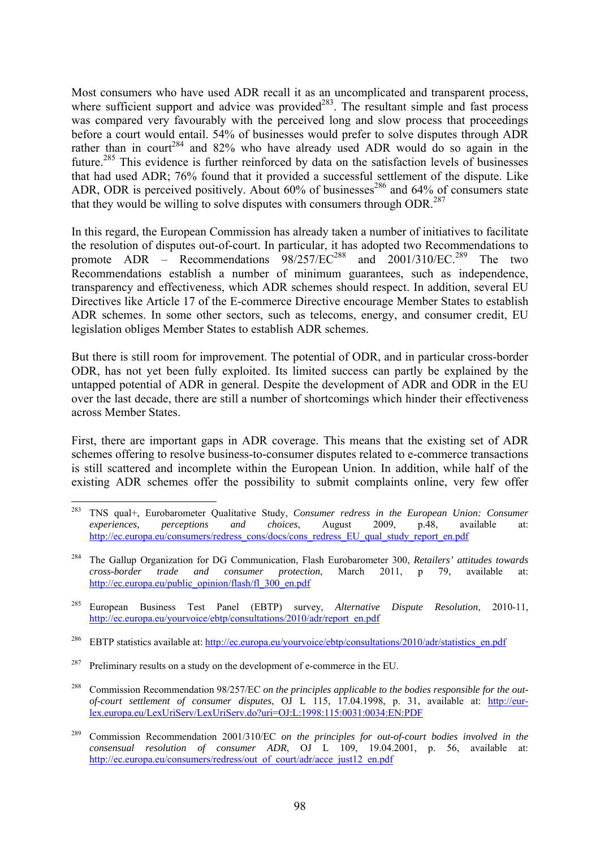Most consumers who have used ADR recall it as an uncomplicated and transparent process, where sufficient support and advice was provided<sup>283</sup>. The resultant simple and fast process was compared very favourably with the perceived long and slow process that proceedings before a court would entail. 54% of businesses would prefer to solve disputes through ADR rather than in court<sup>284</sup> and 82% who have already used ADR would do so again in the future.285 This evidence is further reinforced by data on the satisfaction levels of businesses that had used ADR; 76% found that it provided a successful settlement of the dispute. Like ADR, ODR is perceived positively. About  $60\%$  of businesses<sup>286</sup> and  $64\%$  of consumers state that they would be willing to solve disputes with consumers through ODR.<sup>287</sup>

In this regard, the European Commission has already taken a number of initiatives to facilitate the resolution of disputes out-of-court. In particular, it has adopted two Recommendations to promote  $\triangle D$ R – Recommendations  $98/257/EC^{288}$  and  $2001/310/EC^{289}$  The two Recommendations establish a number of minimum guarantees, such as independence, transparency and effectiveness, which ADR schemes should respect. In addition, several EU Directives like Article 17 of the E-commerce Directive encourage Member States to establish ADR schemes. In some other sectors, such as telecoms, energy, and consumer credit, EU legislation obliges Member States to establish ADR schemes.

But there is still room for improvement. The potential of ODR, and in particular cross-border ODR, has not yet been fully exploited. Its limited success can partly be explained by the untapped potential of ADR in general. Despite the development of ADR and ODR in the EU over the last decade, there are still a number of shortcomings which hinder their effectiveness across Member States.

First, there are important gaps in ADR coverage. This means that the existing set of ADR schemes offering to resolve business-to-consumer disputes related to e-commerce transactions is still scattered and incomplete within the European Union. In addition, while half of the existing ADR schemes offer the possibility to submit complaints online, very few offer

<sup>283</sup> 283 TNS qual+, Eurobarometer Qualitative Study, *Consumer redress in the European Union: Consumer experiences, perceptions and choices*, August 2009, p.48, available at: [http://ec.europa.eu/consumers/redress\\_cons/docs/cons\\_red](http://ec.europa.eu/consumers/redress_cons/docs/cons_redress_EU_qual_study_report_en.pdf)ress\_EU\_qual\_study\_report\_en.pdf

<sup>284</sup> The Gallup Organization for DG Communication, Flash Eurobarometer 300, *Retailers' attitudes towards cross-border trade and consumer protection*, March 2011, p 79, available at: http://ec.europa.eu/public\_opinion/flash/fl\_300\_en.pdf

<sup>285</sup> European Business Test Panel (EBTP) survey, *Alternative Dispute Resolution*, 2010-11, [http://ec.europa.eu/yourvoice/ebtp/consultations/2010/adr/report\\_en.pdf](http://ec.europa.eu/yourvoice/ebtp/consultations/2010/adr/report_en.pdf) 

<sup>&</sup>lt;sup>286</sup> EBTP statistics available at: http://ec.europa.eu/yourvoice/ebtp/consultations/2010/adr/statistics\_en.pdf

 $287$  Preliminary results on a study on the development of e-commerce in the EU.

<sup>288</sup> Commission Recommendation 98/257/EC *on the principles applicable to the bodies responsible for the outof-court settlement of consumer disputes*, OJ L 115, 17.04.1998, p. 31, available at: [http://eur](http://eur-lex.europa.eu/LexUriServ/LexUriServ.do?uri=OJ:L:1998:115:0031:0034:EN:PDF)[lex.europa.eu/LexUriServ/LexUriServ.do?uri=OJ:L:1998:115:0031:0034:EN:PDF](http://eur-lex.europa.eu/LexUriServ/LexUriServ.do?uri=OJ:L:1998:115:0031:0034:EN:PDF) 

<sup>289</sup> Commission Recommendation 2001/310/EC *on the principles for out-of-court bodies involved in the consensual resolution of consumer ADR*, OJ L 109, 19.04.2001, p. 56, available at: http://ec.europa.eu/consumers/redress/out\_of\_court/adr/acce\_just12\_en.pdf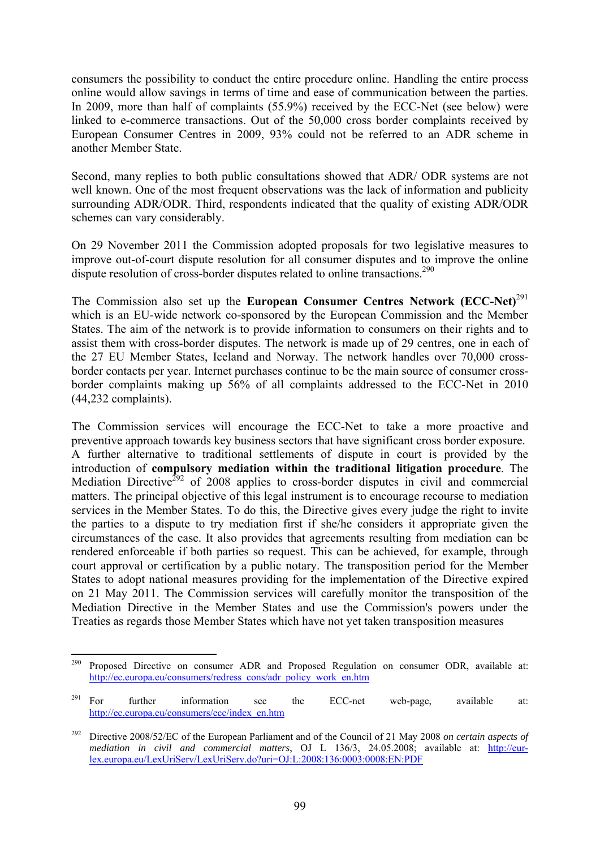consumers the possibility to conduct the entire procedure online. Handling the entire process online would allow savings in terms of time and ease of communication between the parties. In 2009, more than half of complaints (55.9%) received by the ECC-Net (see below) were linked to e-commerce transactions. Out of the 50,000 cross border complaints received by European Consumer Centres in 2009, 93% could not be referred to an ADR scheme in another Member State.

Second, many replies to both public consultations showed that ADR/ ODR systems are not well known. One of the most frequent observations was the lack of information and publicity surrounding ADR/ODR. Third, respondents indicated that the quality of existing ADR/ODR schemes can vary considerably.

On 29 November 2011 the Commission adopted proposals for two legislative measures to improve out-of-court dispute resolution for all consumer disputes and to improve the online dispute resolution of cross-border disputes related to online transactions.<sup>290</sup>

The Commission also set up the **European Consumer Centres Network (ECC-Net)**<sup>291</sup> which is an EU-wide network co-sponsored by the European Commission and the Member States. The aim of the network is to provide information to consumers on their rights and to assist them with cross-border disputes. The network is made up of 29 centres, one in each of the 27 EU Member States, Iceland and Norway. The network handles over 70,000 crossborder contacts per year. Internet purchases continue to be the main source of consumer crossborder complaints making up 56% of all complaints addressed to the ECC-Net in 2010 (44,232 complaints).

The Commission services will encourage the ECC-Net to take a more proactive and preventive approach towards key business sectors that have significant cross border exposure. A further alternative to traditional settlements of dispute in court is provided by the introduction of **compulsory mediation within the traditional litigation procedure**. The Mediation Directive<sup>292</sup> of 2008 applies to cross-border disputes in civil and commercial matters. The principal objective of this legal instrument is to encourage recourse to mediation services in the Member States. To do this, the Directive gives every judge the right to invite the parties to a dispute to try mediation first if she/he considers it appropriate given the circumstances of the case. It also provides that agreements resulting from mediation can be rendered enforceable if both parties so request. This can be achieved, for example, through court approval or certification by a public notary. The transposition period for the Member States to adopt national measures providing for the implementation of the Directive expired on 21 May 2011. The Commission services will carefully monitor the transposition of the Mediation Directive in the Member States and use the Commission's powers under the Treaties as regards those Member States which have not yet taken transposition measures

<sup>290</sup> Proposed Directive on consumer ADR and Proposed Regulation on consumer ODR, available at: [http://ec.europa.eu/consumers/redress\\_cons/adr\\_policy\\_work\\_en.htm](http://ec.europa.eu/consumers/redress_cons/adr_policy_work_en.htm) 

<sup>&</sup>lt;sup>291</sup> For further information see the ECC-net web-page, available at: [http://ec.europa.eu/consumers/ecc/index\\_en.htm](http://ec.europa.eu/consumers/ecc/index_en.htm)

<sup>292</sup> Directive 2008/52/EC of the European Parliament and of the Council of 21 May 2008 *on certain aspects of mediation in civil and commercial matters*, OJ L 136/3, 24.05.2008; available at: [http://eur](http://eur-lex.europa.eu/LexUriServ/LexUriServ.do?uri=OJ:L:2008:136:0003:0008:EN:PDF)[lex.europa.eu/LexUriServ/LexUriServ.do?uri=OJ:L:2008:136:0003:0008:EN:PDF](http://eur-lex.europa.eu/LexUriServ/LexUriServ.do?uri=OJ:L:2008:136:0003:0008:EN:PDF)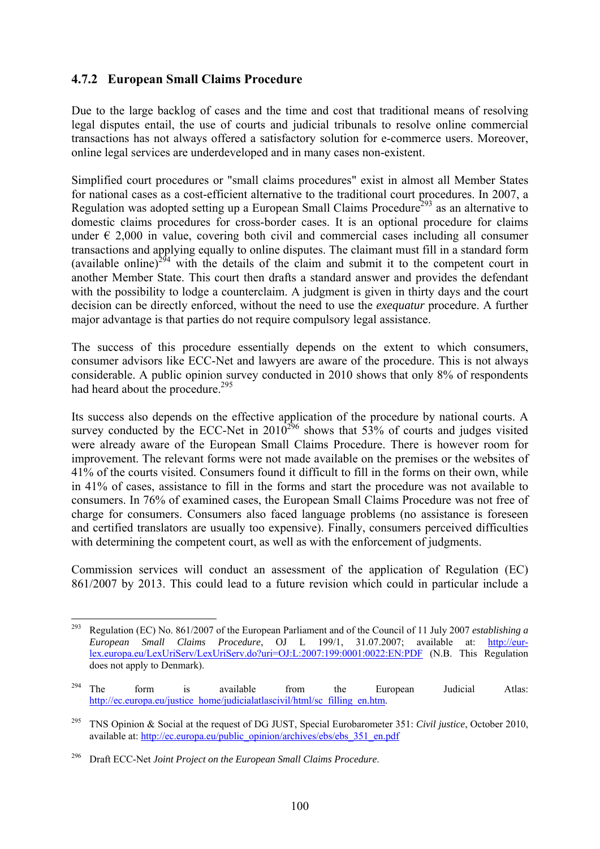## **4.7.2 European Small Claims Procedure**

Due to the large backlog of cases and the time and cost that traditional means of resolving legal disputes entail, the use of courts and judicial tribunals to resolve online commercial transactions has not always offered a satisfactory solution for e-commerce users. Moreover, online legal services are underdeveloped and in many cases non-existent.

Simplified court procedures or "small claims procedures" exist in almost all Member States for national cases as a cost-efficient alternative to the traditional court procedures. In 2007, a Regulation was adopted setting up a European Small Claims Procedure<sup>293</sup> as an alternative to domestic claims procedures for cross-border cases. It is an optional procedure for claims under  $\epsilon$  2,000 in value, covering both civil and commercial cases including all consumer transactions and applying equally to online disputes. The claimant must fill in a standard form (available online)<sup>294</sup> with the details of the claim and submit it to the competent court in another Member State. This court then drafts a standard answer and provides the defendant with the possibility to lodge a counterclaim. A judgment is given in thirty days and the court decision can be directly enforced, without the need to use the *exequatur* procedure. A further major advantage is that parties do not require compulsory legal assistance.

The success of this procedure essentially depends on the extent to which consumers, consumer advisors like ECC-Net and lawyers are aware of the procedure. This is not always considerable. A public opinion survey conducted in 2010 shows that only 8% of respondents had heard about the procedure.<sup>295</sup>

Its success also depends on the effective application of the procedure by national courts. A survey conducted by the ECC-Net in  $2010^{296}$  shows that  $53\%$  of courts and judges visited were already aware of the European Small Claims Procedure. There is however room for improvement. The relevant forms were not made available on the premises or the websites of 41% of the courts visited. Consumers found it difficult to fill in the forms on their own, while in 41% of cases, assistance to fill in the forms and start the procedure was not available to consumers. In 76% of examined cases, the European Small Claims Procedure was not free of charge for consumers. Consumers also faced language problems (no assistance is foreseen and certified translators are usually too expensive). Finally, consumers perceived difficulties with determining the competent court, as well as with the enforcement of judgments.

Commission services will conduct an assessment of the application of Regulation (EC) 861/2007 by 2013. This could lead to a future revision which could in particular include a

<sup>293</sup> 293 Regulation (EC) No. 861/2007 of the European Parliament and of the Council of 11 July 2007 *establishing a European Small Claims Procedure*, OJ L 199/1, 31.07.2007; available at: [http://eur](http://eur-lex.europa.eu/LexUriServ/LexUriServ.do?uri=OJ:L:2007:199:0001:0022:EN:PDF)[lex.europa.eu/LexUriServ/LexUriServ.do?uri=OJ:L:2007:199:0001:0022:EN:PDF](http://eur-lex.europa.eu/LexUriServ/LexUriServ.do?uri=OJ:L:2007:199:0001:0022:EN:PDF) (N.B. This Regulation does not apply to Denmark).

 $294$  The form is available from the European Judicial Atlas: http://ec.europa.eu/justice\_home/judicialatlascivil/html/sc\_filling\_en.htm.

<sup>295</sup> TNS Opinion & Social at the request of DG JUST, Special Eurobarometer 351: *Civil justice*, October 2010, available at: http://ec.europa.eu/public\_opinion/archives/ebs/ebs\_351\_en.pdf

<sup>296</sup> Draft ECC-Net *Joint Project on the European Small Claims Procedure*.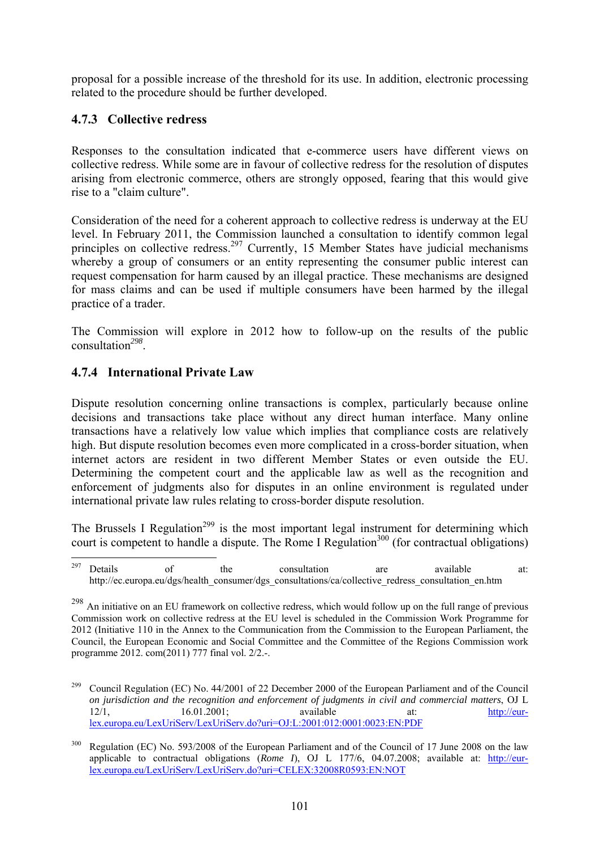proposal for a possible increase of the threshold for its use. In addition, electronic processing related to the procedure should be further developed.

# **4.7.3 Collective redress**

Responses to the consultation indicated that e-commerce users have different views on collective redress. While some are in favour of collective redress for the resolution of disputes arising from electronic commerce, others are strongly opposed, fearing that this would give rise to a "claim culture".

Consideration of the need for a coherent approach to collective redress is underway at the EU level. In February 2011, the Commission launched a consultation to identify common legal principles on collective redress.<sup>297</sup> Currently, 15 Member States have judicial mechanisms whereby a group of consumers or an entity representing the consumer public interest can request compensation for harm caused by an illegal practice. These mechanisms are designed for mass claims and can be used if multiple consumers have been harmed by the illegal practice of a trader.

The Commission will explore in 2012 how to follow-up on the results of the public consultation*<sup>298</sup>*.

# **4.7.4 International Private Law**

Dispute resolution concerning online transactions is complex, particularly because online decisions and transactions take place without any direct human interface. Many online transactions have a relatively low value which implies that compliance costs are relatively high. But dispute resolution becomes even more complicated in a cross-border situation, when internet actors are resident in two different Member States or even outside the EU. Determining the competent court and the applicable law as well as the recognition and enforcement of judgments also for disputes in an online environment is regulated under international private law rules relating to cross-border dispute resolution.

The Brussels I Regulation<sup>299</sup> is the most important legal instrument for determining which court is competent to handle a dispute. The Rome I Regulation<sup>300</sup> (for contractual obligations)

<sup>297</sup>  $297$  Details of the consultation are available at: [http://ec.europa.eu/dgs/health\\_consumer/dgs\\_consultations/ca/collective\\_redress\\_consultation\\_en.htm](http://ec.europa.eu/dgs/health_consumer/dgs_consultations/ca/collective_redress_consultation_en.htm) 

<sup>&</sup>lt;sup>298</sup> An initiative on an EU framework on collective redress, which would follow up on the full range of previous Commission work on collective redress at the EU level is scheduled in the Commission Work Programme for 2012 (Initiative 110 in the Annex to the Communication from the Commission to the European Parliament, the Council, the European Economic and Social Committee and the Committee of the Regions Commission work programme 2012. com(2011) 777 final vol. 2/2.-.

<sup>299</sup> Council Regulation (EC) No. 44/2001 of 22 December 2000 of the European Parliament and of the Council *on jurisdiction and the recognition and enforcement of judgments in civil and commercial matters*, OJ L 12/1, 16.01.2001; available at: [http://eur](http://eur-lex.europa.eu/LexUriServ/LexUriServ.do?uri=OJ:L:2001:012:0001:0023:EN:PDF)[lex.europa.eu/LexUriServ/LexUriServ.do?uri=OJ:L:2001:012:0001:0023:EN:PDF](http://eur-lex.europa.eu/LexUriServ/LexUriServ.do?uri=OJ:L:2001:012:0001:0023:EN:PDF)

<sup>&</sup>lt;sup>300</sup> Regulation (EC) No. 593/2008 of the European Parliament and of the Council of 17 June 2008 on the law applicable to contractual obligations (*Rome I*), OJ L 177/6, 04.07.2008; available at: [http://eur](http://eur-lex.europa.eu/LexUriServ/LexUriServ.do?uri=CELEX:32008R0593:EN:NOT)[lex.europa.eu/LexUriServ/LexUriServ.do?uri=CELEX:32008R0593:EN:NOT](http://eur-lex.europa.eu/LexUriServ/LexUriServ.do?uri=CELEX:32008R0593:EN:NOT)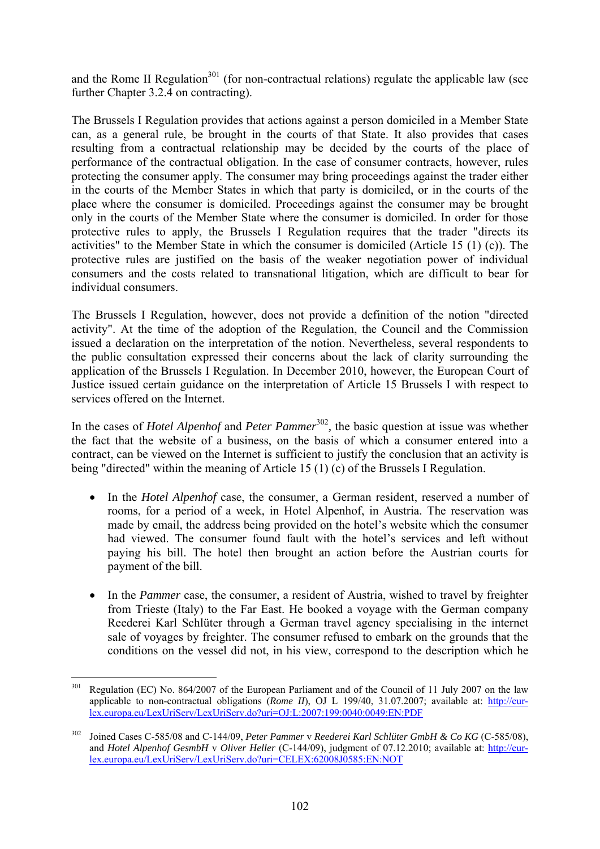and the Rome II Regulation<sup>301</sup> (for non-contractual relations) regulate the applicable law (see further Chapter 3.2.4 on contracting).

The Brussels I Regulation provides that actions against a person domiciled in a Member State can, as a general rule, be brought in the courts of that State. It also provides that cases resulting from a contractual relationship may be decided by the courts of the place of performance of the contractual obligation. In the case of consumer contracts, however, rules protecting the consumer apply. The consumer may bring proceedings against the trader either in the courts of the Member States in which that party is domiciled, or in the courts of the place where the consumer is domiciled. Proceedings against the consumer may be brought only in the courts of the Member State where the consumer is domiciled. In order for those protective rules to apply, the Brussels I Regulation requires that the trader "directs its activities" to the Member State in which the consumer is domiciled (Article 15 (1) (c)). The protective rules are justified on the basis of the weaker negotiation power of individual consumers and the costs related to transnational litigation, which are difficult to bear for individual consumers.

The Brussels I Regulation, however, does not provide a definition of the notion "directed activity". At the time of the adoption of the Regulation, the Council and the Commission issued a declaration on the interpretation of the notion. Nevertheless, several respondents to the public consultation expressed their concerns about the lack of clarity surrounding the application of the Brussels I Regulation. In December 2010, however, the European Court of Justice issued certain guidance on the interpretation of Article 15 Brussels I with respect to services offered on the Internet.

In the cases of *Hotel Alpenhof* and *Peter Pammer*<sup>302</sup>, the basic question at issue was whether the fact that the website of a business, on the basis of which a consumer entered into a contract, can be viewed on the Internet is sufficient to justify the conclusion that an activity is being "directed" within the meaning of Article 15 (1) (c) of the Brussels I Regulation.

- In the *Hotel Alpenhof* case, the consumer, a German resident, reserved a number of rooms, for a period of a week, in Hotel Alpenhof, in Austria. The reservation was made by email, the address being provided on the hotel's website which the consumer had viewed. The consumer found fault with the hotel's services and left without paying his bill. The hotel then brought an action before the Austrian courts for payment of the bill.
- In the *Pammer* case, the consumer, a resident of Austria, wished to travel by freighter from Trieste (Italy) to the Far East. He booked a voyage with the German company Reederei Karl Schlüter through a German travel agency specialising in the internet sale of voyages by freighter. The consumer refused to embark on the grounds that the conditions on the vessel did not, in his view, correspond to the description which he

1

<sup>&</sup>lt;sup>301</sup> Regulation (EC) No. 864/2007 of the European Parliament and of the Council of 11 July 2007 on the law applicable to non-contractual obligations (*Rome II*), OJ L 199/40, 31.07.2007; available at: [http://eur](http://eur-lex.europa.eu/LexUriServ/LexUriServ.do?uri=OJ:L:2007:199:0040:0049:EN:PDF)[lex.europa.eu/LexUriServ/LexUriServ.do?uri=OJ:L:2007:199:0040:0049:EN:PDF](http://eur-lex.europa.eu/LexUriServ/LexUriServ.do?uri=OJ:L:2007:199:0040:0049:EN:PDF) 

<sup>302</sup> Joined Cases C-585/08 and C-144/09, *Peter Pammer* v *Reederei Karl Schlüter GmbH & Co KG* (C-585/08), and *Hotel Alpenhof GesmbH* v *Oliver Heller* (C-144/09), judgment of 07.12.2010; available at: [http://eur](http://eur-lex.europa.eu/LexUriServ/LexUriServ.do?uri=CELEX:62008J0585:EN:NOT)[lex.europa.eu/LexUriServ/LexUriServ.do?uri=CELEX:62008J0585:EN:NOT](http://eur-lex.europa.eu/LexUriServ/LexUriServ.do?uri=CELEX:62008J0585:EN:NOT)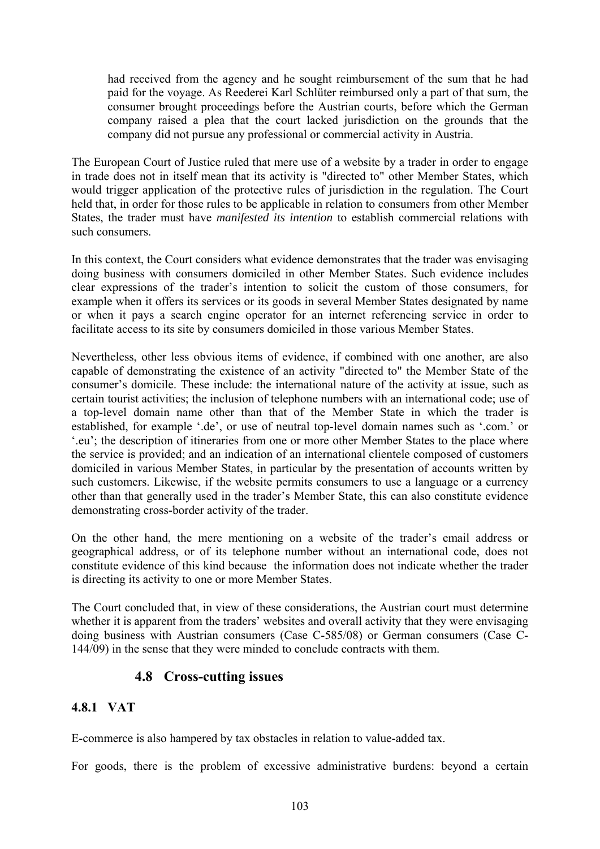had received from the agency and he sought reimbursement of the sum that he had paid for the voyage. As Reederei Karl Schlüter reimbursed only a part of that sum, the consumer brought proceedings before the Austrian courts, before which the German company raised a plea that the court lacked jurisdiction on the grounds that the company did not pursue any professional or commercial activity in Austria.

The European Court of Justice ruled that mere use of a website by a trader in order to engage in trade does not in itself mean that its activity is "directed to" other Member States, which would trigger application of the protective rules of jurisdiction in the regulation. The Court held that, in order for those rules to be applicable in relation to consumers from other Member States, the trader must have *manifested its intention* to establish commercial relations with such consumers.

In this context, the Court considers what evidence demonstrates that the trader was envisaging doing business with consumers domiciled in other Member States. Such evidence includes clear expressions of the trader's intention to solicit the custom of those consumers, for example when it offers its services or its goods in several Member States designated by name or when it pays a search engine operator for an internet referencing service in order to facilitate access to its site by consumers domiciled in those various Member States.

Nevertheless, other less obvious items of evidence, if combined with one another, are also capable of demonstrating the existence of an activity "directed to" the Member State of the consumer's domicile. These include: the international nature of the activity at issue, such as certain tourist activities; the inclusion of telephone numbers with an international code; use of a top-level domain name other than that of the Member State in which the trader is established, for example '.de', or use of neutral top-level domain names such as '.com.' or '.eu'; the description of itineraries from one or more other Member States to the place where the service is provided; and an indication of an international clientele composed of customers domiciled in various Member States, in particular by the presentation of accounts written by such customers. Likewise, if the website permits consumers to use a language or a currency other than that generally used in the trader's Member State, this can also constitute evidence demonstrating cross-border activity of the trader.

On the other hand, the mere mentioning on a website of the trader's email address or geographical address, or of its telephone number without an international code, does not constitute evidence of this kind because the information does not indicate whether the trader is directing its activity to one or more Member States.

The Court concluded that, in view of these considerations, the Austrian court must determine whether it is apparent from the traders' websites and overall activity that they were envisaging doing business with Austrian consumers (Case C-585/08) or German consumers (Case C-144/09) in the sense that they were minded to conclude contracts with them.

## **4.8 Cross-cutting issues**

## **4.8.1 VAT**

E-commerce is also hampered by tax obstacles in relation to value-added tax.

For goods, there is the problem of excessive administrative burdens: beyond a certain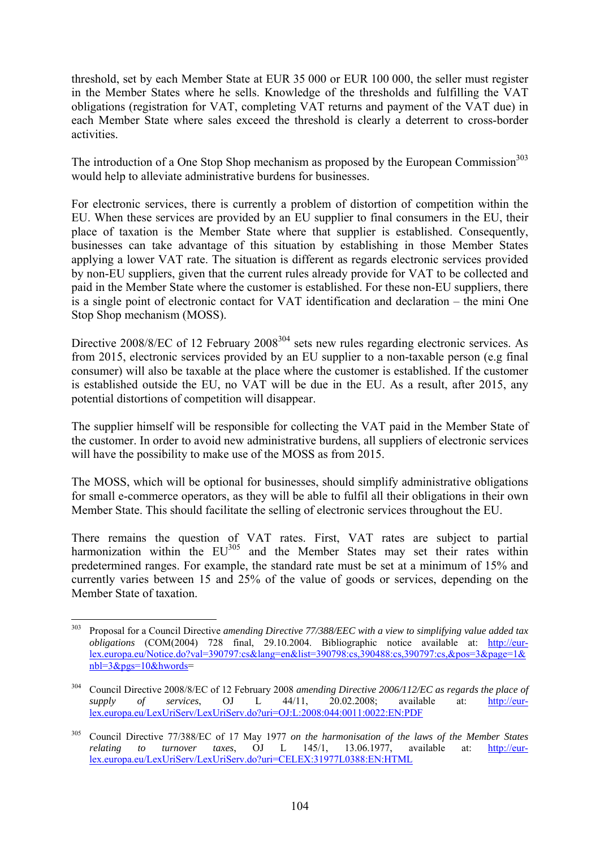threshold, set by each Member State at EUR 35 000 or EUR 100 000, the seller must register in the Member States where he sells. Knowledge of the thresholds and fulfilling the VAT obligations (registration for VAT, completing VAT returns and payment of the VAT due) in each Member State where sales exceed the threshold is clearly a deterrent to cross-border activities.

The introduction of a One Stop Shop mechanism as proposed by the European Commission<sup>303</sup> would help to alleviate administrative burdens for businesses.

For electronic services, there is currently a problem of distortion of competition within the EU. When these services are provided by an EU supplier to final consumers in the EU, their place of taxation is the Member State where that supplier is established. Consequently, businesses can take advantage of this situation by establishing in those Member States applying a lower VAT rate. The situation is different as regards electronic services provided by non-EU suppliers, given that the current rules already provide for VAT to be collected and paid in the Member State where the customer is established. For these non-EU suppliers, there is a single point of electronic contact for VAT identification and declaration – the mini One Stop Shop mechanism (MOSS).

Directive 2008/8/EC of 12 February 2008<sup>304</sup> sets new rules regarding electronic services. As from 2015, electronic services provided by an EU supplier to a non-taxable person (e.g final consumer) will also be taxable at the place where the customer is established. If the customer is established outside the EU, no VAT will be due in the EU. As a result, after 2015, any potential distortions of competition will disappear.

The supplier himself will be responsible for collecting the VAT paid in the Member State of the customer. In order to avoid new administrative burdens, all suppliers of electronic services will have the possibility to make use of the MOSS as from 2015.

The MOSS, which will be optional for businesses, should simplify administrative obligations for small e-commerce operators, as they will be able to fulfil all their obligations in their own Member State. This should facilitate the selling of electronic services throughout the EU.

There remains the question of VAT rates. First, VAT rates are subject to partial harmonization within the  $EU^{305}$  and the Member States may set their rates within predetermined ranges. For example, the standard rate must be set at a minimum of 15% and currently varies between 15 and 25% of the value of goods or services, depending on the Member State of taxation.

 $303$ 303 Proposal for a Council Directive *amending Directive 77/388/EEC with a view to simplifying value added tax obligations* (COM(2004) 728 final, 29.10.2004. Bibliographic notice available at: [http://eur](http://eur-lex.europa.eu/Notice.do?val=390797:cs&lang=en&list=390798:cs,390488:cs,390797:cs,&pos=3&page=1&nbl=3&pgs=10&hwords)lex.europa.eu/Notice.do?val=390797:cs&lang=en&list=390798:cs,390488:cs,390797:cs,&pos=3&page=1& [nbl=3&pgs=10&hwords=](http://eur-lex.europa.eu/Notice.do?val=390797:cs&lang=en&list=390798:cs,390488:cs,390797:cs,&pos=3&page=1&nbl=3&pgs=10&hwords)

<sup>&</sup>lt;sup>304</sup> Council Directive 2008/8/EC of 12 February 2008 *amending Directive 2006/112/EC as regards the place of supply of services*, OJ L 44/11, 20.02.2008; available at: http://eursupply of services, OJ L 44/11, 20.02.2008; available at: [lex.europa.eu/LexUriServ/LexUriServ.do?uri=OJ:L:2008:044:0011:0022:EN:PDF](http://eur-lex.europa.eu/LexUriServ/LexUriServ.do?uri=OJ:L:2008:044:0011:0022:EN:PDF) 

<sup>305</sup> Council Directive 77/388/EC of 17 May 1977 *on the harmonisation of the laws of the Member States relating to turnover taxes*, OJ L 145/1, 13.06.1977, available at: [http://eur](http://eur-lex.europa.eu/LexUriServ/LexUriServ.do?uri=CELEX:31977L0388:EN:HTML)[lex.europa.eu/LexUriServ/LexUriServ.do?uri=CELEX:31977L0388:EN:HTML](http://eur-lex.europa.eu/LexUriServ/LexUriServ.do?uri=CELEX:31977L0388:EN:HTML)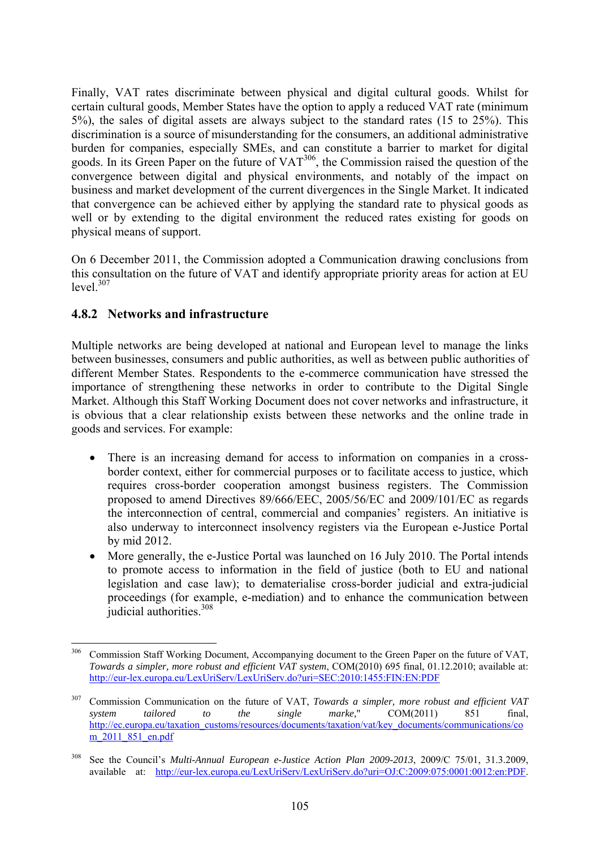Finally, VAT rates discriminate between physical and digital cultural goods. Whilst for certain cultural goods, Member States have the option to apply a reduced VAT rate (minimum 5%), the sales of digital assets are always subject to the standard rates (15 to 25%). This discrimination is a source of misunderstanding for the consumers, an additional administrative burden for companies, especially SMEs, and can constitute a barrier to market for digital goods. In its Green Paper on the future of VAT<sup>306</sup>, the Commission raised the question of the convergence between digital and physical environments, and notably of the impact on business and market development of the current divergences in the Single Market. It indicated that convergence can be achieved either by applying the standard rate to physical goods as well or by extending to the digital environment the reduced rates existing for goods on physical means of support.

On 6 December 2011, the Commission adopted a Communication drawing conclusions from this consultation on the future of VAT and identify appropriate priority areas for action at EU level<sup>307</sup>

#### **4.8.2 Networks and infrastructure**

Multiple networks are being developed at national and European level to manage the links between businesses, consumers and public authorities, as well as between public authorities of different Member States. Respondents to the e-commerce communication have stressed the importance of strengthening these networks in order to contribute to the Digital Single Market. Although this Staff Working Document does not cover networks and infrastructure, it is obvious that a clear relationship exists between these networks and the online trade in goods and services. For example:

- There is an increasing demand for access to information on companies in a crossborder context, either for commercial purposes or to facilitate access to justice, which requires cross-border cooperation amongst business registers. The Commission proposed to amend Directives 89/666/EEC, 2005/56/EC and 2009/101/EC as regards the interconnection of central, commercial and companies' registers. An initiative is also underway to interconnect insolvency registers via the European e-Justice Portal by mid 2012.
- More generally, the e-Justice Portal was launched on 16 July 2010. The Portal intends to promote access to information in the field of justice (both to EU and national legislation and case law); to dematerialise cross-border judicial and extra-judicial proceedings (for example, e-mediation) and to enhance the communication between judicial authorities.<sup>308</sup>

<sup>306</sup> Commission Staff Working Document, Accompanying document to the Green Paper on the future of VAT, *Towards a simpler, more robust and efficient VAT system*, COM(2010) 695 final, 01.12.2010; available at: <http://eur-lex.europa.eu/LexUriServ/LexUriServ.do?uri=SEC:2010:1455:FIN:EN:PDF>

<sup>307</sup> Commission Communication on the future of VAT, *Towards a simpler, more robust and efficient VAT system tailored to the single marke,*" COM(2011) 851 final, [http://ec.europa.eu/taxation\\_customs/resources/documents/taxation/vat/key\\_documents/communications/co](http://ec.europa.eu/taxation_customs/resources/documents/taxation/vat/key_documents/communications/com_2011_851_en.pdf) m<sub>2011</sub> 851 en.pdf

<sup>308</sup> See the Council's *Multi-Annual European e-Justice Action Plan 2009-2013*, 2009/C 75/01, 31.3.2009, available at: http://eur-lex.europa.eu/LexUriServ/LexUriServ.do?uri=OJ:C:2009:075:0001:0012:en:PDF.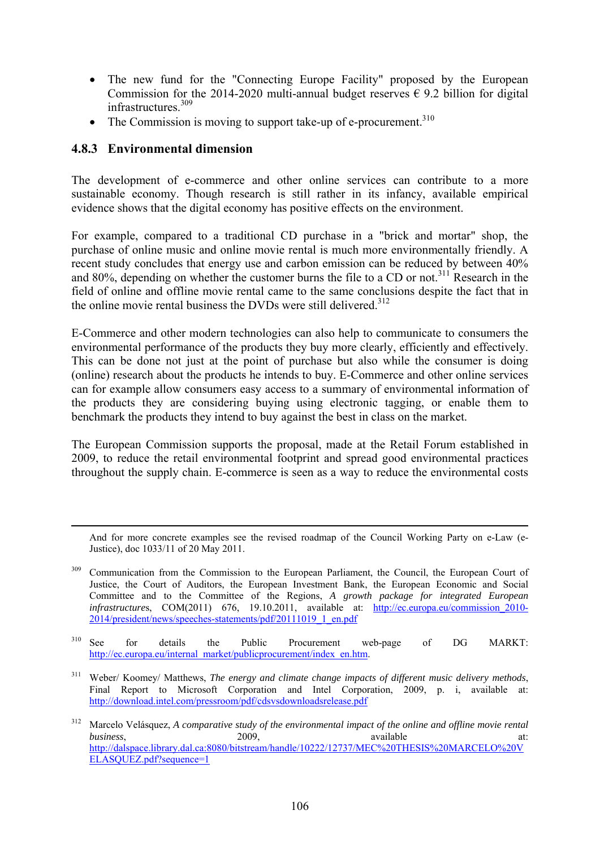- The new fund for the "Connecting Europe Facility" proposed by the European Commission for the 2014-2020 multi-annual budget reserves  $\epsilon$  9.2 billion for digital infrastructures.309
- The Commission is moving to support take-up of e-procurement.<sup>310</sup>

## **4.8.3 Environmental dimension**

The development of e-commerce and other online services can contribute to a more sustainable economy. Though research is still rather in its infancy, available empirical evidence shows that the digital economy has positive effects on the environment.

For example, compared to a traditional CD purchase in a "brick and mortar" shop, the purchase of online music and online movie rental is much more environmentally friendly. A recent study concludes that energy use and carbon emission can be reduced by between 40% and 80%, depending on whether the customer burns the file to a CD or not.<sup>311</sup> Research in the field of online and offline movie rental came to the same conclusions despite the fact that in the online movie rental business the DVDs were still delivered.<sup>312</sup>

E-Commerce and other modern technologies can also help to communicate to consumers the environmental performance of the products they buy more clearly, efficiently and effectively. This can be done not just at the point of purchase but also while the consumer is doing (online) research about the products he intends to buy. E-Commerce and other online services can for example allow consumers easy access to a summary of environmental information of the products they are considering buying using electronic tagging, or enable them to benchmark the products they intend to buy against the best in class on the market.

The European Commission supports the proposal, made at the Retail Forum established in 2009, to reduce the retail environmental footprint and spread good environmental practices throughout the supply chain. E-commerce is seen as a way to reduce the environmental costs

 And for more concrete examples see the revised roadmap of the Council Working Party on e-Law (e-Justice), doc 1033/11 of 20 May 2011.

- <sup>310</sup> See for details the Public Procurement web-page of DG MARKT: http://ec.europa.eu/internal\_market/publicprocurement/index\_en.htm.
- 311 Weber/ Koomey/ Matthews, *The energy and climate change impacts of different music delivery methods*, Final Report to Microsoft Corporation and Intel Corporation, 2009, p. i, available at: <http://download.intel.com/pressroom/pdf/cdsvsdownloadsrelease.pdf>
- 312 Marcelo Velásquez, *A comparative study of the environmental impact of the online and offline movie rental business*, and a contract a 2009, a contract a valiable a contract at: [http://dalspace.library.dal.ca:8080/bitstream/handle/10222/12737/MEC%20THESIS%20MARCELO%20V](http://dalspace.library.dal.ca:8080/bitstream/handle/10222/12737/MEC THESIS MARCELO VELASQUEZ.pdf?sequence=1) [ELASQUEZ.pdf?sequence=1](http://dalspace.library.dal.ca:8080/bitstream/handle/10222/12737/MEC THESIS MARCELO VELASQUEZ.pdf?sequence=1)

<sup>&</sup>lt;sup>309</sup> Communication from the Commission to the European Parliament, the Council, the European Court of Justice, the Court of Auditors, the European Investment Bank, the European Economic and Social Committee and to the Committee of the Regions, *A growth package for integrated European infrastructure*s, COM(2011) 676, 19.10.2011, available at: [http://ec.europa.eu/commission\\_2010-](http://ec.europa.eu/commission_2010-2014/president/news/speeches-statements/pdf/20111019_1_en.pdf) [2014/president/news/speeches-statements/pdf/20111019\\_1\\_en.pdf](http://ec.europa.eu/commission_2010-2014/president/news/speeches-statements/pdf/20111019_1_en.pdf)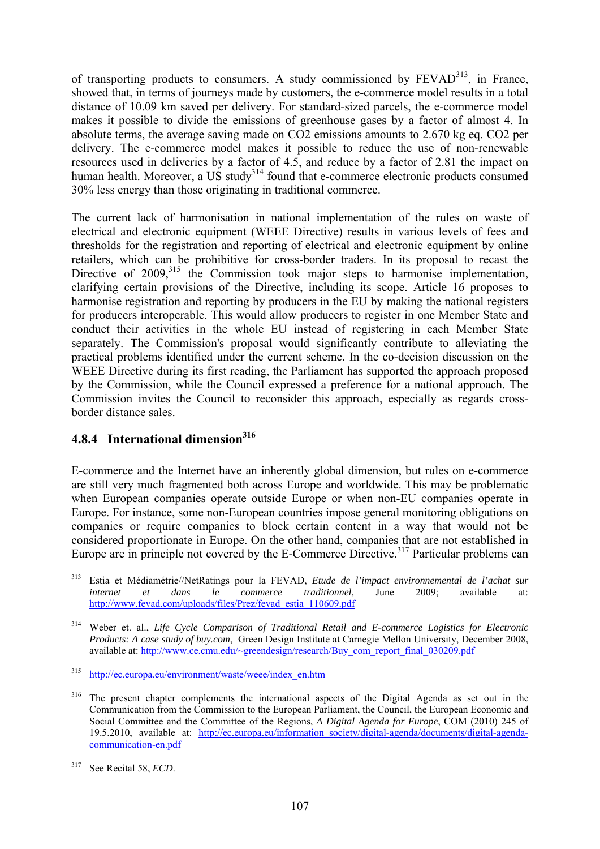of transporting products to consumers. A study commissioned by  $FEVAD<sup>313</sup>$ , in France, showed that, in terms of journeys made by customers, the e-commerce model results in a total distance of 10.09 km saved per delivery. For standard-sized parcels, the e-commerce model makes it possible to divide the emissions of greenhouse gases by a factor of almost 4. In absolute terms, the average saving made on CO2 emissions amounts to 2.670 kg eq. CO2 per delivery. The e-commerce model makes it possible to reduce the use of non-renewable resources used in deliveries by a factor of 4.5, and reduce by a factor of 2.81 the impact on human health. Moreover, a US study<sup>314</sup> found that e-commerce electronic products consumed 30% less energy than those originating in traditional commerce.

The current lack of harmonisation in national implementation of the rules on waste of electrical and electronic equipment (WEEE Directive) results in various levels of fees and thresholds for the registration and reporting of electrical and electronic equipment by online retailers, which can be prohibitive for cross-border traders. In its proposal to recast the Directive of  $2009$ ,<sup>315</sup> the Commission took major steps to harmonise implementation, clarifying certain provisions of the Directive, including its scope. Article 16 proposes to harmonise registration and reporting by producers in the EU by making the national registers for producers interoperable. This would allow producers to register in one Member State and conduct their activities in the whole EU instead of registering in each Member State separately. The Commission's proposal would significantly contribute to alleviating the practical problems identified under the current scheme. In the co-decision discussion on the WEEE Directive during its first reading, the Parliament has supported the approach proposed by the Commission, while the Council expressed a preference for a national approach. The Commission invites the Council to reconsider this approach, especially as regards crossborder distance sales.

# **4.8.4 International dimension**<sup>316</sup>

E-commerce and the Internet have an inherently global dimension, but rules on e-commerce are still very much fragmented both across Europe and worldwide. This may be problematic when European companies operate outside Europe or when non-EU companies operate in Europe. For instance, some non-European countries impose general monitoring obligations on companies or require companies to block certain content in a way that would not be considered proportionate in Europe. On the other hand, companies that are not established in Europe are in principle not covered by the E-Commerce Directive.<sup>317</sup> Particular problems can

<sup>313</sup> 313 Estia et Médiamétrie//NetRatings pour la FEVAD, *Etude de l'impact environnemental de l'achat sur internet et dans le commerce traditionnel*, June 2009; available at: [http://www.fevad.com/uploads/files/Prez/fevad\\_estia\\_110609.pdf](http://www.fevad.com/uploads/files/Prez/fevad_estia_110609.pdf)

<sup>314</sup> Weber et. al., *Life Cycle Comparison of Traditional Retail and E-commerce Logistics for Electronic Products: A case study of buy.com*, Green Design Institute at Carnegie Mellon University, December 2008, available at: [http://www.ce.cmu.edu/~greendesign/research/Buy\\_com\\_report\\_final\\_030209.pdf](http://www.ce.cmu.edu/~greendesign/research/Buy_com_report_final_030209.pdf) 

<sup>315</sup> [http://ec.europa.eu/environment/waste/weee/index\\_en.htm](http://ec.europa.eu/environment/waste/weee/index_en.htm) 

<sup>&</sup>lt;sup>316</sup> The present chapter complements the international aspects of the Digital Agenda as set out in the Communication from the Commission to the European Parliament, the Council, the European Economic and Social Committee and the Committee of the Regions, *A Digital Agenda for Europe*, COM (2010) 245 of 19.5.2010, available at: [http://ec.europa.eu/information\\_society/digital-agenda/documents/digital-agenda](http://ec.europa.eu/information_society/digital-agenda/documents/digital-agenda-communication-en.pdf)[communication-en.pdf](http://ec.europa.eu/information_society/digital-agenda/documents/digital-agenda-communication-en.pdf) 

<sup>317</sup> See Recital 58, *ECD*.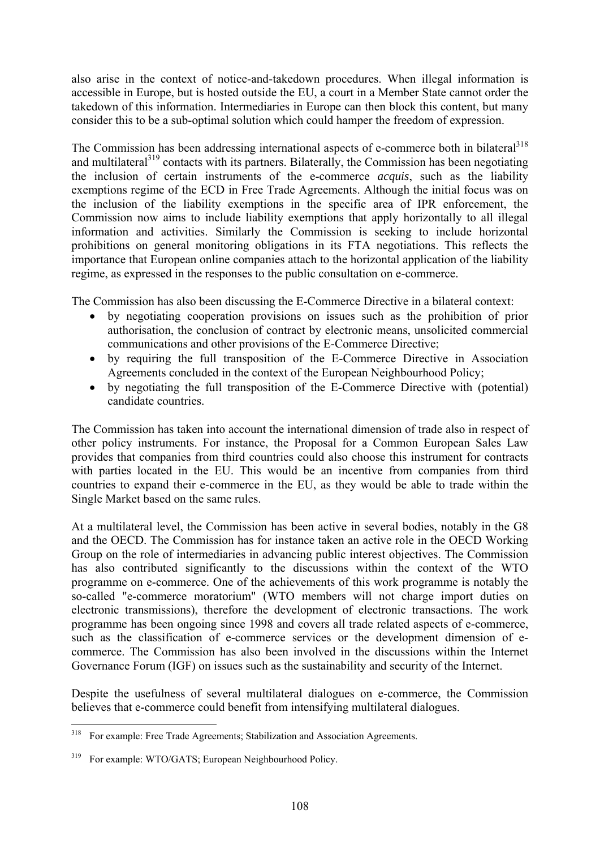also arise in the context of notice-and-takedown procedures. When illegal information is accessible in Europe, but is hosted outside the EU, a court in a Member State cannot order the takedown of this information. Intermediaries in Europe can then block this content, but many consider this to be a sub-optimal solution which could hamper the freedom of expression.

The Commission has been addressing international aspects of e-commerce both in bilateral<sup>318</sup> and multilateral<sup>319</sup> contacts with its partners. Bilaterally, the Commission has been negotiating the inclusion of certain instruments of the e-commerce *acquis*, such as the liability exemptions regime of the ECD in Free Trade Agreements. Although the initial focus was on the inclusion of the liability exemptions in the specific area of IPR enforcement, the Commission now aims to include liability exemptions that apply horizontally to all illegal information and activities. Similarly the Commission is seeking to include horizontal prohibitions on general monitoring obligations in its FTA negotiations. This reflects the importance that European online companies attach to the horizontal application of the liability regime, as expressed in the responses to the public consultation on e-commerce.

The Commission has also been discussing the E-Commerce Directive in a bilateral context:

- by negotiating cooperation provisions on issues such as the prohibition of prior authorisation, the conclusion of contract by electronic means, unsolicited commercial communications and other provisions of the E-Commerce Directive;
- by requiring the full transposition of the E-Commerce Directive in Association Agreements concluded in the context of the European Neighbourhood Policy;
- by negotiating the full transposition of the E-Commerce Directive with (potential) candidate countries.

The Commission has taken into account the international dimension of trade also in respect of other policy instruments. For instance, the Proposal for a Common European Sales Law provides that companies from third countries could also choose this instrument for contracts with parties located in the EU. This would be an incentive from companies from third countries to expand their e-commerce in the EU, as they would be able to trade within the Single Market based on the same rules.

At a multilateral level, the Commission has been active in several bodies, notably in the G8 and the OECD. The Commission has for instance taken an active role in the OECD Working Group on the role of intermediaries in advancing public interest objectives. The Commission has also contributed significantly to the discussions within the context of the WTO programme on e-commerce. One of the achievements of this work programme is notably the so-called "e-commerce moratorium" (WTO members will not charge import duties on electronic transmissions), therefore the development of electronic transactions. The work programme has been ongoing since 1998 and covers all trade related aspects of e-commerce, such as the classification of e-commerce services or the development dimension of ecommerce. The Commission has also been involved in the discussions within the Internet Governance Forum (IGF) on issues such as the sustainability and security of the Internet.

Despite the usefulness of several multilateral dialogues on e-commerce, the Commission believes that e-commerce could benefit from intensifying multilateral dialogues.

<sup>318</sup> 318 For example: Free Trade Agreements; Stabilization and Association Agreements.

<sup>319</sup> For example: WTO/GATS; European Neighbourhood Policy.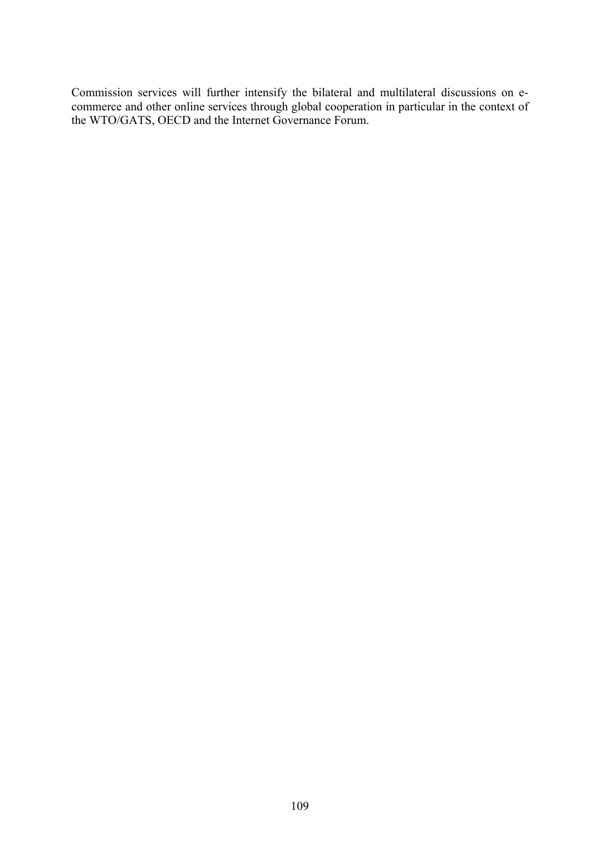Commission services will further intensify the bilateral and multilateral discussions on ecommerce and other online services through global cooperation in particular in the context of the WTO/GATS, OECD and the Internet Governance Forum.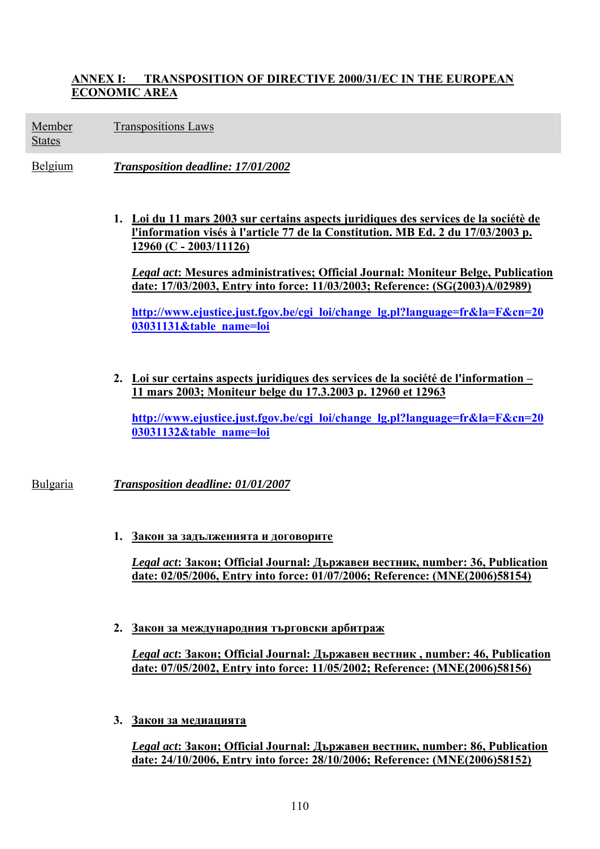#### **ANNEX I: TRANSPOSITION OF DIRECTIVE 2000/31/EC IN THE EUROPEAN ECONOMIC AREA**

Member Transpositions Laws

States

Belgium *Transposition deadline: 17/01/2002* 

**1. Loi du 11 mars 2003 sur certains aspects juridiques des services de la sociétè de l'information visés à l'article 77 de la Constitution. MB Ed. 2 du 17/03/2003 p. 12960 (C - 2003/11126)**

*Legal act***: Mesures administratives; Official Journal: Moniteur Belge, Publication date: 17/03/2003, Entry into force: 11/03/2003; Reference: (SG(2003)A/02989)** 

**[http://www.ejustice.just.fgov.be/cgi\\_loi/change\\_lg.pl?language=fr&la=F&cn=20](http://www.ejustice.just.fgov.be/cgi_loi/change_lg.pl?language=fr&la=F&cn=20 03031131&table_name=loi) [03031131&table\\_name=loi](http://www.ejustice.just.fgov.be/cgi_loi/change_lg.pl?language=fr&la=F&cn=20 03031131&table_name=loi)** 

**2. Loi sur certains aspects juridiques des services de la société de l'information – 11 mars 2003; Moniteur belge du 17.3.2003 p. 12960 et 12963**

**[http://www.ejustice.just.fgov.be/cgi\\_loi/change\\_lg.pl?language=fr&la=F&cn=20](http://www.ejustice.just.fgov.be/cgi_loi/change_lg.pl?language=fr&la=F&cn=2003031132&table_name=loi) [03031132&table\\_name=loi](http://www.ejustice.just.fgov.be/cgi_loi/change_lg.pl?language=fr&la=F&cn=2003031132&table_name=loi)** 

Bulgaria *Transposition deadline: 01/01/2007* 

**1. Закон за задълженията и договорите**

*Legal act***: Закон; Official Journal: Държавен вестник, number: 36, Publication date: 02/05/2006, Entry into force: 01/07/2006; Reference: (MNE(2006)58154)** 

**2. Закон за международния търговски арбитраж**

*Legal act***: Закон; Official Journal: Държавен вестник , number: 46, Publication date: 07/05/2002, Entry into force: 11/05/2002; Reference: (MNE(2006)58156)** 

**3. Закон за медиацията**

*Legal act***: Закон; Official Journal: Държавен вестник, number: 86, Publication date: 24/10/2006, Entry into force: 28/10/2006; Reference: (MNE(2006)58152)**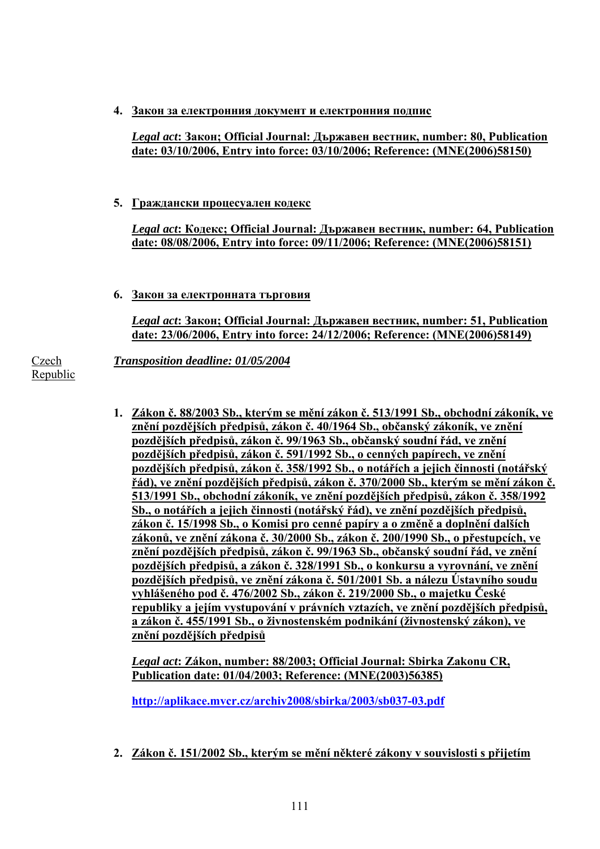**4. Закон за електронния документ и електронния подпис**

*Legal act***: Закон; Official Journal: Държавен вестник, number: 80, Publication date: 03/10/2006, Entry into force: 03/10/2006; Reference: (MNE(2006)58150)** 

**5. Граждански процесуален кодекс**

*Legal act***: Кодекс; Official Journal: Държавен вестник, number: 64, Publication date: 08/08/2006, Entry into force: 09/11/2006; Reference: (MNE(2006)58151)** 

**6. Закон за електронната търговия**

*Legal act***: Закон; Official Journal: Държавен вестник, number: 51, Publication date: 23/06/2006, Entry into force: 24/12/2006; Reference: (MNE(2006)58149)** 

*Transposition deadline: 01/05/2004* 

Czech Republic

> **1. Zákon č. 88/2003 Sb., kterým se mění zákon č. 513/1991 Sb., obchodní zákoník, ve znění pozdějších předpisů, zákon č. 40/1964 Sb., občanský zákoník, ve znění pozdějších předpisů, zákon č. 99/1963 Sb., občanský soudní řád, ve znění pozdějších předpisů, zákon č. 591/1992 Sb., o cenných papírech, ve znění pozdějších předpisů, zákon č. 358/1992 Sb., o notářích a jejich činnosti (notářský řád), ve znění pozdějších předpisů, zákon č. 370/2000 Sb., kterým se mění zákon č. 513/1991 Sb., obchodní zákoník, ve znění pozdějších předpisů, zákon č. 358/1992 Sb., o notářích a jejich činnosti (notářský řád), ve znění pozdějších předpisů, zákon č. 15/1998 Sb., o Komisi pro cenné papíry a o změně a doplnění dalších zákonů, ve znění zákona č. 30/2000 Sb., zákon č. 200/1990 Sb., o přestupcích, ve znění pozdějších předpisů, zákon č. 99/1963 Sb., občanský soudní řád, ve znění pozdějších předpisů, a zákon č. 328/1991 Sb., o konkursu a vyrovnání, ve znění pozdějších předpisů, ve znění zákona č. 501/2001 Sb. a nálezu Ústavního soudu vyhlášeného pod č. 476/2002 Sb., zákon č. 219/2000 Sb., o majetku České republiky a jejím vystupování v právních vztazích, ve znění pozdějších předpisů, a zákon č. 455/1991 Sb., o živnostenském podnikání (živnostenský zákon), ve znění pozdějších předpisů**

*Legal act***: Zákon, number: 88/2003; Official Journal: Sbirka Zakonu CR, Publication date: 01/04/2003; Reference: (MNE(2003)56385)** 

**<http://aplikace.mvcr.cz/archiv2008/sbirka/2003/sb037-03.pdf>**

**2. Zákon č. 151/2002 Sb., kterým se mění některé zákony v souvislosti s přijetím**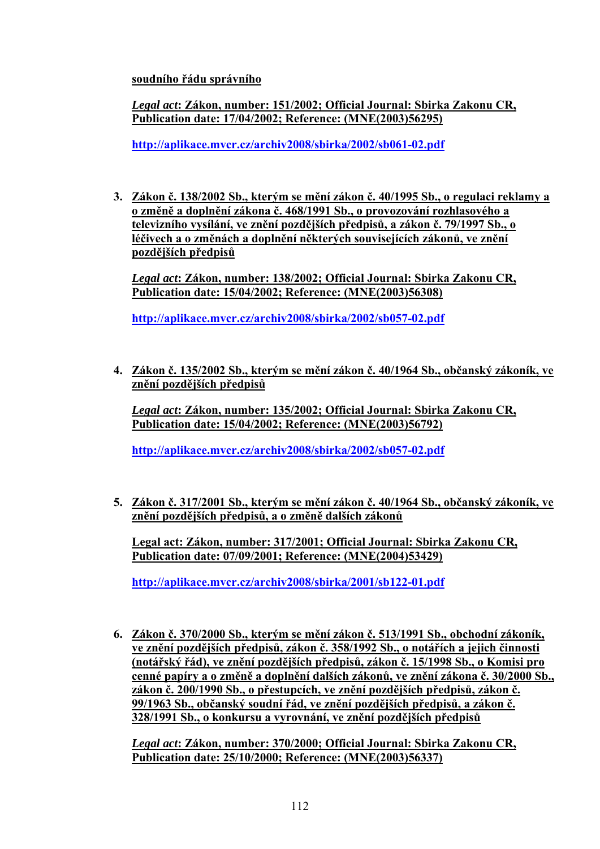**soudního řádu správního**

*Legal act***: Zákon, number: 151/2002; Official Journal: Sbirka Zakonu CR, Publication date: 17/04/2002; Reference: (MNE(2003)56295)** 

**<http://aplikace.mvcr.cz/archiv2008/sbirka/2002/sb061-02.pdf>**

**3. Zákon č. 138/2002 Sb., kterým se mění zákon č. 40/1995 Sb., o regulaci reklamy a o změně a doplnění zákona č. 468/1991 Sb., o provozování rozhlasového a televizního vysílání, ve znění pozdějších předpisů, a zákon č. 79/1997 Sb., o léčivech a o změnách a doplnění některých souvisejících zákonů, ve znění pozdějších předpisů**

*Legal act***: Zákon, number: 138/2002; Official Journal: Sbirka Zakonu CR, Publication date: 15/04/2002; Reference: (MNE(2003)56308)** 

**<http://aplikace.mvcr.cz/archiv2008/sbirka/2002/sb057-02.pdf>**

**4. Zákon č. 135/2002 Sb., kterým se mění zákon č. 40/1964 Sb., občanský zákoník, ve znění pozdějších předpisů**

*Legal act***: Zákon, number: 135/2002; Official Journal: Sbirka Zakonu CR, Publication date: 15/04/2002; Reference: (MNE(2003)56792)** 

**<http://aplikace.mvcr.cz/archiv2008/sbirka/2002/sb057-02.pdf>**

**5. Zákon č. 317/2001 Sb., kterým se mění zákon č. 40/1964 Sb., občanský zákoník, ve znění pozdějších předpisů, a o změně dalších zákonů**

**Legal act: Zákon, number: 317/2001; Official Journal: Sbirka Zakonu CR, Publication date: 07/09/2001; Reference: (MNE(2004)53429)** 

**<http://aplikace.mvcr.cz/archiv2008/sbirka/2001/sb122-01.pdf>**

**6. Zákon č. 370/2000 Sb., kterým se mění zákon č. 513/1991 Sb., obchodní zákoník, ve znění pozdějších předpisů, zákon č. 358/1992 Sb., o notářích a jejich činnosti (notářský řád), ve znění pozdějších předpisů, zákon č. 15/1998 Sb., o Komisi pro cenné papíry a o změně a doplnění dalších zákonů, ve znění zákona č. 30/2000 Sb., zákon č. 200/1990 Sb., o přestupcích, ve znění pozdějších předpisů, zákon č. 99/1963 Sb., občanský soudní řád, ve znění pozdějších předpisů, a zákon č. 328/1991 Sb., o konkursu a vyrovnání, ve znění pozdějších předpisů**

*Legal act***: Zákon, number: 370/2000; Official Journal: Sbirka Zakonu CR, Publication date: 25/10/2000; Reference: (MNE(2003)56337)**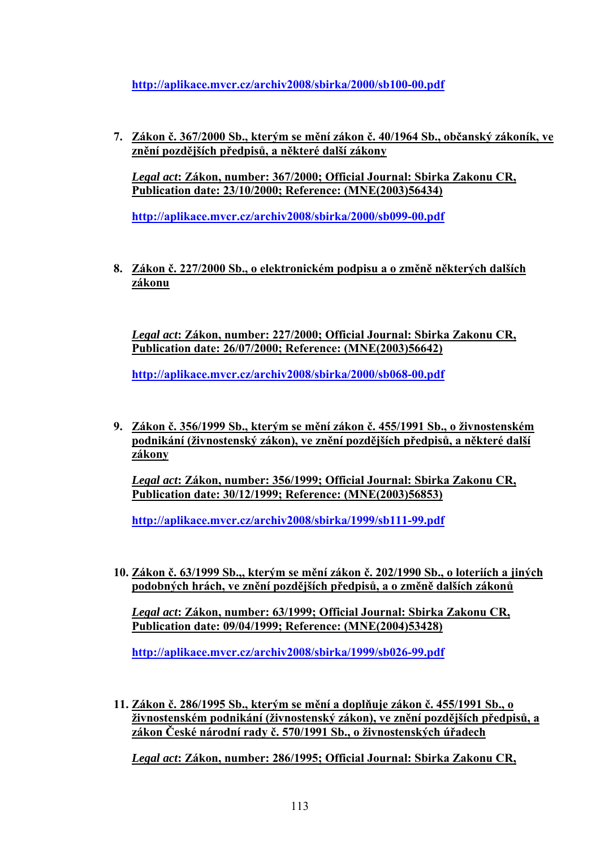**<http://aplikace.mvcr.cz/archiv2008/sbirka/2000/sb100-00.pdf>**

**7. Zákon č. 367/2000 Sb., kterým se mění zákon č. 40/1964 Sb., občanský zákoník, ve znění pozdějších předpisů, a některé další zákony**

*Legal act***: Zákon, number: 367/2000; Official Journal: Sbirka Zakonu CR, Publication date: 23/10/2000; Reference: (MNE(2003)56434)** 

**<http://aplikace.mvcr.cz/archiv2008/sbirka/2000/sb099-00.pdf>**

**8. Zákon č. 227/2000 Sb., o elektronickém podpisu a o změně některých dalších zákonu**

*Legal act***: Zákon, number: 227/2000; Official Journal: Sbirka Zakonu CR, Publication date: 26/07/2000; Reference: (MNE(2003)56642)** 

**<http://aplikace.mvcr.cz/archiv2008/sbirka/2000/sb068-00.pdf>**

**9. Zákon č. 356/1999 Sb., kterým se mění zákon č. 455/1991 Sb., o živnostenském podnikání (živnostenský zákon), ve znění pozdějších předpisů, a některé další zákony**

*Legal act***: Zákon, number: 356/1999; Official Journal: Sbirka Zakonu CR, Publication date: 30/12/1999; Reference: (MNE(2003)56853)** 

**<http://aplikace.mvcr.cz/archiv2008/sbirka/1999/sb111-99.pdf>**

**10. Zákon č. 63/1999 Sb.,, kterým se mění zákon č. 202/1990 Sb., o loteriích a jiných podobných hrách, ve znění pozdějších předpisů, a o změně dalších zákonů**

*Legal act***: Zákon, number: 63/1999; Official Journal: Sbirka Zakonu CR, Publication date: 09/04/1999; Reference: (MNE(2004)53428)** 

**<http://aplikace.mvcr.cz/archiv2008/sbirka/1999/sb026-99.pdf>**

**11. Zákon č. 286/1995 Sb., kterým se mění a doplňuje zákon č. 455/1991 Sb., o živnostenském podnikání (živnostenský zákon), ve znění pozdějších předpisů, a zákon České národní rady č. 570/1991 Sb., o živnostenských úřadech**

*Legal act***: Zákon, number: 286/1995; Official Journal: Sbirka Zakonu CR,**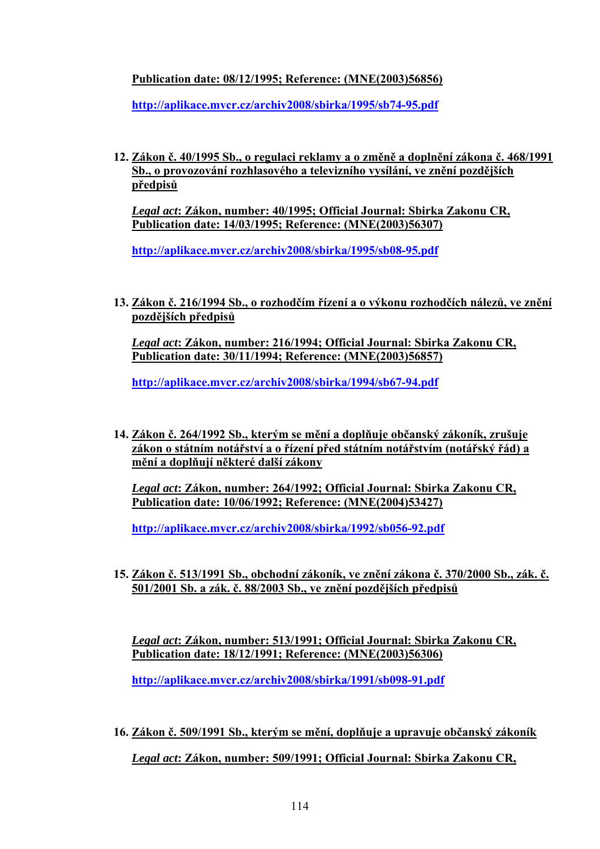# **Publication date: 08/12/1995; Reference: (MNE(2003)56856)**

**<http://aplikace.mvcr.cz/archiv2008/sbirka/1995/sb74-95.pdf>**

**12. Zákon č. 40/1995 Sb., o regulaci reklamy a o změně a doplnění zákona č. 468/1991 Sb., o provozování rozhlasového a televizního vysílání, ve znění pozdějších předpisů**

*Legal act***: Zákon, number: 40/1995; Official Journal: Sbirka Zakonu CR, Publication date: 14/03/1995; Reference: (MNE(2003)56307)** 

**<http://aplikace.mvcr.cz/archiv2008/sbirka/1995/sb08-95.pdf>**

**13. Zákon č. 216/1994 Sb., o rozhodčím řízení a o výkonu rozhodčích nálezů, ve znění pozdějších předpisů**

*Legal act***: Zákon, number: 216/1994; Official Journal: Sbirka Zakonu CR, Publication date: 30/11/1994; Reference: (MNE(2003)56857)** 

**<http://aplikace.mvcr.cz/archiv2008/sbirka/1994/sb67-94.pdf>**

**14. Zákon č. 264/1992 Sb., kterým se mění a doplňuje občanský zákoník, zrušuje zákon o státním notářství a o řízení před státním notářstvím (notářský řád) a mění a doplňují některé další zákony**

*Legal act***: Zákon, number: 264/1992; Official Journal: Sbirka Zakonu CR, Publication date: 10/06/1992; Reference: (MNE(2004)53427)** 

**<http://aplikace.mvcr.cz/archiv2008/sbirka/1992/sb056-92.pdf>**

**15. Zákon č. 513/1991 Sb., obchodní zákoník, ve znění zákona č. 370/2000 Sb., zák. č. 501/2001 Sb. a zák. č. 88/2003 Sb., ve znění pozdějších předpisů**

*Legal act***: Zákon, number: 513/1991; Official Journal: Sbirka Zakonu CR, Publication date: 18/12/1991; Reference: (MNE(2003)56306)** 

**<http://aplikace.mvcr.cz/archiv2008/sbirka/1991/sb098-91.pdf>**

**16. Zákon č. 509/1991 Sb., kterým se mění, doplňuje a upravuje občanský zákoník** *Legal act***: Zákon, number: 509/1991; Official Journal: Sbirka Zakonu CR,**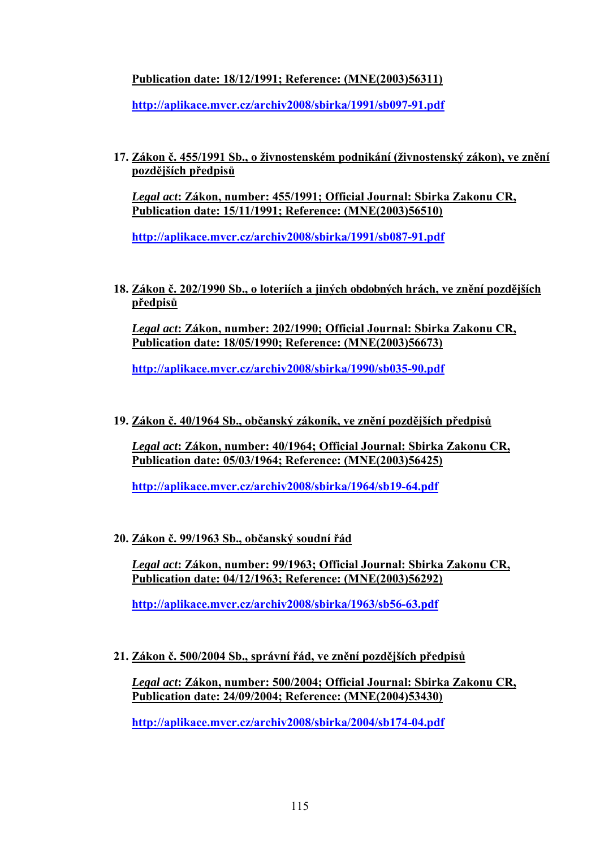# **Publication date: 18/12/1991; Reference: (MNE(2003)56311)**

**<http://aplikace.mvcr.cz/archiv2008/sbirka/1991/sb097-91.pdf>**

**17. Zákon č. 455/1991 Sb., o živnostenském podnikání (živnostenský zákon), ve znění pozdějších předpisů**

*Legal act***: Zákon, number: 455/1991; Official Journal: Sbirka Zakonu CR, Publication date: 15/11/1991; Reference: (MNE(2003)56510)** 

**<http://aplikace.mvcr.cz/archiv2008/sbirka/1991/sb087-91.pdf>**

**18. Zákon č. 202/1990 Sb., o loteriích a jiných obdobných hrách, ve znění pozdějších předpisů**

*Legal act***: Zákon, number: 202/1990; Official Journal: Sbirka Zakonu CR, Publication date: 18/05/1990; Reference: (MNE(2003)56673)** 

**<http://aplikace.mvcr.cz/archiv2008/sbirka/1990/sb035-90.pdf>**

**19. Zákon č. 40/1964 Sb., občanský zákoník, ve znění pozdějších předpisů**

*Legal act***: Zákon, number: 40/1964; Official Journal: Sbirka Zakonu CR, Publication date: 05/03/1964; Reference: (MNE(2003)56425)** 

**<http://aplikace.mvcr.cz/archiv2008/sbirka/1964/sb19-64.pdf>**

**20. Zákon č. 99/1963 Sb., občanský soudní řád**

*Legal act***: Zákon, number: 99/1963; Official Journal: Sbirka Zakonu CR, Publication date: 04/12/1963; Reference: (MNE(2003)56292)** 

**<http://aplikace.mvcr.cz/archiv2008/sbirka/1963/sb56-63.pdf>**

**21. Zákon č. 500/2004 Sb., správní řád, ve znění pozdějších předpisů**

*Legal act***: Zákon, number: 500/2004; Official Journal: Sbirka Zakonu CR, Publication date: 24/09/2004; Reference: (MNE(2004)53430)** 

**<http://aplikace.mvcr.cz/archiv2008/sbirka/2004/sb174-04.pdf>**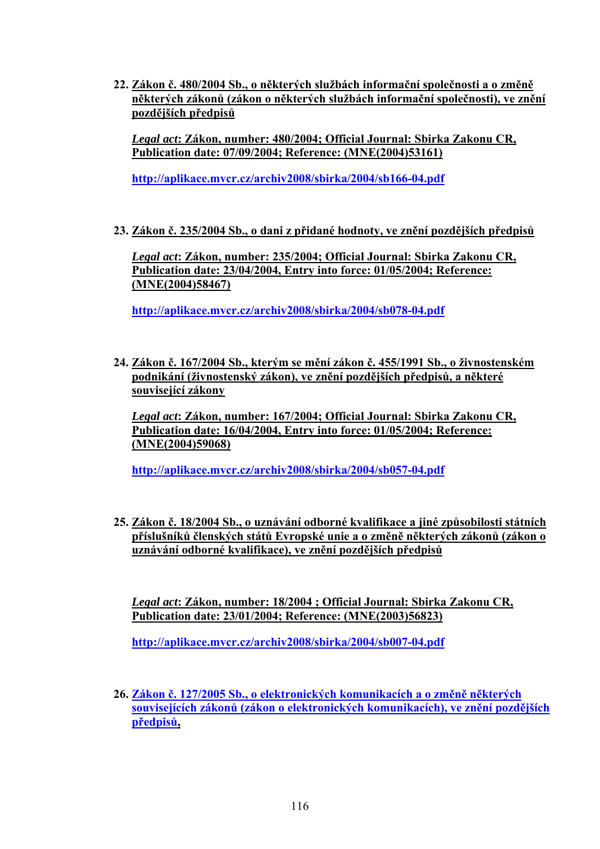**22. Zákon č. 480/2004 Sb., o některých službách informační společnosti a o změně některých zákonů (zákon o některých službách informační společnosti), ve znění pozdějších předpisů**

*Legal act***: Zákon, number: 480/2004; Official Journal: Sbirka Zakonu CR, Publication date: 07/09/2004; Reference: (MNE(2004)53161)** 

**<http://aplikace.mvcr.cz/archiv2008/sbirka/2004/sb166-04.pdf>**

**23. Zákon č. 235/2004 Sb., o dani z přidané hodnoty, ve znění pozdějších předpisů**

*Legal act***: Zákon, number: 235/2004; Official Journal: Sbirka Zakonu CR, Publication date: 23/04/2004, Entry into force: 01/05/2004; Reference: (MNE(2004)58467)** 

**<http://aplikace.mvcr.cz/archiv2008/sbirka/2004/sb078-04.pdf>**

**24. Zákon č. 167/2004 Sb., kterým se mění zákon č. 455/1991 Sb., o živnostenském podnikání (živnostenský zákon), ve znění pozdějších předpisů, a některé související zákony**

*Legal act***: Zákon, number: 167/2004; Official Journal: Sbirka Zakonu CR, Publication date: 16/04/2004, Entry into force: 01/05/2004; Reference: (MNE(2004)59068)** 

**<http://aplikace.mvcr.cz/archiv2008/sbirka/2004/sb057-04.pdf>**

**25. Zákon č. 18/2004 Sb., o uznávání odborné kvalifikace a jiné způsobilosti státních příslušníků členských států Evropské unie a o změně některých zákonů (zákon o uznávání odborné kvalifikace), ve znění pozdějších předpisů**

*Legal act***: Zákon, number: 18/2004 ; Official Journal: Sbirka Zakonu CR, Publication date: 23/01/2004; Reference: (MNE(2003)56823)**

**<http://aplikace.mvcr.cz/archiv2008/sbirka/2004/sb007-04.pdf>**

**26. Zákon č. 127/2005 Sb., o elektronických komunikacích a o změně některých souvisejících zákonů (zákon o elektronických komunikacích), ve znění pozdějších předpisů,**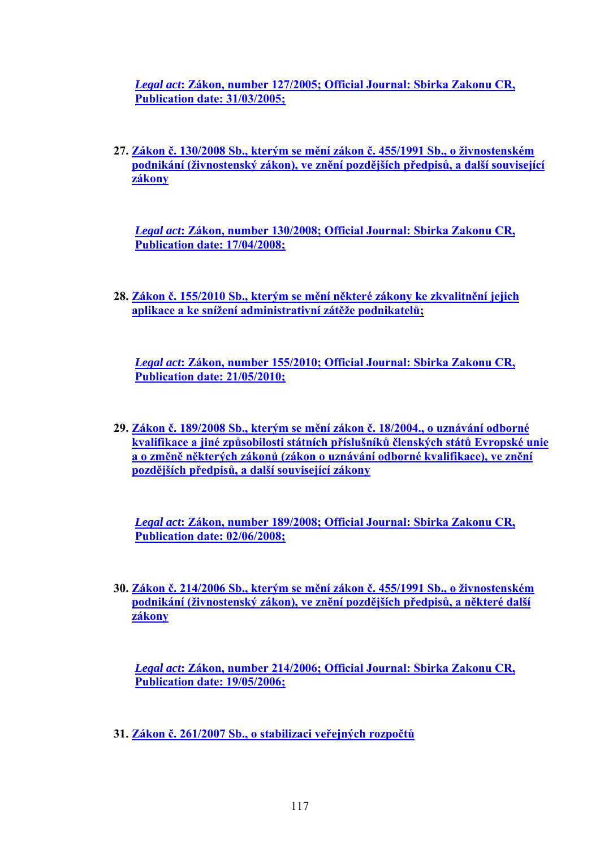*Legal act***: Zákon, number 127/2005; Official Journal: Sbirka Zakonu CR, Publication date: 31/03/2005;**

**27. Zákon č. 130/2008 Sb., kterým se mění zákon č. 455/1991 Sb., o živnostenském podnikání (živnostenský zákon), ve znění pozdějších předpisů, a další související zákony**

*Legal act***: Zákon, number 130/2008; Official Journal: Sbirka Zakonu CR, Publication date: 17/04/2008;**

**28. Zákon č. 155/2010 Sb., kterým se mění některé zákony ke zkvalitnění jejich aplikace a ke snížení administrativní zátěže podnikatelů;** 

*Legal act***: Zákon, number 155/2010; Official Journal: Sbirka Zakonu CR, Publication date: 21/05/2010;**

**29. Zákon č. 189/2008 Sb., kterým se mění zákon č. 18/2004., o uznávání odborné kvalifikace a jiné způsobilosti státních příslušníků členských států Evropské unie a o změně některých zákonů (zákon o uznávání odborné kvalifikace), ve znění pozdějších předpisů, a další související zákony**

*Legal act***: Zákon, number 189/2008; Official Journal: Sbirka Zakonu CR, Publication date: 02/06/2008;**

**30. Zákon č. 214/2006 Sb., kterým se mění zákon č. 455/1991 Sb., o živnostenském podnikání (živnostenský zákon), ve znění pozdějších předpisů, a některé další zákony**

*Legal act***: Zákon, number 214/2006; Official Journal: Sbirka Zakonu CR, Publication date: 19/05/2006;**

**31. Zákon č. 261/2007 Sb., o stabilizaci veřejných rozpočtů**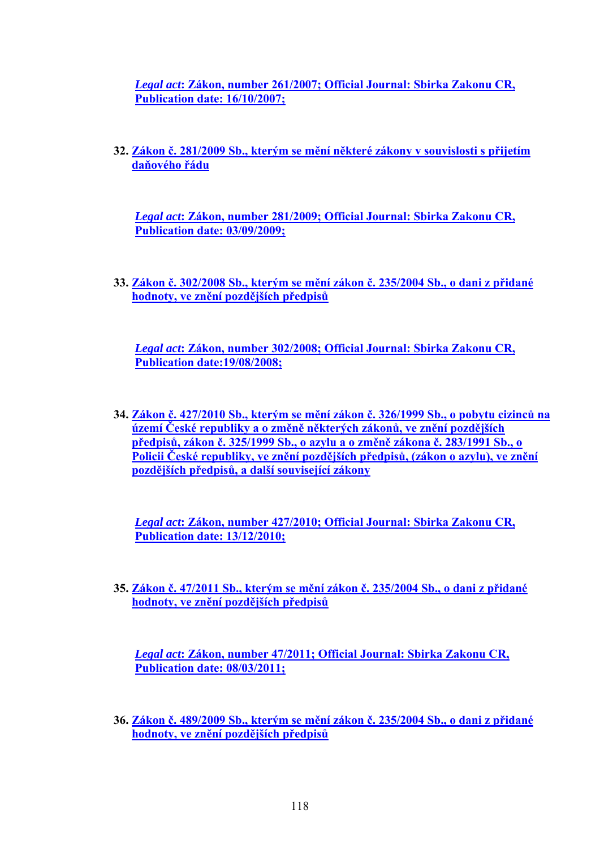*Legal act***: Zákon, number 261/2007; Official Journal: Sbirka Zakonu CR, Publication date: 16/10/2007;**

**32. Zákon č. 281/2009 Sb., kterým se mění některé zákony v souvislosti s přijetím daňového řádu**

*Legal act***: Zákon, number 281/2009; Official Journal: Sbirka Zakonu CR, Publication date: 03/09/2009;**

**33. Zákon č. 302/2008 Sb., kterým se mění zákon č. 235/2004 Sb., o dani z přidané hodnoty, ve znění pozdějších předpisů**

*Legal act***: Zákon, number 302/2008; Official Journal: Sbirka Zakonu CR, Publication date:19/08/2008;**

**34. Zákon č. 427/2010 Sb., kterým se mění zákon č. 326/1999 Sb., o pobytu cizinců na území České republiky a o změně některých zákonů, ve znění pozdějších předpisů, zákon č. 325/1999 Sb., o azylu a o změně zákona č. 283/1991 Sb., o Policii České republiky, ve znění pozdějších předpisů, (zákon o azylu), ve znění pozdějších předpisů, a další související zákony**

*Legal act***: Zákon, number 427/2010; Official Journal: Sbirka Zakonu CR, Publication date: 13/12/2010;**

**35. Zákon č. 47/2011 Sb., kterým se mění zákon č. 235/2004 Sb., o dani z přidané hodnoty, ve znění pozdějších předpisů**

*Legal act***: Zákon, number 47/2011; Official Journal: Sbirka Zakonu CR, Publication date: 08/03/2011;**

**36. Zákon č. 489/2009 Sb., kterým se mění zákon č. 235/2004 Sb., o dani z přidané hodnoty, ve znění pozdějších předpisů**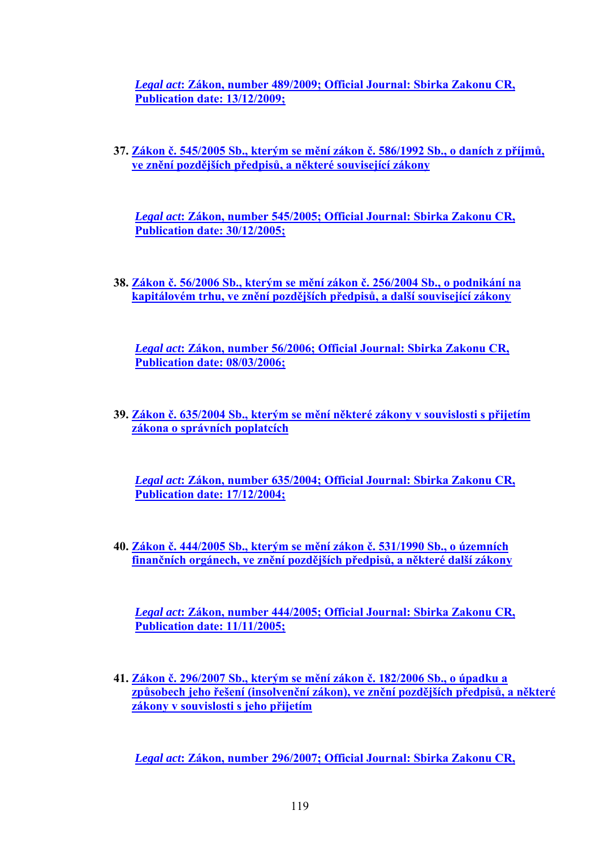*Legal act***: Zákon, number 489/2009; Official Journal: Sbirka Zakonu CR, Publication date: 13/12/2009;**

**37. Zákon č. 545/2005 Sb., kterým se mění zákon č. 586/1992 Sb., o daních z příjmů, ve znění pozdějších předpisů, a některé související zákony**

*Legal act***: Zákon, number 545/2005; Official Journal: Sbirka Zakonu CR, Publication date: 30/12/2005;**

**38. Zákon č. 56/2006 Sb., kterým se mění zákon č. 256/2004 Sb., o podnikání na kapitálovém trhu, ve znění pozdějších předpisů, a další související zákony**

*Legal act***: Zákon, number 56/2006; Official Journal: Sbirka Zakonu CR, Publication date: 08/03/2006;**

**39. Zákon č. 635/2004 Sb., kterým se mění některé zákony v souvislosti s přijetím zákona o správních poplatcích**

*Legal act***: Zákon, number 635/2004; Official Journal: Sbirka Zakonu CR, Publication date: 17/12/2004;**

**40. Zákon č. 444/2005 Sb., kterým se mění zákon č. 531/1990 Sb., o územních finančních orgánech, ve znění pozdějších předpisů, a některé další zákony**

*Legal act***: Zákon, number 444/2005; Official Journal: Sbirka Zakonu CR, Publication date: 11/11/2005;**

**41. Zákon č. 296/2007 Sb., kterým se mění zákon č. 182/2006 Sb., o úpadku a způsobech jeho řešení (insolvenční zákon), ve znění pozdějších předpisů, a některé zákony v souvislosti s jeho přijetím**

*Legal act***: Zákon, number 296/2007; Official Journal: Sbirka Zakonu CR,**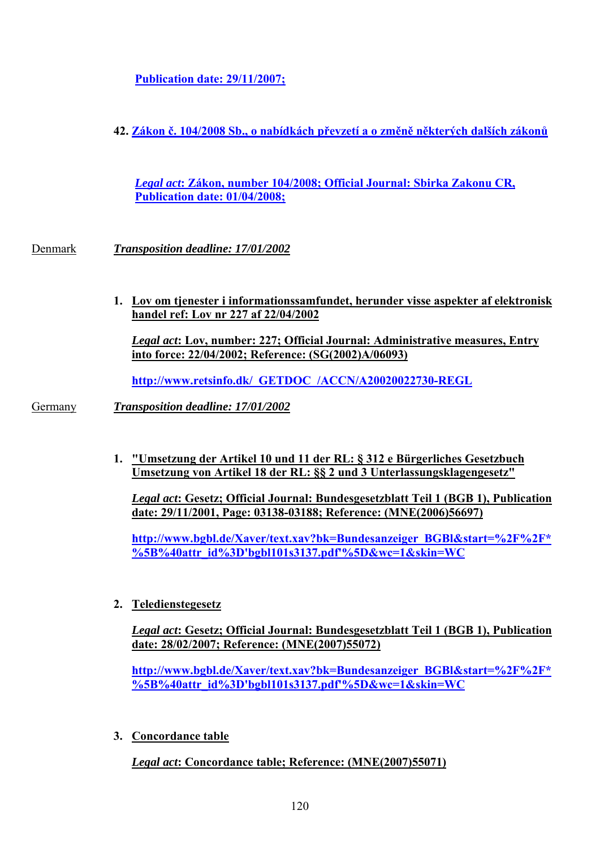**Publication date: 29/11/2007;**

**42. Zákon č. 104/2008 Sb., o nabídkách převzetí a o změně některých dalších zákonů**

*Legal act***: Zákon, number 104/2008; Official Journal: Sbirka Zakonu CR, Publication date: 01/04/2008;**

Denmark *Transposition deadline: 17/01/2002* 

**1. Lov om tjenester i informationssamfundet, herunder visse aspekter af elektronisk handel ref: Lov nr 227 af 22/04/2002**

*Legal act***: Lov, number: 227; Official Journal: Administrative measures, Entry into force: 22/04/2002; Reference: (SG(2002)A/06093)**

**[http://www.retsinfo.dk/\\_GETDOC\\_/ACCN/A20020022730-REGL](http://www.retsinfo.dk/_GETDOC_/ACCN/A20020022730-REGL)**

Germany *Transposition deadline: 17/01/2002* 

**1. "Umsetzung der Artikel 10 und 11 der RL: § 312 e Bürgerliches Gesetzbuch Umsetzung von Artikel 18 der RL: §§ 2 und 3 Unterlassungsklagengesetz"**

*Legal act***: Gesetz; Official Journal: Bundesgesetzblatt Teil 1 (BGB 1), Publication date: 29/11/2001, Page: 03138-03188; Reference: (MNE(2006)56697)** 

**[http://www.bgbl.de/Xaver/text.xav?bk=Bundesanzeiger\\_BGBl&start=%2F%2F\\*](http://www.bgbl.de/Xaver/text.xav?bk=Bundesanzeiger_BGBl&start=%2F%2F*%5B%40attr_id%3D) [%5B%40attr\\_id%3D'bgbl101s3137.pdf'%5D&wc=1&skin=WC](http://www.bgbl.de/Xaver/text.xav?bk=Bundesanzeiger_BGBl&start=%2F%2F*%5B%40attr_id%3D)** 

**2. Teledienstegesetz**

*Legal act***: Gesetz; Official Journal: Bundesgesetzblatt Teil 1 (BGB 1), Publication date: 28/02/2007; Reference: (MNE(2007)55072)** 

**[http://www.bgbl.de/Xaver/text.xav?bk=Bundesanzeiger\\_BGBl&start=%2F%2F\\*](http://www.bgbl.de/Xaver/text.xav?bk=Bundesanzeiger_BGBl&start=%2F%2F*%5B%40attr_id%3D) [%5B%40attr\\_id%3D'bgbl101s3137.pdf'%5D&wc=1&skin=WC](http://www.bgbl.de/Xaver/text.xav?bk=Bundesanzeiger_BGBl&start=%2F%2F*%5B%40attr_id%3D)** 

**3. Concordance table**

*Legal act***: Concordance table; Reference: (MNE(2007)55071)**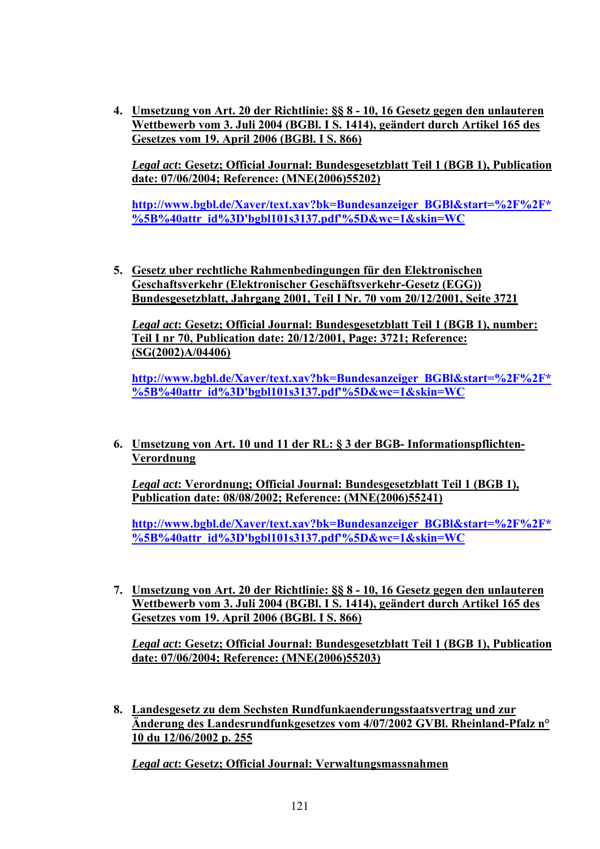**4. Umsetzung von Art. 20 der Richtlinie: §§ 8 - 10, 16 Gesetz gegen den unlauteren Wettbewerb vom 3. Juli 2004 (BGBl. I S. 1414), geändert durch Artikel 165 des Gesetzes vom 19. April 2006 (BGBl. I S. 866)**

*Legal act***: Gesetz; Official Journal: Bundesgesetzblatt Teil 1 (BGB 1), Publication date: 07/06/2004; Reference: (MNE(2006)55202)** 

**[http://www.bgbl.de/Xaver/text.xav?bk=Bundesanzeiger\\_BGBl&start=%2F%2F\\*](http://www.bgbl.de/Xaver/text.xav?bk=Bundesanzeiger_BGBl&start=%2F%2F*%5B%40attr_id%3D) [%5B%40attr\\_id%3D'bgbl101s3137.pdf'%5D&wc=1&skin=WC](http://www.bgbl.de/Xaver/text.xav?bk=Bundesanzeiger_BGBl&start=%2F%2F*%5B%40attr_id%3D)** 

**5. Gesetz uber rechtliche Rahmenbedingungen für den Elektronischen Geschaftsverkehr (Elektronischer Geschäftsverkehr-Gesetz (EGG)) Bundesgesetzblatt, Jahrgang 2001, Teil I Nr. 70 vom 20/12/2001, Seite 3721**

*Legal act***: Gesetz; Official Journal: Bundesgesetzblatt Teil 1 (BGB 1), number: Teil I nr 70, Publication date: 20/12/2001, Page: 3721; Reference: (SG(2002)A/04406)** 

**[http://www.bgbl.de/Xaver/text.xav?bk=Bundesanzeiger\\_BGBl&start=%2F%2F\\*](http://www.bgbl.de/Xaver/text.xav?bk=Bundesanzeiger_BGBl&start=%2F%2F*%5B%40attr_id%3D) [%5B%40attr\\_id%3D'bgbl101s3137.pdf'%5D&wc=1&skin=WC](http://www.bgbl.de/Xaver/text.xav?bk=Bundesanzeiger_BGBl&start=%2F%2F*%5B%40attr_id%3D)** 

**6. Umsetzung von Art. 10 und 11 der RL: § 3 der BGB- Informationspflichten-Verordnung**

*Legal act***: Verordnung; Official Journal: Bundesgesetzblatt Teil 1 (BGB 1), Publication date: 08/08/2002; Reference: (MNE(2006)55241)** 

**[http://www.bgbl.de/Xaver/text.xav?bk=Bundesanzeiger\\_BGBl&start=%2F%2F\\*](http://www.bgbl.de/Xaver/text.xav?bk=Bundesanzeiger_BGBl&start=%2F%2F*%5B%40attr_id%3D) [%5B%40attr\\_id%3D'bgbl101s3137.pdf'%5D&wc=1&skin=WC](http://www.bgbl.de/Xaver/text.xav?bk=Bundesanzeiger_BGBl&start=%2F%2F*%5B%40attr_id%3D)** 

**7. Umsetzung von Art. 20 der Richtlinie: §§ 8 - 10, 16 Gesetz gegen den unlauteren Wettbewerb vom 3. Juli 2004 (BGBl. I S. 1414), geändert durch Artikel 165 des Gesetzes vom 19. April 2006 (BGBl. I S. 866)**

*Legal act***: Gesetz; Official Journal: Bundesgesetzblatt Teil 1 (BGB 1), Publication date: 07/06/2004; Reference: (MNE(2006)55203)** 

**8. Landesgesetz zu dem Sechsten Rundfunkaenderungsstaatsvertrag und zur Änderung des Landesrundfunkgesetzes vom 4/07/2002 GVBl. Rheinland-Pfalz n° 10 du 12/06/2002 p. 255**

*Legal act***: Gesetz; Official Journal: Verwaltungsmassnahmen**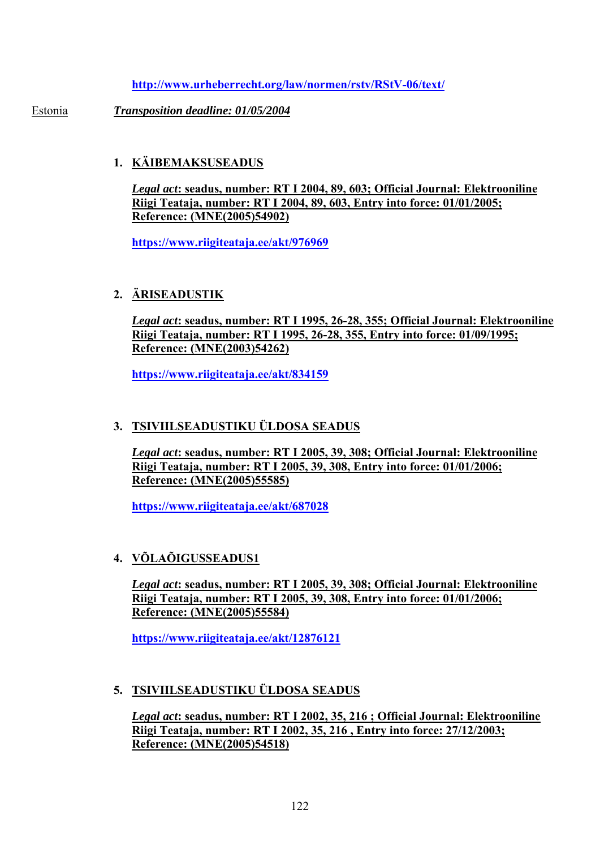**<http://www.urheberrecht.org/law/normen/rstv/RStV-06/text/>**

Estonia *Transposition deadline: 01/05/2004* 

# **1. KÄIBEMAKSUSEADUS**

*Legal act***: seadus, number: RT I 2004, 89, 603; Official Journal: Elektrooniline Riigi Teataja, number: RT I 2004, 89, 603, Entry into force: 01/01/2005; Reference: (MNE(2005)54902)** 

**<https://www.riigiteataja.ee/akt/976969>**

# **2. ÄRISEADUSTIK**

*Legal act***: seadus, number: RT I 1995, 26-28, 355; Official Journal: Elektrooniline Riigi Teataja, number: RT I 1995, 26-28, 355, Entry into force: 01/09/1995; Reference: (MNE(2003)54262)** 

**<https://www.riigiteataja.ee/akt/834159>**

# **3. TSIVIILSEADUSTIKU ÜLDOSA SEADUS**

*Legal act***: seadus, number: RT I 2005, 39, 308; Official Journal: Elektrooniline Riigi Teataja, number: RT I 2005, 39, 308, Entry into force: 01/01/2006; Reference: (MNE(2005)55585)** 

**<https://www.riigiteataja.ee/akt/687028>**

## **4. VÕLAÕIGUSSEADUS1**

*Legal act***: seadus, number: RT I 2005, 39, 308; Official Journal: Elektrooniline Riigi Teataja, number: RT I 2005, 39, 308, Entry into force: 01/01/2006; Reference: (MNE(2005)55584)** 

**<https://www.riigiteataja.ee/akt/12876121>**

## **5. TSIVIILSEADUSTIKU ÜLDOSA SEADUS**

*Legal act***: seadus, number: RT I 2002, 35, 216 ; Official Journal: Elektrooniline Riigi Teataja, number: RT I 2002, 35, 216 , Entry into force: 27/12/2003; Reference: (MNE(2005)54518)**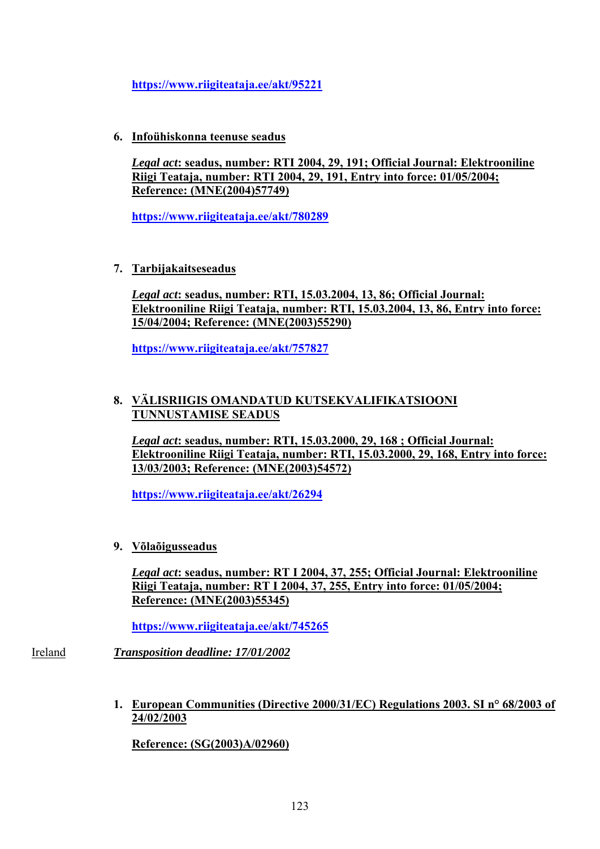**<https://www.riigiteataja.ee/akt/95221>**

**6. Infoühiskonna teenuse seadus**

*Legal act***: seadus, number: RTI 2004, 29, 191; Official Journal: Elektrooniline Riigi Teataja, number: RTI 2004, 29, 191, Entry into force: 01/05/2004; Reference: (MNE(2004)57749)** 

**<https://www.riigiteataja.ee/akt/780289>**

**7. Tarbijakaitseseadus**

*Legal act***: seadus, number: RTI, 15.03.2004, 13, 86; Official Journal: Elektrooniline Riigi Teataja, number: RTI, 15.03.2004, 13, 86, Entry into force: 15/04/2004; Reference: (MNE(2003)55290)** 

**<https://www.riigiteataja.ee/akt/757827>**

## **8. VÄLISRIIGIS OMANDATUD KUTSEKVALIFIKATSIOONI TUNNUSTAMISE SEADUS**

*Legal act***: seadus, number: RTI, 15.03.2000, 29, 168 ; Official Journal: Elektrooniline Riigi Teataja, number: RTI, 15.03.2000, 29, 168, Entry into force: 13/03/2003; Reference: (MNE(2003)54572)** 

**<https://www.riigiteataja.ee/akt/26294>**

**9. Võlaõigusseadus**

*Legal act***: seadus, number: RT I 2004, 37, 255; Official Journal: Elektrooniline Riigi Teataja, number: RT I 2004, 37, 255, Entry into force: 01/05/2004; Reference: (MNE(2003)55345)**

**<https://www.riigiteataja.ee/akt/745265>**

Ireland *Transposition deadline: 17/01/2002* 

**1. European Communities (Directive 2000/31/EC) Regulations 2003. SI n° 68/2003 of 24/02/2003**

**Reference: (SG(2003)A/02960)**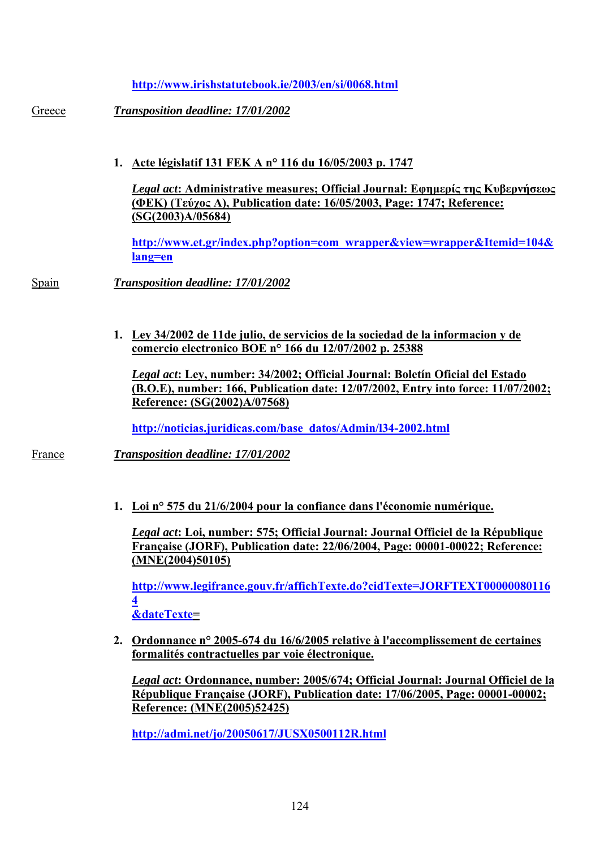**<http://www.irishstatutebook.ie/2003/en/si/0068.html>**

Greece *Transposition deadline: 17/01/2002* 

**1. Acte législatif 131 FEK A n° 116 du 16/05/2003 p. 1747**

*Legal act***: Administrative measures; Official Journal: Εφημερίς της Κυβερνήσεως (ΦΕΚ) (Τεύχος Α), Publication date: 16/05/2003, Page: 1747; Reference: (SG(2003)A/05684)**

**[http://www.et.gr/index.php?option=com\\_wrapper&view=wrapper&Itemid=104&](http://www.et.gr/index.php?option=com_wrapper&view=wrapper&Itemid=104&lang=en) [lang=en](http://www.et.gr/index.php?option=com_wrapper&view=wrapper&Itemid=104&lang=en)** 

- Spain *Transposition deadline: 17/01/2002* 
	- **1. Ley 34/2002 de 11de julio, de servicios de la sociedad de la informacion y de comercio electronico BOE n° 166 du 12/07/2002 p. 25388**

*Legal act***: Ley, number: 34/2002; Official Journal: Boletín Oficial del Estado (B.O.E), number: 166, Publication date: 12/07/2002, Entry into force: 11/07/2002; Reference: (SG(2002)A/07568)** 

**[http://noticias.juridicas.com/base\\_datos/Admin/l34-2002.html](http://noticias.juridicas.com/base_datos/Admin/l34-2002.html)**

France *Transposition deadline: 17/01/2002* 

**1. Loi n° 575 du 21/6/2004 pour la confiance dans l'économie numérique.**

*Legal act***: Loi, number: 575; Official Journal: Journal Officiel de la République Française (JORF), Publication date: 22/06/2004, Page: 00001-00022; Reference: (MNE(2004)50105)** 

**[http://www.legifrance.gouv.fr/affichTexte.do?cidTexte=JORFTEXT00000080116](http://www.legifrance.gouv.fr/affichTexte.do?cidTexte=JORFTEXT000000801164&dateTexte) [4](http://www.legifrance.gouv.fr/affichTexte.do?cidTexte=JORFTEXT000000801164&dateTexte) [&dateTexte=](http://www.legifrance.gouv.fr/affichTexte.do?cidTexte=JORFTEXT000000801164&dateTexte)**

**2. Ordonnance n° 2005-674 du 16/6/2005 relative à l'accomplissement de certaines formalités contractuelles par voie électronique.**

*Legal act***: Ordonnance, number: 2005/674; Official Journal: Journal Officiel de la République Française (JORF), Publication date: 17/06/2005, Page: 00001-00002; Reference: (MNE(2005)52425)** 

**<http://admi.net/jo/20050617/JUSX0500112R.html>**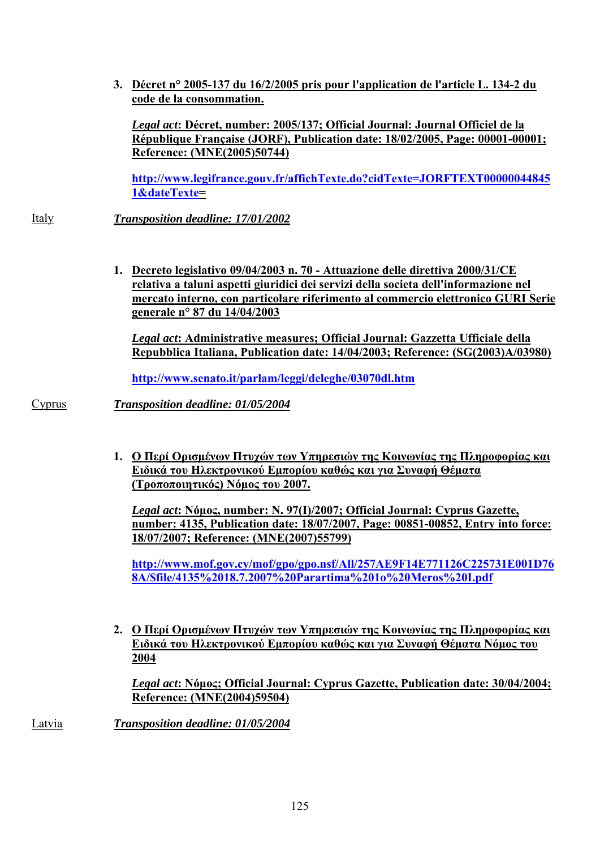**3. Décret n° 2005-137 du 16/2/2005 pris pour l'application de l'article L. 134-2 du code de la consommation.**

*Legal act***: Décret, number: 2005/137; Official Journal: Journal Officiel de la République Française (JORF), Publication date: 18/02/2005, Page: 00001-00001; Reference: (MNE(2005)50744)** 

**[http://www.legifrance.gouv.fr/affichTexte.do?cidTexte=JORFTEXT00000044845](http://www.legifrance.gouv.fr/affichTexte.do?cidTexte=JORFTEXT000000448451&dateTexte) [1&dateTexte=](http://www.legifrance.gouv.fr/affichTexte.do?cidTexte=JORFTEXT000000448451&dateTexte)** 

Italy *Transposition deadline: 17/01/2002* 

**1. Decreto legislativo 09/04/2003 n. 70 - Attuazione delle direttiva 2000/31/CE relativa a taluni aspetti giuridici dei servizi della societa dell'informazione nel mercato interno, con particolare riferimento al commercio elettronico GURI Serie generale n° 87 du 14/04/2003**

*Legal act***: Administrative measures; Official Journal: Gazzetta Ufficiale della Repubblica Italiana, Publication date: 14/04/2003; Reference: (SG(2003)A/03980)** 

**<http://www.senato.it/parlam/leggi/deleghe/03070dl.htm>**

Cyprus *Transposition deadline: 01/05/2004* 

**1. Ο Περί Ορισμένων Πτυχών των Υπηρεσιών της Κοινωνίας της Πληροφορίας και Ειδικά του Ηλεκτρονικού Εμπορίου καθώς και για Συναφή Θέματα (Τροποποιητικός) Νόμος του 2007.**

*Legal act***: Νόμος, number: Ν. 97(Ι)/2007; Official Journal: Cyprus Gazette, number: 4135, Publication date: 18/07/2007, Page: 00851-00852, Entry into force: 18/07/2007; Reference: (MNE(2007)55799)** 

**[http://www.mof.gov.cy/mof/gpo/gpo.nsf/All/257AE9F14E771126C225731E001D76](http://www.mof.gov.cy/mof/gpo/gpo.nsf/All/257AE9F14E771126C225731E001D768A/$file/4135 18.7.2007 Parartima 1o Meros I.pdf) [8A/\\$file/4135%2018.7.2007%20Parartima%201o%20Meros%20I.pdf](http://www.mof.gov.cy/mof/gpo/gpo.nsf/All/257AE9F14E771126C225731E001D768A/$file/4135 18.7.2007 Parartima 1o Meros I.pdf)** 

**2. Ο Περί Ορισμένων Πτυχών των Υπηρεσιών της Κοινωνίας της Πληροφορίας και Ειδικά του Ηλεκτρονικού Εμπορίου καθώς και για Συναφή Θέματα Νόμος του 2004**

*Legal act***: Νόμος; Official Journal: Cyprus Gazette, Publication date: 30/04/2004; Reference: (MNE(2004)59504)** 

Latvia *Transposition deadline: 01/05/2004*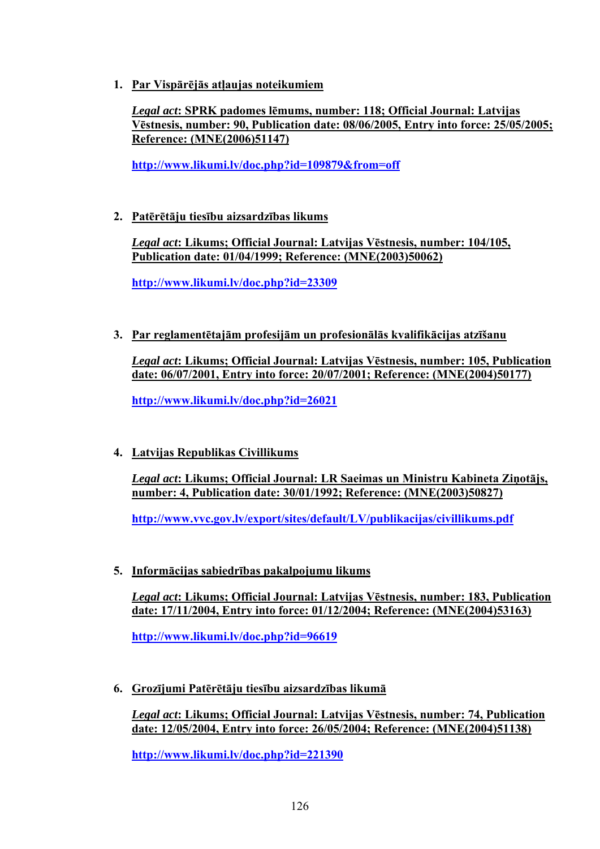**1. Par Vispārējās atļaujas noteikumiem**

*Legal act***: SPRK padomes lēmums, number: 118; Official Journal: Latvijas Vēstnesis, number: 90, Publication date: 08/06/2005, Entry into force: 25/05/2005; Reference: (MNE(2006)51147)** 

**<http://www.likumi.lv/doc.php?id=109879&from=off>**

**2. Patērētāju tiesību aizsardzības likums**

*Legal act***: Likums; Official Journal: Latvijas Vēstnesis, number: 104/105, Publication date: 01/04/1999; Reference: (MNE(2003)50062)** 

**<http://www.likumi.lv/doc.php?id=23309>**

**3. Par reglamentētajām profesijām un profesionālās kvalifikācijas atzīšanu**

*Legal act***: Likums; Official Journal: Latvijas Vēstnesis, number: 105, Publication date: 06/07/2001, Entry into force: 20/07/2001; Reference: (MNE(2004)50177)** 

**<http://www.likumi.lv/doc.php?id=26021>**

**4. Latvijas Republikas Civillikums**

*Legal act***: Likums; Official Journal: LR Saeimas un Ministru Kabineta Ziņotājs, number: 4, Publication date: 30/01/1992; Reference: (MNE(2003)50827)** 

**<http://www.vvc.gov.lv/export/sites/default/LV/publikacijas/civillikums.pdf>**

**5. Informācijas sabiedrības pakalpojumu likums**

*Legal act***: Likums; Official Journal: Latvijas Vēstnesis, number: 183, Publication date: 17/11/2004, Entry into force: 01/12/2004; Reference: (MNE(2004)53163)** 

**<http://www.likumi.lv/doc.php?id=96619>**

**6. Grozījumi Patērētāju tiesību aizsardzības likumā**

*Legal act***: Likums; Official Journal: Latvijas Vēstnesis, number: 74, Publication date: 12/05/2004, Entry into force: 26/05/2004; Reference: (MNE(2004)51138)**

**<http://www.likumi.lv/doc.php?id=221390>**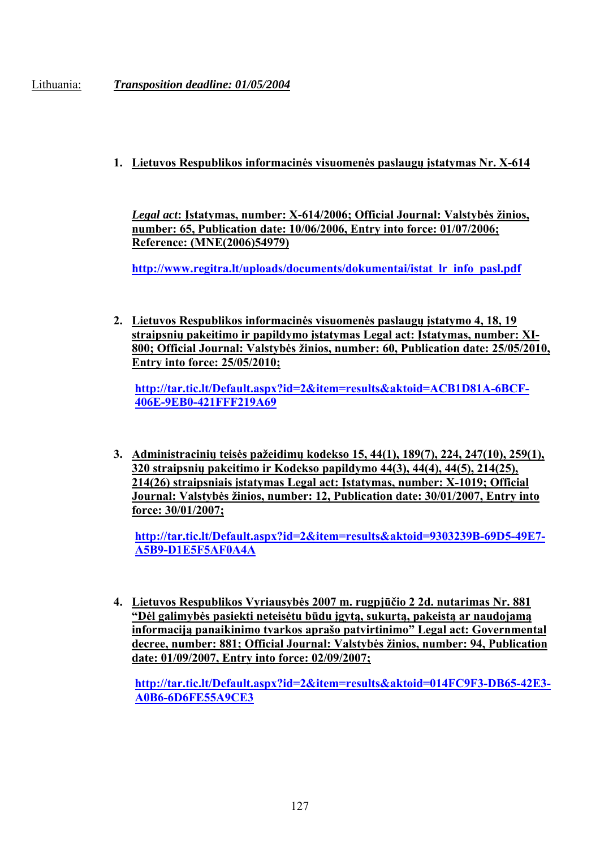Lithuania: *Transposition deadline: 01/05/2004* 

# **1. Lietuvos Respublikos informacinės visuomenės paslaugų įstatymas Nr. X-614**

*Legal act***: Įstatymas, number: X-614/2006; Official Journal: Valstybės žinios, number: 65, Publication date: 10/06/2006, Entry into force: 01/07/2006; Reference: (MNE(2006)54979)** 

**[http://www.regitra.lt/uploads/documents/dokumentai/istat\\_lr\\_info\\_pasl.pdf](http://www.regitra.lt/uploads/documents/dokumentai/istat_lr_info_pasl.pdf)** 

**2. Lietuvos Respublikos informacinės visuomenės paslaugų įstatymo 4, 18, 19 straipsnių pakeitimo ir papildymo įstatymas Legal act: Įstatymas, number: XI-800; Official Journal: Valstybės žinios, number: 60, Publication date: 25/05/2010, Entry into force: 25/05/2010;** 

**[http://tar.tic.lt/Default.aspx?id=2&item=results&aktoid=ACB1D81A-6BCF-](http://tar.tic.lt/Default.aspx?id=2&item=results&aktoid=ACB1D81A-6BCF-406E-9EB0-421FFF219A69)[406E-9EB0-421FFF219A69](http://tar.tic.lt/Default.aspx?id=2&item=results&aktoid=ACB1D81A-6BCF-406E-9EB0-421FFF219A69)**

**3. Administracinių teisės pažeidimų kodekso 15, 44(1), 189(7), 224, 247(10), 259(1), 320 straipsnių pakeitimo ir Kodekso papildymo 44(3), 44(4), 44(5), 214(25), 214(26) straipsniais įstatymas Legal act: Įstatymas, number: X-1019; Official Journal: Valstybės žinios, number: 12, Publication date: 30/01/2007, Entry into force: 30/01/2007;** 

**[http://tar.tic.lt/Default.aspx?id=2&item=results&aktoid=9303239B-69D5-49E7-](http://tar.tic.lt/Default.aspx?id=2&item=results&aktoid=9303239B-69D5-49E7-A5B9-D1E5F5AF0A4A) [A5B9-D1E5F5AF0A4A](http://tar.tic.lt/Default.aspx?id=2&item=results&aktoid=9303239B-69D5-49E7-A5B9-D1E5F5AF0A4A)** 

**4. Lietuvos Respublikos Vyriausybės 2007 m. rugpjūčio 2 2d. nutarimas Nr. 881 "Dėl galimybės pasiekti neteisėtu būdu įgytą, sukurtą, pakeistą ar naudojamą informaciją panaikinimo tvarkos aprašo patvirtinimo" Legal act: Governmental decree, number: 881; Official Journal: Valstybės žinios, number: 94, Publication date: 01/09/2007, Entry into force: 02/09/2007;** 

**[http://tar.tic.lt/Default.aspx?id=2&item=results&aktoid=014FC9F3-DB65-42E3-](http://tar.tic.lt/Default.aspx?id=2&item=results&aktoid=014FC9F3-DB65-42E3-A0B6-6D6FE55A9CE3) [A0B6-6D6FE55A9CE3](http://tar.tic.lt/Default.aspx?id=2&item=results&aktoid=014FC9F3-DB65-42E3-A0B6-6D6FE55A9CE3)**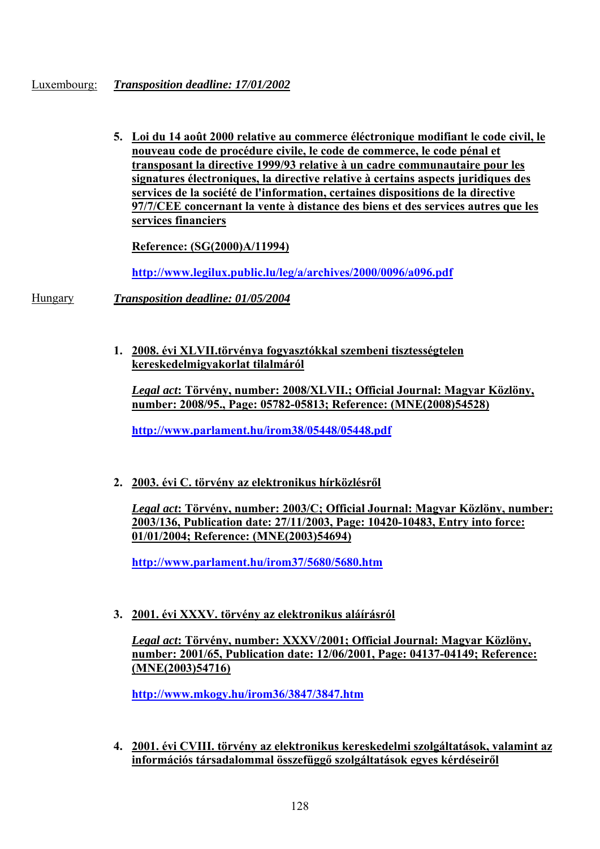#### Luxembourg: *Transposition deadline: 17/01/2002*

**5. Loi du 14 août 2000 relative au commerce éléctronique modifiant le code civil, le nouveau code de procédure civile, le code de commerce, le code pénal et transposant la directive 1999/93 relative à un cadre communautaire pour les signatures électroniques, la directive relative à certains aspects juridiques des services de la société de l'information, certaines dispositions de la directive 97/7/CEE concernant la vente à distance des biens et des services autres que les services financiers**

**Reference: (SG(2000)A/11994)** 

**<http://www.legilux.public.lu/leg/a/archives/2000/0096/a096.pdf>**

Hungary *Transposition deadline: 01/05/2004* 

**1. 2008. évi XLVII.törvénya fogyasztókkal szembeni tisztességtelen kereskedelmigyakorlat tilalmáról**

*Legal act***: Törvény, number: 2008/XLVII.; Official Journal: Magyar Közlöny, number: 2008/95., Page: 05782-05813; Reference: (MNE(2008)54528)** 

**<http://www.parlament.hu/irom38/05448/05448.pdf>**

**2. 2003. évi C. törvény az elektronikus hírközlésről**

*Legal act***: Törvény, number: 2003/C; Official Journal: Magyar Közlöny, number: 2003/136, Publication date: 27/11/2003, Page: 10420-10483, Entry into force: 01/01/2004; Reference: (MNE(2003)54694)** 

**<http://www.parlament.hu/irom37/5680/5680.htm>**

**3. 2001. évi XXXV. törvény az elektronikus aláírásról**

*Legal act***: Törvény, number: XXXV/2001; Official Journal: Magyar Közlöny, number: 2001/65, Publication date: 12/06/2001, Page: 04137-04149; Reference: (MNE(2003)54716)** 

**<http://www.mkogy.hu/irom36/3847/3847.htm>**

**4. 2001. évi CVIII. törvény az elektronikus kereskedelmi szolgáltatások, valamint az információs társadalommal összefüggő szolgáltatások egyes kérdéseiről**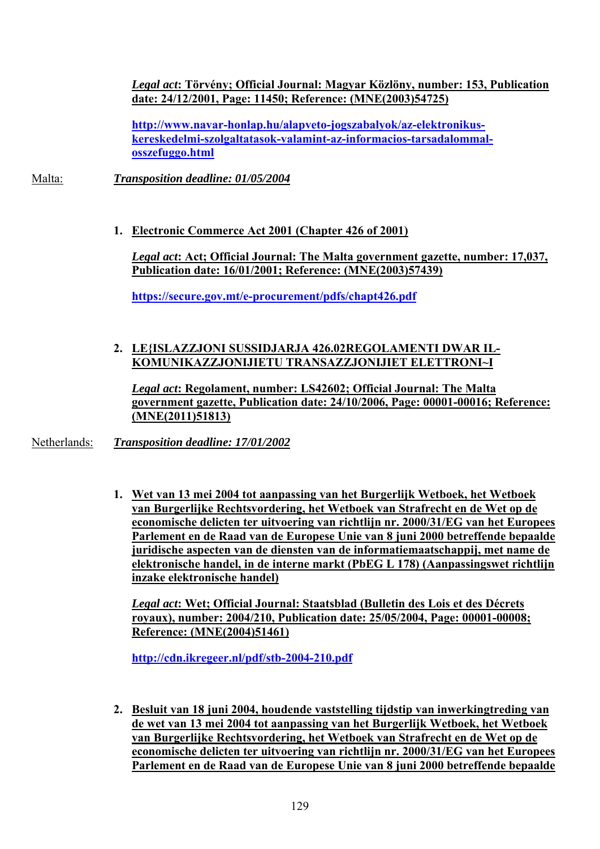*Legal act***: Törvény; Official Journal: Magyar Közlöny, number: 153, Publication date: 24/12/2001, Page: 11450; Reference: (MNE(2003)54725)**

**[http://www.navar-honlap.hu/alapveto-jogszabalyok/az-elektronikus](http://www.navar-honlap.hu/alapveto-jogszabalyok/az-elektronikus-kereskedelmi-szolgaltatasok-valamint-az-informacios-tarsadalommal-osszefuggo.html)[kereskedelmi-szolgaltatasok-valamint-az-informacios-tarsadalommal](http://www.navar-honlap.hu/alapveto-jogszabalyok/az-elektronikus-kereskedelmi-szolgaltatasok-valamint-az-informacios-tarsadalommal-osszefuggo.html)[osszefuggo.html](http://www.navar-honlap.hu/alapveto-jogszabalyok/az-elektronikus-kereskedelmi-szolgaltatasok-valamint-az-informacios-tarsadalommal-osszefuggo.html)** 

Malta: *Transposition deadline: 01/05/2004* 

**1. Electronic Commerce Act 2001 (Chapter 426 of 2001)**

*Legal act***: Act; Official Journal: The Malta government gazette, number: 17,037, Publication date: 16/01/2001; Reference: (MNE(2003)57439)** 

**<https://secure.gov.mt/e-procurement/pdfs/chapt426.pdf>**

# **2. LE{ISLAZZJONI SUSSIDJARJA 426.02REGOLAMENTI DWAR IL-KOMUNIKAZZJONIJIETU TRANSAZZJONIJIET ELETTRONI~I**

*Legal act***: Regolament, number: LS42602; Official Journal: The Malta government gazette, Publication date: 24/10/2006, Page: 00001-00016; Reference: (MNE(2011)51813)** 

Netherlands: *Transposition deadline: 17/01/2002* 

**1. Wet van 13 mei 2004 tot aanpassing van het Burgerlijk Wetboek, het Wetboek van Burgerlijke Rechtsvordering, het Wetboek van Strafrecht en de Wet op de economische delicten ter uitvoering van richtlijn nr. 2000/31/EG van het Europees Parlement en de Raad van de Europese Unie van 8 juni 2000 betreffende bepaalde juridische aspecten van de diensten van de informatiemaatschappij, met name de elektronische handel, in de interne markt (PbEG L 178) (Aanpassingswet richtlijn inzake elektronische handel)**

*Legal act***: Wet; Official Journal: Staatsblad (Bulletin des Lois et des Décrets royaux), number: 2004/210, Publication date: 25/05/2004, Page: 00001-00008; Reference: (MNE(2004)51461)** 

**<http://cdn.ikregeer.nl/pdf/stb-2004-210.pdf>**

**2. Besluit van 18 juni 2004, houdende vaststelling tijdstip van inwerkingtreding van de wet van 13 mei 2004 tot aanpassing van het Burgerlijk Wetboek, het Wetboek van Burgerlijke Rechtsvordering, het Wetboek van Strafrecht en de Wet op de economische delicten ter uitvoering van richtlijn nr. 2000/31/EG van het Europees Parlement en de Raad van de Europese Unie van 8 juni 2000 betreffende bepaalde**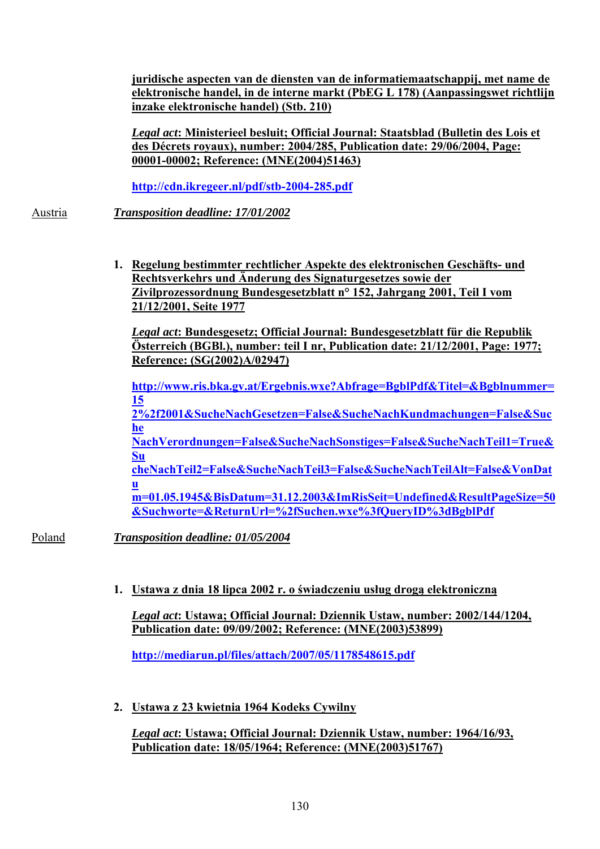**juridische aspecten van de diensten van de informatiemaatschappij, met name de elektronische handel, in de interne markt (PbEG L 178) (Aanpassingswet richtlijn inzake elektronische handel) (Stb. 210)**

*Legal act***: Ministerieel besluit; Official Journal: Staatsblad (Bulletin des Lois et des Décrets royaux), number: 2004/285, Publication date: 29/06/2004, Page: 00001-00002; Reference: (MNE(2004)51463)**

**<http://cdn.ikregeer.nl/pdf/stb-2004-285.pdf>**

Austria *Transposition deadline: 17/01/2002* 

**1. Regelung bestimmter rechtlicher Aspekte des elektronischen Geschäfts- und Rechtsverkehrs und Änderung des Signaturgesetzes sowie der Zivilprozessordnung Bundesgesetzblatt n° 152, Jahrgang 2001, Teil I vom 21/12/2001, Seite 1977**

*Legal act***: Bundesgesetz; Official Journal: Bundesgesetzblatt für die Republik Österreich (BGBl.), number: teil I nr, Publication date: 21/12/2001, Page: 1977; Reference: (SG(2002)A/02947)**

**[http://www.ris.bka.gv.at/Ergebnis.wxe?Abfrage=BgblPdf&Titel=&Bgblnummer=](http://www.ris.bka.gv.at/Ergebnis.wxe?Abfrage=BgblPdf&Titel=&Bgblnummer=152%2f2001&SucheNachGesetzen=False&SucheNachKundmachungen=False&SucheNachVerordnungen=False&SucheNachSonstiges=False&SucheNachTeil1=True&SucheNachTeil2=False&SucheNachTeil3=False&SucheNachTeilAlt=False&VonDatum=01.05.1945&BisDatum=31.12.2003&ImRisSeit=Undefined&ResultPageSize=50&Suchworte=&ReturnUrl=%2fSuchen.wxe%3fQueryID%3dBgblPdf) [15](http://www.ris.bka.gv.at/Ergebnis.wxe?Abfrage=BgblPdf&Titel=&Bgblnummer=152%2f2001&SucheNachGesetzen=False&SucheNachKundmachungen=False&SucheNachVerordnungen=False&SucheNachSonstiges=False&SucheNachTeil1=True&SucheNachTeil2=False&SucheNachTeil3=False&SucheNachTeilAlt=False&VonDatum=01.05.1945&BisDatum=31.12.2003&ImRisSeit=Undefined&ResultPageSize=50&Suchworte=&ReturnUrl=%2fSuchen.wxe%3fQueryID%3dBgblPdf) [2%2f2001&SucheNachGesetzen=False&SucheNachKundmachungen=False&Suc](http://www.ris.bka.gv.at/Ergebnis.wxe?Abfrage=BgblPdf&Titel=&Bgblnummer=152%2f2001&SucheNachGesetzen=False&SucheNachKundmachungen=False&SucheNachVerordnungen=False&SucheNachSonstiges=False&SucheNachTeil1=True&SucheNachTeil2=False&SucheNachTeil3=False&SucheNachTeilAlt=False&VonDatum=01.05.1945&BisDatum=31.12.2003&ImRisSeit=Undefined&ResultPageSize=50&Suchworte=&ReturnUrl=%2fSuchen.wxe%3fQueryID%3dBgblPdf) [he](http://www.ris.bka.gv.at/Ergebnis.wxe?Abfrage=BgblPdf&Titel=&Bgblnummer=152%2f2001&SucheNachGesetzen=False&SucheNachKundmachungen=False&SucheNachVerordnungen=False&SucheNachSonstiges=False&SucheNachTeil1=True&SucheNachTeil2=False&SucheNachTeil3=False&SucheNachTeilAlt=False&VonDatum=01.05.1945&BisDatum=31.12.2003&ImRisSeit=Undefined&ResultPageSize=50&Suchworte=&ReturnUrl=%2fSuchen.wxe%3fQueryID%3dBgblPdf) [NachVerordnungen=False&SucheNachSonstiges=False&SucheNachTeil1=True&](http://www.ris.bka.gv.at/Ergebnis.wxe?Abfrage=BgblPdf&Titel=&Bgblnummer=152%2f2001&SucheNachGesetzen=False&SucheNachKundmachungen=False&SucheNachVerordnungen=False&SucheNachSonstiges=False&SucheNachTeil1=True&SucheNachTeil2=False&SucheNachTeil3=False&SucheNachTeilAlt=False&VonDatum=01.05.1945&BisDatum=31.12.2003&ImRisSeit=Undefined&ResultPageSize=50&Suchworte=&ReturnUrl=%2fSuchen.wxe%3fQueryID%3dBgblPdf) [Su](http://www.ris.bka.gv.at/Ergebnis.wxe?Abfrage=BgblPdf&Titel=&Bgblnummer=152%2f2001&SucheNachGesetzen=False&SucheNachKundmachungen=False&SucheNachVerordnungen=False&SucheNachSonstiges=False&SucheNachTeil1=True&SucheNachTeil2=False&SucheNachTeil3=False&SucheNachTeilAlt=False&VonDatum=01.05.1945&BisDatum=31.12.2003&ImRisSeit=Undefined&ResultPageSize=50&Suchworte=&ReturnUrl=%2fSuchen.wxe%3fQueryID%3dBgblPdf) [cheNachTeil2=False&SucheNachTeil3=False&SucheNachTeilAlt=False&VonDat](http://www.ris.bka.gv.at/Ergebnis.wxe?Abfrage=BgblPdf&Titel=&Bgblnummer=152%2f2001&SucheNachGesetzen=False&SucheNachKundmachungen=False&SucheNachVerordnungen=False&SucheNachSonstiges=False&SucheNachTeil1=True&SucheNachTeil2=False&SucheNachTeil3=False&SucheNachTeilAlt=False&VonDatum=01.05.1945&BisDatum=31.12.2003&ImRisSeit=Undefined&ResultPageSize=50&Suchworte=&ReturnUrl=%2fSuchen.wxe%3fQueryID%3dBgblPdf) [u](http://www.ris.bka.gv.at/Ergebnis.wxe?Abfrage=BgblPdf&Titel=&Bgblnummer=152%2f2001&SucheNachGesetzen=False&SucheNachKundmachungen=False&SucheNachVerordnungen=False&SucheNachSonstiges=False&SucheNachTeil1=True&SucheNachTeil2=False&SucheNachTeil3=False&SucheNachTeilAlt=False&VonDatum=01.05.1945&BisDatum=31.12.2003&ImRisSeit=Undefined&ResultPageSize=50&Suchworte=&ReturnUrl=%2fSuchen.wxe%3fQueryID%3dBgblPdf) [m=01.05.1945&BisDatum=31.12.2003&ImRisSeit=Undefined&ResultPageSize=50](http://www.ris.bka.gv.at/Ergebnis.wxe?Abfrage=BgblPdf&Titel=&Bgblnummer=152%2f2001&SucheNachGesetzen=False&SucheNachKundmachungen=False&SucheNachVerordnungen=False&SucheNachSonstiges=False&SucheNachTeil1=True&SucheNachTeil2=False&SucheNachTeil3=False&SucheNachTeilAlt=False&VonDatum=01.05.1945&BisDatum=31.12.2003&ImRisSeit=Undefined&ResultPageSize=50&Suchworte=&ReturnUrl=%2fSuchen.wxe%3fQueryID%3dBgblPdf) [&Suchworte=&ReturnUrl=%2fSuchen.wxe%3fQueryID%3dBgblPdf](http://www.ris.bka.gv.at/Ergebnis.wxe?Abfrage=BgblPdf&Titel=&Bgblnummer=152%2f2001&SucheNachGesetzen=False&SucheNachKundmachungen=False&SucheNachVerordnungen=False&SucheNachSonstiges=False&SucheNachTeil1=True&SucheNachTeil2=False&SucheNachTeil3=False&SucheNachTeilAlt=False&VonDatum=01.05.1945&BisDatum=31.12.2003&ImRisSeit=Undefined&ResultPageSize=50&Suchworte=&ReturnUrl=%2fSuchen.wxe%3fQueryID%3dBgblPdf)**

Poland *Transposition deadline: 01/05/2004* 

**1. Ustawa z dnia 18 lipca 2002 r. o świadczeniu usług drogą elektroniczną**

*Legal act***: Ustawa; Official Journal: Dziennik Ustaw, number: 2002/144/1204, Publication date: 09/09/2002; Reference: (MNE(2003)53899)** 

**<http://mediarun.pl/files/attach/2007/05/1178548615.pdf>**

**2. Ustawa z 23 kwietnia 1964 Kodeks Cywilny**

*Legal act***: Ustawa; Official Journal: Dziennik Ustaw, number: 1964/16/93, Publication date: 18/05/1964; Reference: (MNE(2003)51767)**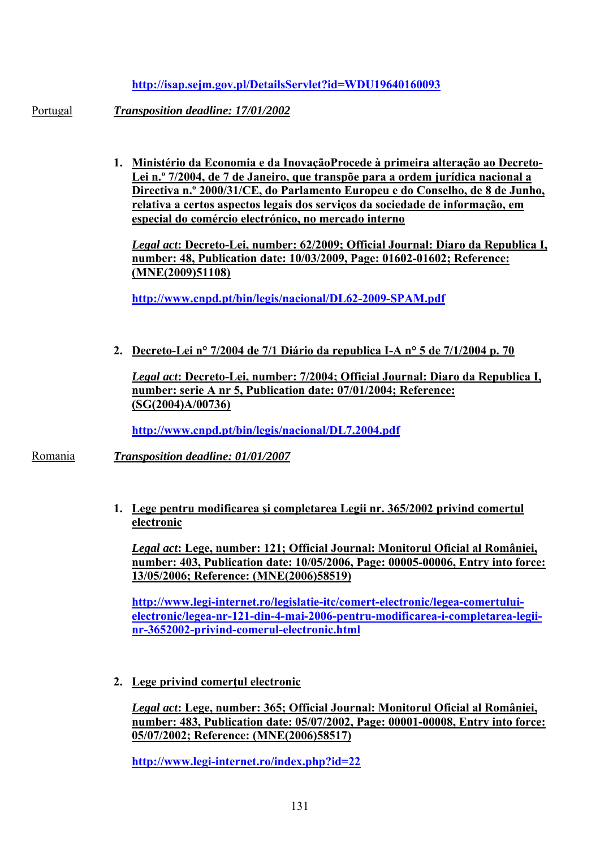#### **<http://isap.sejm.gov.pl/DetailsServlet?id=WDU19640160093>**

Portugal *Transposition deadline: 17/01/2002* 

**1. Ministério da Economia e da InovaçãoProcede à primeira alteração ao Decreto-Lei n.º 7/2004, de 7 de Janeiro, que transpõe para a ordem jurídica nacional a Directiva n.º 2000/31/CE, do Parlamento Europeu e do Conselho, de 8 de Junho, relativa a certos aspectos legais dos serviços da sociedade de informação, em especial do comércio electrónico, no mercado interno**

*Legal act***: Decreto-Lei, number: 62/2009; Official Journal: Diaro da Republica I, number: 48, Publication date: 10/03/2009, Page: 01602-01602; Reference: (MNE(2009)51108)** 

**<http://www.cnpd.pt/bin/legis/nacional/DL62-2009-SPAM.pdf>**

**2. Decreto-Lei n° 7/2004 de 7/1 Diário da republica I-A n° 5 de 7/1/2004 p. 70**

*Legal act***: Decreto-Lei, number: 7/2004; Official Journal: Diaro da Republica I, number: serie A nr 5, Publication date: 07/01/2004; Reference: (SG(2004)A/00736)**

**<http://www.cnpd.pt/bin/legis/nacional/DL7.2004.pdf>**

Romania *Transposition deadline: 01/01/2007* 

**1. Lege pentru modificarea şi completarea Legii nr. 365/2002 privind comerţul electronic**

*Legal act***: Lege, number: 121; Official Journal: Monitorul Oficial al României, number: 403, Publication date: 10/05/2006, Page: 00005-00006, Entry into force: 13/05/2006; Reference: (MNE(2006)58519)** 

**[http://www.legi-internet.ro/legislatie-itc/comert-electronic/legea-comertului](http://www.legi-internet.ro/legislatie-itc/comert-electronic/legea-comertului-electronic/legea-nr-121-din-4-mai-2006-pentru-modificarea-i-completarea-legii-nr-3652002-privind-comerul-electronic.html)[electronic/legea-nr-121-din-4-mai-2006-pentru-modificarea-i-completarea-legii](http://www.legi-internet.ro/legislatie-itc/comert-electronic/legea-comertului-electronic/legea-nr-121-din-4-mai-2006-pentru-modificarea-i-completarea-legii-nr-3652002-privind-comerul-electronic.html)[nr-3652002-privind-comerul-electronic.html](http://www.legi-internet.ro/legislatie-itc/comert-electronic/legea-comertului-electronic/legea-nr-121-din-4-mai-2006-pentru-modificarea-i-completarea-legii-nr-3652002-privind-comerul-electronic.html)** 

**2. Lege privind comerţul electronic**

*Legal act***: Lege, number: 365; Official Journal: Monitorul Oficial al României, number: 483, Publication date: 05/07/2002, Page: 00001-00008, Entry into force: 05/07/2002; Reference: (MNE(2006)58517)** 

**<http://www.legi-internet.ro/index.php?id=22>**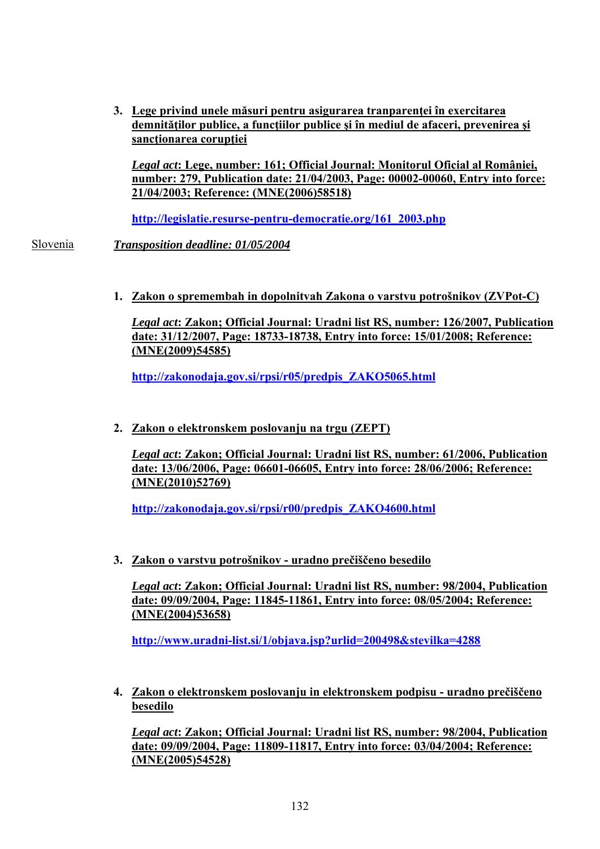**3. Lege privind unele măsuri pentru asigurarea tranparenţei în exercitarea demnităţilor publice, a funcţiilor publice şi în mediul de afaceri, prevenirea şi sancţionarea corupţiei**

*Legal act***: Lege, number: 161; Official Journal: Monitorul Oficial al României, number: 279, Publication date: 21/04/2003, Page: 00002-00060, Entry into force: 21/04/2003; Reference: (MNE(2006)58518)**

**[http://legislatie.resurse-pentru-democratie.org/161\\_2003.php](http://legislatie.resurse-pentru-democratie.org/161_2003.php)** 

Slovenia *Transposition deadline: 01/05/2004* 

**1. Zakon o spremembah in dopolnitvah Zakona o varstvu potrošnikov (ZVPot-C)**

*Legal act***: Zakon; Official Journal: Uradni list RS, number: 126/2007, Publication date: 31/12/2007, Page: 18733-18738, Entry into force: 15/01/2008; Reference: (MNE(2009)54585)** 

**[http://zakonodaja.gov.si/rpsi/r05/predpis\\_ZAKO5065.html](http://zakonodaja.gov.si/rpsi/r05/predpis_ZAKO5065.html)** 

**2. Zakon o elektronskem poslovanju na trgu (ZEPT)**

*Legal act***: Zakon; Official Journal: Uradni list RS, number: 61/2006, Publication date: 13/06/2006, Page: 06601-06605, Entry into force: 28/06/2006; Reference: (MNE(2010)52769)** 

**[http://zakonodaja.gov.si/rpsi/r00/predpis\\_ZAKO4600.html](http://zakonodaja.gov.si/rpsi/r00/predpis_ZAKO4600.html)** 

**3. Zakon o varstvu potrošnikov - uradno prečiščeno besedilo**

*Legal act***: Zakon; Official Journal: Uradni list RS, number: 98/2004, Publication date: 09/09/2004, Page: 11845-11861, Entry into force: 08/05/2004; Reference: (MNE(2004)53658)** 

**<http://www.uradni-list.si/1/objava.jsp?urlid=200498&stevilka=4288>**

**4. Zakon o elektronskem poslovanju in elektronskem podpisu - uradno prečiščeno besedilo**

*Legal act***: Zakon; Official Journal: Uradni list RS, number: 98/2004, Publication date: 09/09/2004, Page: 11809-11817, Entry into force: 03/04/2004; Reference: (MNE(2005)54528)**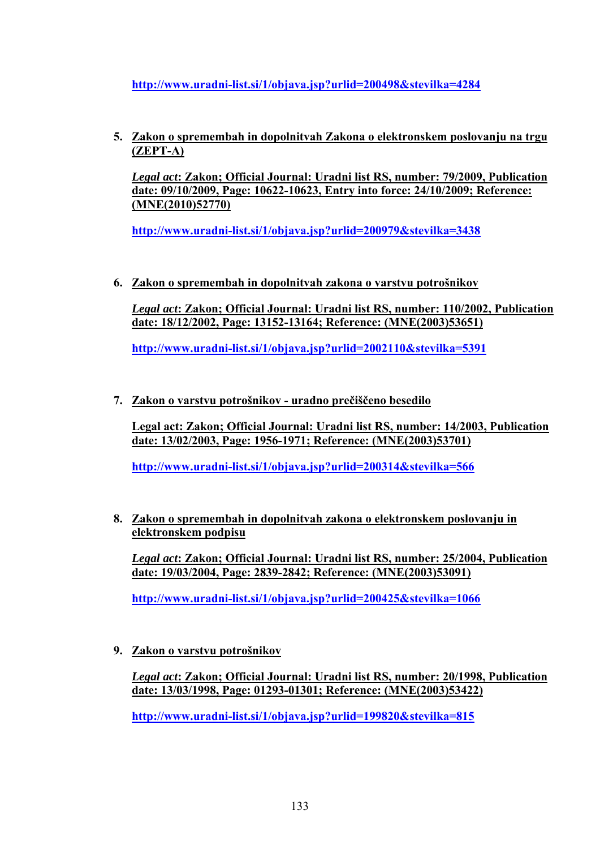**<http://www.uradni-list.si/1/objava.jsp?urlid=200498&stevilka=4284>**

**5. Zakon o spremembah in dopolnitvah Zakona o elektronskem poslovanju na trgu (ZEPT-A)**

*Legal act***: Zakon; Official Journal: Uradni list RS, number: 79/2009, Publication date: 09/10/2009, Page: 10622-10623, Entry into force: 24/10/2009; Reference: (MNE(2010)52770)** 

**<http://www.uradni-list.si/1/objava.jsp?urlid=200979&stevilka=3438>**

**6. Zakon o spremembah in dopolnitvah zakona o varstvu potrošnikov**

*Legal act***: Zakon; Official Journal: Uradni list RS, number: 110/2002, Publication date: 18/12/2002, Page: 13152-13164; Reference: (MNE(2003)53651)** 

**<http://www.uradni-list.si/1/objava.jsp?urlid=2002110&stevilka=5391>**

**7. Zakon o varstvu potrošnikov - uradno prečiščeno besedilo**

**Legal act: Zakon; Official Journal: Uradni list RS, number: 14/2003, Publication date: 13/02/2003, Page: 1956-1971; Reference: (MNE(2003)53701)** 

**<http://www.uradni-list.si/1/objava.jsp?urlid=200314&stevilka=566>**

**8. Zakon o spremembah in dopolnitvah zakona o elektronskem poslovanju in elektronskem podpisu**

*Legal act***: Zakon; Official Journal: Uradni list RS, number: 25/2004, Publication date: 19/03/2004, Page: 2839-2842; Reference: (MNE(2003)53091)** 

**<http://www.uradni-list.si/1/objava.jsp?urlid=200425&stevilka=1066>**

**9. Zakon o varstvu potrošnikov**

*Legal act***: Zakon; Official Journal: Uradni list RS, number: 20/1998, Publication date: 13/03/1998, Page: 01293-01301; Reference: (MNE(2003)53422)** 

**<http://www.uradni-list.si/1/objava.jsp?urlid=199820&stevilka=815>**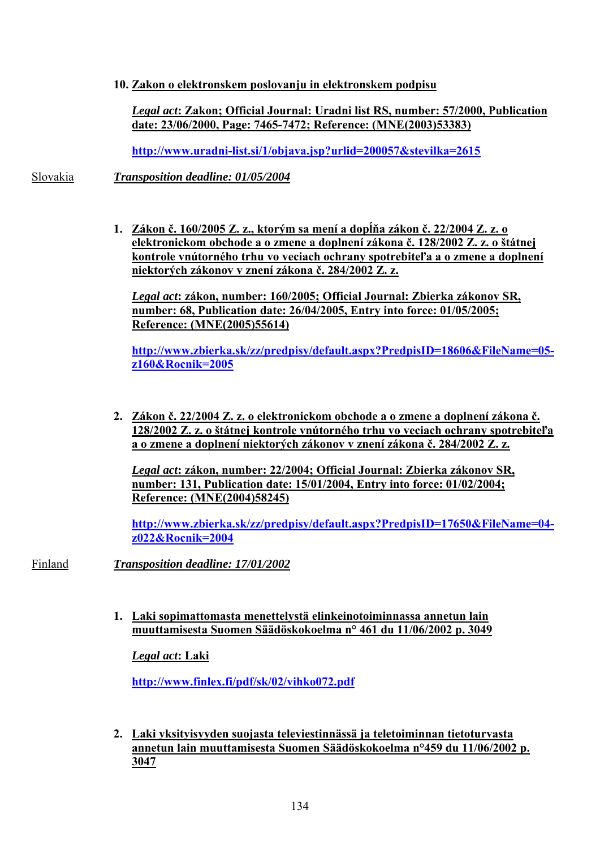**10. Zakon o elektronskem poslovanju in elektronskem podpisu**

*Legal act***: Zakon; Official Journal: Uradni list RS, number: 57/2000, Publication date: 23/06/2000, Page: 7465-7472; Reference: (MNE(2003)53383)** 

**<http://www.uradni-list.si/1/objava.jsp?urlid=200057&stevilka=2615>**

Slovakia *Transposition deadline: 01/05/2004* 

**1. Zákon č. 160/2005 Z. z., ktorým sa mení a dopĺňa zákon č. 22/2004 Z. z. o elektronickom obchode a o zmene a doplnení zákona č. 128/2002 Z. z. o štátnej kontrole vnútorného trhu vo veciach ochrany spotrebiteľa a o zmene a doplnení niektorých zákonov v znení zákona č. 284/2002 Z. z.**

*Legal act***: zákon, number: 160/2005; Official Journal: Zbierka zákonov SR, number: 68, Publication date: 26/04/2005, Entry into force: 01/05/2005; Reference: (MNE(2005)55614)** 

**[http://www.zbierka.sk/zz/predpisy/default.aspx?PredpisID=18606&FileName=05](http://www.zbierka.sk/zz/predpisy/default.aspx?PredpisID=18606&FileName=05-z160&Rocnik=2005) [z160&Rocnik=2005](http://www.zbierka.sk/zz/predpisy/default.aspx?PredpisID=18606&FileName=05-z160&Rocnik=2005)** 

**2. Zákon č. 22/2004 Z. z. o elektronickom obchode a o zmene a doplnení zákona č. 128/2002 Z. z. o štátnej kontrole vnútorného trhu vo veciach ochrany spotrebiteľa a o zmene a doplnení niektorých zákonov v znení zákona č. 284/2002 Z. z.**

*Legal act***: zákon, number: 22/2004; Official Journal: Zbierka zákonov SR, number: 131, Publication date: 15/01/2004, Entry into force: 01/02/2004; Reference: (MNE(2004)58245)**

**[http://www.zbierka.sk/zz/predpisy/default.aspx?PredpisID=17650&FileName=04](http://www.zbierka.sk/zz/predpisy/default.aspx?PredpisID=17650&FileName=04-z022&Rocnik=2004) [z022&Rocnik=2004](http://www.zbierka.sk/zz/predpisy/default.aspx?PredpisID=17650&FileName=04-z022&Rocnik=2004)** 

Finland *Transposition deadline: 17/01/2002* 

**1. Laki sopimattomasta menettelystä elinkeinotoiminnassa annetun lain muuttamisesta Suomen Säädöskokoelma n° 461 du 11/06/2002 p. 3049**

*Legal act***: Laki** 

**<http://www.finlex.fi/pdf/sk/02/vihko072.pdf>**

**2. Laki yksityisyyden suojasta televiestinnässä ja teletoiminnan tietoturvasta annetun lain muuttamisesta Suomen Säädöskokoelma n°459 du 11/06/2002 p. 3047**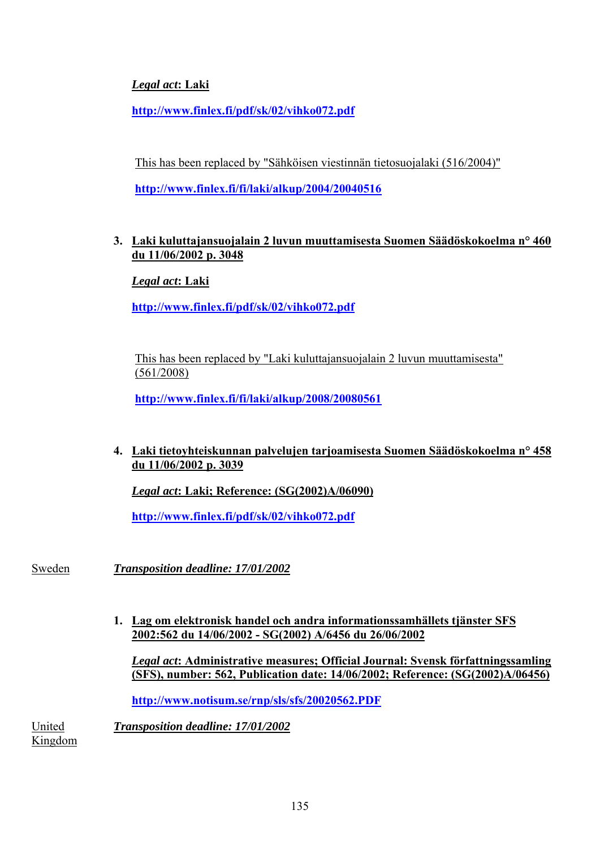# *Legal act***: Laki**

**<http://www.finlex.fi/pdf/sk/02/vihko072.pdf>**

This has been replaced by "Sähköisen viestinnän tietosuojalaki (516/2004)"

**<http://www.finlex.fi/fi/laki/alkup/2004/20040516>**

#### **3. Laki kuluttajansuojalain 2 luvun muuttamisesta Suomen Säädöskokoelma n° 460 du 11/06/2002 p. 3048**

*Legal act***: Laki** 

**<http://www.finlex.fi/pdf/sk/02/vihko072.pdf>**

This has been replaced by "Laki kuluttajansuojalain 2 luvun muuttamisesta" (561/2008)

**<http://www.finlex.fi/fi/laki/alkup/2008/20080561>**

## **4. Laki tietoyhteiskunnan palvelujen tarjoamisesta Suomen Säädöskokoelma n° 458 du 11/06/2002 p. 3039**

*Legal act***: Laki; Reference: (SG(2002)A/06090)**

**<http://www.finlex.fi/pdf/sk/02/vihko072.pdf>**

Sweden *Transposition deadline: 17/01/2002* 

**1. Lag om elektronisk handel och andra informationssamhällets tjänster SFS 2002:562 du 14/06/2002 - SG(2002) A/6456 du 26/06/2002**

*Legal act***: Administrative measures; Official Journal: Svensk författningssamling (SFS), number: 562, Publication date: 14/06/2002; Reference: (SG(2002)A/06456)**

**<http://www.notisum.se/rnp/sls/sfs/20020562.PDF>**

United *Transposition deadline: 17/01/2002* 

Kingdom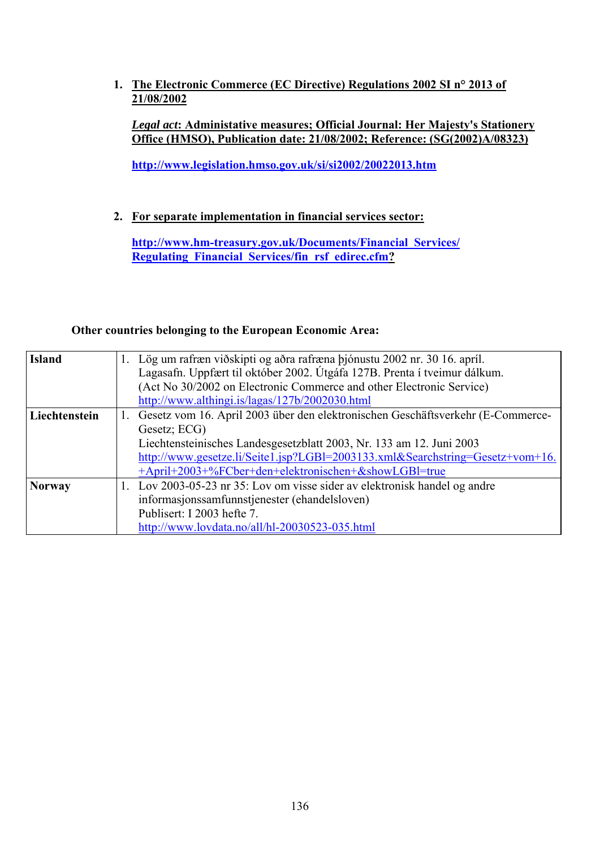**1. The Electronic Commerce (EC Directive) Regulations 2002 SI n° 2013 of 21/08/2002**

*Legal act***: Administative measures; Official Journal: Her Majesty's Stationery Office (HMSO), Publication date: 21/08/2002; Reference: (SG(2002)A/08323)**

**<http://www.legislation.hmso.gov.uk/si/si2002/20022013.htm>**

**2. For separate implementation in financial services sector:** 

**[http://www.hm-treasury.gov.uk/Documents/Financial\\_Services/](http://www.hm-treasury.gov.uk/Documents/Financial_Services/ Regulating_Financial_Services/fin_rsf_edirec.cfm) [Regulating\\_Financial\\_Services/fin\\_rsf\\_edirec.cfm?](http://www.hm-treasury.gov.uk/Documents/Financial_Services/ Regulating_Financial_Services/fin_rsf_edirec.cfm)**

#### **Other countries belonging to the European Economic Area:**

| <b>Island</b> | 1. Lög um rafræn viðskipti og aðra rafræna þjónustu 2002 nr. 30 16. apríl.         |  |  |  |  |  |  |  |  |  |
|---------------|------------------------------------------------------------------------------------|--|--|--|--|--|--|--|--|--|
|               | Lagasafn. Uppfært til október 2002. Útgáfa 127B. Prenta í tveimur dálkum.          |  |  |  |  |  |  |  |  |  |
|               | (Act No 30/2002 on Electronic Commerce and other Electronic Service)               |  |  |  |  |  |  |  |  |  |
|               | http://www.althingi.is/lagas/127b/2002030.html                                     |  |  |  |  |  |  |  |  |  |
| Liechtenstein | 1. Gesetz vom 16. April 2003 über den elektronischen Geschäftsverkehr (E-Commerce- |  |  |  |  |  |  |  |  |  |
|               | Gesetz; ECG)                                                                       |  |  |  |  |  |  |  |  |  |
|               | Liechtensteinisches Landesgesetzblatt 2003, Nr. 133 am 12. Juni 2003               |  |  |  |  |  |  |  |  |  |
|               | http://www.gesetze.li/Seite1.jsp?LGBl=2003133.xml&Searchstring=Gesetz+vom+16.      |  |  |  |  |  |  |  |  |  |
|               | +April+2003+%FCber+den+elektronischen+&showLGBl=true                               |  |  |  |  |  |  |  |  |  |
| <b>Norway</b> | 1. Lov 2003-05-23 nr 35: Lov om visse sider av elektronisk handel og andre         |  |  |  |  |  |  |  |  |  |
|               | informasjonssamfunnstjenester (ehandelsloven)                                      |  |  |  |  |  |  |  |  |  |
|               | Publisert: I 2003 hefte 7.                                                         |  |  |  |  |  |  |  |  |  |
|               | http://www.lovdata.no/all/hl-20030523-035.html                                     |  |  |  |  |  |  |  |  |  |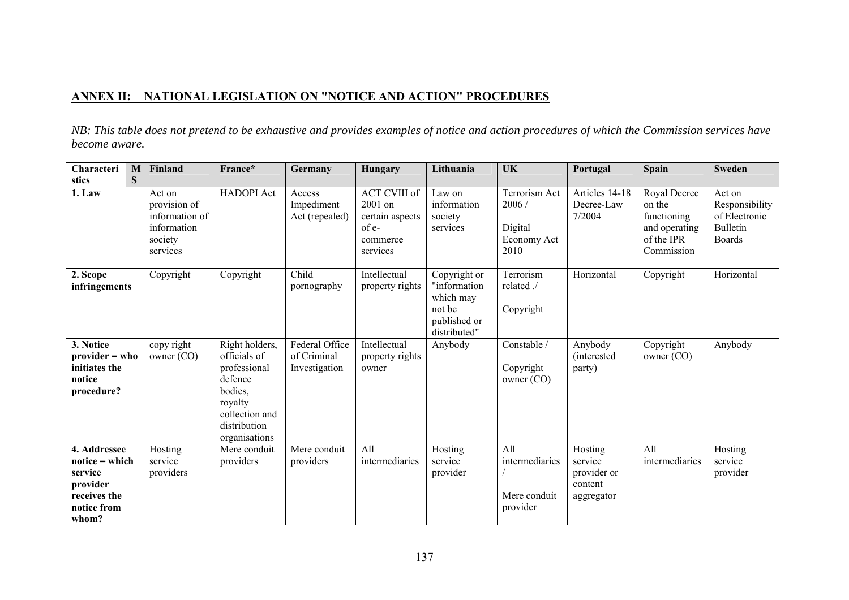#### **ANNEX II: NATIONAL LEGISLATION ON "NOTICE AND ACTION" PROCEDURES**

*NB: This table does not pretend to be exhaustive and provides examples of notice and action procedures of which the Commission services have become aware.* 

| Characteri                                                                                                    | M | Finland                                                                        | France*                                                                                                                            | Germany                                        | Hungary                                                                            | Lithuania                                                                           | UK                                                              | Portugal                                                   | <b>Spain</b>                                                                       | <b>Sweden</b>                                                                 |
|---------------------------------------------------------------------------------------------------------------|---|--------------------------------------------------------------------------------|------------------------------------------------------------------------------------------------------------------------------------|------------------------------------------------|------------------------------------------------------------------------------------|-------------------------------------------------------------------------------------|-----------------------------------------------------------------|------------------------------------------------------------|------------------------------------------------------------------------------------|-------------------------------------------------------------------------------|
| stics                                                                                                         | S |                                                                                |                                                                                                                                    |                                                |                                                                                    |                                                                                     |                                                                 |                                                            |                                                                                    |                                                                               |
| 1. Law                                                                                                        |   | Act on<br>provision of<br>information of<br>information<br>society<br>services | <b>HADOPI</b> Act                                                                                                                  | Access<br>Impediment<br>Act (repealed)         | <b>ACT CVIII of</b><br>2001 on<br>certain aspects<br>of e-<br>commerce<br>services | Law on<br>information<br>society<br>services                                        | <b>Terrorism Act</b><br>2006/<br>Digital<br>Economy Act<br>2010 | Articles 14-18<br>Decree-Law<br>7/2004                     | Royal Decree<br>on the<br>functioning<br>and operating<br>of the IPR<br>Commission | Act on<br>Responsibility<br>of Electronic<br><b>Bulletin</b><br><b>Boards</b> |
| 2. Scope<br>infringements                                                                                     |   | Copyright                                                                      | Copyright                                                                                                                          | Child<br>pornography                           | Intellectual<br>property rights                                                    | Copyright or<br>"information<br>which may<br>not be<br>published or<br>distributed" | Terrorism<br>related ./<br>Copyright                            | Horizontal                                                 | Copyright                                                                          | Horizontal                                                                    |
| 3. Notice<br>$provider = who$<br>initiates the<br>notice<br>procedure?                                        |   | copy right<br>owner (CO)                                                       | Right holders,<br>officials of<br>professional<br>defence<br>bodies,<br>royalty<br>collection and<br>distribution<br>organisations | Federal Office<br>of Criminal<br>Investigation | Intellectual<br>property rights<br>owner                                           | Anybody                                                                             | Constable /<br>Copyright<br>owner (CO)                          | Anybody<br><i>(interested)</i><br>party)                   | Copyright<br>owner (CO)                                                            | Anybody                                                                       |
| 4. Addressee<br>$\text{notice} = \text{which}$<br>service<br>provider<br>receives the<br>notice from<br>whom? |   | Hosting<br>service<br>providers                                                | Mere conduit<br>providers                                                                                                          | Mere conduit<br>providers                      | $\overline{All}$<br>intermediaries                                                 | Hosting<br>service<br>provider                                                      | All<br>intermediaries<br>Mere conduit<br>provider               | Hosting<br>service<br>provider or<br>content<br>aggregator | All<br>intermediaries                                                              | Hosting<br>service<br>provider                                                |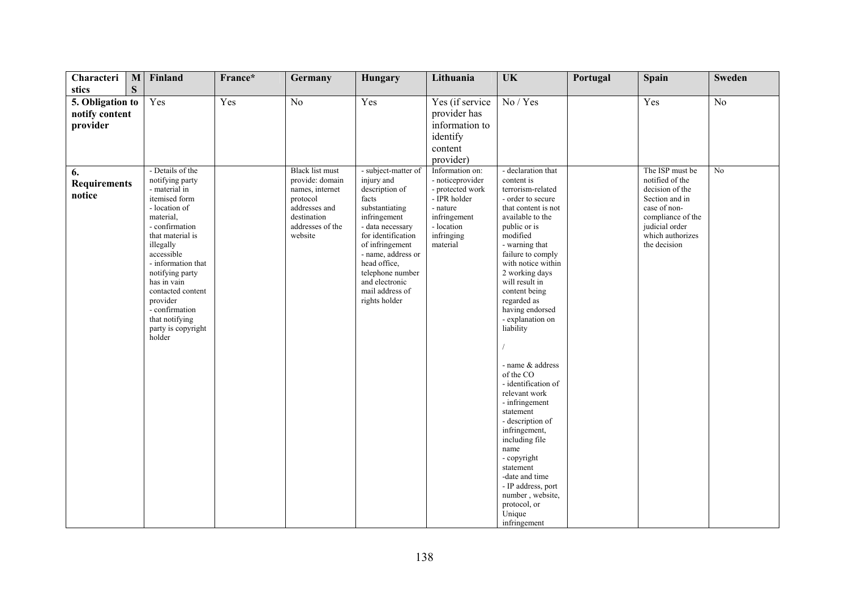| Characteri                                           | M | Finland                                                                                                                                                                                                                                                                                                       | France* | Germany                                                                                                       | Hungary                                                                                                                                                                                                                                              | Lithuania                                                                                                                | <b>UK</b>                                                                                                                                                                                                                                                                                                                                                                                                                                                                                                                                                                                                                 | Portugal | <b>Spain</b>                                                                                                                                    | <b>Sweden</b>        |
|------------------------------------------------------|---|---------------------------------------------------------------------------------------------------------------------------------------------------------------------------------------------------------------------------------------------------------------------------------------------------------------|---------|---------------------------------------------------------------------------------------------------------------|------------------------------------------------------------------------------------------------------------------------------------------------------------------------------------------------------------------------------------------------------|--------------------------------------------------------------------------------------------------------------------------|---------------------------------------------------------------------------------------------------------------------------------------------------------------------------------------------------------------------------------------------------------------------------------------------------------------------------------------------------------------------------------------------------------------------------------------------------------------------------------------------------------------------------------------------------------------------------------------------------------------------------|----------|-------------------------------------------------------------------------------------------------------------------------------------------------|----------------------|
| stics                                                | S |                                                                                                                                                                                                                                                                                                               |         |                                                                                                               |                                                                                                                                                                                                                                                      |                                                                                                                          |                                                                                                                                                                                                                                                                                                                                                                                                                                                                                                                                                                                                                           |          |                                                                                                                                                 |                      |
| 5. Obligation to<br>notify content<br>provider<br>6. |   | Yes<br>- Details of the                                                                                                                                                                                                                                                                                       | Yes     | No<br><b>Black</b> list must                                                                                  | Yes<br>- subject-matter of                                                                                                                                                                                                                           | Yes (if service<br>provider has<br>information to<br>identify<br>content<br>provider)<br>Information on:                 | No / Yes<br>- declaration that                                                                                                                                                                                                                                                                                                                                                                                                                                                                                                                                                                                            |          | Yes<br>The ISP must be                                                                                                                          | N <sub>o</sub><br>No |
| <b>Requirements</b><br>notice                        |   | notifying party<br>- material in<br>itemised form<br>- location of<br>material,<br>- confirmation<br>that material is<br>illegally<br>accessible<br>- information that<br>notifying party<br>has in vain<br>contacted content<br>provider<br>- confirmation<br>that notifying<br>party is copyright<br>holder |         | provide: domain<br>names, internet<br>protocol<br>addresses and<br>destination<br>addresses of the<br>website | injury and<br>description of<br>facts<br>substantiating<br>infringement<br>- data necessary<br>for identification<br>of infringement<br>- name, address or<br>head office,<br>telephone number<br>and electronic<br>mail address of<br>rights holder | - noticeprovider<br>- protected work<br>- IPR holder<br>- nature<br>infringement<br>- location<br>infringing<br>material | content is<br>terrorism-related<br>- order to secure<br>that content is not<br>available to the<br>public or is<br>modified<br>- warning that<br>failure to comply<br>with notice within<br>2 working days<br>will result in<br>content being<br>regarded as<br>having endorsed<br>- explanation on<br>liability<br>- name & address<br>of the CO<br>- identification of<br>relevant work<br>- infringement<br>statement<br>- description of<br>infringement,<br>including file<br>name<br>- copyright<br>statement<br>-date and time<br>- IP address, port<br>number, website,<br>protocol, or<br>Unique<br>infringement |          | notified of the<br>decision of the<br>Section and in<br>case of non-<br>compliance of the<br>judicial order<br>which authorizes<br>the decision |                      |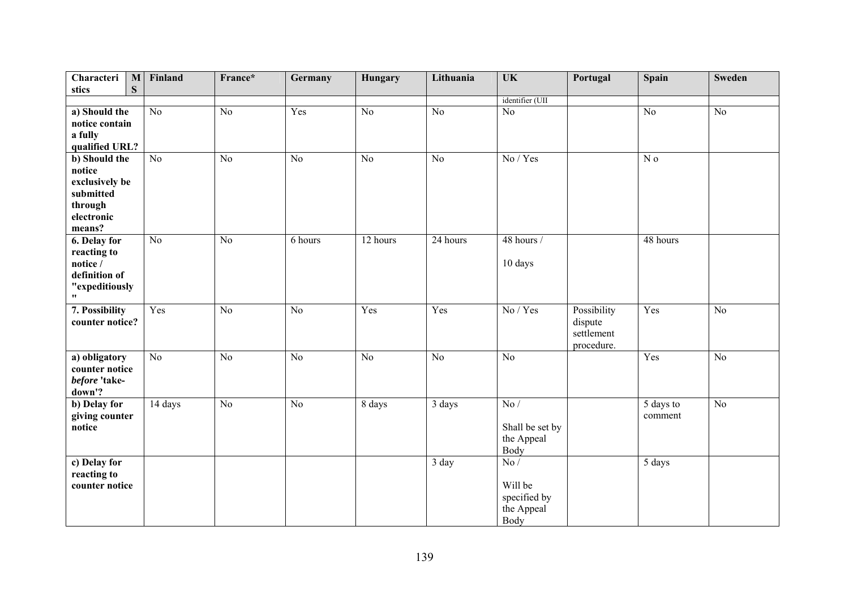| Characteri<br>$\mathbf M$ | Finland         | France*         | Germany | Hungary        | Lithuania       | UK              | Portugal    | Spain           | <b>Sweden</b>   |
|---------------------------|-----------------|-----------------|---------|----------------|-----------------|-----------------|-------------|-----------------|-----------------|
| ${\bf S}$<br>stics        |                 |                 |         |                |                 |                 |             |                 |                 |
|                           |                 |                 |         |                |                 | identifier (UII |             |                 |                 |
| a) Should the             | $\overline{No}$ | $\overline{No}$ | Yes     | N <sub>o</sub> | $\overline{No}$ | N <sub>0</sub>  |             | $\overline{No}$ | $\overline{No}$ |
| notice contain            |                 |                 |         |                |                 |                 |             |                 |                 |
| a fully                   |                 |                 |         |                |                 |                 |             |                 |                 |
| qualified URL?            |                 |                 |         |                |                 |                 |             |                 |                 |
| b) Should the             | No              | N <sub>o</sub>  | No      | No             | No              | No / Yes        |             | $\mathbf N$ o   |                 |
| notice                    |                 |                 |         |                |                 |                 |             |                 |                 |
| exclusively be            |                 |                 |         |                |                 |                 |             |                 |                 |
| submitted                 |                 |                 |         |                |                 |                 |             |                 |                 |
| through                   |                 |                 |         |                |                 |                 |             |                 |                 |
| electronic                |                 |                 |         |                |                 |                 |             |                 |                 |
| means?                    |                 |                 |         |                |                 |                 |             |                 |                 |
| 6. Delay for              | No              | N <sub>0</sub>  | 6 hours | 12 hours       | 24 hours        | $48$ hours /    |             | 48 hours        |                 |
| reacting to               |                 |                 |         |                |                 |                 |             |                 |                 |
| notice /                  |                 |                 |         |                |                 | 10 days         |             |                 |                 |
| definition of             |                 |                 |         |                |                 |                 |             |                 |                 |
| "expeditiously            |                 |                 |         |                |                 |                 |             |                 |                 |
| 11                        |                 |                 |         |                |                 |                 |             |                 |                 |
| 7. Possibility            | Yes             | N <sub>o</sub>  | No      | Yes            | Yes             | No / Yes        | Possibility | Yes             | No              |
| counter notice?           |                 |                 |         |                |                 |                 | dispute     |                 |                 |
|                           |                 |                 |         |                |                 |                 | settlement  |                 |                 |
|                           |                 |                 |         |                |                 |                 | procedure.  |                 |                 |
| a) obligatory             | No              | N <sub>o</sub>  | No      | N <sub>o</sub> | No              | $\overline{No}$ |             | Yes             | No              |
| counter notice            |                 |                 |         |                |                 |                 |             |                 |                 |
| before 'take-             |                 |                 |         |                |                 |                 |             |                 |                 |
| down'?                    |                 |                 |         |                |                 |                 |             |                 |                 |
| b) Delay for              | 14 days         | N <sub>o</sub>  | No      | 8 days         | 3 days          | $\overline{No}$ |             | 5 days to       | No              |
| giving counter            |                 |                 |         |                |                 |                 |             | comment         |                 |
| notice                    |                 |                 |         |                |                 | Shall be set by |             |                 |                 |
|                           |                 |                 |         |                |                 | the Appeal      |             |                 |                 |
|                           |                 |                 |         |                |                 | Body            |             |                 |                 |
| c) Delay for              |                 |                 |         |                | 3 day           | No/             |             | 5 days          |                 |
| reacting to               |                 |                 |         |                |                 |                 |             |                 |                 |
| counter notice            |                 |                 |         |                |                 | Will be         |             |                 |                 |
|                           |                 |                 |         |                |                 | specified by    |             |                 |                 |
|                           |                 |                 |         |                |                 | the Appeal      |             |                 |                 |
|                           |                 |                 |         |                |                 | Body            |             |                 |                 |